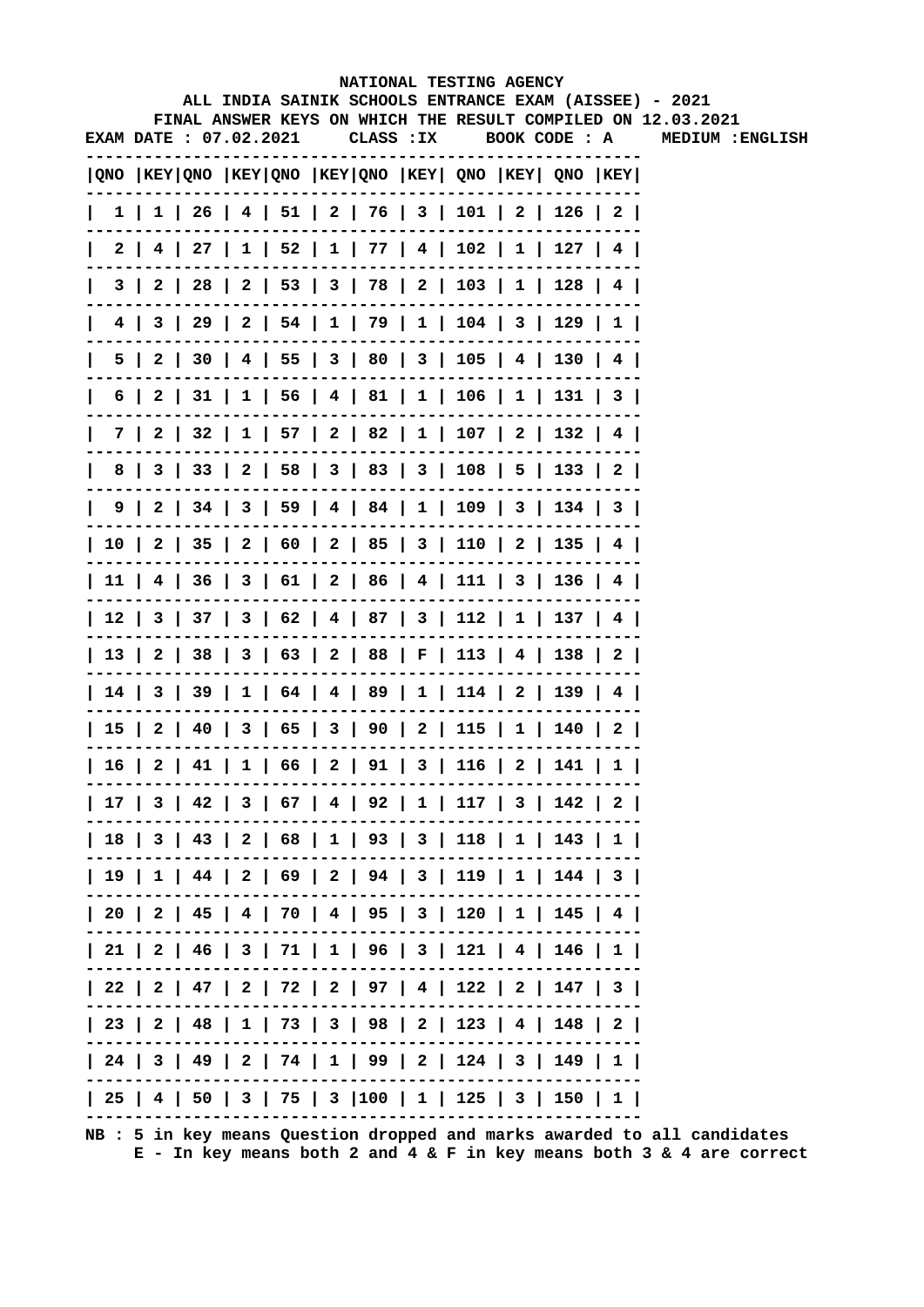## NATIONAL TESTING AGENCY ALL INDIA SAINIK SCHOOLS ENTRANCE EXAM (AISSEE) - 2021 FINAL ANSWER KEYS ON WHICH THE RESULT COMPILED ON 12.03.2021 **EXAM DATE: 07.02.2021** CLASS: IX BOOK CODE: A MEDIUM : ENGLISH |QNO |KEY|QNO |KEY|QNO |KEY|QNO |KEY| QNO |KEY| QNO |KEY| -------- $1 1 1 26 4 51 2 76 3 101 2 126 2$  $| 3 | 2 | 28 | 2 | 53 | 3 | 78 | 2 | 103 | 1 | 128 | 4 |$  $| 4 | 3 | 29 | 2 | 54 | 1 | 79 | 1 | 104 | 3 | 129 | 1 |$ ------------------ $| 7 | 2 | 32 | 1 | 57 | 2 | 82 | 1 | 107 | 2 | 132 | 4 |$ | 8 | 3 | 33 | 2 | 58 | 3 | 83 | 3 | 108 | 5 | 133 | 2 | | 10 | 2 | 35 | 2 | 60 | 2 | 85 | 3 | 110 | 2 | 135 | 4 |  $| 11 | 4 | 36 | 3 | 61 | 2 | 86 | 4 | 111 | 3 | 136 | 4 |$ | 12 | 3 | 37 | 3 | 62 | 4 | 87 | 3 | 112 | 1 | 137 | 4 | | 13 | 2 | 38 | 3 | 63 | 2 | 88 | F | 113 | 4 | 138 | 2 |  $114$  | 3 | 39 | 1 | 64 | 4 | 89 | 1 | 114 | 2 | 139 | 4 | -------- $| 15 | 2 | 40 | 3 | 65 | 3 | 90 | 2 | 115 | 1 | 140 | 2 |$ -------------------------- $16 | 2 | 41 | 1 | 66 | 2 | 91 | 3 | 116 | 2 | 141 | 1$ | 17 | 3 | 42 | 3 | 67 | 4 | 92 | 1 | 117 | 3 | 142 | 2 |  $| 18 | 3 | 43 | 2 | 68 | 1 | 93 | 3 | 118 | 1 | 143 | 1 |$ | 19 | 1 | 44 | 2 | 69 | 2 | 94 | 3 | 119 | 1 | 144 | 3 |  $120$  | 2 | 45 | 4 | 70 | 4 | 95 | 3 | 120 | 1 | 145 | 4 |  $| 21 | 2 | 46 | 3 | 71 | 1 | 96 | 3 | 121 | 4 | 146 | 1 |$  $| 22 | 2 | 47 | 2 | 72 | 2 | 97 | 4 | 122 | 2 | 147 | 3 |$ | 23 | 2 | 48 | 1 | 73 | 3 | 98 | 2 | 123 | 4 | 148 | 2 | \_ \_ \_ \_ \_ \_ \_ .  $\sim$  $- - - - - - - - | 24 | 3 | 49 | 2 | 74 | 1 | 99 | 2 | 124 | 3 | 149 | 1 |$

 $| 25 | 4 | 50 | 3 | 75 | 3 | 100 | 1 | 125 | 3 | 150 | 1 |$ 

 $= -1$ 

NB : 5 in key means Question dropped and marks awarded to all candidates

------------------------------

 $E$  - In key means both 2 and 4 & F in key means both 3 & 4 are correct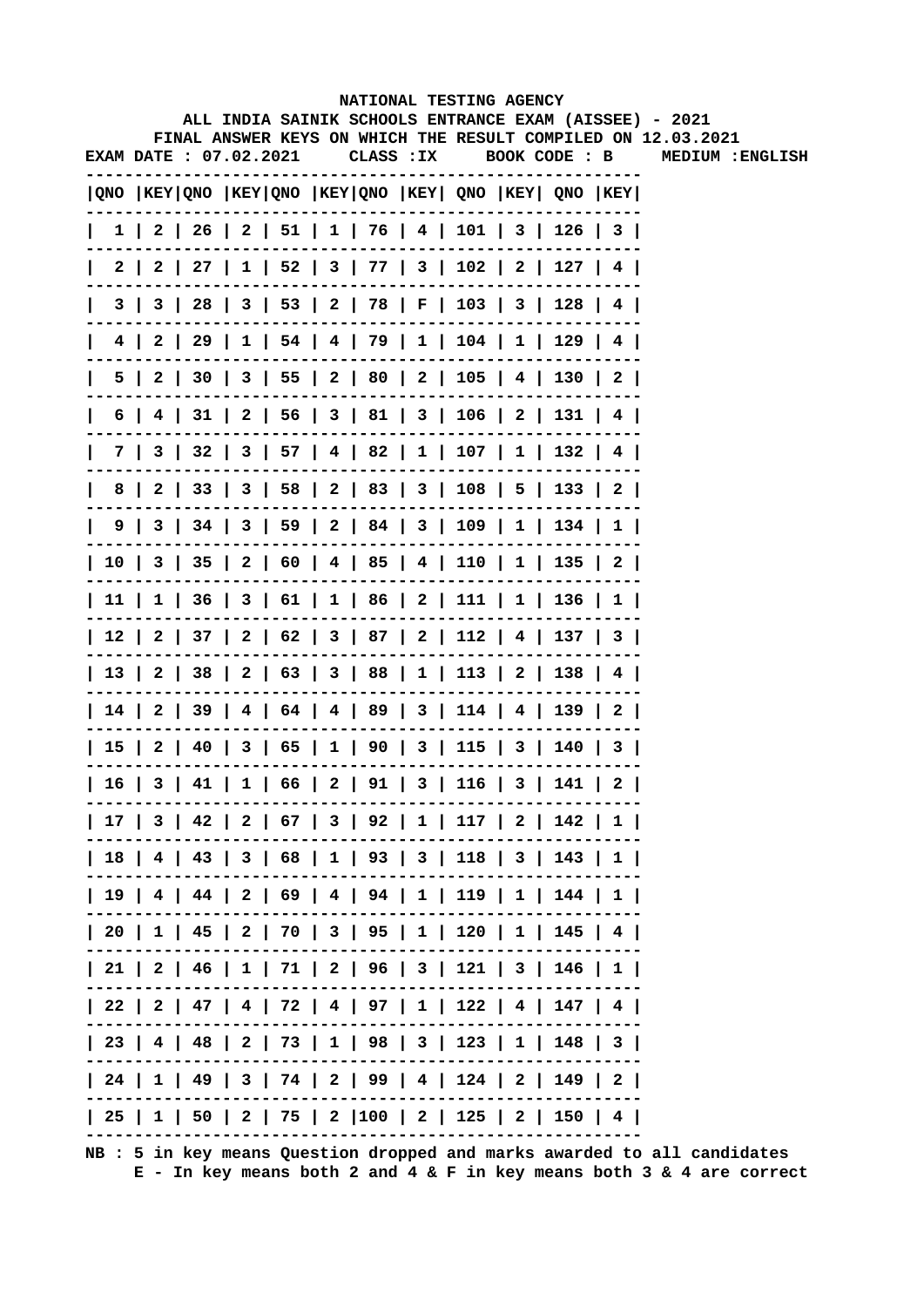|              |                        |  |  |            | NATIONAL TESTING AGENCY                                                                      |  |                                                                                                                        |
|--------------|------------------------|--|--|------------|----------------------------------------------------------------------------------------------|--|------------------------------------------------------------------------------------------------------------------------|
|              |                        |  |  |            |                                                                                              |  | ALL INDIA SAINIK SCHOOLS ENTRANCE EXAM (AISSEE) - 2021<br>FINAL ANSWER KEYS ON WHICH THE RESULT COMPILED ON 12.03.2021 |
|              | EXAM DATE : 07.02.2021 |  |  | CLASS : IX |                                                                                              |  | BOOK CODE : B MEDIUM :ENGLISH                                                                                          |
|              |                        |  |  |            | QNO  KEY QNO  KEY QNO  KEY QNO  KEY  QNO  KEY  QNO  KEY                                      |  |                                                                                                                        |
| $\perp$      |                        |  |  |            | $1 \mid 2 \mid 26 \mid 2 \mid 51 \mid 1 \mid 76 \mid 4 \mid 101 \mid 3 \mid 126 \mid 3 \mid$ |  |                                                                                                                        |
| $\mathbf{I}$ |                        |  |  |            | 2   2   27   1   52   3   77   3   102   2   127   4                                         |  |                                                                                                                        |
| $\mathsf{I}$ |                        |  |  |            | 3   3   28   3   53   2   78   F   103   3   128   4                                         |  |                                                                                                                        |
| 4 I          |                        |  |  |            | 2   29   1   54   4   79   1   104   1   129   4                                             |  |                                                                                                                        |
|              |                        |  |  |            | 5   2   30   3   55   2   80   2   105   4   130   2                                         |  |                                                                                                                        |
|              |                        |  |  |            | 6   4   31   2   56   3   81   3   106   2   131   4                                         |  |                                                                                                                        |
|              |                        |  |  |            | 7   3   32   3   57   4   82   1   107   1   132   4                                         |  |                                                                                                                        |
|              |                        |  |  |            | 8   2   33   3   58   2   83   3   108   5   133   2                                         |  |                                                                                                                        |
|              |                        |  |  |            | 9   3   34   3   59   2   84   3   109   1   134   1                                         |  |                                                                                                                        |
|              |                        |  |  |            | 10   3   35   2   60   4   85   4   110   1   135   2                                        |  |                                                                                                                        |
|              |                        |  |  |            | 11   1   36   3   61   1   86   2   111   1   136   1                                        |  |                                                                                                                        |
|              |                        |  |  |            | 12   2   37   2   62   3   87   2   112   4   137   3                                        |  |                                                                                                                        |
|              |                        |  |  |            | 13   2   38   2   63   3   88   1   113   2   138   4                                        |  |                                                                                                                        |
|              |                        |  |  |            | 14   2   39   4   64   4   89   3   114   4   139   2                                        |  |                                                                                                                        |
|              |                        |  |  |            | 15   2   40   3   65   1   90   3   115   3   140   3                                        |  |                                                                                                                        |
|              |                        |  |  |            | $16   3   41   1   66   2   91   3   116   3   141   2$                                      |  |                                                                                                                        |
|              |                        |  |  |            | 17   3   42   2   67   3   92   1   117   2   142   1                                        |  |                                                                                                                        |
|              |                        |  |  |            | 18   4   43   3   68   1   93   3   118   3   143   1                                        |  |                                                                                                                        |
|              |                        |  |  |            | 19   4   44   2   69   4   94   1   119   1   144   1                                        |  |                                                                                                                        |
|              |                        |  |  |            | 20   1   45   2   70   3   95   1   120   1   145   4                                        |  |                                                                                                                        |
|              |                        |  |  |            | 21   2   46   1   71   2   96   3   121   3   146   1                                        |  |                                                                                                                        |
|              |                        |  |  |            | 22   2   47   4   72   4   97   1   122   4   147   4                                        |  |                                                                                                                        |
|              |                        |  |  |            | 23   4   48   2   73   1   98   3   123   1   148   3                                        |  |                                                                                                                        |
|              |                        |  |  |            | 24   1   49   3   74   2   99   4   124   2   149   2                                        |  |                                                                                                                        |
|              |                        |  |  |            | 25   1   50   2   75   2  100   2   125   2   150   4                                        |  |                                                                                                                        |
|              |                        |  |  |            |                                                                                              |  |                                                                                                                        |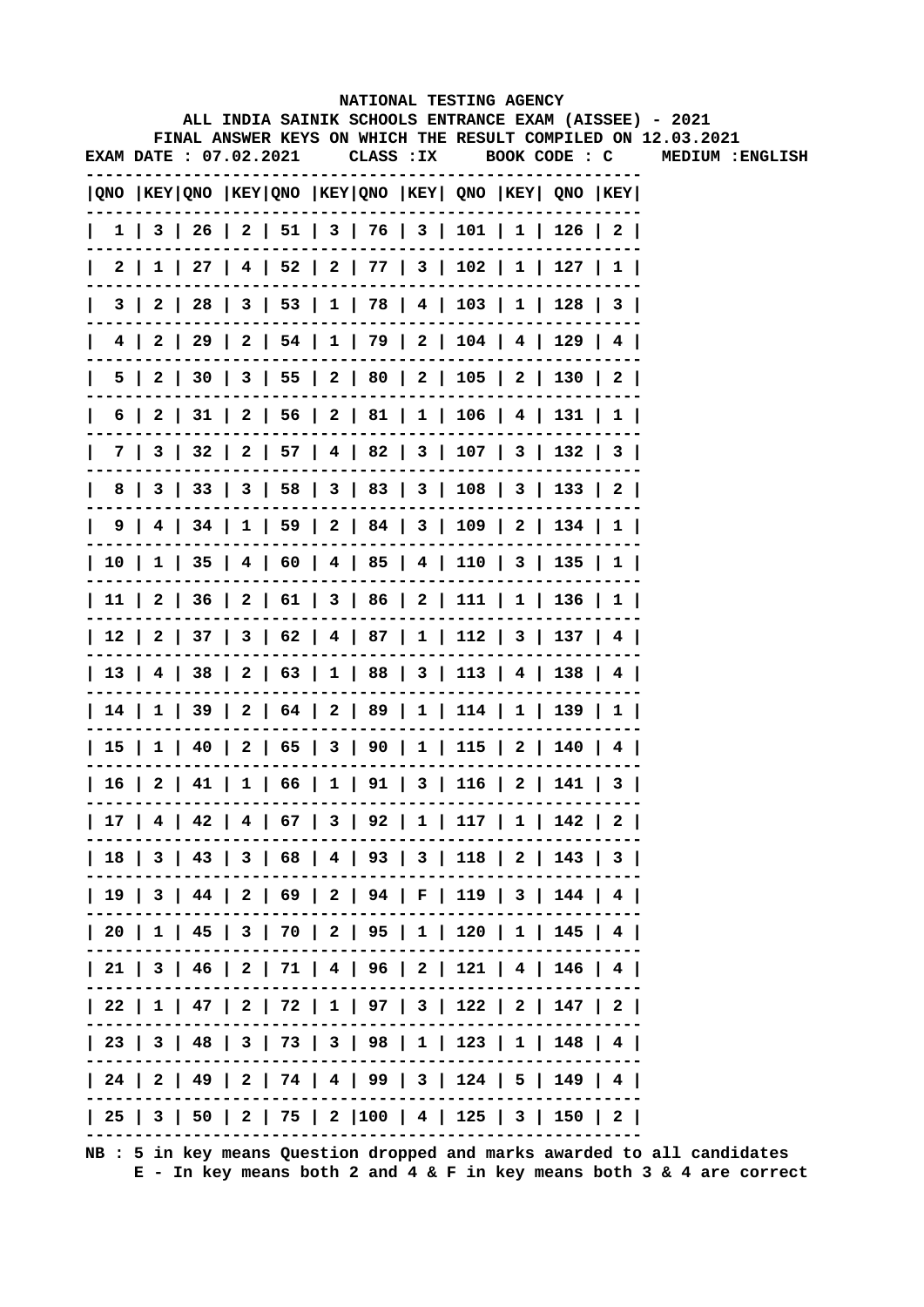|              |                       |  |  |            | NATIONAL TESTING AGENCY                                                                      |  |                                                                                                                        |
|--------------|-----------------------|--|--|------------|----------------------------------------------------------------------------------------------|--|------------------------------------------------------------------------------------------------------------------------|
|              |                       |  |  |            |                                                                                              |  | ALL INDIA SAINIK SCHOOLS ENTRANCE EXAM (AISSEE) - 2021<br>FINAL ANSWER KEYS ON WHICH THE RESULT COMPILED ON 12.03.2021 |
|              | EXAM DATE: 07.02.2021 |  |  | CLASS : IX |                                                                                              |  | BOOK CODE : C MEDIUM : ENGLISH                                                                                         |
|              |                       |  |  |            | QNO  KEY QNO  KEY QNO  KEY QNO  KEY  QNO  KEY  QNO  KEY                                      |  |                                                                                                                        |
| $\mathbf{I}$ |                       |  |  |            | $1 \mid 3 \mid 26 \mid 2 \mid 51 \mid 3 \mid 76 \mid 3 \mid 101 \mid 1 \mid 126 \mid 2 \mid$ |  |                                                                                                                        |
|              |                       |  |  |            | 2   1   27   4   52   2   77   3   102   1   127   1                                         |  |                                                                                                                        |
|              |                       |  |  |            | 3   2   28   3   53   1   78   4   103   1   128   3                                         |  |                                                                                                                        |
|              |                       |  |  |            | 4   2   29   2   54   1   79   2   104   4   129   4                                         |  |                                                                                                                        |
|              |                       |  |  |            | 5   2   30   3   55   2   80   2   105   2   130   2                                         |  |                                                                                                                        |
|              |                       |  |  |            | 6   2   31   2   56   2   81   1   106   4   131   1                                         |  |                                                                                                                        |
|              |                       |  |  |            | 7   3   32   2   57   4   82   3   107   3   132   3                                         |  |                                                                                                                        |
|              |                       |  |  |            | 8   3   33   3   58   3   83   3   108   3   133   2                                         |  |                                                                                                                        |
|              |                       |  |  |            | 9   4   34   1   59   2   84   3   109   2   134   1                                         |  |                                                                                                                        |
|              |                       |  |  |            | 10   1   35   4   60   4   85   4   110   3   135   1                                        |  |                                                                                                                        |
|              |                       |  |  |            | 11   2   36   2   61   3   86   2   111   1   136   1                                        |  |                                                                                                                        |
|              |                       |  |  |            | 12   2   37   3   62   4   87   1   112   3   137   4                                        |  |                                                                                                                        |
|              |                       |  |  |            | 13   4   38   2   63   1   88   3   113   4   138   4                                        |  |                                                                                                                        |
|              |                       |  |  |            | 14   1   39   2   64   2   89   1   114   1   139   1                                        |  |                                                                                                                        |
|              |                       |  |  |            | 15   1   40   2   65   3   90   1   115   2   140   4                                        |  |                                                                                                                        |
|              |                       |  |  |            | 16   2   41   1   66   1   91   3   116   2   141   3                                        |  |                                                                                                                        |
|              |                       |  |  |            | 17   4   42   4   67   3   92   1   117   1   142   2                                        |  |                                                                                                                        |
|              |                       |  |  |            | 18   3   43   3   68   4   93   3   118   2   143   3                                        |  |                                                                                                                        |
|              |                       |  |  |            | 19   3   44   2   69   2   94   F   119   3   144   4                                        |  |                                                                                                                        |
|              |                       |  |  |            | 20   1   45   3   70   2   95   1   120   1   145   4                                        |  |                                                                                                                        |
|              |                       |  |  |            | 21   3   46   2   71   4   96   2   121   4   146   4                                        |  |                                                                                                                        |
|              |                       |  |  |            | 22   1   47   2   72   1   97   3   122   2   147   2                                        |  |                                                                                                                        |
|              |                       |  |  |            | 23   3   48   3   73   3   98   1   123   1   148   4                                        |  |                                                                                                                        |
|              |                       |  |  |            | 24   2   49   2   74   4   99   3   124   5   149   4                                        |  |                                                                                                                        |
|              |                       |  |  |            | 25   3   50   2   75   2  100   4   125   3   150   2                                        |  |                                                                                                                        |
|              |                       |  |  |            |                                                                                              |  |                                                                                                                        |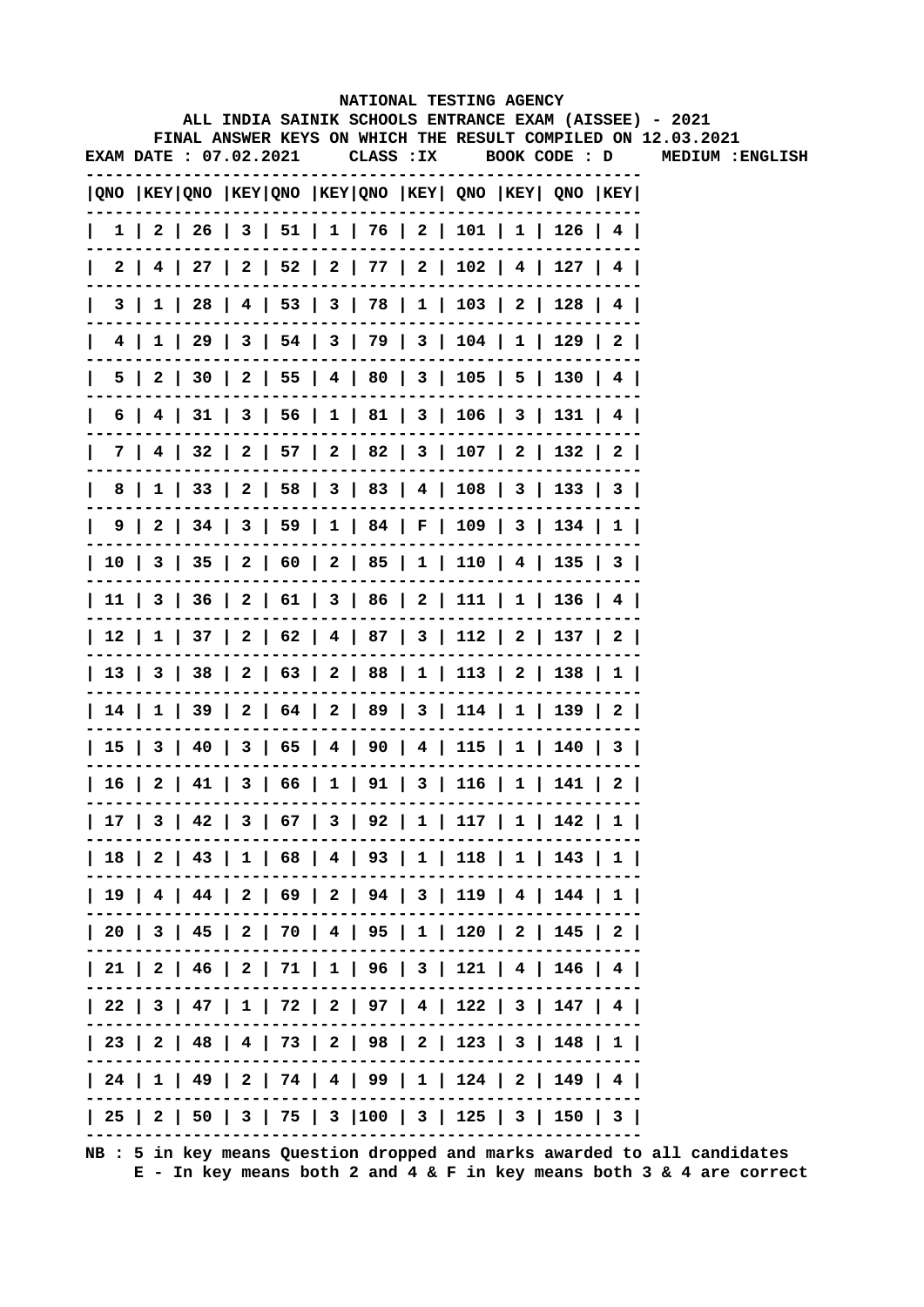|   |                       |  |  |            | NATIONAL TESTING AGENCY                                                                      |               |  |                                                                                                                        |
|---|-----------------------|--|--|------------|----------------------------------------------------------------------------------------------|---------------|--|------------------------------------------------------------------------------------------------------------------------|
|   |                       |  |  |            |                                                                                              |               |  | ALL INDIA SAINIK SCHOOLS ENTRANCE EXAM (AISSEE) - 2021<br>FINAL ANSWER KEYS ON WHICH THE RESULT COMPILED ON 12.03.2021 |
|   | EXAM DATE: 07.02.2021 |  |  | CLASS : IX |                                                                                              | BOOK CODE : D |  | MEDIUM : ENGLISH                                                                                                       |
|   |                       |  |  |            | QNO   KEY   QNO   KEY   QNO   KEY   QNO   KEY   QNO   KEY   QNO   KEY                        |               |  |                                                                                                                        |
|   |                       |  |  |            | $1 \mid 2 \mid 26 \mid 3 \mid 51 \mid 1 \mid 76 \mid 2 \mid 101 \mid 1 \mid 126 \mid 4 \mid$ |               |  |                                                                                                                        |
|   |                       |  |  |            | 2   4   27   2   52   2   77   2   102   4   127   4                                         |               |  |                                                                                                                        |
|   |                       |  |  |            | 3   1   28   4   53   3   78   1   103   2   128   4                                         |               |  |                                                                                                                        |
|   |                       |  |  |            | 4   1   29   3   54   3   79   3   104   1   129   2                                         |               |  |                                                                                                                        |
|   |                       |  |  |            | 5   2   30   2   55   4   80   3   105   5   130   4                                         |               |  |                                                                                                                        |
|   |                       |  |  |            | 6   4   31   3   56   1   81   3   106   3   131   4                                         |               |  |                                                                                                                        |
|   |                       |  |  |            | 7   4   32   2   57   2   82   3   107   2   132   2                                         |               |  |                                                                                                                        |
| 8 |                       |  |  |            | 1   33   2   58   3   83   4   108   3   133   3                                             |               |  |                                                                                                                        |
|   |                       |  |  |            | 9   2   34   3   59   1   84   F   109   3   134   1                                         |               |  |                                                                                                                        |
|   |                       |  |  |            | 10   3   35   2   60   2   85   1   110   4   135   3                                        |               |  |                                                                                                                        |
|   |                       |  |  |            | 11   3   36   2   61   3   86   2   111   1   136   4                                        |               |  |                                                                                                                        |
|   |                       |  |  |            | 12   1   37   2   62   4   87   3   112   2   137   2                                        |               |  |                                                                                                                        |
|   |                       |  |  |            | 13   3   38   2   63   2   88   1   113   2   138   1                                        |               |  |                                                                                                                        |
|   |                       |  |  |            | 14   1   39   2   64   2   89   3   114   1   139   2                                        |               |  |                                                                                                                        |
|   |                       |  |  |            | 15   3   40   3   65   4   90   4   115   1   140   3                                        |               |  |                                                                                                                        |
|   |                       |  |  |            | 16   2   41   3   66   1   91   3   116   1   141   2                                        |               |  |                                                                                                                        |
|   |                       |  |  |            | 17   3   42   3   67   3   92   1   117   1   142   1                                        |               |  |                                                                                                                        |
|   |                       |  |  |            | 18   2   43   1   68   4   93   1   118   1   143   1                                        |               |  |                                                                                                                        |
|   |                       |  |  |            | 19   4   44   2   69   2   94   3   119   4   144   1                                        |               |  |                                                                                                                        |
|   |                       |  |  |            | 20   3   45   2   70   4   95   1   120   2   145   2                                        |               |  |                                                                                                                        |
|   |                       |  |  |            | 21   2   46   2   71   1   96   3   121   4   146   4                                        |               |  |                                                                                                                        |
|   |                       |  |  |            | 22   3   47   1   72   2   97   4   122   3   147   4                                        |               |  |                                                                                                                        |
|   |                       |  |  |            | 23   2   48   4   73   2   98   2   123   3   148   1                                        |               |  |                                                                                                                        |
|   |                       |  |  |            | 24   1   49   2   74   4   99   1   124   2   149   4                                        |               |  |                                                                                                                        |
|   |                       |  |  |            | 25   2   50   3   75   3  100   3   125   3   150   3                                        |               |  |                                                                                                                        |
|   |                       |  |  |            |                                                                                              |               |  |                                                                                                                        |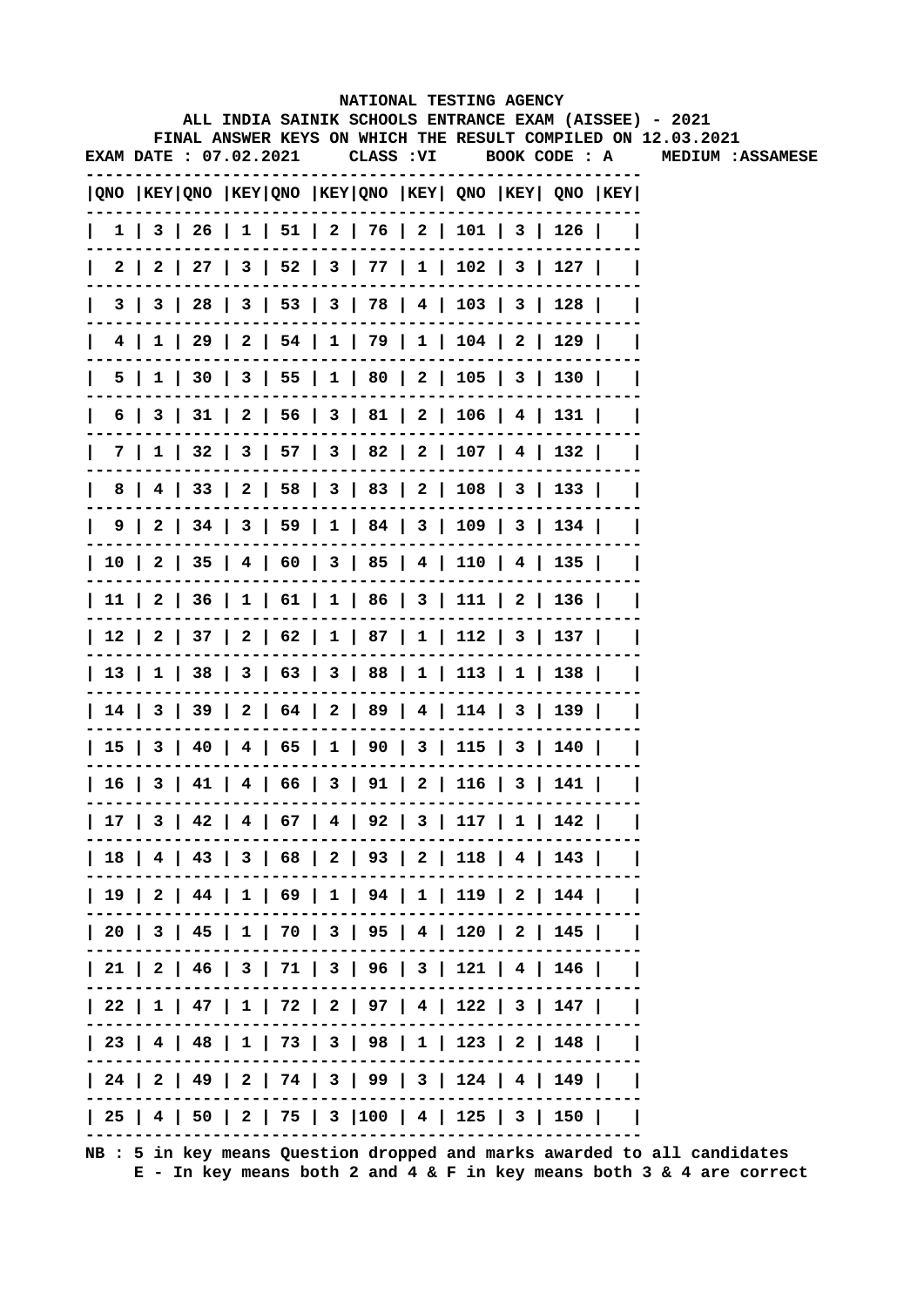|              |                        |  |  |            | NATIONAL TESTING AGENCY |  |                                                                                       |          |                                                                                                                        |
|--------------|------------------------|--|--|------------|-------------------------|--|---------------------------------------------------------------------------------------|----------|------------------------------------------------------------------------------------------------------------------------|
|              |                        |  |  |            |                         |  |                                                                                       |          | ALL INDIA SAINIK SCHOOLS ENTRANCE EXAM (AISSEE) - 2021<br>FINAL ANSWER KEYS ON WHICH THE RESULT COMPILED ON 12.03.2021 |
|              | EXAM DATE : 07.02.2021 |  |  | CLASS : VI |                         |  | BOOK CODE : A                                                                         |          | <b>MEDIUM :ASSAMESE</b>                                                                                                |
|              |                        |  |  |            |                         |  | QNO  KEY QNO  KEY QNO  KEY QNO  KEY  QNO  KEY  QNO  KEY                               |          |                                                                                                                        |
| L            |                        |  |  |            |                         |  | $1 \mid 3 \mid 26 \mid 1 \mid 51 \mid 2 \mid 76 \mid 2 \mid 101 \mid 3 \mid 126 \mid$ |          |                                                                                                                        |
|              |                        |  |  |            |                         |  | 2   2   27   3   52   3   77   1   102   3   127                                      |          |                                                                                                                        |
|              |                        |  |  |            |                         |  | 3   3   28   3   53   3   78   4   103   3   128                                      |          |                                                                                                                        |
|              |                        |  |  |            |                         |  | 4   1   29   2   54   1   79   1   104   2   129                                      |          |                                                                                                                        |
| $\mathsf{I}$ |                        |  |  |            |                         |  | 5   1   30   3   55   1   80   2   105   3   130                                      |          |                                                                                                                        |
| $\mathbf{I}$ |                        |  |  |            |                         |  | 6   3   31   2   56   3   81   2   106   4   131                                      |          |                                                                                                                        |
| $\mathsf{I}$ |                        |  |  |            |                         |  | 7   1   32   3   57   3   82   2   107   4   132                                      |          |                                                                                                                        |
| 8            |                        |  |  |            |                         |  | 4   33   2   58   3   83   2   108   3   133                                          |          |                                                                                                                        |
|              |                        |  |  |            |                         |  | 9   2   34   3   59   1   84   3   109   3   134                                      |          |                                                                                                                        |
|              |                        |  |  |            |                         |  | 10   2   35   4   60   3   85   4   110   4   135                                     |          |                                                                                                                        |
|              |                        |  |  |            |                         |  | 11   2   36   1   61   1   86   3   111   2   136                                     |          |                                                                                                                        |
|              |                        |  |  |            |                         |  | 12   2   37   2   62   1   87   1   112   3   137                                     |          |                                                                                                                        |
|              |                        |  |  |            |                         |  | 13   1   38   3   63   3   88   1   113   1   138                                     |          |                                                                                                                        |
|              |                        |  |  |            |                         |  | 14   3   39   2   64   2   89   4   114   3   139                                     |          |                                                                                                                        |
|              |                        |  |  |            |                         |  | 15   3   40   4   65   1   90   3   115   3   140                                     |          |                                                                                                                        |
|              |                        |  |  |            |                         |  | 16   3   41   4   66   3   91   2   116   3   141                                     |          |                                                                                                                        |
|              |                        |  |  |            |                         |  | 17   3   42   4   67   4   92   3   117   1   142                                     |          |                                                                                                                        |
|              |                        |  |  |            |                         |  | 18   4   43   3   68   2   93   2   118   4   143                                     |          |                                                                                                                        |
|              |                        |  |  |            |                         |  | 19   2   44   1   69   1   94   1   119   2   144                                     |          |                                                                                                                        |
|              |                        |  |  |            |                         |  | 20   3   45   1   70   3   95   4   120   2   145                                     |          |                                                                                                                        |
|              |                        |  |  |            |                         |  | 21   2   46   3   71   3   96   3   121   4   146                                     |          |                                                                                                                        |
|              |                        |  |  |            |                         |  | 22   1   47   1   72   2   97   4   122   3   147                                     |          |                                                                                                                        |
|              |                        |  |  |            |                         |  | 23   4   48   1   73   3   98   1   123   2   148                                     |          |                                                                                                                        |
|              |                        |  |  |            |                         |  | 24   2   49   2   74   3   99   3   124   4   149                                     |          |                                                                                                                        |
|              |                        |  |  |            |                         |  | 25   4   50   2   75   3  100   4   125   3   150                                     | $\sim$ 1 |                                                                                                                        |
|              |                        |  |  |            |                         |  |                                                                                       |          |                                                                                                                        |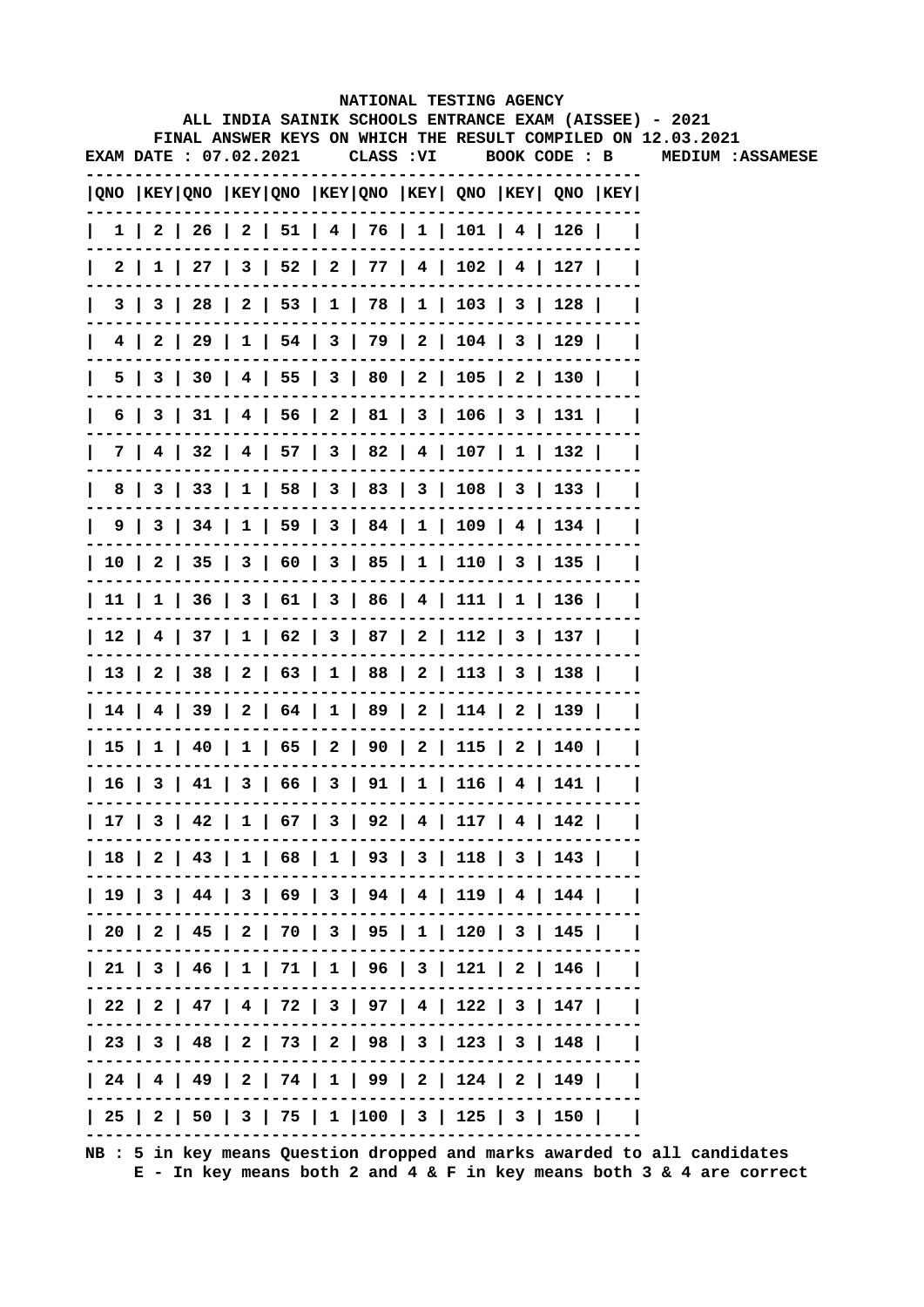|              |                        |  |  |           | NATIONAL TESTING AGENCY |  |                                                                                       |          |                                                                                                                        |
|--------------|------------------------|--|--|-----------|-------------------------|--|---------------------------------------------------------------------------------------|----------|------------------------------------------------------------------------------------------------------------------------|
|              |                        |  |  |           |                         |  |                                                                                       |          | ALL INDIA SAINIK SCHOOLS ENTRANCE EXAM (AISSEE) - 2021<br>FINAL ANSWER KEYS ON WHICH THE RESULT COMPILED ON 12.03.2021 |
|              | EXAM DATE : 07.02.2021 |  |  | CLASS :VI |                         |  | BOOK CODE : B                                                                         |          | <b>MEDIUM :ASSAMESE</b>                                                                                                |
|              |                        |  |  |           |                         |  | QNO  KEY QNO  KEY QNO  KEY QNO  KEY  QNO  KEY  QNO  KEY                               |          |                                                                                                                        |
| L            |                        |  |  |           |                         |  | $1 \mid 2 \mid 26 \mid 2 \mid 51 \mid 4 \mid 76 \mid 1 \mid 101 \mid 4 \mid 126 \mid$ |          |                                                                                                                        |
|              |                        |  |  |           |                         |  | 2   1   27   3   52   2   77   4   102   4   127                                      |          |                                                                                                                        |
|              |                        |  |  |           |                         |  | 3   3   28   2   53   1   78   1   103   3   128                                      |          |                                                                                                                        |
|              |                        |  |  |           |                         |  | 4   2   29   1   54   3   79   2   104   3   129                                      |          |                                                                                                                        |
| $\mathsf{I}$ |                        |  |  |           |                         |  | 5   3   30   4   55   3   80   2   105   2   130                                      |          |                                                                                                                        |
| $\mathsf{I}$ |                        |  |  |           |                         |  | 6   3   31   4   56   2   81   3   106   3   131                                      |          |                                                                                                                        |
| $\mathsf{I}$ |                        |  |  |           |                         |  | 7   4   32   4   57   3   82   4   107   1   132                                      |          |                                                                                                                        |
|              |                        |  |  |           |                         |  | 8   3   33   1   58   3   83   3   108   3   133                                      |          |                                                                                                                        |
|              |                        |  |  |           |                         |  | 9   3   34   1   59   3   84   1   109   4   134                                      |          |                                                                                                                        |
|              |                        |  |  |           |                         |  | 10   2   35   3   60   3   85   1   110   3   135                                     |          |                                                                                                                        |
|              |                        |  |  |           |                         |  | 11   1   36   3   61   3   86   4   111   1   136                                     |          |                                                                                                                        |
|              |                        |  |  |           |                         |  | 12   4   37   1   62   3   87   2   112   3   137                                     |          |                                                                                                                        |
|              |                        |  |  |           |                         |  | 13   2   38   2   63   1   88   2   113   3   138                                     |          |                                                                                                                        |
|              |                        |  |  |           |                         |  | 14   4   39   2   64   1   89   2   114   2   139                                     |          |                                                                                                                        |
|              |                        |  |  |           |                         |  | 15   1   40   1   65   2   90   2   115   2   140                                     |          |                                                                                                                        |
|              |                        |  |  |           |                         |  | 16   3   41   3   66   3   91   1   116   4   141                                     |          |                                                                                                                        |
|              |                        |  |  |           |                         |  | 17   3   42   1   67   3   92   4   117   4   142                                     |          |                                                                                                                        |
|              |                        |  |  |           |                         |  | 18   2   43   1   68   1   93   3   118   3   143                                     |          |                                                                                                                        |
|              |                        |  |  |           |                         |  | 19   3   44   3   69   3   94   4   119   4   144                                     |          |                                                                                                                        |
|              |                        |  |  |           |                         |  | 20   2   45   2   70   3   95   1   120   3   145                                     |          |                                                                                                                        |
|              |                        |  |  |           |                         |  | 21   3   46   1   71   1   96   3   121   2   146                                     |          |                                                                                                                        |
|              |                        |  |  |           |                         |  | 22   2   47   4   72   3   97   4   122   3   147                                     |          |                                                                                                                        |
|              |                        |  |  |           |                         |  | 23   3   48   2   73   2   98   3   123   3   148                                     |          |                                                                                                                        |
|              |                        |  |  |           |                         |  | 24   4   49   2   74   1   99   2   124   2   149                                     |          |                                                                                                                        |
|              |                        |  |  |           |                         |  | 25   2   50   3   75   1  100   3   125   3   150                                     | $\sim$ 1 |                                                                                                                        |
|              |                        |  |  |           |                         |  |                                                                                       |          |                                                                                                                        |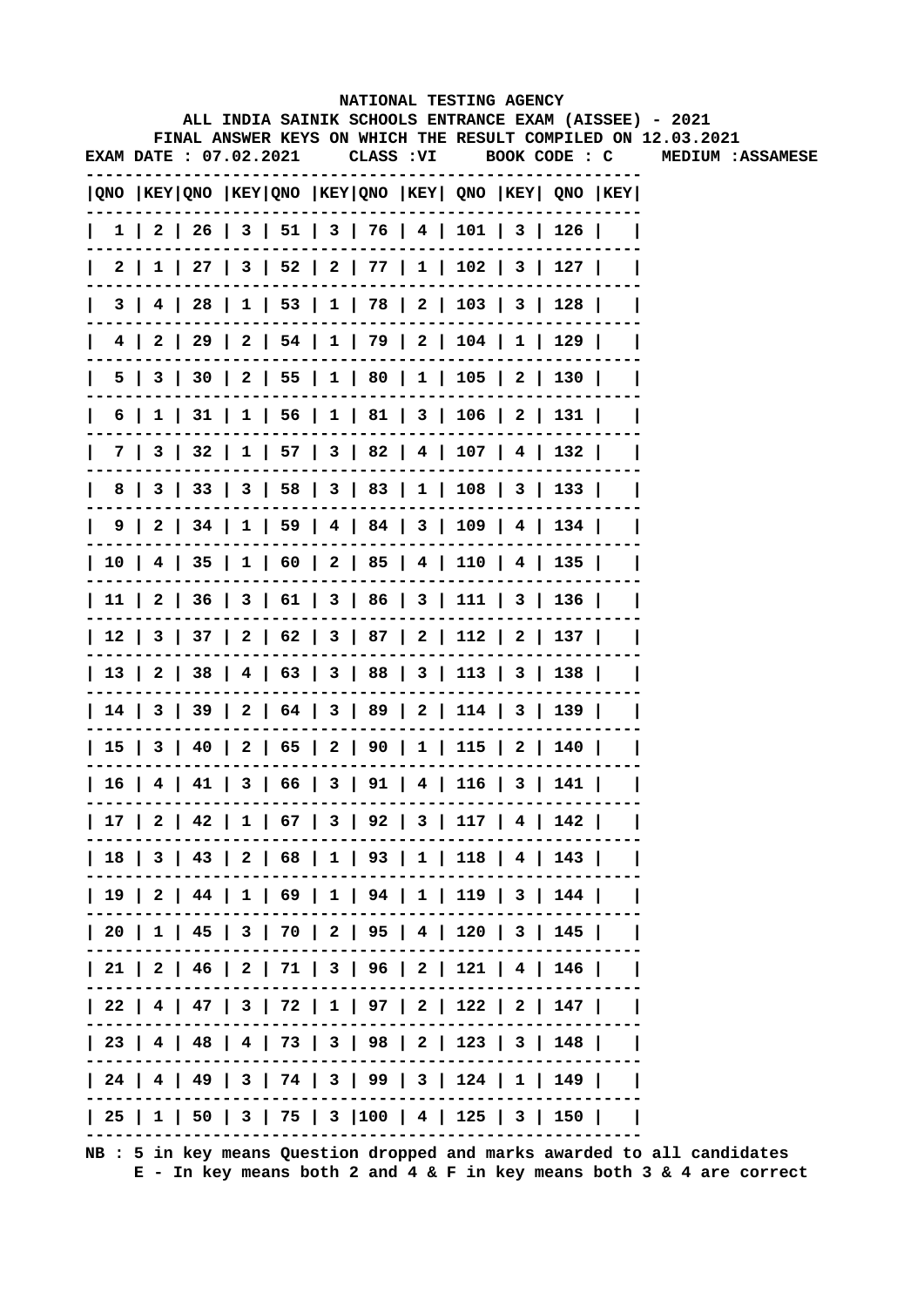|              |                        |  |  |            | NATIONAL TESTING AGENCY |  |                                                                                       |                                                                                                                        |
|--------------|------------------------|--|--|------------|-------------------------|--|---------------------------------------------------------------------------------------|------------------------------------------------------------------------------------------------------------------------|
|              |                        |  |  |            |                         |  |                                                                                       | ALL INDIA SAINIK SCHOOLS ENTRANCE EXAM (AISSEE) - 2021<br>FINAL ANSWER KEYS ON WHICH THE RESULT COMPILED ON 12.03.2021 |
|              | EXAM DATE : 07.02.2021 |  |  | CLASS : VI |                         |  | BOOK CODE : C                                                                         | <b>MEDIUM :ASSAMESE</b>                                                                                                |
|              |                        |  |  |            |                         |  | QNO  KEY QNO  KEY QNO  KEY QNO  KEY  QNO  KEY  QNO  KEY                               |                                                                                                                        |
| $\mathbf{I}$ |                        |  |  |            |                         |  | $1 \mid 2 \mid 26 \mid 3 \mid 51 \mid 3 \mid 76 \mid 4 \mid 101 \mid 3 \mid 126 \mid$ |                                                                                                                        |
|              |                        |  |  |            |                         |  | 2   1   27   3   52   2   77   1   102   3   127                                      |                                                                                                                        |
| $\mathsf{I}$ |                        |  |  |            |                         |  | 3   4   28   1   53   1   78   2   103   3   128                                      |                                                                                                                        |
|              |                        |  |  |            |                         |  | 4   2   29   2   54   1   79   2   104   1   129                                      |                                                                                                                        |
| L            |                        |  |  |            |                         |  | 5   3   30   2   55   1   80   1   105   2   130                                      |                                                                                                                        |
| L            |                        |  |  |            |                         |  | 6   1   31   1   56   1   81   3   106   2   131                                      |                                                                                                                        |
|              |                        |  |  |            |                         |  | 7   3   32   1   57   3   82   4   107   4   132                                      |                                                                                                                        |
|              |                        |  |  |            |                         |  | 8   3   33   3   58   3   83   1   108   3   133                                      |                                                                                                                        |
|              |                        |  |  |            |                         |  | 9   2   34   1   59   4   84   3   109   4   134                                      |                                                                                                                        |
|              |                        |  |  |            |                         |  | 10   4   35   1   60   2   85   4   110   4   135                                     |                                                                                                                        |
|              |                        |  |  |            |                         |  | 11   2   36   3   61   3   86   3   111   3   136                                     |                                                                                                                        |
|              |                        |  |  |            |                         |  | 12   3   37   2   62   3   87   2   112   2   137                                     |                                                                                                                        |
|              |                        |  |  |            |                         |  | 13   2   38   4   63   3   88   3   113   3   138                                     |                                                                                                                        |
|              |                        |  |  |            |                         |  | 14   3   39   2   64   3   89   2   114   3   139                                     |                                                                                                                        |
|              |                        |  |  |            |                         |  | 15   3   40   2   65   2   90   1   115   2   140                                     |                                                                                                                        |
|              |                        |  |  |            |                         |  | 16   4   41   3   66   3   91   4   116   3   141                                     |                                                                                                                        |
|              |                        |  |  |            |                         |  | 17   2   42   1   67   3   92   3   117   4   142                                     |                                                                                                                        |
|              |                        |  |  |            |                         |  | 18   3   43   2   68   1   93   1   118   4   143                                     |                                                                                                                        |
|              |                        |  |  |            |                         |  | 19   2   44   1   69   1   94   1   119   3   144                                     |                                                                                                                        |
|              |                        |  |  |            |                         |  | 20   1   45   3   70   2   95   4   120   3   145                                     |                                                                                                                        |
|              |                        |  |  |            |                         |  | 21   2   46   2   71   3   96   2   121   4   146                                     |                                                                                                                        |
|              |                        |  |  |            |                         |  | 22   4   47   3   72   1   97   2   122   2   147                                     |                                                                                                                        |
|              |                        |  |  |            |                         |  | 23   4   48   4   73   3   98   2   123   3   148                                     |                                                                                                                        |
|              |                        |  |  |            |                         |  | 24   4   49   3   74   3   99   3   124   1   149                                     |                                                                                                                        |
|              |                        |  |  |            |                         |  | 25   1   50   3   75   3  100   4   125   3   150                                     |                                                                                                                        |
|              |                        |  |  |            |                         |  |                                                                                       |                                                                                                                        |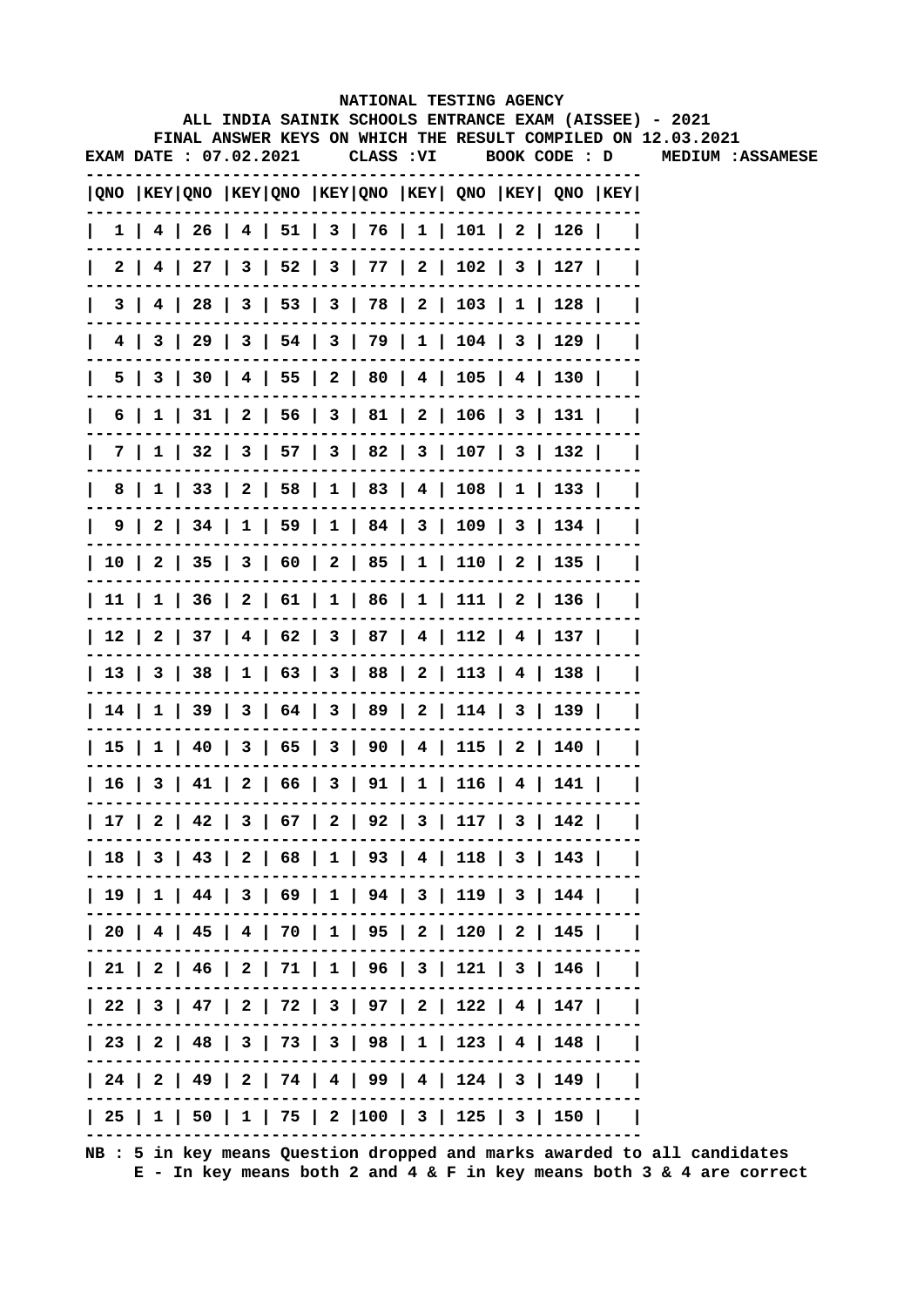|              |                              |  |  |            | NATIONAL TESTING AGENCY                           |  |                                                         |                                                                                                                        |
|--------------|------------------------------|--|--|------------|---------------------------------------------------|--|---------------------------------------------------------|------------------------------------------------------------------------------------------------------------------------|
|              |                              |  |  |            |                                                   |  |                                                         | ALL INDIA SAINIK SCHOOLS ENTRANCE EXAM (AISSEE) - 2021<br>FINAL ANSWER KEYS ON WHICH THE RESULT COMPILED ON 12.03.2021 |
|              | <b>EXAM DATE: 07.02.2021</b> |  |  | CLASS : VI |                                                   |  | BOOK CODE : D                                           | <b>MEDIUM :ASSAMESE</b>                                                                                                |
|              |                              |  |  |            |                                                   |  | QNO  KEY QNO  KEY QNO  KEY QNO  KEY  QNO  KEY  QNO  KEY |                                                                                                                        |
| $\mathbf{L}$ |                              |  |  |            |                                                   |  | $1$   4   26   4   51   3   76   1   101   2   126      |                                                                                                                        |
|              |                              |  |  |            |                                                   |  | 2   4   27   3   52   3   77   2   102   3   127        |                                                                                                                        |
| $\mathsf{I}$ |                              |  |  |            |                                                   |  | 3   4   28   3   53   3   78   2   103   1   128        |                                                                                                                        |
|              |                              |  |  |            |                                                   |  | 4   3   29   3   54   3   79   1   104   3   129        |                                                                                                                        |
| L            |                              |  |  |            |                                                   |  | 5   3   30   4   55   2   80   4   105   4   130        |                                                                                                                        |
| $\mathsf{I}$ |                              |  |  |            |                                                   |  | 6   1   31   2   56   3   81   2   106   3   131        |                                                                                                                        |
| L            |                              |  |  |            |                                                   |  | 7   1   32   3   57   3   82   3   107   3   132        |                                                                                                                        |
|              |                              |  |  |            |                                                   |  | 8   1   33   2   58   1   83   4   108   1   133        |                                                                                                                        |
|              |                              |  |  |            |                                                   |  | 9   2   34   1   59   1   84   3   109   3   134        |                                                                                                                        |
|              |                              |  |  |            |                                                   |  | 10   2   35   3   60   2   85   1   110   2   135       |                                                                                                                        |
|              |                              |  |  |            |                                                   |  | 11   1   36   2   61   1   86   1   111   2   136       |                                                                                                                        |
|              |                              |  |  |            |                                                   |  | 12   2   37   4   62   3   87   4   112   4   137       |                                                                                                                        |
|              |                              |  |  |            |                                                   |  | 13   3   38   1   63   3   88   2   113   4   138       |                                                                                                                        |
|              |                              |  |  |            |                                                   |  | 14   1   39   3   64   3   89   2   114   3   139       |                                                                                                                        |
|              |                              |  |  |            |                                                   |  | 15   1   40   3   65   3   90   4   115   2   140       |                                                                                                                        |
|              |                              |  |  |            | 16   3   41   2   66   3   91   1   116   4   141 |  |                                                         |                                                                                                                        |
|              |                              |  |  |            |                                                   |  | 17   2   42   3   67   2   92   3   117   3   142       |                                                                                                                        |
|              |                              |  |  |            |                                                   |  | 18   3   43   2   68   1   93   4   118   3   143       |                                                                                                                        |
|              |                              |  |  |            |                                                   |  | 19   1   44   3   69   1   94   3   119   3   144       |                                                                                                                        |
|              |                              |  |  |            |                                                   |  | 20   4   45   4   70   1   95   2   120   2   145       |                                                                                                                        |
|              |                              |  |  |            |                                                   |  | 21   2   46   2   71   1   96   3   121   3   146       |                                                                                                                        |
|              |                              |  |  |            |                                                   |  | 22   3   47   2   72   3   97   2   122   4   147       |                                                                                                                        |
|              |                              |  |  |            |                                                   |  | 23   2   48   3   73   3   98   1   123   4   148       |                                                                                                                        |
|              |                              |  |  |            |                                                   |  | 24   2   49   2   74   4   99   4   124   3   149       |                                                                                                                        |
|              |                              |  |  |            |                                                   |  | 25   1   50   1   75   2  100   3   125   3   150       |                                                                                                                        |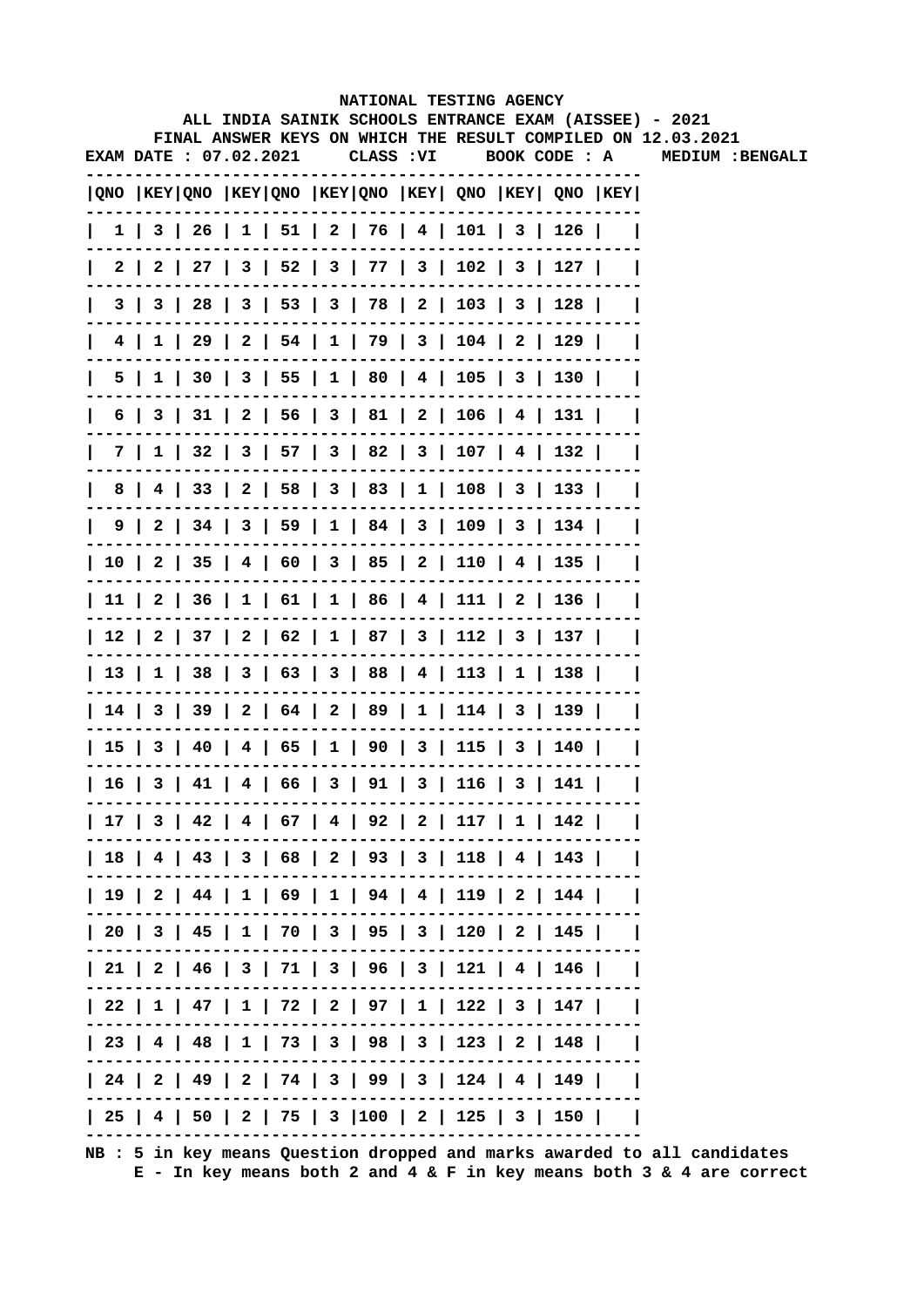|              |     |                        |  |            |  | NATIONAL TESTING AGENCY                                 |  |                                                                                                                        |
|--------------|-----|------------------------|--|------------|--|---------------------------------------------------------|--|------------------------------------------------------------------------------------------------------------------------|
|              |     |                        |  |            |  |                                                         |  | ALL INDIA SAINIK SCHOOLS ENTRANCE EXAM (AISSEE) - 2021<br>FINAL ANSWER KEYS ON WHICH THE RESULT COMPILED ON 12.03.2021 |
|              |     | EXAM DATE : 07.02.2021 |  | CLASS : VI |  | BOOK CODE : A                                           |  | MEDIUM : BENGALI                                                                                                       |
|              |     |                        |  |            |  | QNO  KEY QNO  KEY QNO  KEY QNO  KEY  QNO  KEY  QNO  KEY |  |                                                                                                                        |
| $\mathbf{I}$ |     |                        |  |            |  | 1   3   26   1   51   2   76   4   101   3   126        |  |                                                                                                                        |
| 2 I          |     |                        |  |            |  | 2   27   3   52   3   77   3   102   3   127            |  |                                                                                                                        |
|              | 3 I |                        |  |            |  | 3   28   3   53   3   78   2   103   3   128            |  |                                                                                                                        |
|              |     |                        |  |            |  | 4   1   29   2   54   1   79   3   104   2   129        |  |                                                                                                                        |
|              | 5   |                        |  |            |  | $1$   30   3   55   1   80   4   105   3   130          |  |                                                                                                                        |
| 6            |     |                        |  |            |  | 3   31   2   56   3   81   2   106   4   131            |  |                                                                                                                        |
|              | 7 I |                        |  |            |  | $1$   32   3   57   3   82   3   107   4   132          |  |                                                                                                                        |
| 8            |     |                        |  |            |  | 4   33   2   58   3   83   1   108   3   133            |  |                                                                                                                        |
|              |     |                        |  |            |  | 9   2   34   3   59   1   84   3   109   3   134        |  |                                                                                                                        |
|              |     |                        |  |            |  | 10   2   35   4   60   3   85   2   110   4   135       |  |                                                                                                                        |
|              |     |                        |  |            |  | 11   2   36   1   61   1   86   4   111   2   136       |  |                                                                                                                        |
|              |     |                        |  |            |  | 12   2   37   2   62   1   87   3   112   3   137       |  |                                                                                                                        |
|              |     |                        |  |            |  | 13   1   38   3   63   3   88   4   113   1   138       |  |                                                                                                                        |
|              |     |                        |  |            |  | 14   3   39   2   64   2   89   1   114   3   139       |  |                                                                                                                        |
|              |     |                        |  |            |  | 15   3   40   4   65   1   90   3   115   3   140       |  |                                                                                                                        |
|              |     |                        |  |            |  | 16   3   41   4   66   3   91   3   116   3   141       |  |                                                                                                                        |
|              |     |                        |  |            |  | 17   3   42   4   67   4   92   2   117   1   142       |  |                                                                                                                        |
|              |     |                        |  |            |  | 18   4   43   3   68   2   93   3   118   4   143       |  |                                                                                                                        |
|              |     |                        |  |            |  | 19   2   44   1   69   1   94   4   119   2   144       |  |                                                                                                                        |
|              |     |                        |  |            |  | 20   3   45   1   70   3   95   3   120   2   145       |  |                                                                                                                        |
|              |     |                        |  |            |  | 21   2   46   3   71   3   96   3   121   4   146       |  |                                                                                                                        |
|              |     |                        |  |            |  | 22   1   47   1   72   2   97   1   122   3   147       |  |                                                                                                                        |
|              |     |                        |  |            |  | 23   4   48   1   73   3   98   3   123   2   148       |  |                                                                                                                        |
|              |     |                        |  |            |  | 24   2   49   2   74   3   99   3   124   4   149       |  |                                                                                                                        |
|              |     |                        |  |            |  | 25   4   50   2   75   3  100   2   125   3   150       |  |                                                                                                                        |
|              |     |                        |  |            |  |                                                         |  |                                                                                                                        |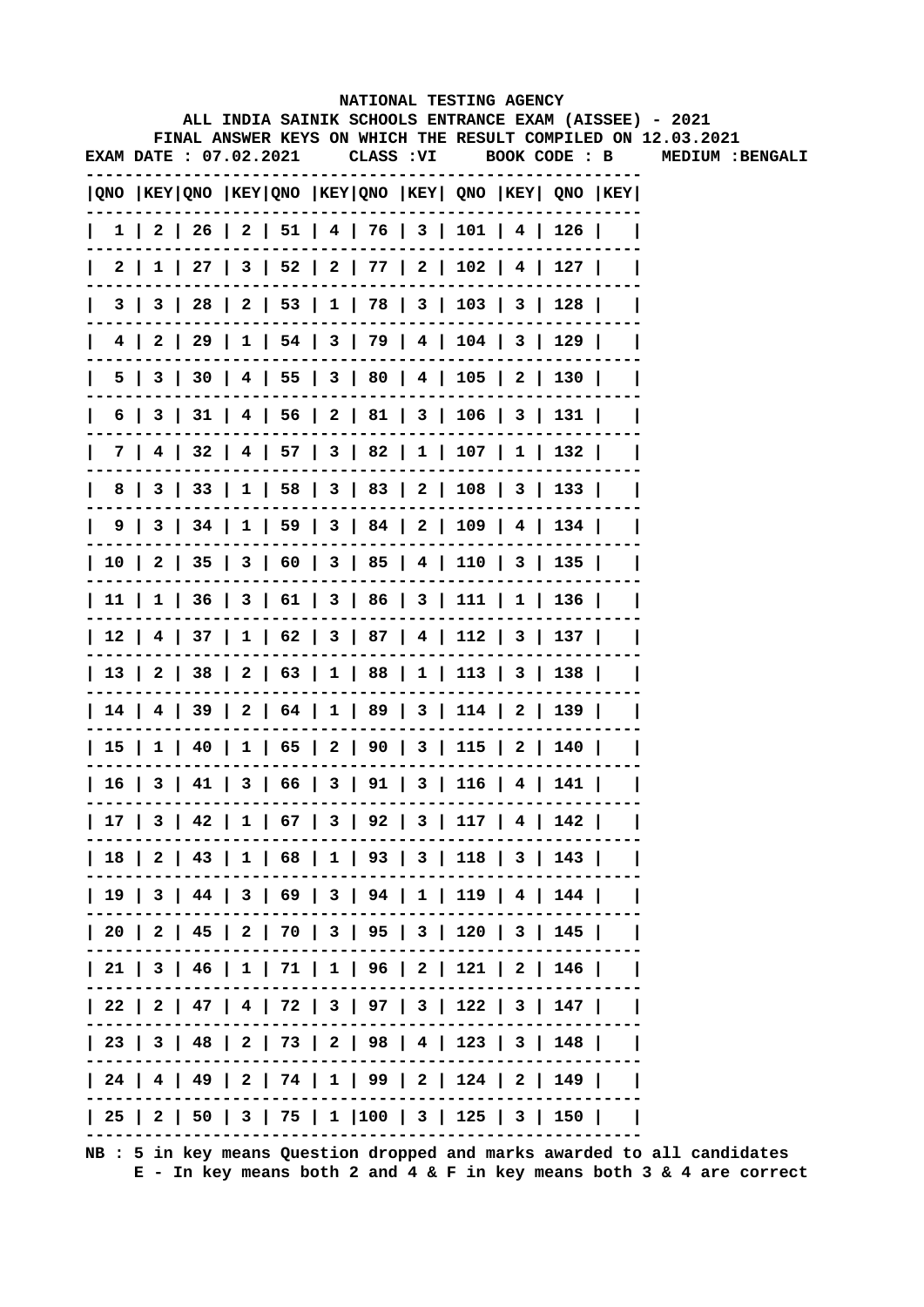|      |     |                               |  |            | NATIONAL TESTING AGENCY                      |  |                                                                                       |                                                                                                                        |
|------|-----|-------------------------------|--|------------|----------------------------------------------|--|---------------------------------------------------------------------------------------|------------------------------------------------------------------------------------------------------------------------|
|      |     |                               |  |            |                                              |  |                                                                                       | ALL INDIA SAINIK SCHOOLS ENTRANCE EXAM (AISSEE) - 2021<br>FINAL ANSWER KEYS ON WHICH THE RESULT COMPILED ON 12.03.2021 |
|      |     | <b>EXAM DATE : 07.02.2021</b> |  | CLASS : VI |                                              |  | BOOK CODE : B                                                                         | MEDIUM : BENGALI                                                                                                       |
|      |     |                               |  |            |                                              |  | $ QNO $ KEY $ QNO $ KEY $ QNO $ KEY $ QNO $ KEY $ QNO $ KEY $ QNO $ KEY $ QNO $ KEY   |                                                                                                                        |
|      |     |                               |  |            |                                              |  | $1 \mid 2 \mid 26 \mid 2 \mid 51 \mid 4 \mid 76 \mid 3 \mid 101 \mid 4 \mid 126 \mid$ |                                                                                                                        |
| 2 I  |     |                               |  |            |                                              |  | 1   27   3   52   2   77   2   102   4   127                                          |                                                                                                                        |
| 31   | 3 I |                               |  |            |                                              |  | 28   2   53   1   78   3   103   3   128                                              |                                                                                                                        |
| 4 I  | 2   |                               |  |            |                                              |  | 29   1   54   3   79   4   104   3   129                                              |                                                                                                                        |
| 5.   | 3   |                               |  |            |                                              |  | 30   4   55   3   80   4   105   2   130                                              |                                                                                                                        |
| 6    | 3   |                               |  |            |                                              |  | $31$   4   56   2   81   3   106   3   131                                            |                                                                                                                        |
| 7 I  |     |                               |  |            |                                              |  | 4   32   4   57   3   82   1   107   1   132                                          |                                                                                                                        |
| 8    |     |                               |  |            |                                              |  | 3   33   1   58   3   83   2   108   3   133                                          |                                                                                                                        |
| 9    |     |                               |  |            |                                              |  | 3   34   1   59   3   84   2   109   4   134                                          |                                                                                                                        |
|      |     |                               |  |            |                                              |  | 10   2   35   3   60   3   85   4   110   3   135                                     |                                                                                                                        |
|      |     |                               |  |            |                                              |  | 11   1   36   3   61   3   86   3   111   1   136                                     |                                                                                                                        |
|      |     |                               |  |            |                                              |  | 12   4   37   1   62   3   87   4   112   3   137                                     |                                                                                                                        |
|      |     |                               |  |            |                                              |  | 13   2   38   2   63   1   88   1   113   3   138                                     |                                                                                                                        |
|      |     |                               |  |            |                                              |  | 14   4   39   2   64   1   89   3   114   2   139                                     |                                                                                                                        |
|      |     |                               |  |            |                                              |  | 15   1   40   1   65   2   90   3   115   2   140                                     |                                                                                                                        |
| 16 I |     |                               |  |            | 3   41   3   66   3   91   3   116   4   141 |  |                                                                                       |                                                                                                                        |
|      |     |                               |  |            |                                              |  | 17   3   42   1   67   3   92   3   117   4   142                                     |                                                                                                                        |
|      |     |                               |  |            |                                              |  | 18   2   43   1   68   1   93   3   118   3   143                                     |                                                                                                                        |
|      |     |                               |  |            |                                              |  | 19   3   44   3   69   3   94   1   119   4   144                                     |                                                                                                                        |
|      |     |                               |  |            |                                              |  | 20   2   45   2   70   3   95   3   120   3   145                                     |                                                                                                                        |
|      |     |                               |  |            |                                              |  | 21   3   46   1   71   1   96   2   121   2   146                                     |                                                                                                                        |
|      |     |                               |  |            |                                              |  | 22   2   47   4   72   3   97   3   122   3   147                                     |                                                                                                                        |
|      |     |                               |  |            |                                              |  | 23   3   48   2   73   2   98   4   123   3   148                                     |                                                                                                                        |
|      |     |                               |  |            |                                              |  | 24   4   49   2   74   1   99   2   124   2   149                                     |                                                                                                                        |
|      |     |                               |  |            |                                              |  | 25   2   50   3   75   1   100   3   125   3   150                                    |                                                                                                                        |
|      |     |                               |  |            |                                              |  |                                                                                       |                                                                                                                        |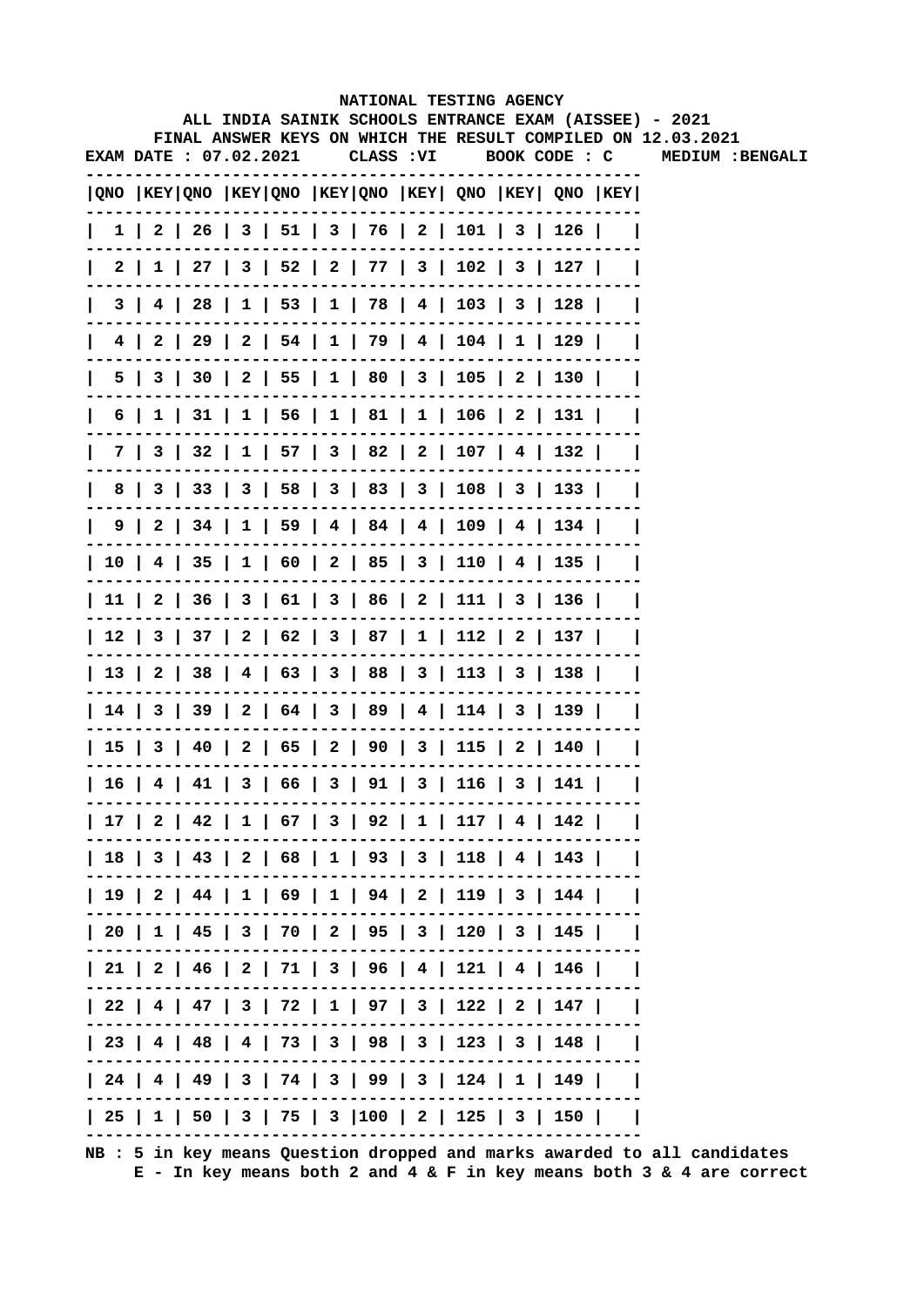|     |                        |  |            | NATIONAL TESTING AGENCY                           |  |                                                                                       |                                                                                                                        |
|-----|------------------------|--|------------|---------------------------------------------------|--|---------------------------------------------------------------------------------------|------------------------------------------------------------------------------------------------------------------------|
|     |                        |  |            |                                                   |  |                                                                                       | ALL INDIA SAINIK SCHOOLS ENTRANCE EXAM (AISSEE) - 2021<br>FINAL ANSWER KEYS ON WHICH THE RESULT COMPILED ON 12.03.2021 |
|     | EXAM DATE : 07.02.2021 |  | CLASS : VI |                                                   |  | BOOK CODE : C                                                                         | <b>MEDIUM :BENGALI</b>                                                                                                 |
|     |                        |  |            |                                                   |  |                                                                                       |                                                                                                                        |
|     |                        |  |            |                                                   |  | QNO  KEY QNO  KEY QNO  KEY QNO  KEY  QNO  KEY  QNO  KEY                               |                                                                                                                        |
|     |                        |  |            |                                                   |  | $1 \mid 2 \mid 26 \mid 3 \mid 51 \mid 3 \mid 76 \mid 2 \mid 101 \mid 3 \mid 126 \mid$ |                                                                                                                        |
|     |                        |  |            |                                                   |  | 2   1   27   3   52   2   77   3   102   3   127                                      |                                                                                                                        |
| 3 I |                        |  |            |                                                   |  | 4   28   1   53   1   78   4   103   3   128                                          |                                                                                                                        |
| 4   |                        |  |            |                                                   |  | 2   29   2   54   1   79   4   104   1   129                                          |                                                                                                                        |
|     |                        |  |            |                                                   |  | 5   3   30   2   55   1   80   3   105   2   130                                      |                                                                                                                        |
|     |                        |  |            |                                                   |  | 6   1   31   1   56   1   81   1   106   2   131                                      |                                                                                                                        |
|     |                        |  |            |                                                   |  | 7   3   32   1   57   3   82   2   107   4   132                                      |                                                                                                                        |
| 8   |                        |  |            |                                                   |  | 3   33   3   58   3   83   3   108   3   133                                          |                                                                                                                        |
|     |                        |  |            |                                                   |  | 9   2   34   1   59   4   84   4   109   4   134                                      |                                                                                                                        |
|     |                        |  |            |                                                   |  | 10   4   35   1   60   2   85   3   110   4   135                                     |                                                                                                                        |
|     |                        |  |            |                                                   |  | 11   2   36   3   61   3   86   2   111   3   136                                     |                                                                                                                        |
|     |                        |  |            |                                                   |  | 12   3   37   2   62   3   87   1   112   2   137                                     |                                                                                                                        |
|     |                        |  |            |                                                   |  | 13   2   38   4   63   3   88   3   113   3   138                                     |                                                                                                                        |
|     |                        |  |            |                                                   |  | 14   3   39   2   64   3   89   4   114   3   139                                     |                                                                                                                        |
|     |                        |  |            |                                                   |  | 15   3   40   2   65   2   90   3   115   2   140                                     |                                                                                                                        |
|     |                        |  |            | 16   4   41   3   66   3   91   3   116   3   141 |  |                                                                                       |                                                                                                                        |
|     |                        |  |            |                                                   |  | 17   2   42   1   67   3   92   1   117   4   142                                     |                                                                                                                        |
|     |                        |  |            |                                                   |  | 18   3   43   2   68   1   93   3   118   4   143                                     |                                                                                                                        |
|     |                        |  |            |                                                   |  | 19   2   44   1   69   1   94   2   119   3   144                                     |                                                                                                                        |
|     |                        |  |            |                                                   |  | 20   1   45   3   70   2   95   3   120   3   145                                     |                                                                                                                        |
|     |                        |  |            |                                                   |  | 21   2   46   2   71   3   96   4   121   4   146                                     |                                                                                                                        |
|     |                        |  |            |                                                   |  | 22   4   47   3   72   1   97   3   122   2   147                                     |                                                                                                                        |
|     |                        |  |            |                                                   |  | 23   4   48   4   73   3   98   3   123   3   148                                     |                                                                                                                        |
|     |                        |  |            |                                                   |  | 24   4   49   3   74   3   99   3   124   1   149                                     |                                                                                                                        |
|     |                        |  |            |                                                   |  | 25   1   50   3   75   3  100   2   125   3   150                                     |                                                                                                                        |
|     |                        |  |            |                                                   |  |                                                                                       |                                                                                                                        |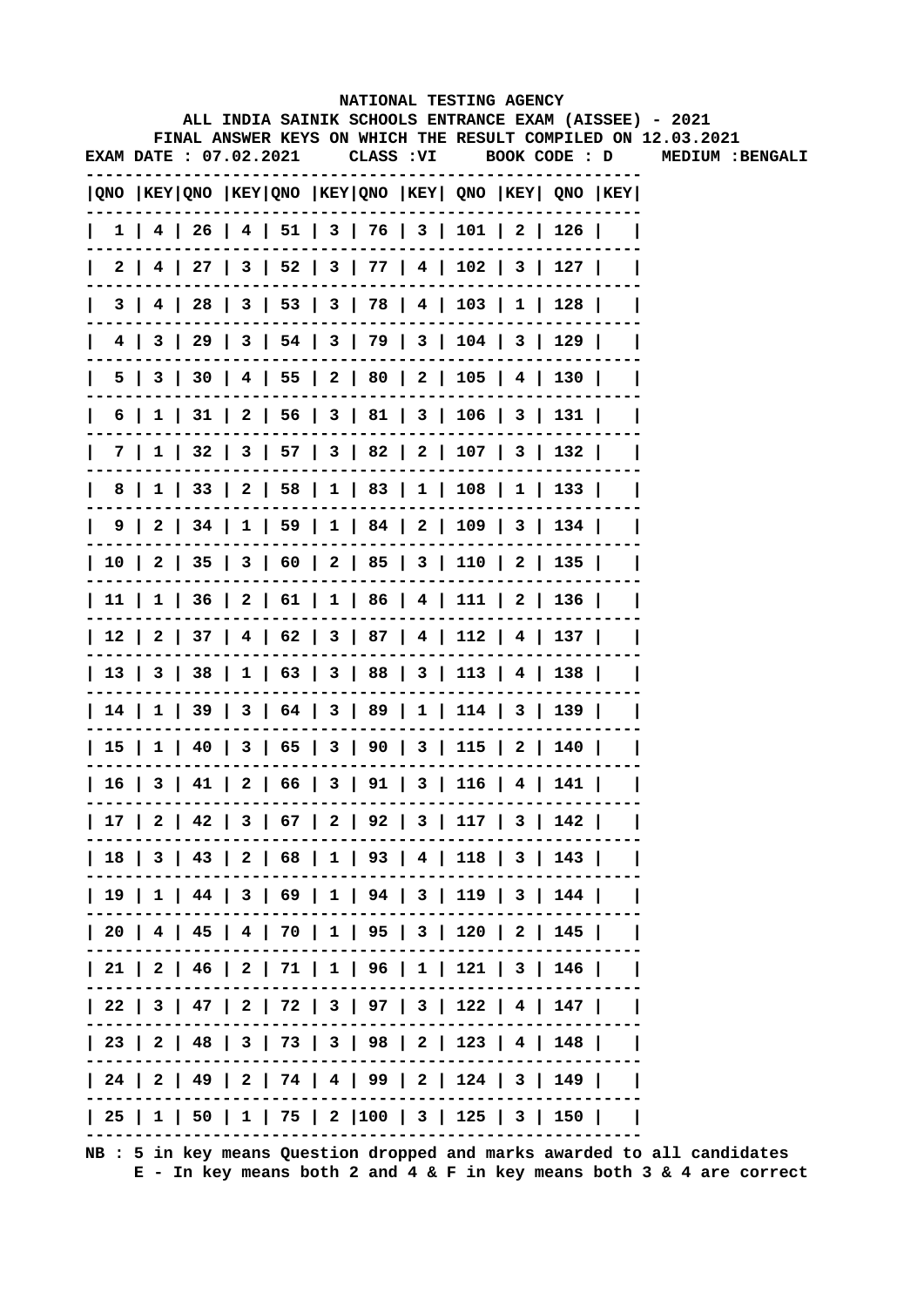|    |     |                        |  |            |  | NATIONAL TESTING AGENCY                                                               |  |                                                                                                                        |
|----|-----|------------------------|--|------------|--|---------------------------------------------------------------------------------------|--|------------------------------------------------------------------------------------------------------------------------|
|    |     |                        |  |            |  |                                                                                       |  | ALL INDIA SAINIK SCHOOLS ENTRANCE EXAM (AISSEE) - 2021<br>FINAL ANSWER KEYS ON WHICH THE RESULT COMPILED ON 12.03.2021 |
|    |     | EXAM DATE : 07.02.2021 |  | CLASS : VI |  | BOOK CODE : D                                                                         |  | MEDIUM : BENGALI                                                                                                       |
|    |     |                        |  |            |  | QNO  KEY QNO  KEY QNO  KEY QNO  KEY  QNO  KEY  QNO  KEY                               |  |                                                                                                                        |
|    |     |                        |  |            |  | $1$   4   26   4   51   3   76   3   101   2   126                                    |  |                                                                                                                        |
|    |     |                        |  |            |  | 2   4   27   3   52   3   77   4   102   3   127                                      |  |                                                                                                                        |
|    | 3 I |                        |  |            |  | 4   28   3   53   3   78   4   103   1   128                                          |  |                                                                                                                        |
|    |     |                        |  |            |  | 4   3   29   3   54   3   79   3   104   3   129                                      |  |                                                                                                                        |
|    |     |                        |  |            |  | 5   3   30   4   55   2   80   2   105   4   130                                      |  |                                                                                                                        |
| 6  |     |                        |  |            |  | 1   31   2   56   3   81   3   106   3   131                                          |  |                                                                                                                        |
|    |     |                        |  |            |  | 7   1   32   3   57   3   82   2   107   3   132                                      |  |                                                                                                                        |
| 8  |     |                        |  |            |  | 1   33   2   58   1   83   1   108   1   133                                          |  |                                                                                                                        |
|    |     |                        |  |            |  | $9 \mid 2 \mid 34 \mid 1 \mid 59 \mid 1 \mid 84 \mid 2 \mid 109 \mid 3 \mid 134 \mid$ |  |                                                                                                                        |
|    |     |                        |  |            |  | 10   2   35   3   60   2   85   3   110   2   135                                     |  |                                                                                                                        |
|    |     |                        |  |            |  | 11   1   36   2   61   1   86   4   111   2   136                                     |  |                                                                                                                        |
|    |     |                        |  |            |  | 12   2   37   4   62   3   87   4   112   4   137                                     |  |                                                                                                                        |
|    |     |                        |  |            |  | 13   3   38   1   63   3   88   3   113   4   138                                     |  |                                                                                                                        |
|    |     |                        |  |            |  | 14   1   39   3   64   3   89   1   114   3   139                                     |  |                                                                                                                        |
|    |     |                        |  |            |  | 15   1   40   3   65   3   90   3   115   2   140                                     |  |                                                                                                                        |
| 16 |     |                        |  |            |  | 3   41   2   66   3   91   3   116   4   141                                          |  |                                                                                                                        |
|    |     |                        |  |            |  | 17   2   42   3   67   2   92   3   117   3   142                                     |  |                                                                                                                        |
|    |     |                        |  |            |  | 18   3   43   2   68   1   93   4   118   3   143                                     |  |                                                                                                                        |
|    |     |                        |  |            |  | 19   1   44   3   69   1   94   3   119   3   144                                     |  |                                                                                                                        |
|    |     |                        |  |            |  | 20   4   45   4   70   1   95   3   120   2   145                                     |  |                                                                                                                        |
|    |     |                        |  |            |  | 21   2   46   2   71   1   96   1   121   3   146                                     |  |                                                                                                                        |
|    |     |                        |  |            |  | 22   3   47   2   72   3   97   3   122   4   147                                     |  |                                                                                                                        |
|    |     |                        |  |            |  | 23   2   48   3   73   3   98   2   123   4   148                                     |  |                                                                                                                        |
|    |     |                        |  |            |  | 24   2   49   2   74   4   99   2   124   3   149                                     |  |                                                                                                                        |
|    |     |                        |  |            |  | 25   1   50   1   75   2  100   3   125   3   150                                     |  |                                                                                                                        |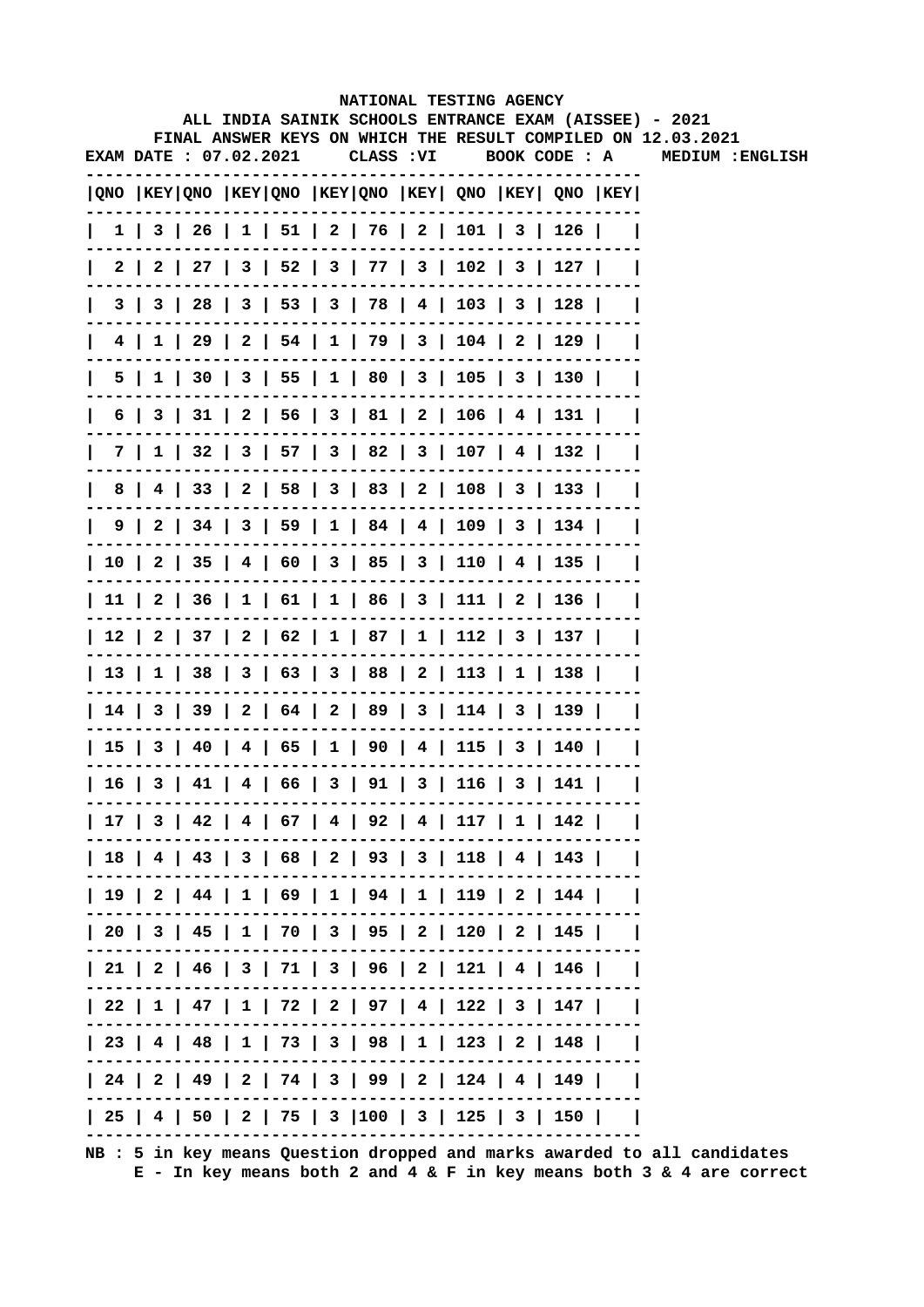|   |                        |  |  |            | NATIONAL TESTING AGENCY                                                               |              | ALL INDIA SAINIK SCHOOLS ENTRANCE EXAM (AISSEE) - 2021       |
|---|------------------------|--|--|------------|---------------------------------------------------------------------------------------|--------------|--------------------------------------------------------------|
|   |                        |  |  |            |                                                                                       |              | FINAL ANSWER KEYS ON WHICH THE RESULT COMPILED ON 12.03.2021 |
|   | EXAM DATE : 07.02.2021 |  |  | CLASS : VI | BOOK CODE : A                                                                         |              | MEDIUM : ENGLISH                                             |
|   |                        |  |  |            | $ QNO $ KEY $ QNO $ KEY $ QNO $ KEY $ QNO $ KEY $ QNO $ KEY $ QNO $ KEY $ QNO $ KEY   |              |                                                              |
|   |                        |  |  |            | $1 \mid 3 \mid 26 \mid 1 \mid 51 \mid 2 \mid 76 \mid 2 \mid 101 \mid 3 \mid 126 \mid$ |              |                                                              |
|   |                        |  |  |            | 2   2   27   3   52   3   77   3   102   3   127                                      |              |                                                              |
|   |                        |  |  |            | 3   3   28   3   53   3   78   4   103   3   128                                      |              |                                                              |
|   |                        |  |  |            | 4   1   29   2   54   1   79   3   104   2   129                                      |              |                                                              |
|   |                        |  |  |            | 5   1   30   3   55   1   80   3   105   3   130                                      |              |                                                              |
|   |                        |  |  |            | 6   3   31   2   56   3   81   2   106   4   131                                      |              |                                                              |
|   |                        |  |  |            | 7   1   32   3   57   3   82   3   107   4   132                                      |              |                                                              |
| 8 |                        |  |  |            | 4   33   2   58   3   83   2   108   3   133                                          |              |                                                              |
|   |                        |  |  |            | $9 \mid 2 \mid 34 \mid 3 \mid 59 \mid 1 \mid 84 \mid 4 \mid 109 \mid 3 \mid 134$      |              |                                                              |
|   |                        |  |  |            | 10   2   35   4   60   3   85   3   110   4   135                                     |              |                                                              |
|   |                        |  |  |            | 11   2   36   1   61   1   86   3   111   2   136                                     |              |                                                              |
|   |                        |  |  |            | 12   2   37   2   62   1   87   1   112   3   137                                     |              |                                                              |
|   |                        |  |  |            | 13   1   38   3   63   3   88   2   113   1   138                                     | $\mathbf{I}$ |                                                              |
|   |                        |  |  |            | 14   3   39   2   64   2   89   3   114   3   139                                     |              |                                                              |
|   |                        |  |  |            | 15   3   40   4   65   1   90   4   115   3   140                                     |              |                                                              |
|   |                        |  |  |            | 16   3   41   4   66   3   91   3   116   3   141                                     |              |                                                              |
|   |                        |  |  |            | 17   3   42   4   67   4   92   4   117   1   142                                     |              |                                                              |
|   |                        |  |  |            | 18   4   43   3   68   2   93   3   118   4   143                                     |              |                                                              |
|   |                        |  |  |            | 19   2   44   1   69   1   94   1   119   2   144                                     |              |                                                              |
|   |                        |  |  |            | 20   3   45   1   70   3   95   2   120   2   145                                     |              |                                                              |
|   |                        |  |  |            | 21   2   46   3   71   3   96   2   121   4   146                                     |              |                                                              |
|   |                        |  |  |            | 22   1   47   1   72   2   97   4   122   3   147                                     |              |                                                              |
|   |                        |  |  |            | 23   4   48   1   73   3   98   1   123   2   148                                     |              |                                                              |
|   |                        |  |  |            | 24   2   49   2   74   3   99   2   124   4   149                                     |              |                                                              |
|   |                        |  |  |            | 25   4   50   2   75   3  100   3   125   3   150                                     |              |                                                              |
|   |                        |  |  |            |                                                                                       |              |                                                              |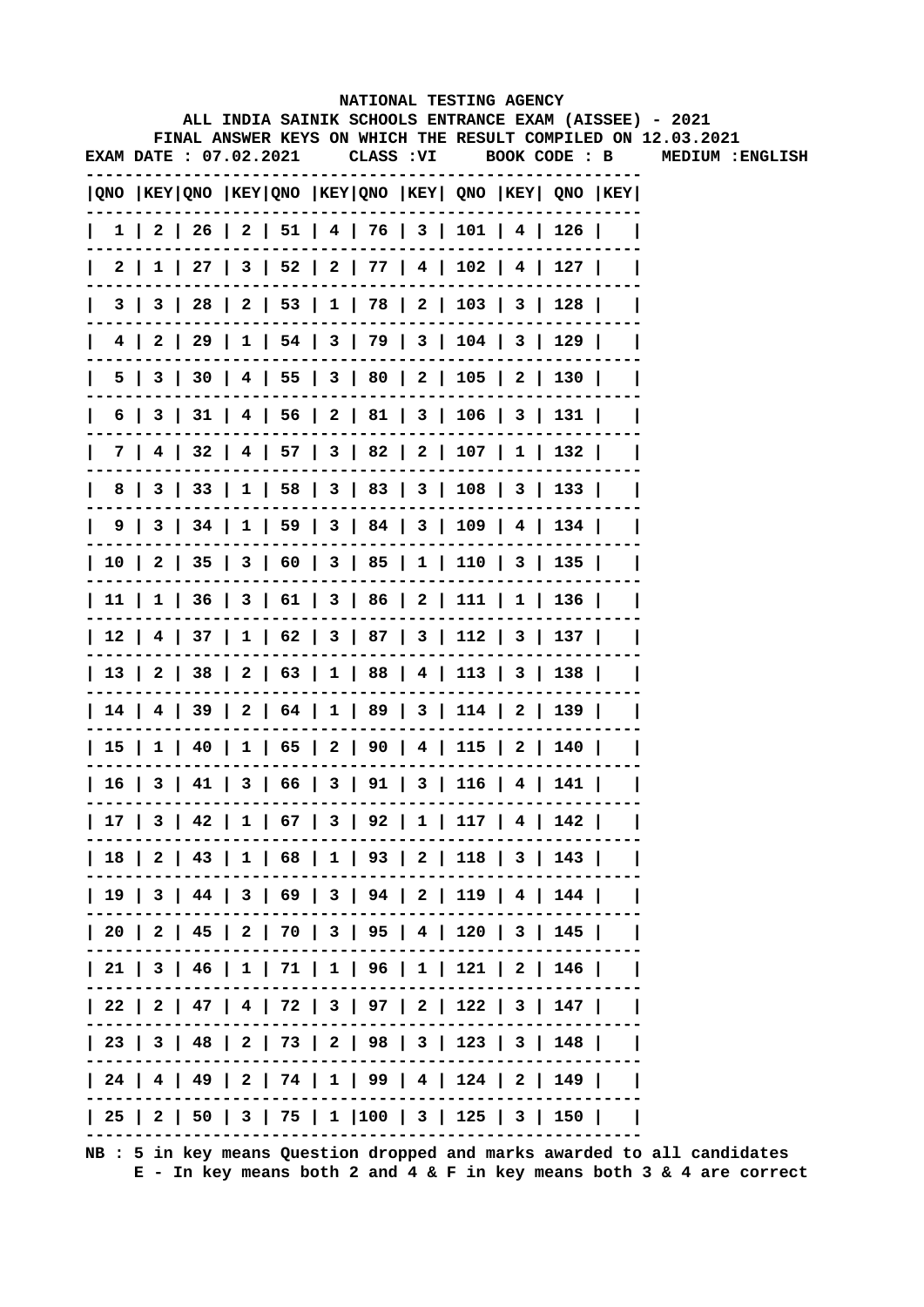|   |                        |  |                                                                                       | NATIONAL TESTING AGENCY |  |               | ALL INDIA SAINIK SCHOOLS ENTRANCE EXAM (AISSEE) - 2021       |
|---|------------------------|--|---------------------------------------------------------------------------------------|-------------------------|--|---------------|--------------------------------------------------------------|
|   |                        |  |                                                                                       |                         |  |               | FINAL ANSWER KEYS ON WHICH THE RESULT COMPILED ON 12.03.2021 |
|   | EXAM DATE : 07.02.2021 |  |                                                                                       | CLASS : VI              |  | BOOK CODE : B | MEDIUM : ENGLISH                                             |
|   |                        |  | $ QNO $ KEY $ QNO $ KEY $ QNO $ KEY $ QNO $ KEY $ QNO $ KEY $ QNO $ KEY $ QNO $ KEY   |                         |  |               |                                                              |
|   |                        |  | $1 \mid 2 \mid 26 \mid 2 \mid 51 \mid 4 \mid 76 \mid 3 \mid 101 \mid 4 \mid 126 \mid$ |                         |  |               |                                                              |
|   |                        |  | $2 \mid 1 \mid 27 \mid 3 \mid 52 \mid 2 \mid 77 \mid 4 \mid 102 \mid 4 \mid 127 \mid$ |                         |  |               |                                                              |
|   |                        |  | 3   3   28   2   53   1   78   2   103   3   128                                      |                         |  |               |                                                              |
|   |                        |  | 4   2   29   1   54   3   79   3   104   3   129                                      |                         |  |               |                                                              |
|   |                        |  | 5   3   30   4   55   3   80   2   105   2   130                                      |                         |  |               |                                                              |
|   |                        |  | 6   3   31   4   56   2   81   3   106   3   131                                      |                         |  |               |                                                              |
|   |                        |  | 7   4   32   4   57   3   82   2   107   1   132                                      |                         |  | $\mathbf{I}$  |                                                              |
| 8 |                        |  | 3   33   1   58   3   83   3   108   3   133                                          |                         |  |               |                                                              |
|   |                        |  | 9   3   34   1   59   3   84   3   109   4   134                                      |                         |  |               |                                                              |
|   |                        |  | 10   2   35   3   60   3   85   1   110   3   135                                     |                         |  |               |                                                              |
|   |                        |  | 11   1   36   3   61   3   86   2   111   1   136                                     |                         |  |               |                                                              |
|   |                        |  | 12   4   37   1   62   3   87   3   112   3   137                                     |                         |  |               |                                                              |
|   |                        |  | 13   2   38   2   63   1   88   4   113   3   138                                     |                         |  | $\mathbf{I}$  |                                                              |
|   |                        |  | 14   4   39   2   64   1   89   3   114   2   139                                     |                         |  |               |                                                              |
|   |                        |  | 15   1   40   1   65   2   90   4   115   2   140                                     |                         |  |               |                                                              |
|   |                        |  | 16   3   41   3   66   3   91   3   116   4   141                                     |                         |  |               |                                                              |
|   |                        |  | 17   3   42   1   67   3   92   1   117   4   142                                     |                         |  |               |                                                              |
|   |                        |  | 18   2   43   1   68   1   93   2   118   3   143                                     |                         |  |               |                                                              |
|   |                        |  | 19   3   44   3   69   3   94   2   119   4   144                                     |                         |  |               |                                                              |
|   |                        |  | 20   2   45   2   70   3   95   4   120   3   145                                     |                         |  |               |                                                              |
|   |                        |  | 21   3   46   1   71   1   96   1   121   2   146                                     |                         |  |               |                                                              |
|   |                        |  | 22   2   47   4   72   3   97   2   122   3   147                                     |                         |  |               |                                                              |
|   |                        |  | 23   3   48   2   73   2   98   3   123   3   148                                     |                         |  |               |                                                              |
|   |                        |  | 24   4   49   2   74   1   99   4   124   2   149                                     |                         |  |               |                                                              |
|   |                        |  | 25   2   50   3   75   1  100   3   125   3   150                                     |                         |  |               |                                                              |
|   |                        |  |                                                                                       |                         |  |               |                                                              |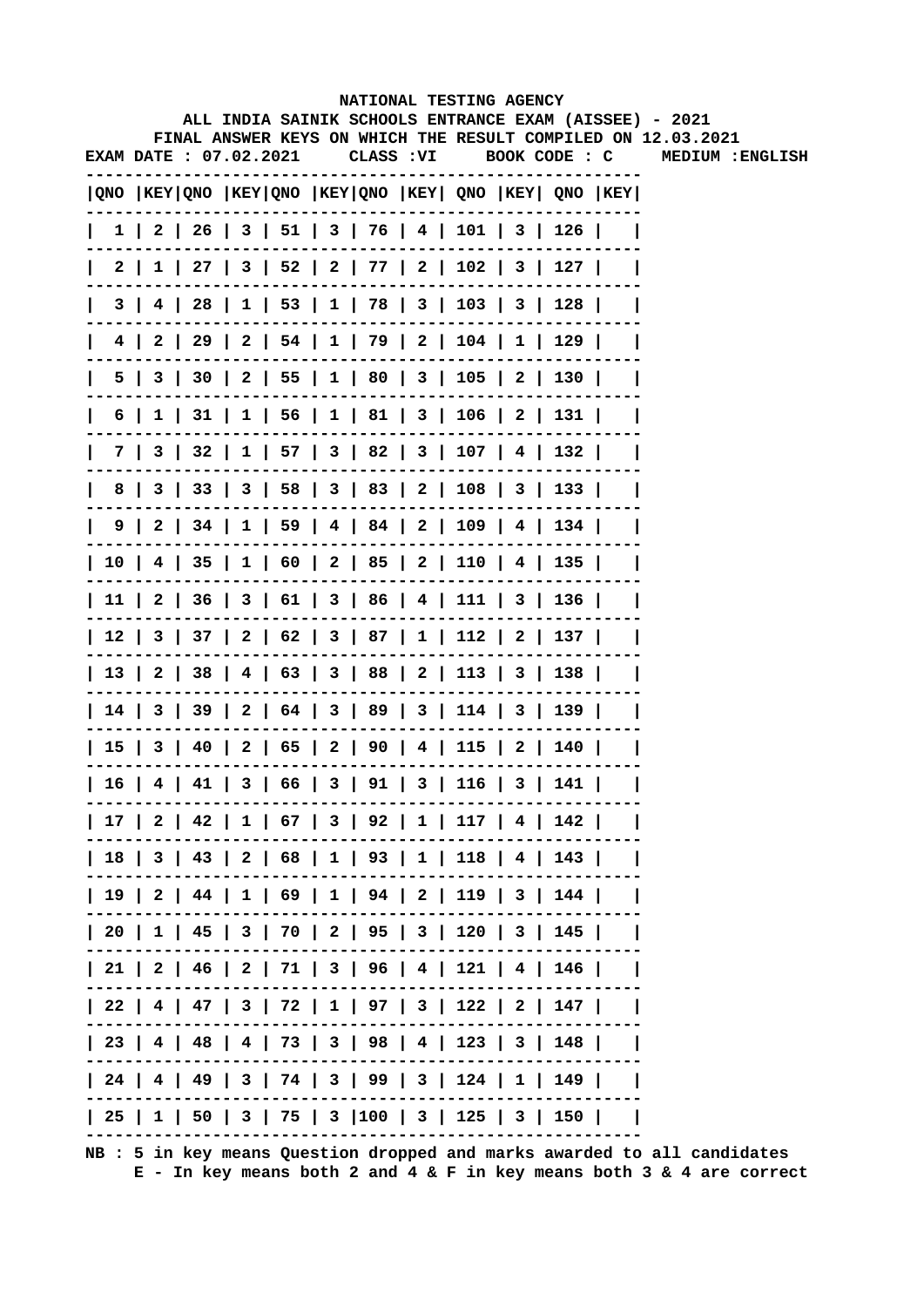|   |                        |  |  |                                                                                       | NATIONAL TESTING AGENCY |  | ALL INDIA SAINIK SCHOOLS ENTRANCE EXAM (AISSEE) - 2021       |
|---|------------------------|--|--|---------------------------------------------------------------------------------------|-------------------------|--|--------------------------------------------------------------|
|   |                        |  |  |                                                                                       |                         |  | FINAL ANSWER KEYS ON WHICH THE RESULT COMPILED ON 12.03.2021 |
|   | EXAM DATE : 07.02.2021 |  |  | CLASS : VI                                                                            | BOOK CODE : C           |  | MEDIUM : ENGLISH                                             |
|   |                        |  |  | QNO  KEY QNO  KEY QNO  KEY QNO  KEY  QNO  KEY  QNO  KEY                               |                         |  |                                                              |
|   |                        |  |  | $1 \mid 2 \mid 26 \mid 3 \mid 51 \mid 3 \mid 76 \mid 4 \mid 101 \mid 3 \mid 126 \mid$ |                         |  |                                                              |
|   |                        |  |  | 2   1   27   3   52   2   77   2   102   3   127                                      |                         |  |                                                              |
|   |                        |  |  | 3   4   28   1   53   1   78   3   103   3   128                                      |                         |  |                                                              |
|   |                        |  |  | 4   2   29   2   54   1   79   2   104   1   129                                      |                         |  |                                                              |
|   |                        |  |  | 5   3   30   2   55   1   80   3   105   2   130                                      |                         |  |                                                              |
|   |                        |  |  | 6   1   31   1   56   1   81   3   106   2   131                                      |                         |  |                                                              |
|   |                        |  |  | 7   3   32   1   57   3   82   3   107   4   132                                      |                         |  |                                                              |
| 8 |                        |  |  | 3   33   3   58   3   83   2   108   3   133                                          |                         |  |                                                              |
|   |                        |  |  | $9 \mid 2 \mid 34 \mid 1 \mid 59 \mid 4 \mid 84 \mid 2 \mid 109 \mid 4 \mid 134 \mid$ |                         |  |                                                              |
|   |                        |  |  | 10   4   35   1   60   2   85   2   110   4   135                                     |                         |  |                                                              |
|   |                        |  |  | 11   2   36   3   61   3   86   4   111   3   136                                     |                         |  |                                                              |
|   |                        |  |  | 12   3   37   2   62   3   87   1   112   2   137                                     |                         |  |                                                              |
|   |                        |  |  | 13   2   38   4   63   3   88   2   113   3   138                                     |                         |  |                                                              |
|   |                        |  |  | 14   3   39   2   64   3   89   3   114   3   139                                     |                         |  |                                                              |
|   |                        |  |  | 15   3   40   2   65   2   90   4   115   2   140                                     |                         |  |                                                              |
|   |                        |  |  | 16   4   41   3   66   3   91   3   116   3   141                                     |                         |  |                                                              |
|   |                        |  |  | 17   2   42   1   67   3   92   1   117   4   142                                     |                         |  |                                                              |
|   |                        |  |  | 18   3   43   2   68   1   93   1   118   4   143                                     |                         |  |                                                              |
|   |                        |  |  | 19   2   44   1   69   1   94   2   119   3   144                                     |                         |  |                                                              |
|   |                        |  |  | 20   1   45   3   70   2   95   3   120   3   145                                     |                         |  |                                                              |
|   |                        |  |  | 21   2   46   2   71   3   96   4   121   4   146                                     |                         |  |                                                              |
|   |                        |  |  | 22   4   47   3   72   1   97   3   122   2   147                                     |                         |  |                                                              |
|   |                        |  |  | 23   4   48   4   73   3   98   4   123   3   148                                     |                         |  |                                                              |
|   |                        |  |  | 24   4   49   3   74   3   99   3   124   1   149                                     |                         |  |                                                              |
|   |                        |  |  | 25   1   50   3   75   3  100   3   125   3   150                                     |                         |  |                                                              |
|   |                        |  |  |                                                                                       |                         |  |                                                              |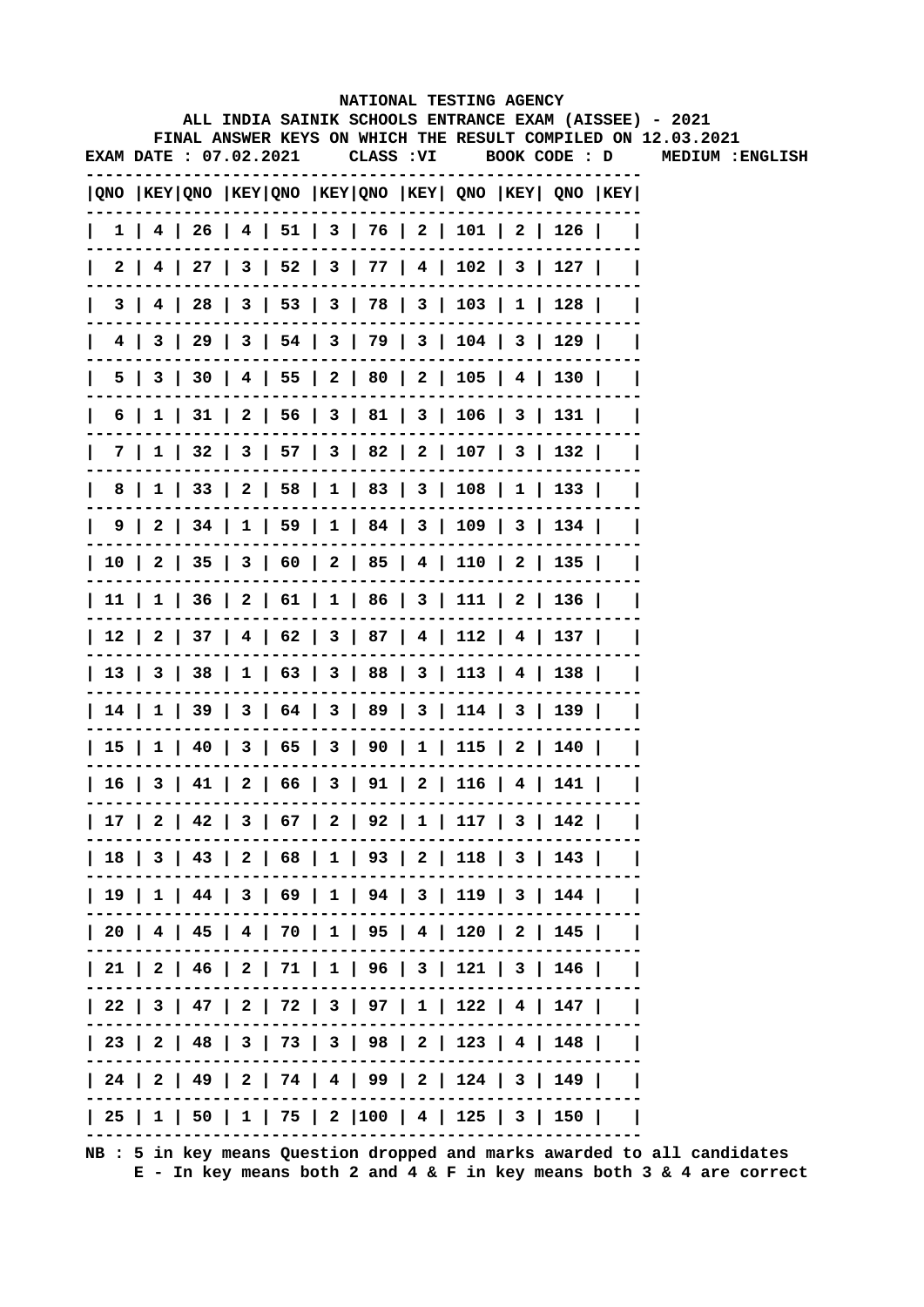|  |                       |  |  |            | ALL INDIA SAINIK SCHOOLS ENTRANCE EXAM (AISSEE) - 2021                                |  |                                                              |
|--|-----------------------|--|--|------------|---------------------------------------------------------------------------------------|--|--------------------------------------------------------------|
|  |                       |  |  |            |                                                                                       |  | FINAL ANSWER KEYS ON WHICH THE RESULT COMPILED ON 12.03.2021 |
|  | EXAM DATE: 07.02.2021 |  |  | CLASS : VI | BOOK CODE : D                                                                         |  | MEDIUM : ENGLISH                                             |
|  |                       |  |  |            | QNO  KEY QNO  KEY QNO  KEY QNO  KEY  QNO  KEY  QNO  KEY                               |  |                                                              |
|  |                       |  |  |            | $1$   4   26   4   51   3   76   2   101   2   126                                    |  |                                                              |
|  |                       |  |  |            | 2   4   27   3   52   3   77   4   102   3   127                                      |  |                                                              |
|  |                       |  |  |            | 3   4   28   3   53   3   78   3   103   1   128                                      |  |                                                              |
|  |                       |  |  |            | 4   3   29   3   54   3   79   3   104   3   129                                      |  |                                                              |
|  |                       |  |  |            | 5   3   30   4   55   2   80   2   105   4   130                                      |  |                                                              |
|  |                       |  |  |            | 6   1   31   2   56   3   81   3   106   3   131                                      |  |                                                              |
|  |                       |  |  |            | 7   1   32   3   57   3   82   2   107   3   132                                      |  |                                                              |
|  |                       |  |  |            | 8   1   33   2   58   1   83   3   108   1   133                                      |  |                                                              |
|  |                       |  |  |            | $9 \mid 2 \mid 34 \mid 1 \mid 59 \mid 1 \mid 84 \mid 3 \mid 109 \mid 3 \mid 134 \mid$ |  |                                                              |
|  |                       |  |  |            | 10   2   35   3   60   2   85   4   110   2   135                                     |  |                                                              |
|  |                       |  |  |            | 11   1   36   2   61   1   86   3   111   2   136                                     |  |                                                              |
|  |                       |  |  |            | 12   2   37   4   62   3   87   4   112   4   137                                     |  |                                                              |
|  |                       |  |  |            | 13   3   38   1   63   3   88   3   113   4   138                                     |  |                                                              |
|  |                       |  |  |            | 14   1   39   3   64   3   89   3   114   3   139                                     |  |                                                              |
|  |                       |  |  |            | 15   1   40   3   65   3   90   1   115   2   140                                     |  |                                                              |
|  |                       |  |  |            | 16   3   41   2   66   3   91   2   116   4   141                                     |  |                                                              |
|  |                       |  |  |            | 17   2   42   3   67   2   92   1   117   3   142                                     |  |                                                              |
|  |                       |  |  |            | 18   3   43   2   68   1   93   2   118   3   143                                     |  |                                                              |
|  |                       |  |  |            | 19   1   44   3   69   1   94   3   119   3   144                                     |  |                                                              |
|  |                       |  |  |            | 20   4   45   4   70   1   95   4   120   2   145                                     |  |                                                              |
|  |                       |  |  |            | $  21   2   46   2   71   1   96   3   121   3   146  $                               |  |                                                              |
|  |                       |  |  |            | 22   3   47   2   72   3   97   1   122   4   147                                     |  |                                                              |
|  |                       |  |  |            | 23   2   48   3   73   3   98   2   123   4   148                                     |  |                                                              |
|  |                       |  |  |            | 24   2   49   2   74   4   99   2   124   3   149                                     |  |                                                              |
|  |                       |  |  |            | 25   1   50   1   75   2  100   4   125   3   150                                     |  |                                                              |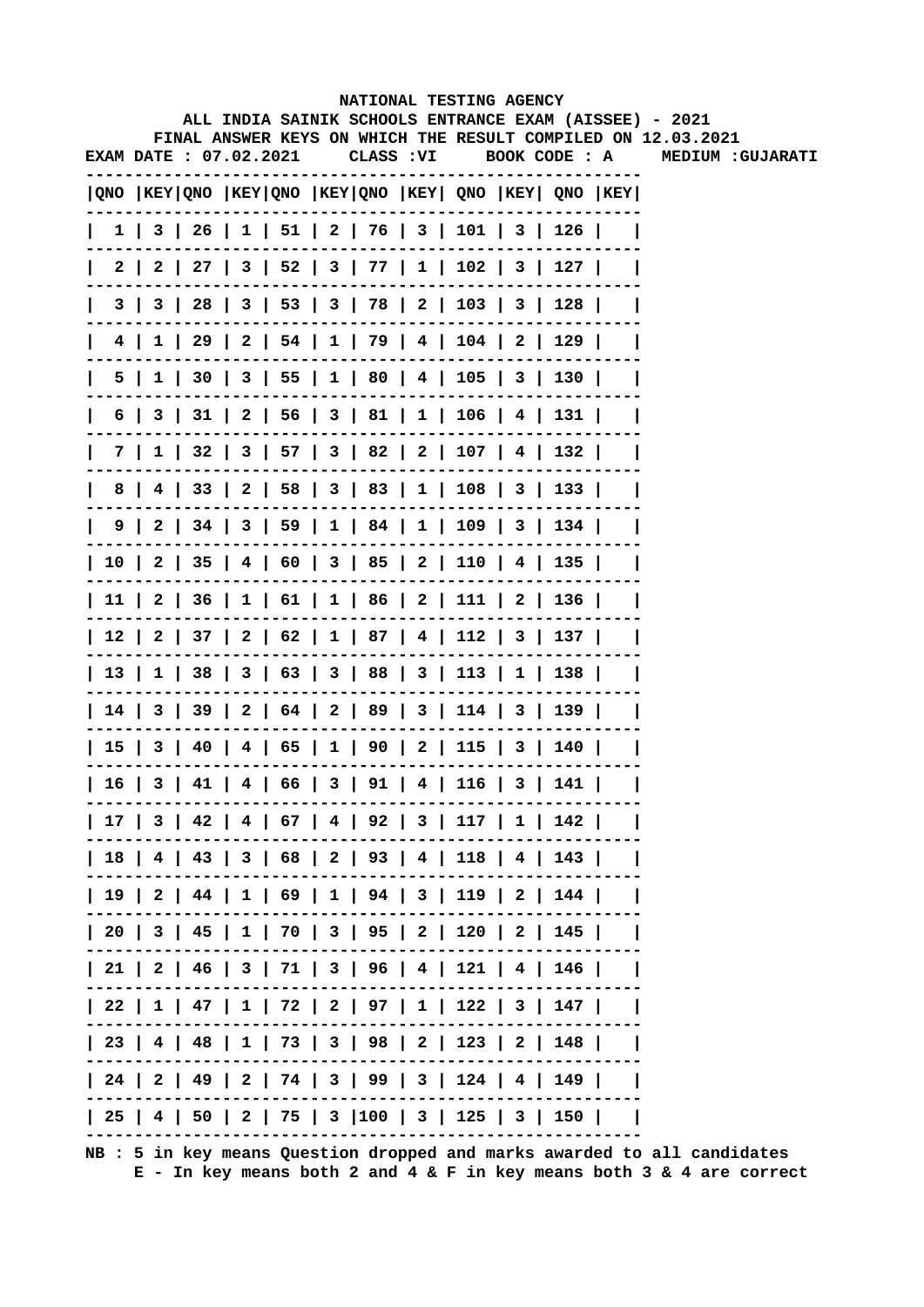|              |                        |  |  | NATIONAL TESTING AGENCY                                                               |               |       |                                                                                                                        |
|--------------|------------------------|--|--|---------------------------------------------------------------------------------------|---------------|-------|------------------------------------------------------------------------------------------------------------------------|
|              |                        |  |  |                                                                                       |               |       | ALL INDIA SAINIK SCHOOLS ENTRANCE EXAM (AISSEE) - 2021<br>FINAL ANSWER KEYS ON WHICH THE RESULT COMPILED ON 12.03.2021 |
|              | EXAM DATE : 07.02.2021 |  |  | CLASS : VI                                                                            | BOOK CODE : A |       | <b>MEDIUM :GUJARATI</b>                                                                                                |
|              |                        |  |  | $ QNO $ KEY $ QNO $ KEY $ QNO $ KEY $ QNO $ KEY $ QNO $ KEY $ QNO $ KEY $ QNO $ KEY   |               |       |                                                                                                                        |
| $\mathbf{L}$ |                        |  |  | $1 \mid 3 \mid 26 \mid 1 \mid 51 \mid 2 \mid 76 \mid 3 \mid 101 \mid 3 \mid 126 \mid$ |               |       |                                                                                                                        |
| L            |                        |  |  | 2   2   27   3   52   3   77   1   102   3   127                                      |               |       |                                                                                                                        |
| $\mathsf{I}$ |                        |  |  | 3   3   28   3   53   3   78   2   103   3   128                                      |               |       |                                                                                                                        |
| $\mathsf{I}$ |                        |  |  | 4   1   29   2   54   1   79   4   104   2   129                                      |               |       |                                                                                                                        |
| $\mathbf{L}$ |                        |  |  | 5   1   30   3   55   1   80   4   105   3   130                                      |               |       |                                                                                                                        |
| L            |                        |  |  | $6$   3   31   2   56   3   81   1   106   4   131                                    |               |       |                                                                                                                        |
| $\mathsf{L}$ |                        |  |  | 7   1   32   3   57   3   82   2   107   4   132                                      |               |       |                                                                                                                        |
| $\mathbf{L}$ |                        |  |  | 8   4   33   2   58   3   83   1   108   3   133                                      |               |       |                                                                                                                        |
|              |                        |  |  | 9   2   34   3   59   1   84   1   109   3   134                                      |               |       |                                                                                                                        |
|              |                        |  |  | 10   2   35   4   60   3   85   2   110   4   135                                     |               |       |                                                                                                                        |
|              |                        |  |  | 11   2   36   1   61   1   86   2   111   2   136                                     |               |       |                                                                                                                        |
|              |                        |  |  | 12   2   37   2   62   1   87   4   112   3   137                                     |               |       |                                                                                                                        |
|              |                        |  |  | 13   1   38   3   63   3   88   3   113   1   138                                     |               |       |                                                                                                                        |
|              |                        |  |  | 14   3   39   2   64   2   89   3   114   3   139                                     |               |       |                                                                                                                        |
|              |                        |  |  | 15   3   40   4   65   1   90   2   115   3   140                                     |               |       |                                                                                                                        |
|              |                        |  |  | 16   3   41   4   66   3   91   4   116   3                                           |               | 141 l |                                                                                                                        |
|              |                        |  |  | 17   3   42   4   67   4   92   3   117   1   142                                     |               |       |                                                                                                                        |
|              |                        |  |  | 18   4   43   3   68   2   93   4   118   4   143                                     |               |       |                                                                                                                        |
|              |                        |  |  | 19   2   44   1   69   1   94   3   119   2   144                                     |               |       |                                                                                                                        |
|              |                        |  |  | 20   3   45   1   70   3   95   2   120   2   145                                     |               |       |                                                                                                                        |
|              |                        |  |  | 21   2   46   3   71   3   96   4   121   4   146                                     |               |       |                                                                                                                        |
|              |                        |  |  | 22   1   47   1   72   2   97   1   122   3   147                                     |               |       |                                                                                                                        |
|              |                        |  |  | 23   4   48   1   73   3   98   2   123   2   148                                     |               |       |                                                                                                                        |
|              |                        |  |  | 24   2   49   2   74   3   99   3   124   4   149                                     |               |       |                                                                                                                        |
|              |                        |  |  | 25   4   50   2   75   3  100   3   125   3   150                                     |               |       |                                                                                                                        |
|              |                        |  |  |                                                                                       |               |       |                                                                                                                        |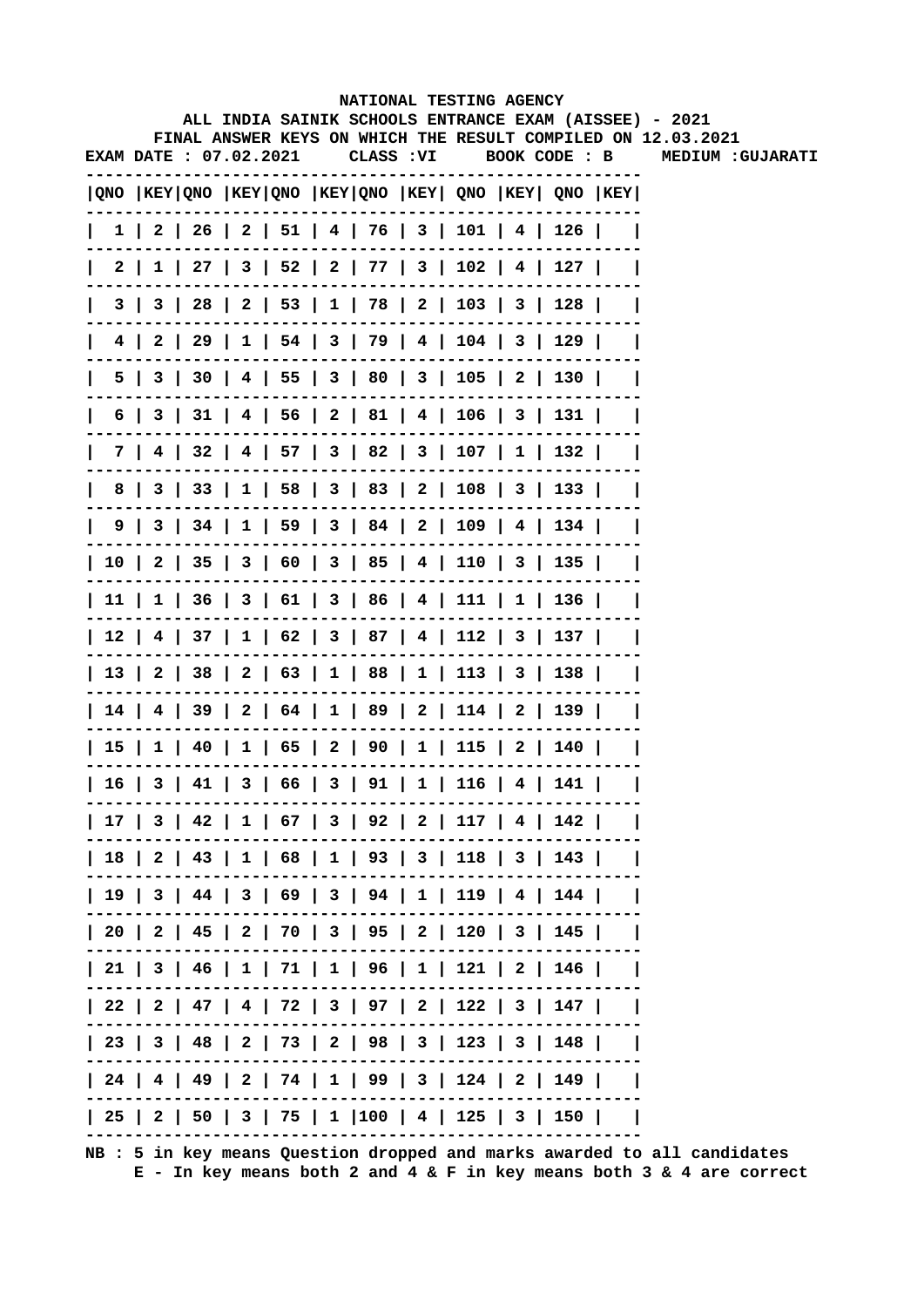|                       |  |  |            | NATIONAL TESTING AGENCY                                                               |               |  |                                                                                                                        |
|-----------------------|--|--|------------|---------------------------------------------------------------------------------------|---------------|--|------------------------------------------------------------------------------------------------------------------------|
|                       |  |  |            |                                                                                       |               |  | ALL INDIA SAINIK SCHOOLS ENTRANCE EXAM (AISSEE) - 2021<br>FINAL ANSWER KEYS ON WHICH THE RESULT COMPILED ON 12.03.2021 |
| EXAM DATE: 07.02.2021 |  |  | CLASS : VI |                                                                                       | BOOK CODE : B |  | <b>MEDIUM :GUJARATI</b>                                                                                                |
|                       |  |  |            | QNO  KEY QNO  KEY QNO  KEY QNO  KEY  QNO  KEY  QNO  KEY                               |               |  |                                                                                                                        |
|                       |  |  |            | $1 \mid 2 \mid 26 \mid 2 \mid 51 \mid 4 \mid 76 \mid 3 \mid 101 \mid 4 \mid 126 \mid$ |               |  |                                                                                                                        |
|                       |  |  |            | $2   1   27   3   52   2   77   3   102   4   127  $                                  |               |  |                                                                                                                        |
|                       |  |  |            | 3   3   28   2   53   1   78   2   103   3   128                                      |               |  |                                                                                                                        |
|                       |  |  |            | 4   2   29   1   54   3   79   4   104   3   129                                      |               |  |                                                                                                                        |
|                       |  |  |            | 5   3   30   4   55   3   80   3   105   2   130                                      |               |  |                                                                                                                        |
|                       |  |  |            | 6   3   31   4   56   2   81   4   106   3   131                                      |               |  |                                                                                                                        |
|                       |  |  |            | 7   4   32   4   57   3   82   3   107   1   132                                      |               |  |                                                                                                                        |
|                       |  |  |            | 8   3   33   1   58   3   83   2   108   3   133                                      |               |  |                                                                                                                        |
|                       |  |  |            | 9   3   34   1   59   3   84   2   109   4   134                                      |               |  |                                                                                                                        |
|                       |  |  |            | 10   2   35   3   60   3   85   4   110   3   135                                     |               |  |                                                                                                                        |
|                       |  |  |            | 11   1   36   3   61   3   86   4   111   1   136                                     |               |  |                                                                                                                        |
|                       |  |  |            | 12   4   37   1   62   3   87   4   112   3   137                                     |               |  |                                                                                                                        |
|                       |  |  |            | 13   2   38   2   63   1   88   1   113   3   138                                     |               |  |                                                                                                                        |
|                       |  |  |            | 14   4   39   2   64   1   89   2   114   2   139                                     |               |  |                                                                                                                        |
|                       |  |  |            | 15   1   40   1   65   2   90   1   115   2   140                                     |               |  |                                                                                                                        |
|                       |  |  |            | 16   3   41   3   66   3   91   1   116   4   141                                     |               |  |                                                                                                                        |
|                       |  |  |            | 17   3   42   1   67   3   92   2   117   4   142                                     |               |  |                                                                                                                        |
|                       |  |  |            | 18   2   43   1   68   1   93   3   118   3   143                                     |               |  |                                                                                                                        |
|                       |  |  |            | 19   3   44   3   69   3   94   1   119   4   144                                     |               |  |                                                                                                                        |
|                       |  |  |            | 20   2   45   2   70   3   95   2   120   3   145                                     |               |  |                                                                                                                        |
|                       |  |  |            | 21   3   46   1   71   1   96   1   121   2   146                                     |               |  |                                                                                                                        |
|                       |  |  |            | 22   2   47   4   72   3   97   2   122   3   147                                     |               |  |                                                                                                                        |
|                       |  |  |            | 23   3   48   2   73   2   98   3   123   3   148                                     |               |  |                                                                                                                        |
|                       |  |  |            | 24   4   49   2   74   1   99   3   124   2   149                                     |               |  |                                                                                                                        |
|                       |  |  |            | 25   2   50   3   75   1  100   4   125   3   150                                     |               |  |                                                                                                                        |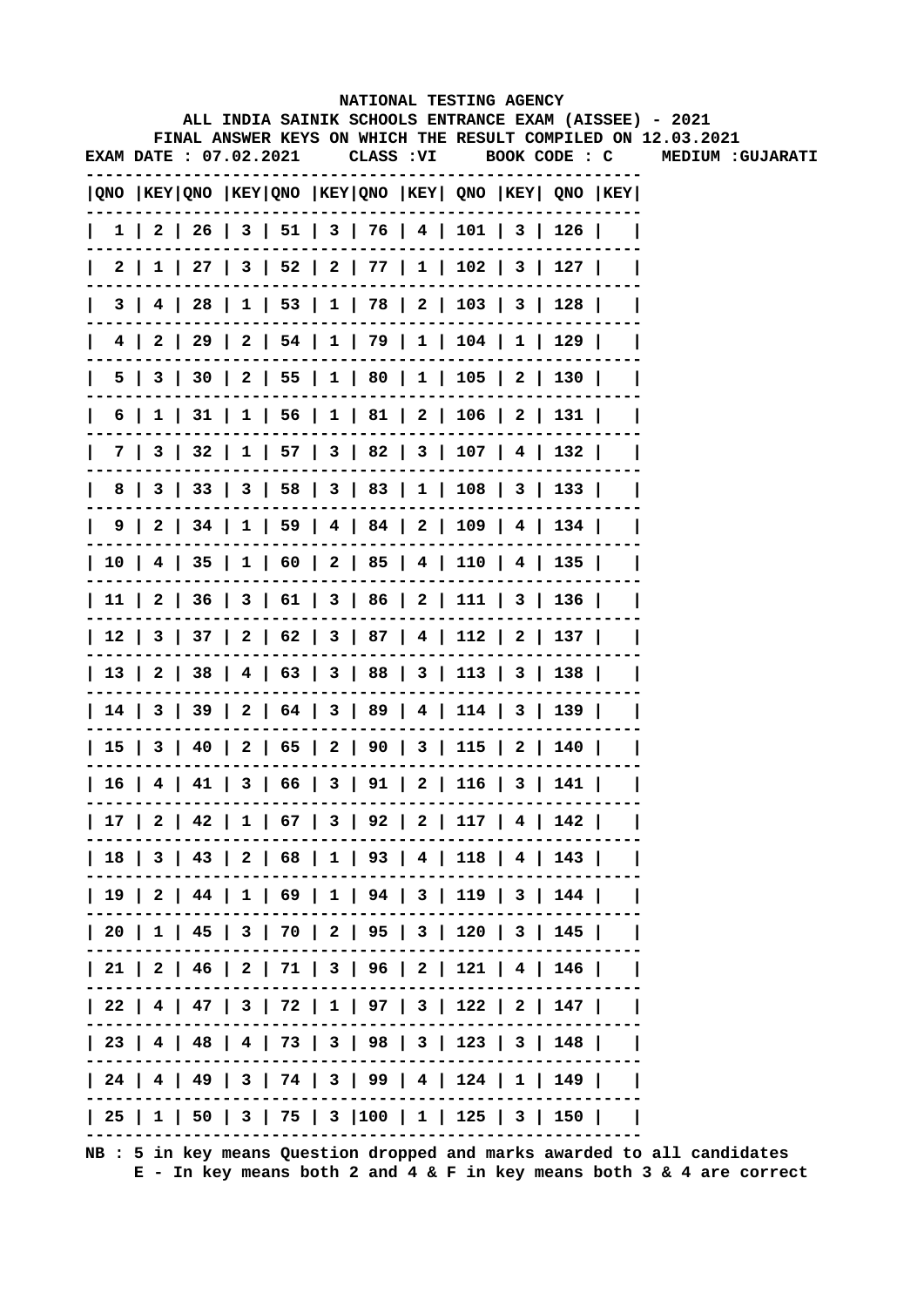|              |                        |  |  |            | NATIONAL TESTING AGENCY                                                               |               |       |                                                                                                                        |
|--------------|------------------------|--|--|------------|---------------------------------------------------------------------------------------|---------------|-------|------------------------------------------------------------------------------------------------------------------------|
|              |                        |  |  |            |                                                                                       |               |       | ALL INDIA SAINIK SCHOOLS ENTRANCE EXAM (AISSEE) - 2021<br>FINAL ANSWER KEYS ON WHICH THE RESULT COMPILED ON 12.03.2021 |
|              | EXAM DATE : 07.02.2021 |  |  | CLASS : VI |                                                                                       | BOOK CODE : C |       | <b>MEDIUM :GUJARATI</b>                                                                                                |
|              |                        |  |  |            | QNO  KEY QNO  KEY QNO  KEY QNO  KEY  QNO  KEY  QNO  KEY                               |               |       |                                                                                                                        |
| $\mathbf{L}$ |                        |  |  |            | $1 \mid 2 \mid 26 \mid 3 \mid 51 \mid 3 \mid 76 \mid 4 \mid 101 \mid 3 \mid 126 \mid$ |               |       |                                                                                                                        |
| $\mathbf{I}$ |                        |  |  |            | 2   1   27   3   52   2   77   1   102   3   127                                      |               |       |                                                                                                                        |
| $\mathsf{I}$ |                        |  |  |            | 3   4   28   1   53   1   78   2   103   3   128                                      |               |       |                                                                                                                        |
| $\mathsf{I}$ |                        |  |  |            | 4   2   29   2   54   1   79   1   104   1   129                                      |               |       |                                                                                                                        |
| $\mathsf{L}$ |                        |  |  |            | 5   3   30   2   55   1   80   1   105   2   130                                      |               |       |                                                                                                                        |
| L            |                        |  |  |            | 6   1   31   1   56   1   81   2   106   2   131                                      |               |       |                                                                                                                        |
| L            |                        |  |  |            | 7   3   32   1   57   3   82   3   107   4   132                                      |               |       |                                                                                                                        |
|              |                        |  |  |            | 8   3   33   3   58   3   83   1   108   3   133                                      |               |       |                                                                                                                        |
|              |                        |  |  |            | 9   2   34   1   59   4   84   2   109   4   134                                      |               |       |                                                                                                                        |
|              |                        |  |  |            | 10   4   35   1   60   2   85   4   110   4   135                                     |               |       |                                                                                                                        |
|              |                        |  |  |            | 11   2   36   3   61   3   86   2   111   3   136                                     |               |       |                                                                                                                        |
|              |                        |  |  |            | 12   3   37   2   62   3   87   4   112   2   137                                     |               |       |                                                                                                                        |
|              |                        |  |  |            | 13   2   38   4   63   3   88   3   113   3   138                                     |               |       |                                                                                                                        |
|              |                        |  |  |            | 14   3   39   2   64   3   89   4   114   3   139                                     |               |       |                                                                                                                        |
|              |                        |  |  |            | 15   3   40   2   65   2   90   3   115   2   140                                     |               |       |                                                                                                                        |
|              |                        |  |  |            | 16   4   41   3   66   3   91   2   116   3                                           |               | 141 l |                                                                                                                        |
|              |                        |  |  |            | 17   2   42   1   67   3   92   2   117   4   142                                     |               |       |                                                                                                                        |
|              |                        |  |  |            | 18   3   43   2   68   1   93   4   118   4   143                                     |               |       |                                                                                                                        |
|              |                        |  |  |            | 19   2   44   1   69   1   94   3   119   3   144                                     |               |       |                                                                                                                        |
|              |                        |  |  |            | 20   1   45   3   70   2   95   3   120   3   145                                     |               |       |                                                                                                                        |
|              |                        |  |  |            | 21   2   46   2   71   3   96   2   121   4   146                                     |               |       |                                                                                                                        |
|              |                        |  |  |            | 22   4   47   3   72   1   97   3   122   2   147                                     |               |       |                                                                                                                        |
|              |                        |  |  |            | 23   4   48   4   73   3   98   3   123   3   148                                     |               |       |                                                                                                                        |
|              |                        |  |  |            | 24   4   49   3   74   3   99   4   124   1   149                                     |               |       |                                                                                                                        |
|              |                        |  |  |            | 25   1   50   3   75   3  100   1   125   3   150                                     |               |       |                                                                                                                        |
|              |                        |  |  |            |                                                                                       |               |       |                                                                                                                        |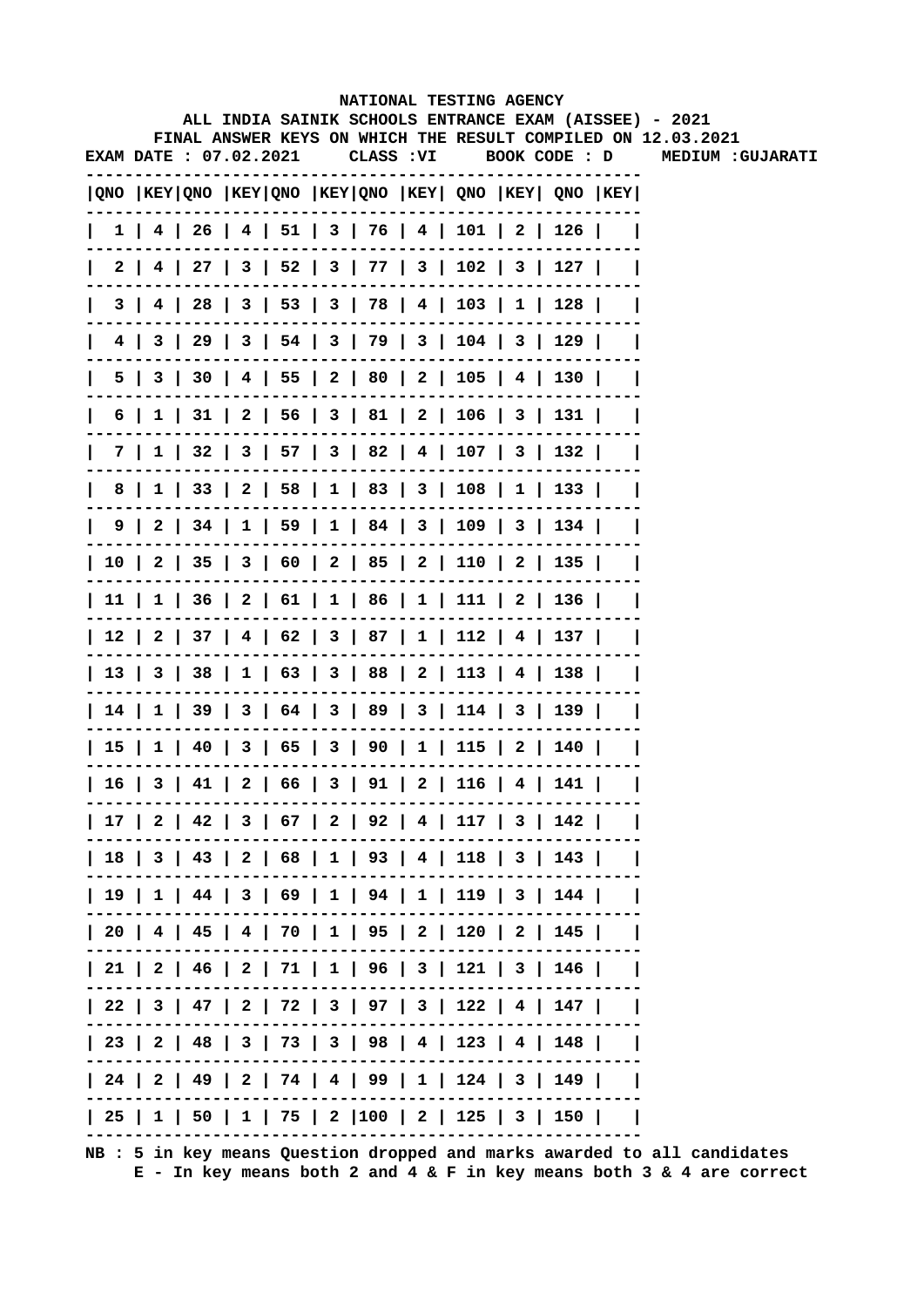|                              |  |  |  | NATIONAL TESTING AGENCY                                                       |               |     |                                                                                                                        |
|------------------------------|--|--|--|-------------------------------------------------------------------------------|---------------|-----|------------------------------------------------------------------------------------------------------------------------|
|                              |  |  |  |                                                                               |               |     | ALL INDIA SAINIK SCHOOLS ENTRANCE EXAM (AISSEE) - 2021<br>FINAL ANSWER KEYS ON WHICH THE RESULT COMPILED ON 12.03.2021 |
| <b>EXAM DATE: 07.02.2021</b> |  |  |  | CLASS : VI                                                                    | BOOK CODE : D |     | MEDIUM :GUJARATI                                                                                                       |
|                              |  |  |  | QNO  KEY QNO  KEY QNO  KEY QNO  KEY  QNO  KEY  QNO  KEY                       |               |     |                                                                                                                        |
| L                            |  |  |  | $1$   4   26   4   51   3   76   4   101   2   126                            |               |     |                                                                                                                        |
|                              |  |  |  | 2   4   27   3   52   3   77   3   102   3   127                              |               |     |                                                                                                                        |
| $\mathsf{I}$                 |  |  |  | 3   4   28   3   53   3   78   4   103   1   128                              |               |     |                                                                                                                        |
|                              |  |  |  | 4   3   29   3   54   3   79   3   104   3   129                              |               |     |                                                                                                                        |
| $\mathsf{I}$                 |  |  |  | 5   3   30   4   55   2   80   2   105   4   130                              |               |     |                                                                                                                        |
| $\mathsf{I}$                 |  |  |  | 6   1   31   2   56   3   81   2   106   3   131                              |               |     |                                                                                                                        |
| L                            |  |  |  | 7   1   32   3   57   3   82   4   107   3   132                              |               |     |                                                                                                                        |
|                              |  |  |  | 8   1   33   2   58   1   83   3   108   1   133                              |               |     |                                                                                                                        |
|                              |  |  |  | 9   2   34   1   59   1   84   3   109   3   134                              |               |     |                                                                                                                        |
|                              |  |  |  | 10   2   35   3   60   2   85   2   110   2   135                             |               |     |                                                                                                                        |
|                              |  |  |  | 11   1   36   2   61   1   86   1   111   2   136                             |               |     |                                                                                                                        |
|                              |  |  |  | 12   2   37   4   62   3   87   1   112   4   137                             |               |     |                                                                                                                        |
|                              |  |  |  | 13   3   38   1   63   3   88   2   113   4   138                             |               |     |                                                                                                                        |
|                              |  |  |  | 14   1   39   3   64   3   89   3   114   3   139                             |               |     |                                                                                                                        |
|                              |  |  |  | 15   1   40   3   65   3   90   1   115   2   140                             |               |     |                                                                                                                        |
|                              |  |  |  | $16 \mid 3 \mid 41 \mid 2 \mid 66 \mid 3 \mid 91 \mid 2 \mid 116 \mid 4 \mid$ |               | 141 |                                                                                                                        |
|                              |  |  |  | 17   2   42   3   67   2   92   4   117   3   142                             |               |     |                                                                                                                        |
|                              |  |  |  | 18   3   43   2   68   1   93   4   118   3   143                             |               |     |                                                                                                                        |
|                              |  |  |  | 19   1   44   3   69   1   94   1   119   3   144                             |               |     |                                                                                                                        |
|                              |  |  |  | 20   4   45   4   70   1   95   2   120   2   145                             |               |     |                                                                                                                        |
|                              |  |  |  | 21   2   46   2   71   1   96   3   121   3   146                             |               |     |                                                                                                                        |
|                              |  |  |  | 22   3   47   2   72   3   97   3   122   4   147                             |               |     |                                                                                                                        |
|                              |  |  |  | 23   2   48   3   73   3   98   4   123   4   148                             |               |     |                                                                                                                        |
|                              |  |  |  | 24   2   49   2   74   4   99   1   124   3   149                             |               |     |                                                                                                                        |
|                              |  |  |  | 25   1   50   1   75   2  100   2   125   3   150                             |               |     |                                                                                                                        |
|                              |  |  |  |                                                                               |               |     |                                                                                                                        |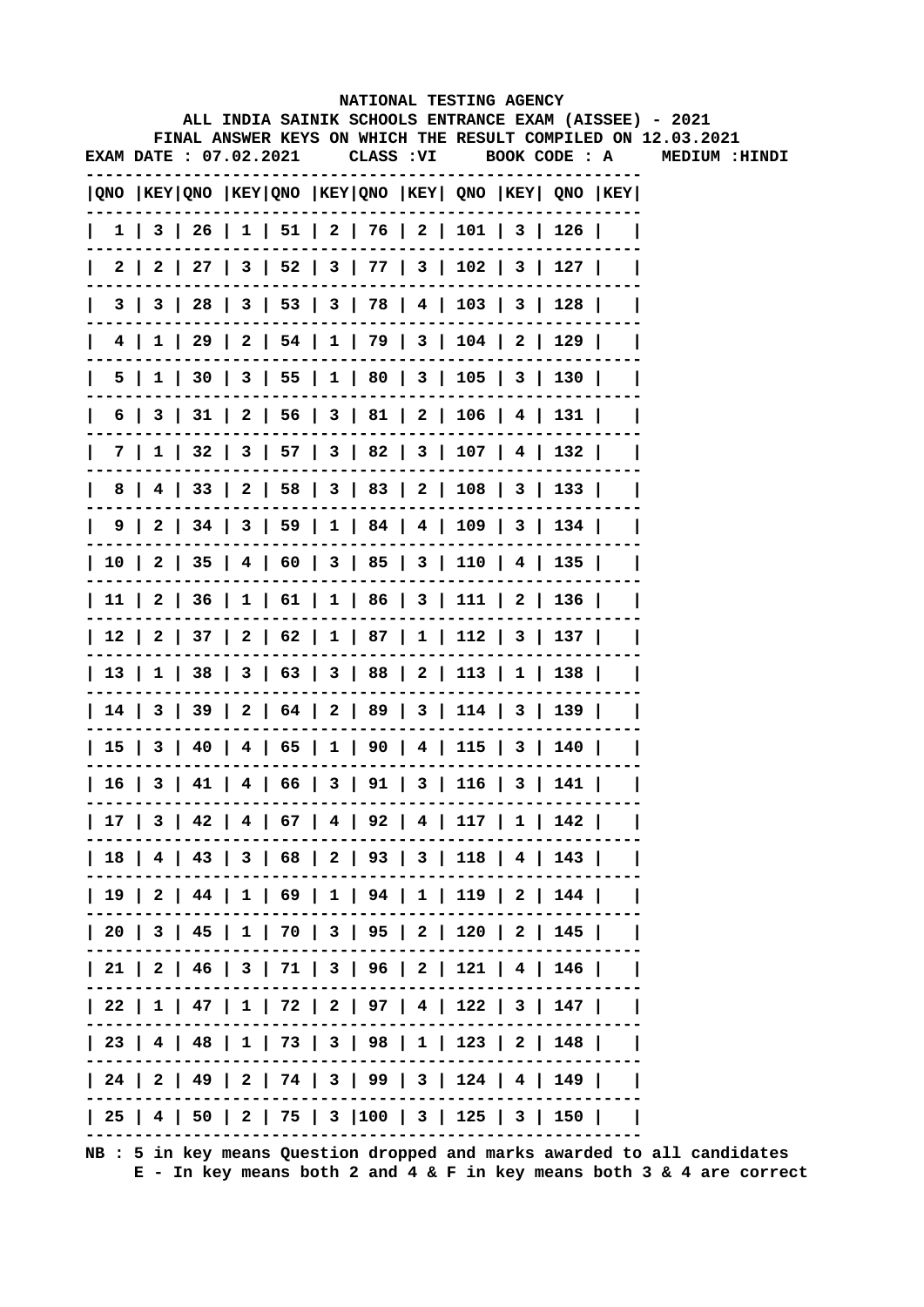|                       |  |  |  | NATIONAL TESTING AGENCY                                                               |  |                                                                                                                        |  |
|-----------------------|--|--|--|---------------------------------------------------------------------------------------|--|------------------------------------------------------------------------------------------------------------------------|--|
|                       |  |  |  |                                                                                       |  | ALL INDIA SAINIK SCHOOLS ENTRANCE EXAM (AISSEE) - 2021<br>FINAL ANSWER KEYS ON WHICH THE RESULT COMPILED ON 12.03.2021 |  |
| EXAM DATE: 07.02.2021 |  |  |  |                                                                                       |  | CLASS :VI BOOK CODE : A MEDIUM :HINDI                                                                                  |  |
|                       |  |  |  | QNO  KEY QNO  KEY QNO  KEY QNO  KEY  QNO  KEY  QNO  KEY                               |  |                                                                                                                        |  |
|                       |  |  |  | $1 \mid 3 \mid 26 \mid 1 \mid 51 \mid 2 \mid 76 \mid 2 \mid 101 \mid 3 \mid 126 \mid$ |  |                                                                                                                        |  |
| 2 I                   |  |  |  | 2   27   3   52   3   77   3   102   3   127                                          |  |                                                                                                                        |  |
|                       |  |  |  | 3   3   28   3   53   3   78   4   103   3   128                                      |  |                                                                                                                        |  |
|                       |  |  |  | 4   1   29   2   54   1   79   3   104   2   129                                      |  |                                                                                                                        |  |
|                       |  |  |  | 5   1   30   3   55   1   80   3   105   3   130                                      |  |                                                                                                                        |  |
|                       |  |  |  | $6$   3   31   2   56   3   81   2   106   4   131                                    |  |                                                                                                                        |  |
|                       |  |  |  | 7   1   32   3   57   3   82   3   107   4   132                                      |  |                                                                                                                        |  |
|                       |  |  |  | 8   4   33   2   58   3   83   2   108   3   133                                      |  |                                                                                                                        |  |
|                       |  |  |  | 9   2   34   3   59   1   84   4   109   3   134                                      |  |                                                                                                                        |  |
|                       |  |  |  | 10   2   35   4   60   3   85   3   110   4   135                                     |  |                                                                                                                        |  |
|                       |  |  |  | 11   2   36   1   61   1   86   3   111   2   136                                     |  |                                                                                                                        |  |
|                       |  |  |  | 12   2   37   2   62   1   87   1   112   3   137                                     |  |                                                                                                                        |  |
|                       |  |  |  | 13   1   38   3   63   3   88   2   113   1   138                                     |  |                                                                                                                        |  |
|                       |  |  |  | 14   3   39   2   64   2   89   3   114   3   139                                     |  |                                                                                                                        |  |
|                       |  |  |  | 15   3   40   4   65   1   90   4   115   3   140                                     |  |                                                                                                                        |  |
|                       |  |  |  | 16   3   41   4   66   3   91   3   116   3   141                                     |  |                                                                                                                        |  |
|                       |  |  |  | 17   3   42   4   67   4   92   4   117   1   142                                     |  |                                                                                                                        |  |
|                       |  |  |  | 18   4   43   3   68   2   93   3   118   4   143                                     |  |                                                                                                                        |  |
|                       |  |  |  | 19   2   44   1   69   1   94   1   119   2   144                                     |  |                                                                                                                        |  |
|                       |  |  |  | 20   3   45   1   70   3   95   2   120   2   145                                     |  |                                                                                                                        |  |
|                       |  |  |  | 21   2   46   3   71   3   96   2   121   4   146                                     |  |                                                                                                                        |  |
|                       |  |  |  | 22   1   47   1   72   2   97   4   122   3   147                                     |  |                                                                                                                        |  |
|                       |  |  |  | 23   4   48   1   73   3   98   1   123   2   148                                     |  |                                                                                                                        |  |
|                       |  |  |  | 24   2   49   2   74   3   99   3   124   4   149                                     |  |                                                                                                                        |  |
|                       |  |  |  | 25   4   50   2   75   3  100   3   125   3   150                                     |  |                                                                                                                        |  |
|                       |  |  |  |                                                                                       |  |                                                                                                                        |  |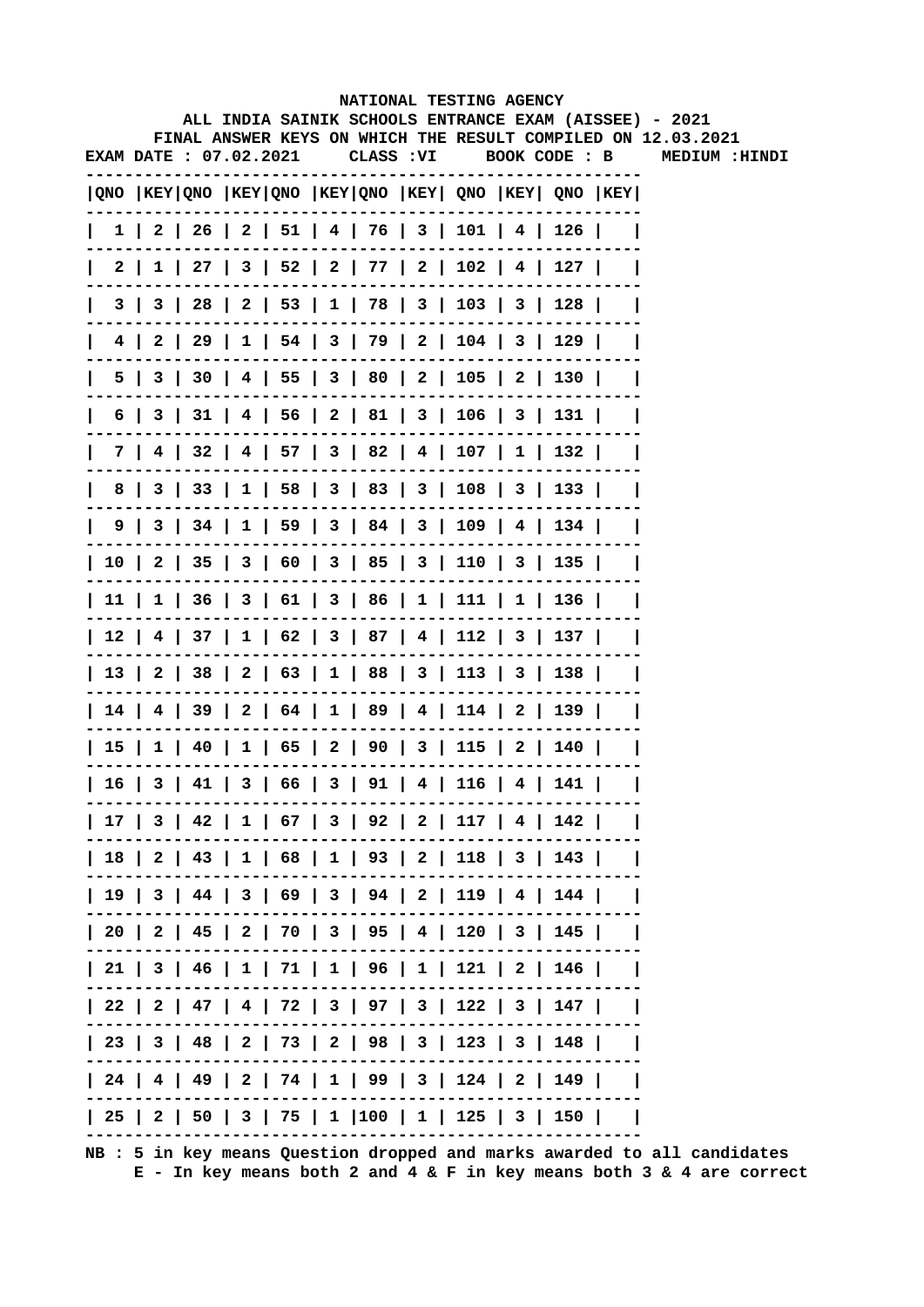|   |                        |  |  |           | NATIONAL TESTING AGENCY                                                                |  |                                                                                                                        |
|---|------------------------|--|--|-----------|----------------------------------------------------------------------------------------|--|------------------------------------------------------------------------------------------------------------------------|
|   |                        |  |  |           |                                                                                        |  | ALL INDIA SAINIK SCHOOLS ENTRANCE EXAM (AISSEE) - 2021<br>FINAL ANSWER KEYS ON WHICH THE RESULT COMPILED ON 12.03.2021 |
|   | EXAM DATE : 07.02.2021 |  |  | CLASS :VI |                                                                                        |  | BOOK CODE : B MEDIUM :HINDI                                                                                            |
|   |                        |  |  |           | QNO  KEY QNO  KEY QNO  KEY QNO  KEY  QNO  KEY  QNO  KEY                                |  |                                                                                                                        |
|   |                        |  |  |           | $1 \mid 2 \mid 26 \mid 2 \mid 51 \mid 4 \mid 76 \mid 3 \mid 101 \mid 4 \mid 126 \mid$  |  |                                                                                                                        |
|   | 2 I                    |  |  |           | $1$   27   3   52   2   77   2   102   4   127                                         |  |                                                                                                                        |
|   | 3 I                    |  |  |           | 3   28   2   53   1   78   3   103   3   128                                           |  |                                                                                                                        |
| 4 |                        |  |  |           | 2   29   1   54   3   79   2   104   3   129                                           |  |                                                                                                                        |
|   | 5                      |  |  |           | 3   30   4   55   3   80   2   105   2   130                                           |  |                                                                                                                        |
| 6 |                        |  |  |           | 3   31   4   56   2   81   3   106   3   131                                           |  |                                                                                                                        |
|   |                        |  |  |           | 7   4   32   4   57   3   82   4   107   1   132                                       |  |                                                                                                                        |
| 8 |                        |  |  |           | 3   33   1   58   3   83   3   108   3   133                                           |  |                                                                                                                        |
|   |                        |  |  |           | $9 \mid 3 \mid 34 \mid 1 \mid 59 \mid 3 \mid 84 \mid 3 \mid 109 \mid 4 \mid 134 \mid$  |  |                                                                                                                        |
|   |                        |  |  |           | 10   2   35   3   60   3   85   3   110   3   135                                      |  |                                                                                                                        |
|   |                        |  |  |           | $11 \mid 1 \mid 36 \mid 3 \mid 61 \mid 3 \mid 86 \mid 1 \mid 111 \mid 1 \mid 136 \mid$ |  |                                                                                                                        |
|   |                        |  |  |           | $12$   4   37   1   62   3   87   4   112   3   137                                    |  |                                                                                                                        |
|   |                        |  |  |           | 13   2   38   2   63   1   88   3   113   3   138                                      |  |                                                                                                                        |
|   |                        |  |  |           | 14   4   39   2   64   1   89   4   114   2   139                                      |  |                                                                                                                        |
|   |                        |  |  |           | 15   1   40   1   65   2   90   3   115   2   140                                      |  |                                                                                                                        |
|   |                        |  |  |           | $16$   3   41   3   66   3   91   4   116   4   141                                    |  |                                                                                                                        |
|   |                        |  |  |           | 17   3   42   1   67   3   92   2   117   4   142                                      |  |                                                                                                                        |
|   |                        |  |  |           | 18   2   43   1   68   1   93   2   118   3   143                                      |  |                                                                                                                        |
|   |                        |  |  |           | 19   3   44   3   69   3   94   2   119   4   144                                      |  |                                                                                                                        |
|   |                        |  |  |           | 20   2   45   2   70   3   95   4   120   3   145                                      |  |                                                                                                                        |
|   |                        |  |  |           | 21   3   46   1   71   1   96   1   121   2   146                                      |  |                                                                                                                        |
|   |                        |  |  |           | 22   2   47   4   72   3   97   3   122   3   147                                      |  |                                                                                                                        |
|   |                        |  |  |           | 23   3   48   2   73   2   98   3   123   3   148                                      |  |                                                                                                                        |
|   |                        |  |  |           | 24   4   49   2   74   1   99   3   124   2   149                                      |  |                                                                                                                        |
|   |                        |  |  |           | 25   2   50   3   75   1  100   1   125   3   150                                      |  |                                                                                                                        |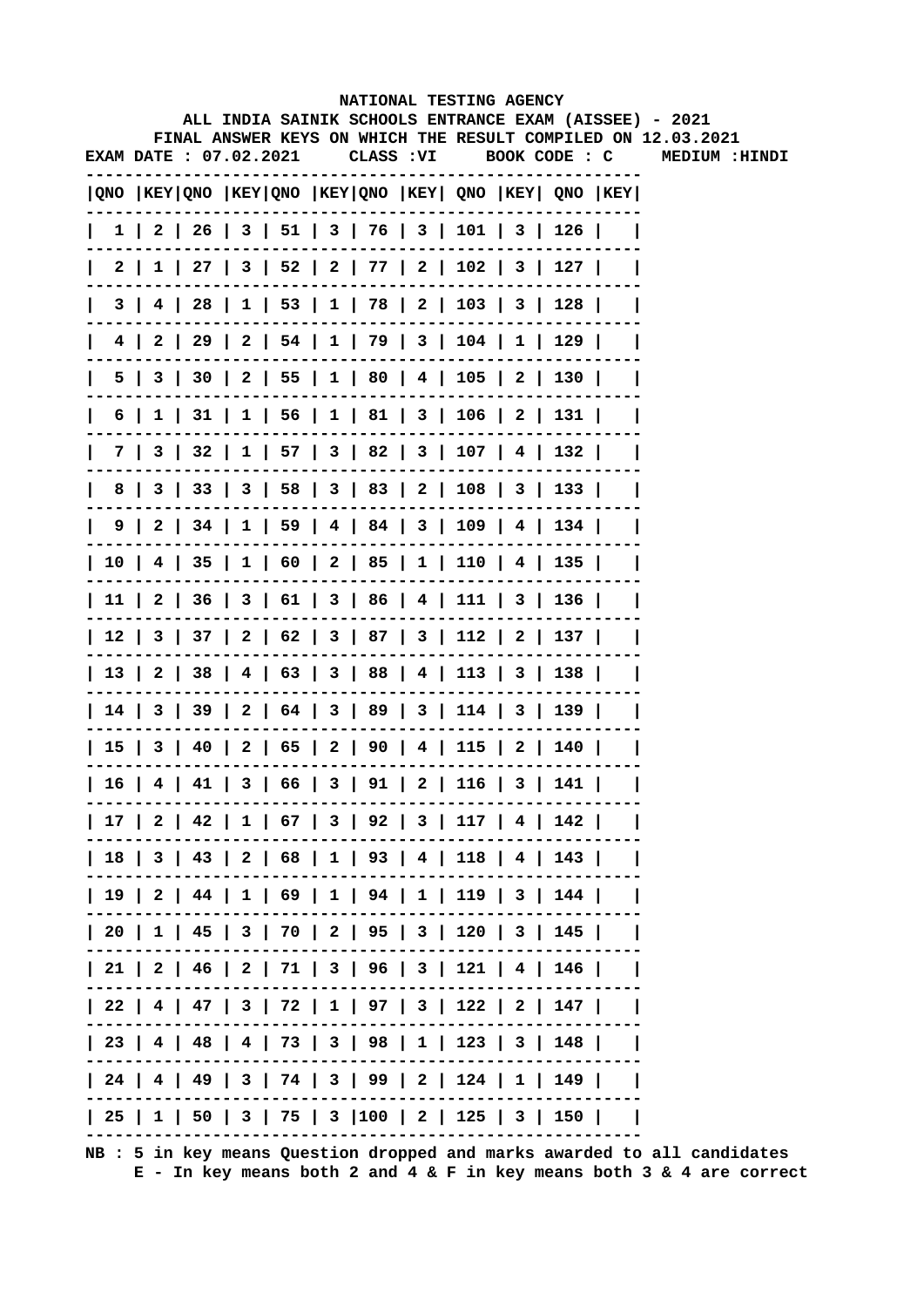|                        |  |  |  |  |  |  |  | NATIONAL TESTING AGENCY<br>ALL INDIA SAINIK SCHOOLS ENTRANCE EXAM (AISSEE) - 2021<br>FINAL ANSWER KEYS ON WHICH THE RESULT COMPILED ON 12.03.2021 |  |  |  |  |  |                |
|------------------------|--|--|--|--|--|--|--|---------------------------------------------------------------------------------------------------------------------------------------------------|--|--|--|--|--|----------------|
| EXAM DATE : 07.02.2021 |  |  |  |  |  |  |  | CLASS: VI BOOK CODE: C                                                                                                                            |  |  |  |  |  | MEDIUM : HINDI |
|                        |  |  |  |  |  |  |  | QNO  KEY QNO  KEY QNO  KEY QNO  KEY  QNO  KEY  QNO  KEY                                                                                           |  |  |  |  |  |                |
|                        |  |  |  |  |  |  |  | 1   2   26   3   51   3   76   3   101   3   126                                                                                                  |  |  |  |  |  |                |
|                        |  |  |  |  |  |  |  | 2   1   27   3   52   2   77   2   102   3   127                                                                                                  |  |  |  |  |  |                |
| $\mathbf{I}$           |  |  |  |  |  |  |  | $3   4   28   1   53   1   78   2   103   3   128  $                                                                                              |  |  |  |  |  |                |
|                        |  |  |  |  |  |  |  | 4   2   29   2   54   1   79   3   104   1   129                                                                                                  |  |  |  |  |  |                |
|                        |  |  |  |  |  |  |  | 5   3   30   2   55   1   80   4   105   2   130                                                                                                  |  |  |  |  |  |                |
| $\mathbf{I}$           |  |  |  |  |  |  |  | 6   1   31   1   56   1   81   3   106   2   131                                                                                                  |  |  |  |  |  |                |
|                        |  |  |  |  |  |  |  | 7   3   32   1   57   3   82   3   107   4   132                                                                                                  |  |  |  |  |  |                |
|                        |  |  |  |  |  |  |  | 8   3   33   3   58   3   83   2   108   3   133                                                                                                  |  |  |  |  |  |                |
|                        |  |  |  |  |  |  |  | 9   2   34   1   59   4   84   3   109   4   134                                                                                                  |  |  |  |  |  |                |
|                        |  |  |  |  |  |  |  | 10   4   35   1   60   2   85   1   110   4   135                                                                                                 |  |  |  |  |  |                |
|                        |  |  |  |  |  |  |  | 11   2   36   3   61   3   86   4   111   3   136                                                                                                 |  |  |  |  |  |                |
|                        |  |  |  |  |  |  |  | 12   3   37   2   62   3   87   3   112   2   137                                                                                                 |  |  |  |  |  |                |
|                        |  |  |  |  |  |  |  | 13   2   38   4   63   3   88   4   113   3   138                                                                                                 |  |  |  |  |  |                |
|                        |  |  |  |  |  |  |  | 14   3   39   2   64   3   89   3   114   3   139                                                                                                 |  |  |  |  |  |                |
|                        |  |  |  |  |  |  |  | 15   3   40   2   65   2   90   4   115   2   140                                                                                                 |  |  |  |  |  |                |
|                        |  |  |  |  |  |  |  | $  16   4   41   3   66   3   91   2   116   3   141  $                                                                                           |  |  |  |  |  |                |
|                        |  |  |  |  |  |  |  | 17   2   42   1   67   3   92   3   117   4   142                                                                                                 |  |  |  |  |  |                |
|                        |  |  |  |  |  |  |  | 18   3   43   2   68   1   93   4   118   4   143                                                                                                 |  |  |  |  |  |                |
|                        |  |  |  |  |  |  |  | 19   2   44   1   69   1   94   1   119   3   144                                                                                                 |  |  |  |  |  |                |
|                        |  |  |  |  |  |  |  | 20   1   45   3   70   2   95   3   120   3   145                                                                                                 |  |  |  |  |  |                |
|                        |  |  |  |  |  |  |  | 21   2   46   2   71   3   96   3   121   4   146                                                                                                 |  |  |  |  |  |                |
|                        |  |  |  |  |  |  |  | 22   4   47   3   72   1   97   3   122   2   147                                                                                                 |  |  |  |  |  |                |
|                        |  |  |  |  |  |  |  | 23   4   48   4   73   3   98   1   123   3   148                                                                                                 |  |  |  |  |  |                |
|                        |  |  |  |  |  |  |  | 24   4   49   3   74   3   99   2   124   1   149                                                                                                 |  |  |  |  |  |                |
|                        |  |  |  |  |  |  |  | 25   1   50   3   75   3   100   2   125   3   150                                                                                                |  |  |  |  |  |                |
|                        |  |  |  |  |  |  |  |                                                                                                                                                   |  |  |  |  |  |                |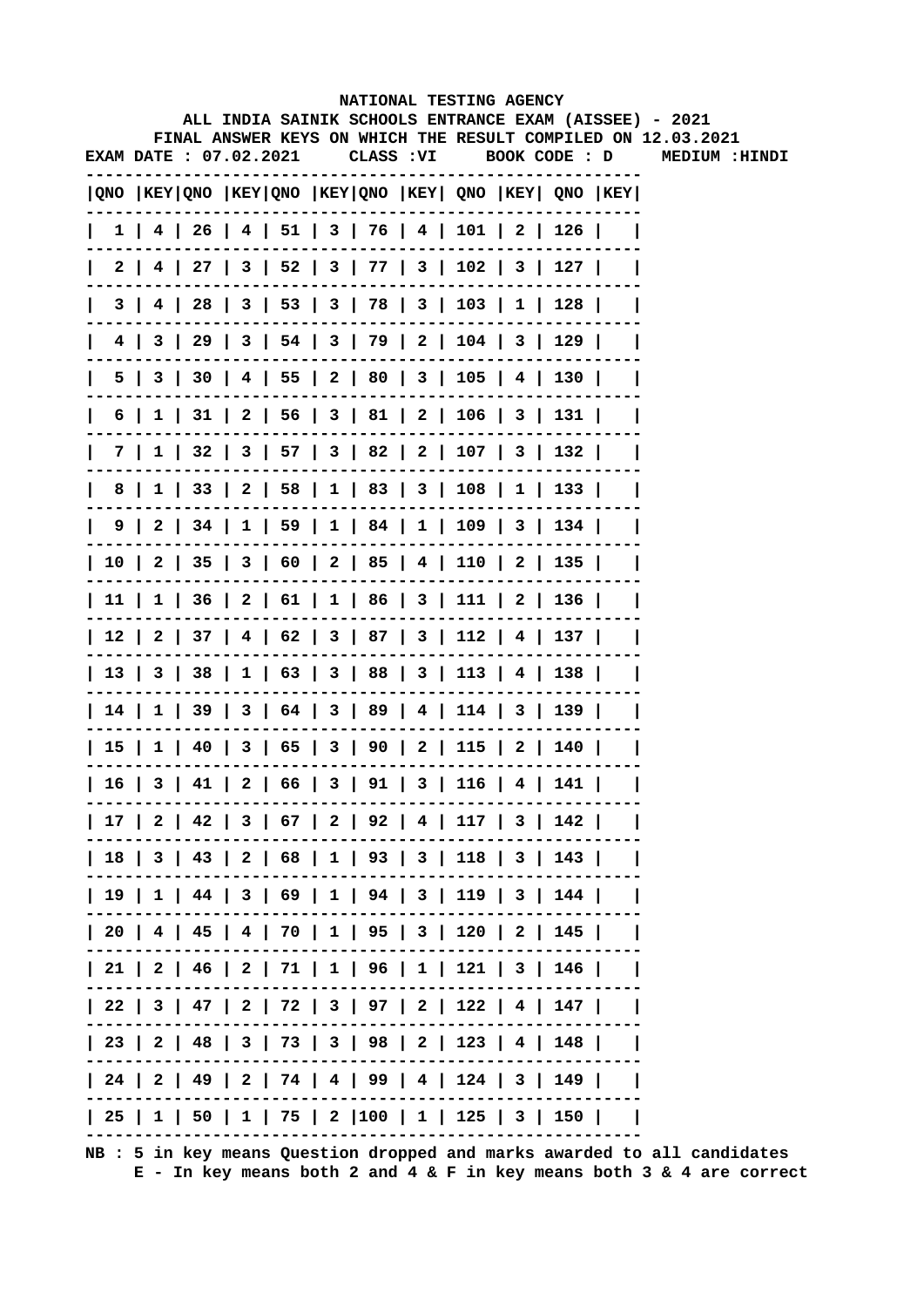|                        |  |  | NATIONAL TESTING AGENCY                                                             |  |  |                                                              |
|------------------------|--|--|-------------------------------------------------------------------------------------|--|--|--------------------------------------------------------------|
|                        |  |  | ALL INDIA SAINIK SCHOOLS ENTRANCE EXAM (AISSEE) - 2021                              |  |  | FINAL ANSWER KEYS ON WHICH THE RESULT COMPILED ON 12.03.2021 |
| EXAM DATE : 07.02.2021 |  |  |                                                                                     |  |  | CLASS: VI BOOK CODE: D MEDIUM: HINDI                         |
|                        |  |  | $ QNO $ KEY $ QNO $ KEY $ QNO $ KEY $ QNO $ KEY $ QNO $ KEY $ QNO $ KEY $ QNO $ KEY |  |  |                                                              |
|                        |  |  | $1$   4   26   4   51   3   76   4   101   2   126                                  |  |  |                                                              |
|                        |  |  | 2   4   27   3   52   3   77   3   102   3   127                                    |  |  |                                                              |
| 3 I                    |  |  | 4   28   3   53   3   78   3   103   1   128                                        |  |  |                                                              |
|                        |  |  | 4   3   29   3   54   3   79   2   104   3   129                                    |  |  |                                                              |
|                        |  |  | 5   3   30   4   55   2   80   3   105   4   130                                    |  |  |                                                              |
|                        |  |  | 6   1   31   2   56   3   81   2   106   3   131                                    |  |  |                                                              |
|                        |  |  | 7   1   32   3   57   3   82   2   107   3   132                                    |  |  |                                                              |
|                        |  |  | 8   1   33   2   58   1   83   3   108   1   133                                    |  |  |                                                              |
|                        |  |  | 9   2   34   1   59   1   84   1   109   3   134                                    |  |  |                                                              |
|                        |  |  | 10   2   35   3   60   2   85   4   110   2   135                                   |  |  |                                                              |
|                        |  |  | 11   1   36   2   61   1   86   3   111   2   136                                   |  |  |                                                              |
|                        |  |  | 12   2   37   4   62   3   87   3   112   4   137                                   |  |  |                                                              |
|                        |  |  | 13   3   38   1   63   3   88   3   113   4   138                                   |  |  |                                                              |
|                        |  |  | 14   1   39   3   64   3   89   4   114   3   139                                   |  |  |                                                              |
|                        |  |  | 15   1   40   3   65   3   90   2   115   2   140                                   |  |  |                                                              |
|                        |  |  | 16   3   41   2   66   3   91   3   116   4   141                                   |  |  |                                                              |
|                        |  |  | 17   2   42   3   67   2   92   4   117   3   142                                   |  |  |                                                              |
|                        |  |  | 18   3   43   2   68   1   93   3   118   3   143                                   |  |  |                                                              |
|                        |  |  | 19   1   44   3   69   1   94   3   119   3   144                                   |  |  |                                                              |
|                        |  |  | 20   4   45   4   70   1   95   3   120   2   145                                   |  |  |                                                              |
|                        |  |  | 21   2   46   2   71   1   96   1   121   3   146                                   |  |  |                                                              |
|                        |  |  | 22   3   47   2   72   3   97   2   122   4   147                                   |  |  |                                                              |
|                        |  |  | 23   2   48   3   73   3   98   2   123   4   148                                   |  |  |                                                              |
|                        |  |  | 24   2   49   2   74   4   99   4   124   3   149                                   |  |  |                                                              |
|                        |  |  | 25   1   50   1   75   2  100   1   125   3   150                                   |  |  |                                                              |
|                        |  |  |                                                                                     |  |  |                                                              |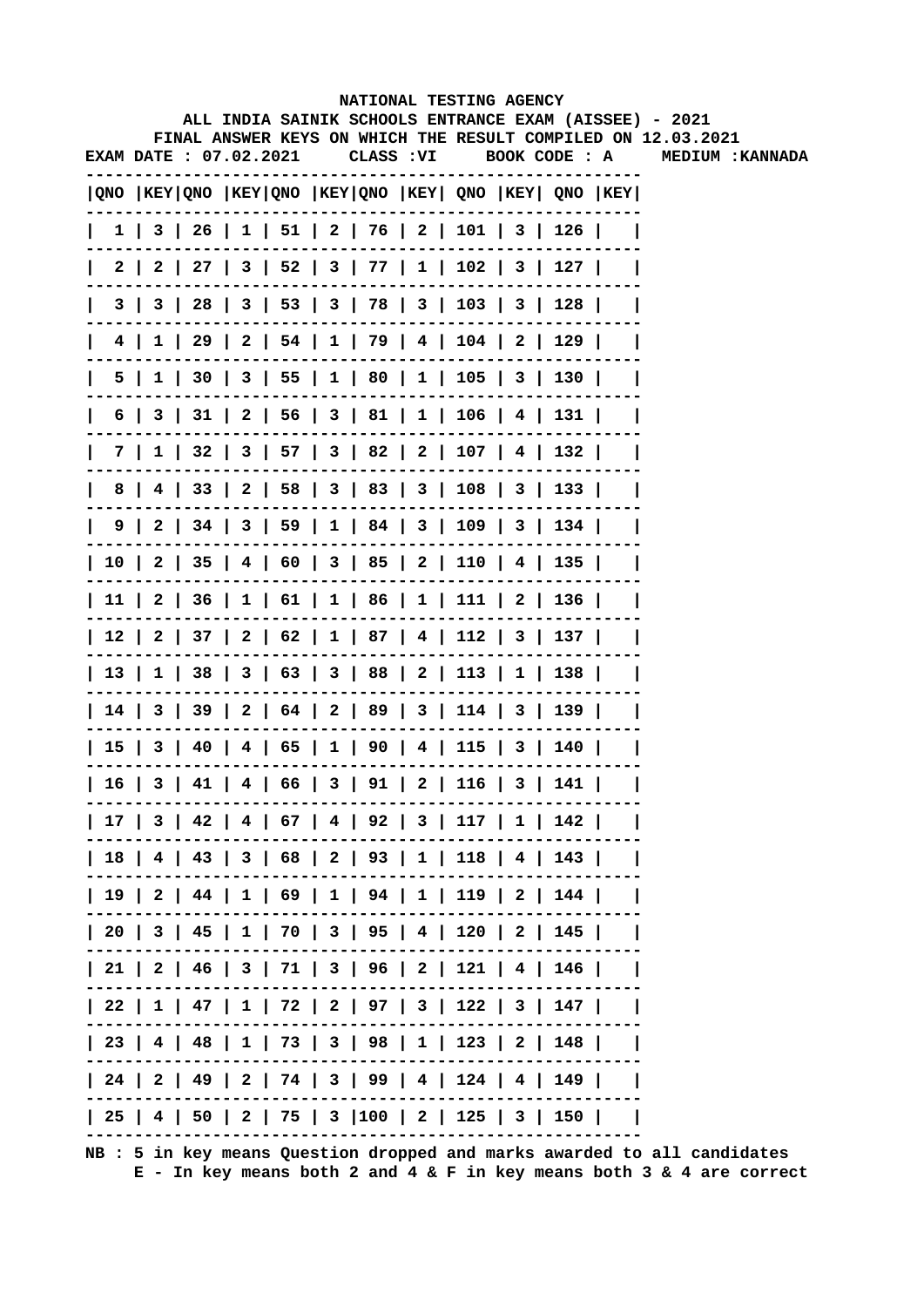|   |                        |  |                                                                                  |            | NATIONAL TESTING AGENCY |  | ALL INDIA SAINIK SCHOOLS ENTRANCE EXAM (AISSEE) - 2021       |
|---|------------------------|--|----------------------------------------------------------------------------------|------------|-------------------------|--|--------------------------------------------------------------|
|   |                        |  |                                                                                  |            |                         |  | FINAL ANSWER KEYS ON WHICH THE RESULT COMPILED ON 12.03.2021 |
|   | EXAM DATE : 07.02.2021 |  |                                                                                  | CLASS : VI | BOOK CODE : A           |  | <b>MEDIUM: KANNADA</b>                                       |
|   |                        |  | QNO  KEY QNO  KEY QNO  KEY QNO  KEY  QNO  KEY  QNO  KEY                          |            |                         |  |                                                              |
|   |                        |  | $1 \mid 3 \mid 26 \mid 1 \mid 51 \mid 2 \mid 76 \mid 2 \mid 101 \mid 3 \mid 126$ |            |                         |  |                                                              |
|   |                        |  | 2   2   27   3   52   3   77   1   102   3   127                                 |            |                         |  |                                                              |
|   |                        |  | 3   3   28   3   53   3   78   3   103   3   128                                 |            |                         |  |                                                              |
|   |                        |  | 4   1   29   2   54   1   79   4   104   2   129                                 |            |                         |  |                                                              |
|   |                        |  | 5   1   30   3   55   1   80   1   105   3   130                                 |            |                         |  |                                                              |
|   |                        |  | 6   3   31   2   56   3   81   1   106   4   131                                 |            |                         |  |                                                              |
|   |                        |  | 7   1   32   3   57   3   82   2   107   4   132                                 |            |                         |  |                                                              |
| 8 |                        |  | 4   33   2   58   3   83   3   108   3   133                                     |            |                         |  |                                                              |
|   |                        |  | 9   2   34   3   59   1   84   3   109   3   134                                 |            |                         |  |                                                              |
|   |                        |  | 10   2   35   4   60   3   85   2   110   4   135                                |            |                         |  |                                                              |
|   |                        |  | 11   2   36   1   61   1   86   1   111   2   136                                |            |                         |  |                                                              |
|   |                        |  | 12   2   37   2   62   1   87   4   112   3   137                                |            |                         |  |                                                              |
|   |                        |  | 13   1   38   3   63   3   88   2   113   1   138                                |            |                         |  |                                                              |
|   |                        |  | 14   3   39   2   64   2   89   3   114   3   139                                |            |                         |  |                                                              |
|   |                        |  | 15   3   40   4   65   1   90   4   115   3   140                                |            |                         |  |                                                              |
|   |                        |  | 16   3   41   4   66   3   91   2   116   3   141                                |            |                         |  |                                                              |
|   |                        |  | 17   3   42   4   67   4   92   3   117   1   142                                |            |                         |  |                                                              |
|   |                        |  | 18   4   43   3   68   2   93   1   118   4   143                                |            |                         |  |                                                              |
|   |                        |  | 19   2   44   1   69   1   94   1   119   2   144                                |            |                         |  |                                                              |
|   |                        |  | 20   3   45   1   70   3   95   4   120   2   145                                |            |                         |  |                                                              |
|   |                        |  | 21   2   46   3   71   3   96   2   121   4   146                                |            |                         |  |                                                              |
|   |                        |  | 22   1   47   1   72   2   97   3   122   3   147                                |            |                         |  |                                                              |
|   |                        |  | 23   4   48   1   73   3   98   1   123   2   148                                |            |                         |  |                                                              |
|   |                        |  | 24   2   49   2   74   3   99   4   124   4   149                                |            |                         |  |                                                              |
|   |                        |  | 25   4   50   2   75   3  100   2   125   3   150                                |            |                         |  |                                                              |
|   |                        |  |                                                                                  |            |                         |  |                                                              |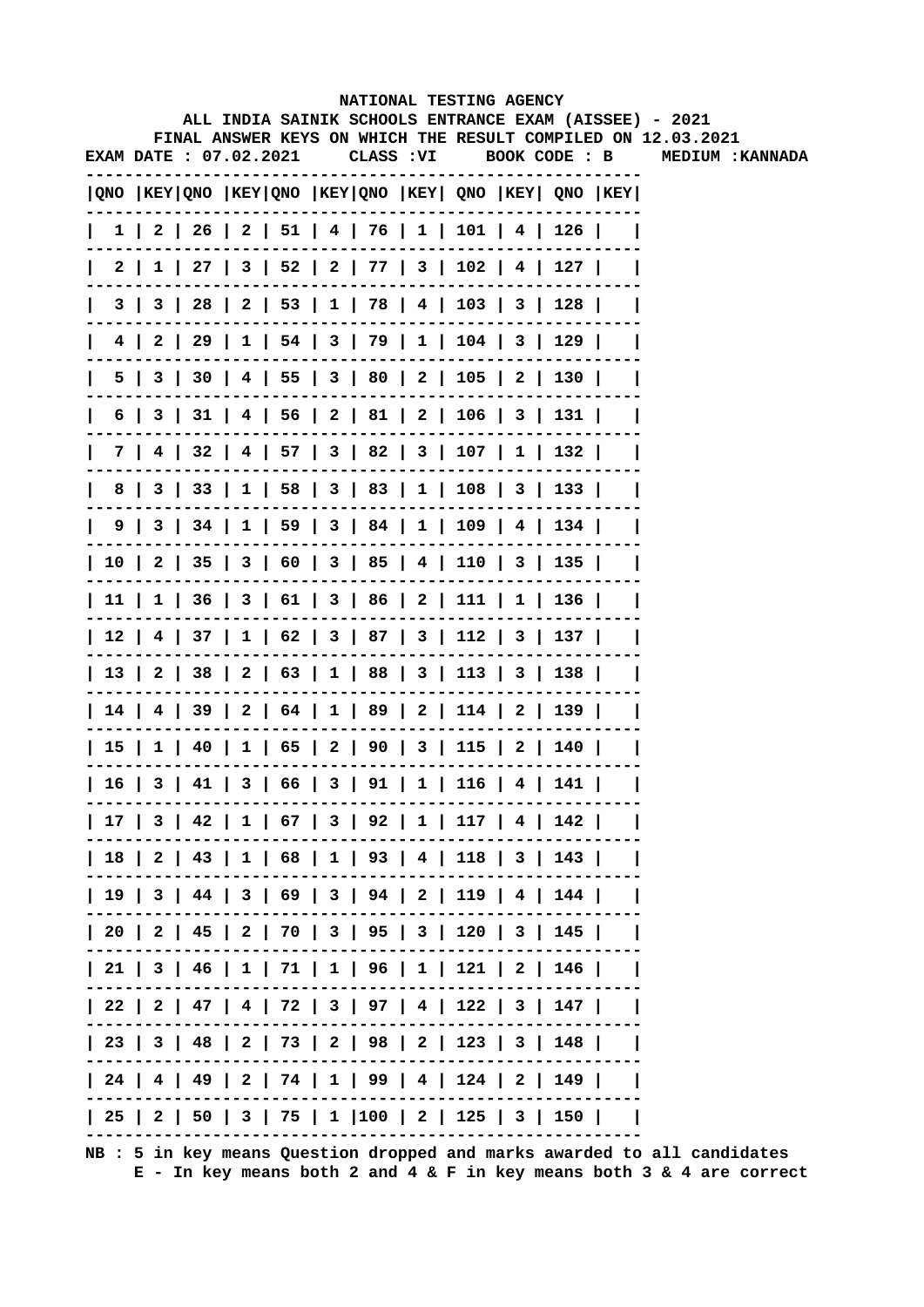|   |                        |  |  | NATIONAL TESTING AGENCY                                                               |               |  | ALL INDIA SAINIK SCHOOLS ENTRANCE EXAM (AISSEE) - 2021       |
|---|------------------------|--|--|---------------------------------------------------------------------------------------|---------------|--|--------------------------------------------------------------|
|   |                        |  |  |                                                                                       |               |  | FINAL ANSWER KEYS ON WHICH THE RESULT COMPILED ON 12.03.2021 |
|   | EXAM DATE : 07.02.2021 |  |  | CLASS : VI                                                                            | BOOK CODE : B |  | <b>MEDIUM: KANNADA</b>                                       |
|   |                        |  |  | QNO  KEY QNO  KEY QNO  KEY QNO  KEY  QNO  KEY  QNO  KEY                               |               |  |                                                              |
|   |                        |  |  | $1 \mid 2 \mid 26 \mid 2 \mid 51 \mid 4 \mid 76 \mid 1 \mid 101 \mid 4 \mid 126 \mid$ |               |  |                                                              |
|   |                        |  |  | 2   1   27   3   52   2   77   3   102   4   127                                      |               |  |                                                              |
|   |                        |  |  | 3   3   28   2   53   1   78   4   103   3   128                                      |               |  |                                                              |
|   |                        |  |  | 4   2   29   1   54   3   79   1   104   3   129                                      |               |  |                                                              |
|   |                        |  |  | 5   3   30   4   55   3   80   2   105   2   130                                      |               |  |                                                              |
|   |                        |  |  | 6   3   31   4   56   2   81   2   106   3   131                                      |               |  |                                                              |
|   |                        |  |  | 7   4   32   4   57   3   82   3   107   1   132                                      |               |  |                                                              |
| 8 |                        |  |  | 3   33   1   58   3   83   1   108   3   133                                          |               |  |                                                              |
|   |                        |  |  | $9 \mid 3 \mid 34 \mid 1 \mid 59 \mid 3 \mid 84 \mid 1 \mid 109 \mid 4 \mid 134 \mid$ |               |  |                                                              |
|   |                        |  |  | 10   2   35   3   60   3   85   4   110   3   135                                     |               |  |                                                              |
|   |                        |  |  | 11   1   36   3   61   3   86   2   111   1   136                                     |               |  |                                                              |
|   |                        |  |  | 12   4   37   1   62   3   87   3   112   3   137                                     |               |  |                                                              |
|   |                        |  |  | 13   2   38   2   63   1   88   3   113   3   138                                     |               |  |                                                              |
|   |                        |  |  | 14   4   39   2   64   1   89   2   114   2   139                                     |               |  |                                                              |
|   |                        |  |  | 15   1   40   1   65   2   90   3   115   2   140                                     |               |  |                                                              |
|   |                        |  |  | 16   3   41   3   66   3   91   1   116   4   141                                     |               |  |                                                              |
|   |                        |  |  | 17   3   42   1   67   3   92   1   117   4   142                                     |               |  |                                                              |
|   |                        |  |  | 18   2   43   1   68   1   93   4   118   3   143                                     |               |  |                                                              |
|   |                        |  |  | 19   3   44   3   69   3   94   2   119   4   144                                     |               |  |                                                              |
|   |                        |  |  | 20   2   45   2   70   3   95   3   120   3   145                                     |               |  |                                                              |
|   |                        |  |  | 21   3   46   1   71   1   96   1   121   2   146                                     |               |  |                                                              |
|   |                        |  |  | 22   2   47   4   72   3   97   4   122   3   147                                     |               |  |                                                              |
|   |                        |  |  | 23   3   48   2   73   2   98   2   123   3   148                                     |               |  |                                                              |
|   |                        |  |  | 24   4   49   2   74   1   99   4   124   2   149                                     |               |  |                                                              |
|   |                        |  |  | 25   2   50   3   75   1  100   2   125   3   150                                     |               |  |                                                              |
|   |                        |  |  |                                                                                       |               |  |                                                              |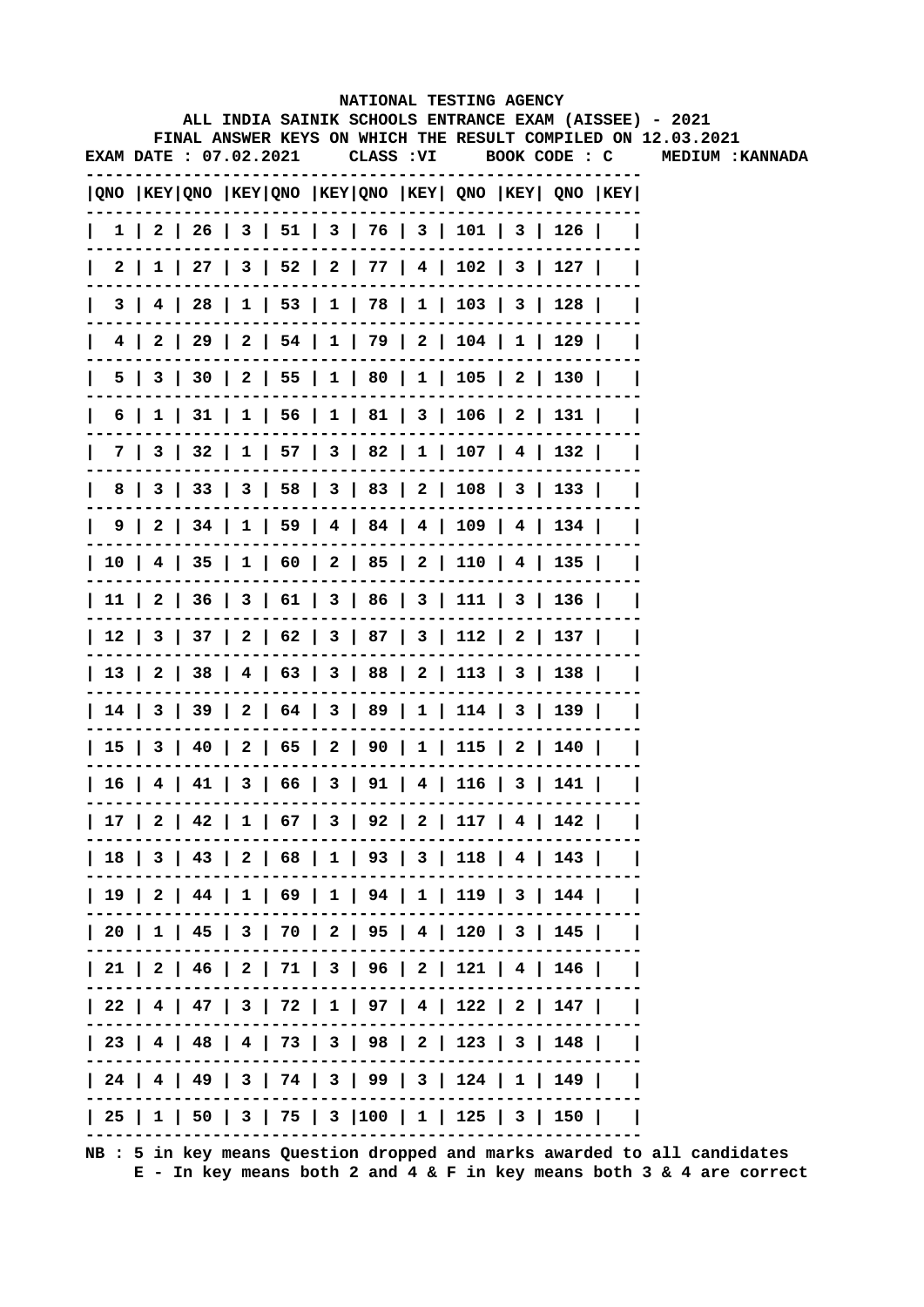|   |                        |  |                                                                                       |            | NATIONAL TESTING AGENCY |  | ALL INDIA SAINIK SCHOOLS ENTRANCE EXAM (AISSEE) - 2021       |
|---|------------------------|--|---------------------------------------------------------------------------------------|------------|-------------------------|--|--------------------------------------------------------------|
|   |                        |  |                                                                                       |            |                         |  | FINAL ANSWER KEYS ON WHICH THE RESULT COMPILED ON 12.03.2021 |
|   | EXAM DATE : 07.02.2021 |  |                                                                                       | CLASS : VI | BOOK CODE : C           |  | <b>MEDIUM : KANNADA</b>                                      |
|   |                        |  | $ QNO $ KEY $ QNO $ KEY $ QNO $ KEY $ QNO $ KEY $ QNO $ KEY $ QNO $ KEY $ QNO $ KEY   |            |                         |  |                                                              |
|   |                        |  | $1 \mid 2 \mid 26 \mid 3 \mid 51 \mid 3 \mid 76 \mid 3 \mid 101 \mid 3 \mid 126 \mid$ |            |                         |  |                                                              |
|   |                        |  | 2   1   27   3   52   2   77   4   102   3   127                                      |            |                         |  |                                                              |
|   |                        |  | 3   4   28   1   53   1   78   1   103   3   128                                      |            |                         |  |                                                              |
|   |                        |  | 4   2   29   2   54   1   79   2   104   1   129                                      |            |                         |  |                                                              |
|   |                        |  | 5   3   30   2   55   1   80   1   105   2   130                                      |            |                         |  |                                                              |
|   |                        |  | 6   1   31   1   56   1   81   3   106   2   131                                      |            |                         |  |                                                              |
|   |                        |  | 7   3   32   1   57   3   82   1   107   4   132                                      |            |                         |  |                                                              |
| 8 |                        |  | 3   33   3   58   3   83   2   108   3   133                                          |            |                         |  |                                                              |
|   |                        |  | $9 \mid 2 \mid 34 \mid 1 \mid 59 \mid 4 \mid 84 \mid 4 \mid 109 \mid 4 \mid 134 \mid$ |            |                         |  |                                                              |
|   |                        |  | 10   4   35   1   60   2   85   2   110   4   135                                     |            |                         |  |                                                              |
|   |                        |  | 11   2   36   3   61   3   86   3   111   3   136                                     |            |                         |  |                                                              |
|   |                        |  | 12   3   37   2   62   3   87   3   112   2   137                                     |            |                         |  |                                                              |
|   |                        |  | 13   2   38   4   63   3   88   2   113   3   138                                     |            |                         |  |                                                              |
|   |                        |  | 14   3   39   2   64   3   89   1   114   3   139                                     |            |                         |  |                                                              |
|   |                        |  | 15   3   40   2   65   2   90   1   115   2   140                                     |            |                         |  |                                                              |
|   |                        |  | 16   4   41   3   66   3   91   4   116   3   141                                     |            |                         |  |                                                              |
|   |                        |  | 17   2   42   1   67   3   92   2   117   4   142                                     |            |                         |  |                                                              |
|   |                        |  | 18   3   43   2   68   1   93   3   118   4   143                                     |            |                         |  |                                                              |
|   |                        |  | 19   2   44   1   69   1   94   1   119   3   144                                     |            |                         |  |                                                              |
|   |                        |  | 20   1   45   3   70   2   95   4   120   3   145                                     |            |                         |  |                                                              |
|   |                        |  | 21   2   46   2   71   3   96   2   121   4   146                                     |            |                         |  |                                                              |
|   |                        |  | 22   4   47   3   72   1   97   4   122   2   147                                     |            |                         |  |                                                              |
|   |                        |  | 23   4   48   4   73   3   98   2   123   3   148                                     |            |                         |  |                                                              |
|   |                        |  | 24   4   49   3   74   3   99   3   124   1   149                                     |            |                         |  |                                                              |
|   |                        |  | 25   1   50   3   75   3  100   1   125   3   150                                     |            |                         |  |                                                              |
|   |                        |  |                                                                                       |            |                         |  |                                                              |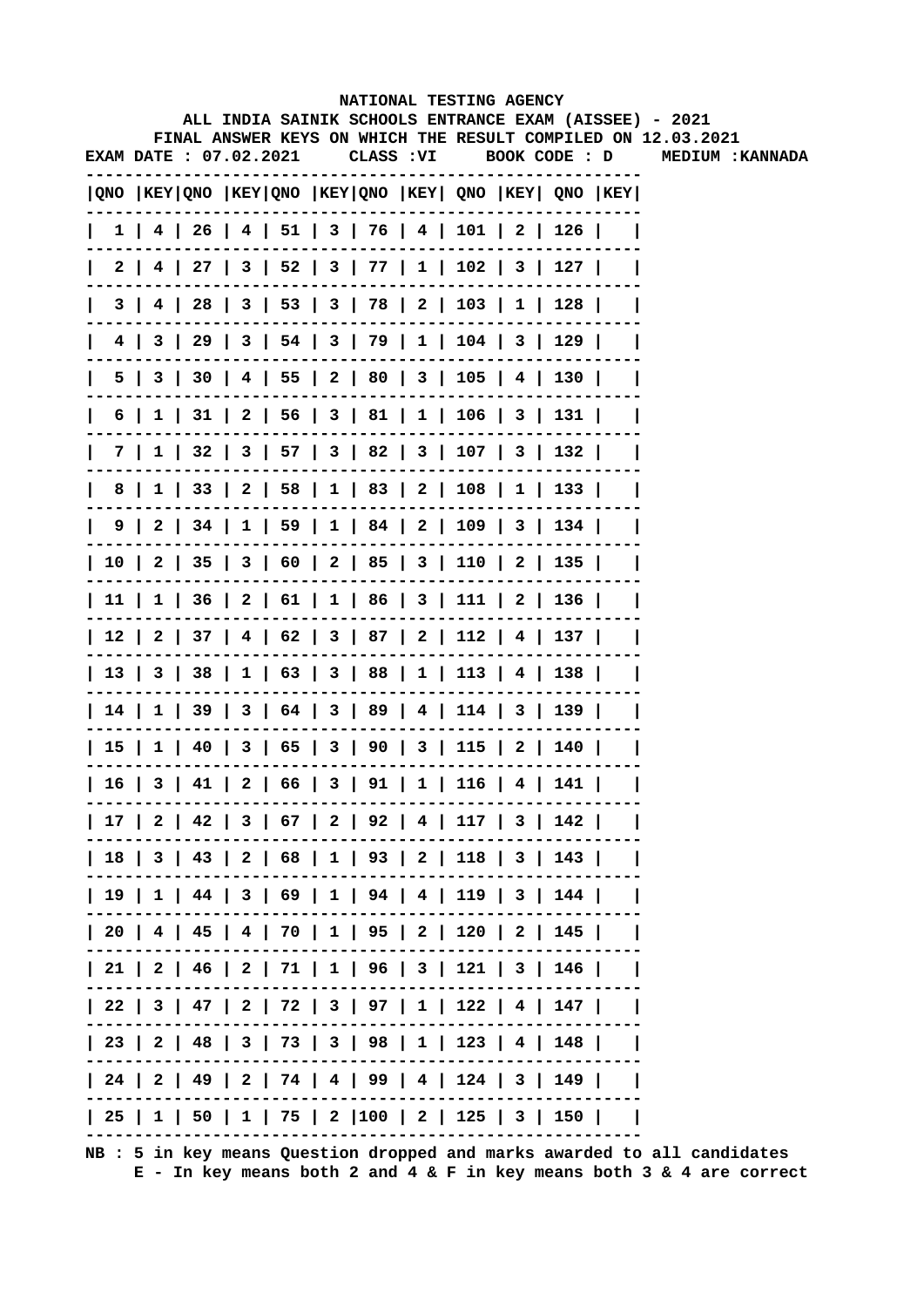|  |                        |  |  |            | NATIONAL TESTING AGENCY                                                               |  | ALL INDIA SAINIK SCHOOLS ENTRANCE EXAM (AISSEE) - 2021       |
|--|------------------------|--|--|------------|---------------------------------------------------------------------------------------|--|--------------------------------------------------------------|
|  |                        |  |  |            |                                                                                       |  | FINAL ANSWER KEYS ON WHICH THE RESULT COMPILED ON 12.03.2021 |
|  | EXAM DATE : 07.02.2021 |  |  | CLASS : VI | BOOK CODE : D                                                                         |  | MEDIUM : KANNADA                                             |
|  |                        |  |  |            | QNO  KEY QNO  KEY QNO  KEY QNO  KEY  QNO  KEY  QNO  KEY                               |  |                                                              |
|  |                        |  |  |            | $1$   4   26   4   51   3   76   4   101   2   126                                    |  |                                                              |
|  |                        |  |  |            | 2   4   27   3   52   3   77   1   102   3   127                                      |  |                                                              |
|  |                        |  |  |            | 3   4   28   3   53   3   78   2   103   1   128                                      |  |                                                              |
|  |                        |  |  |            | 4   3   29   3   54   3   79   1   104   3   129                                      |  |                                                              |
|  |                        |  |  |            | 5   3   30   4   55   2   80   3   105   4   130                                      |  |                                                              |
|  |                        |  |  |            | 6   1   31   2   56   3   81   1   106   3   131                                      |  |                                                              |
|  |                        |  |  |            | 7   1   32   3   57   3   82   3   107   3   132                                      |  |                                                              |
|  |                        |  |  |            | 8   1   33   2   58   1   83   2   108   1   133                                      |  |                                                              |
|  |                        |  |  |            | $9 \mid 2 \mid 34 \mid 1 \mid 59 \mid 1 \mid 84 \mid 2 \mid 109 \mid 3 \mid 134 \mid$ |  |                                                              |
|  |                        |  |  |            | 10   2   35   3   60   2   85   3   110   2   135                                     |  |                                                              |
|  |                        |  |  |            | 11   1   36   2   61   1   86   3   111   2   136                                     |  |                                                              |
|  |                        |  |  |            | 12   2   37   4   62   3   87   2   112   4   137                                     |  |                                                              |
|  |                        |  |  |            | 13   3   38   1   63   3   88   1   113   4   138                                     |  |                                                              |
|  |                        |  |  |            | 14   1   39   3   64   3   89   4   114   3   139                                     |  |                                                              |
|  |                        |  |  |            | 15   1   40   3   65   3   90   3   115   2   140                                     |  |                                                              |
|  |                        |  |  |            | 16   3   41   2   66   3   91   1   116   4   141                                     |  |                                                              |
|  |                        |  |  |            | 17   2   42   3   67   2   92   4   117   3   142                                     |  |                                                              |
|  |                        |  |  |            | 18   3   43   2   68   1   93   2   118   3   143                                     |  |                                                              |
|  |                        |  |  |            | 19   1   44   3   69   1   94   4   119   3   144                                     |  |                                                              |
|  |                        |  |  |            | 20   4   45   4   70   1   95   2   120   2   145                                     |  |                                                              |
|  |                        |  |  |            | $  21   2   46   2   71   1   96   3   121   3   146  $                               |  |                                                              |
|  |                        |  |  |            | 22   3   47   2   72   3   97   1   122   4   147                                     |  |                                                              |
|  |                        |  |  |            | 23   2   48   3   73   3   98   1   123   4   148                                     |  |                                                              |
|  |                        |  |  |            | 24   2   49   2   74   4   99   4   124   3   149                                     |  |                                                              |
|  |                        |  |  |            | 25   1   50   1   75   2  100   2   125   3   150                                     |  |                                                              |
|  |                        |  |  |            |                                                                                       |  |                                                              |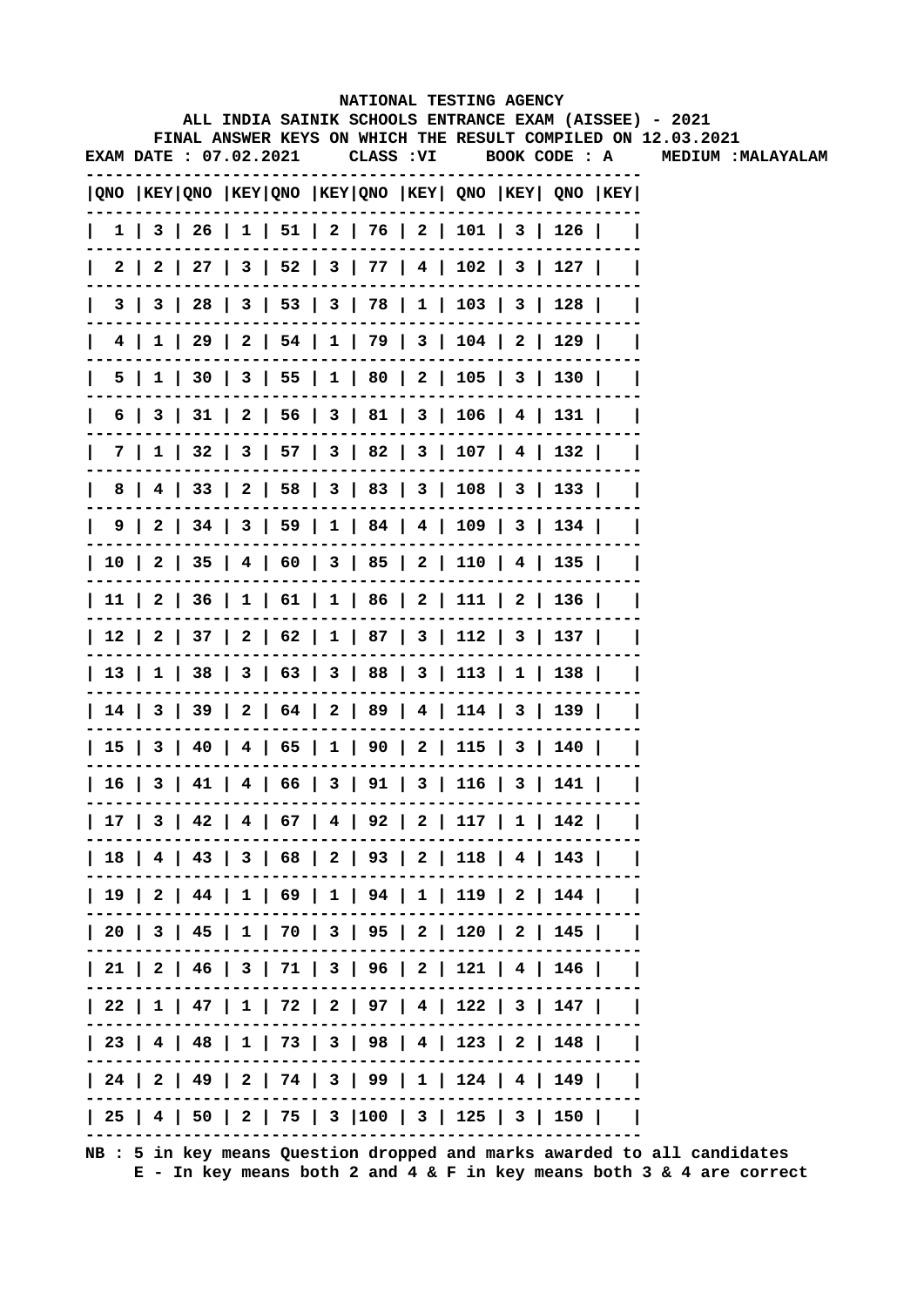|              |                               |  |  |  | <b>NATIONAL TESTING AGENCY</b>                                                        |     |                                                                                                             |
|--------------|-------------------------------|--|--|--|---------------------------------------------------------------------------------------|-----|-------------------------------------------------------------------------------------------------------------|
|              |                               |  |  |  |                                                                                       |     | ALL INDIA SAINIK SCHOOLS ENTRANCE EXAM (AISSEE) - 2021                                                      |
|              | <b>EXAM DATE : 07.02.2021</b> |  |  |  |                                                                                       |     | FINAL ANSWER KEYS ON WHICH THE RESULT COMPILED ON 12.03.2021<br>CLASS : VI BOOK CODE : A MEDIUM : MALAYALAM |
|              |                               |  |  |  | QNO  KEY QNO  KEY QNO  KEY QNO  KEY  QNO  KEY  QNO  KEY                               |     |                                                                                                             |
| $\mathbf{L}$ |                               |  |  |  | $1 \mid 3 \mid 26 \mid 1 \mid 51 \mid 2 \mid 76 \mid 2 \mid 101 \mid 3 \mid 126 \mid$ |     |                                                                                                             |
| $\mathbf{L}$ |                               |  |  |  | 2   2   27   3   52   3   77   4   102   3   127                                      |     |                                                                                                             |
| $\mathbf{I}$ |                               |  |  |  | 3   3   28   3   53   3   78   1   103   3   128                                      |     |                                                                                                             |
| $\mathbf{I}$ |                               |  |  |  | 4   1   29   2   54   1   79   3   104   2   129                                      |     |                                                                                                             |
| $\mathbf{I}$ |                               |  |  |  | 5   1   30   3   55   1   80   2   105   3   130                                      |     |                                                                                                             |
| $\mathbf{I}$ |                               |  |  |  | 6   3   31   2   56   3   81   3   106   4   131                                      |     |                                                                                                             |
| L            |                               |  |  |  | 7   1   32   3   57   3   82   3   107   4   132                                      |     |                                                                                                             |
|              |                               |  |  |  | 8   4   33   2   58   3   83   3   108   3   133                                      |     |                                                                                                             |
| $\mathbf{L}$ |                               |  |  |  | $9 \mid 2 \mid 34 \mid 3 \mid 59 \mid 1 \mid 84 \mid 4 \mid 109 \mid 3 \mid 134 \mid$ |     |                                                                                                             |
|              |                               |  |  |  | 10   2   35   4   60   3   85   2   110   4   135                                     |     |                                                                                                             |
|              |                               |  |  |  | 11   2   36   1   61   1   86   2   111   2   136                                     |     |                                                                                                             |
|              |                               |  |  |  | 12   2   37   2   62   1   87   3   112   3   137                                     |     |                                                                                                             |
|              |                               |  |  |  | 13   1   38   3   63   3   88   3   113   1   138                                     |     |                                                                                                             |
|              |                               |  |  |  | 14   3   39   2   64   2   89   4   114   3   139                                     |     |                                                                                                             |
|              |                               |  |  |  | 15   3   40   4   65   1   90   2   115   3   140                                     |     |                                                                                                             |
|              |                               |  |  |  | 16   3   41   4   66   3   91   3   116   3                                           | 141 |                                                                                                             |
|              |                               |  |  |  | 17   3   42   4   67   4   92   2   117   1   142                                     |     |                                                                                                             |
|              |                               |  |  |  | 18   4   43   3   68   2   93   2   118   4   143                                     |     |                                                                                                             |
|              |                               |  |  |  | 19   2   44   1   69   1   94   1   119   2   144                                     |     |                                                                                                             |
|              |                               |  |  |  | 20   3   45   1   70   3   95   2   120   2   145                                     |     |                                                                                                             |
|              |                               |  |  |  | $  21   2   46   3   71   3   96   2   121   4   146  $                               |     |                                                                                                             |
|              |                               |  |  |  | 22   1   47   1   72   2   97   4   122   3   147                                     |     |                                                                                                             |
|              |                               |  |  |  | 23   4   48   1   73   3   98   4   123   2   148                                     |     |                                                                                                             |
|              |                               |  |  |  | 24   2   49   2   74   3   99   1   124   4   149                                     |     |                                                                                                             |
|              |                               |  |  |  | 25   4   50   2   75   3  100   3   125   3   150                                     |     |                                                                                                             |
|              |                               |  |  |  |                                                                                       |     |                                                                                                             |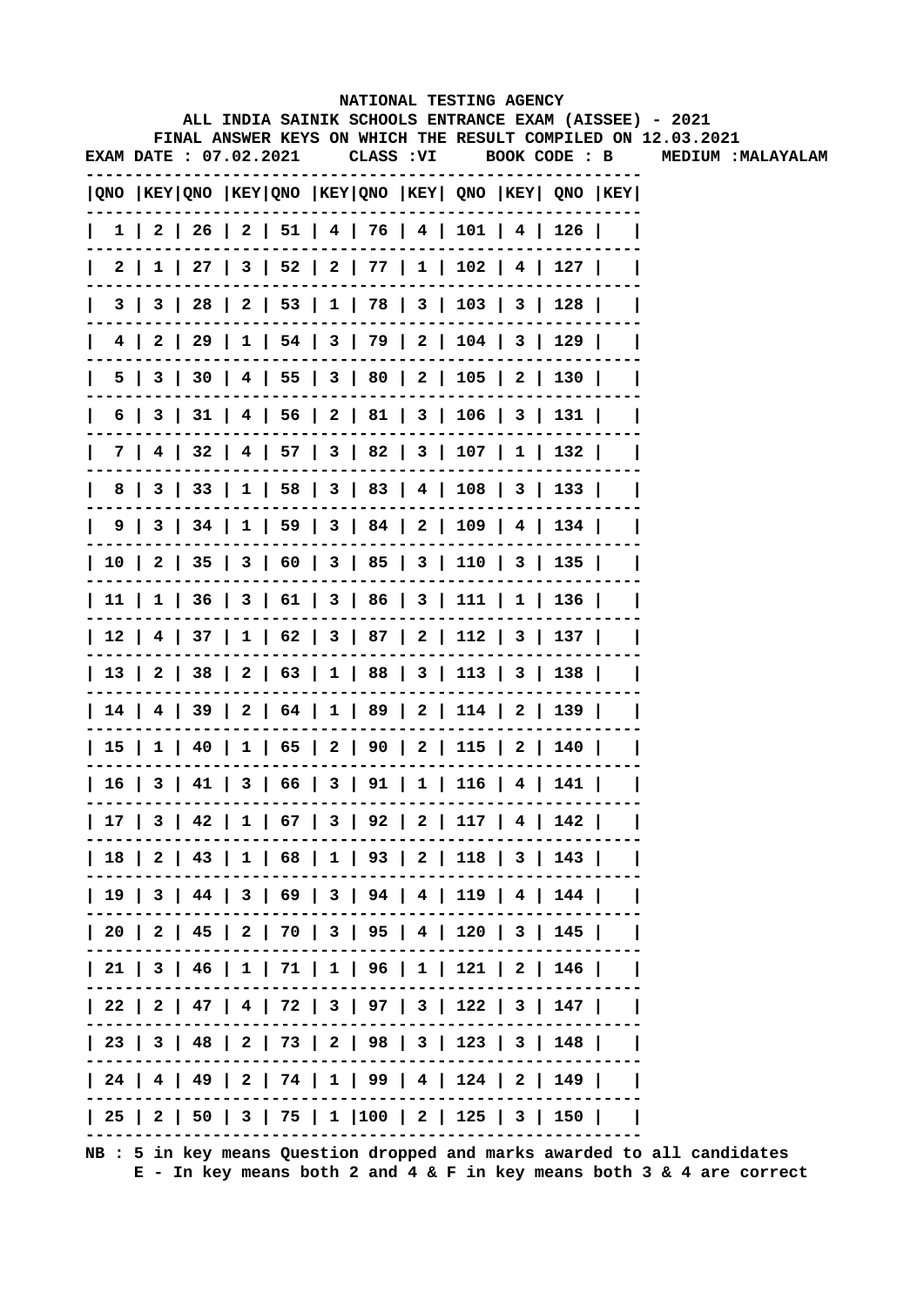|              |                               |  |  | NATIONAL TESTING AGENCY                     |  |                                                         |                                                                                                                        |
|--------------|-------------------------------|--|--|---------------------------------------------|--|---------------------------------------------------------|------------------------------------------------------------------------------------------------------------------------|
|              |                               |  |  |                                             |  |                                                         | ALL INDIA SAINIK SCHOOLS ENTRANCE EXAM (AISSEE) - 2021<br>FINAL ANSWER KEYS ON WHICH THE RESULT COMPILED ON 12.03.2021 |
|              | <b>EXAM DATE : 07.02.2021</b> |  |  | CLASS :VI                                   |  |                                                         | BOOK CODE : B MEDIUM : MALAYALAM                                                                                       |
|              |                               |  |  |                                             |  | QNO  KEY QNO  KEY QNO  KEY QNO  KEY  QNO  KEY  QNO  KEY |                                                                                                                        |
|              |                               |  |  |                                             |  | 1   2   26   2   51   4   76   4   101   4   126        |                                                                                                                        |
| $\mathbf{L}$ |                               |  |  |                                             |  | 2   1   27   3   52   2   77   1   102   4   127        |                                                                                                                        |
| $\mathbf{L}$ |                               |  |  |                                             |  | 3   3   28   2   53   1   78   3   103   3   128        |                                                                                                                        |
| $\mathbf{I}$ |                               |  |  |                                             |  | 4   2   29   1   54   3   79   2   104   3   129        |                                                                                                                        |
| $\mathbf{I}$ |                               |  |  |                                             |  | 5   3   30   4   55   3   80   2   105   2   130        |                                                                                                                        |
| $\mathbf{L}$ |                               |  |  |                                             |  | 6   3   31   4   56   2   81   3   106   3   131        |                                                                                                                        |
| $\mathbf{L}$ |                               |  |  |                                             |  | 7   4   32   4   57   3   82   3   107   1   132        |                                                                                                                        |
| $\mathbf{L}$ |                               |  |  |                                             |  | 8   3   33   1   58   3   83   4   108   3   133        |                                                                                                                        |
|              |                               |  |  |                                             |  | 9   3   34   1   59   3   84   2   109   4   134        |                                                                                                                        |
|              |                               |  |  |                                             |  | 10   2   35   3   60   3   85   3   110   3   135       |                                                                                                                        |
|              |                               |  |  |                                             |  | 11   1   36   3   61   3   86   3   111   1   136       |                                                                                                                        |
|              |                               |  |  |                                             |  | 12   4   37   1   62   3   87   2   112   3   137       |                                                                                                                        |
|              |                               |  |  |                                             |  | 13   2   38   2   63   1   88   3   113   3   138       |                                                                                                                        |
|              |                               |  |  |                                             |  | 14   4   39   2   64   1   89   2   114   2   139       |                                                                                                                        |
|              |                               |  |  |                                             |  | 15   1   40   1   65   2   90   2   115   2   140       |                                                                                                                        |
|              |                               |  |  | 16   3   41   3   66   3   91   1   116   4 |  | 141 l                                                   |                                                                                                                        |
|              |                               |  |  |                                             |  | 17   3   42   1   67   3   92   2   117   4   142       |                                                                                                                        |
|              |                               |  |  |                                             |  | 18   2   43   1   68   1   93   2   118   3   143       |                                                                                                                        |
|              |                               |  |  |                                             |  | 19   3   44   3   69   3   94   4   119   4   144       |                                                                                                                        |
|              |                               |  |  |                                             |  | 20   2   45   2   70   3   95   4   120   3   145       |                                                                                                                        |
|              |                               |  |  |                                             |  | 21   3   46   1   71   1   96   1   121   2   146       |                                                                                                                        |
|              |                               |  |  |                                             |  | 22   2   47   4   72   3   97   3   122   3   147       |                                                                                                                        |
|              |                               |  |  |                                             |  | 23   3   48   2   73   2   98   3   123   3   148       |                                                                                                                        |
|              |                               |  |  |                                             |  | 24   4   49   2   74   1   99   4   124   2   149       |                                                                                                                        |
|              |                               |  |  |                                             |  | 25   2   50   3   75   1  100   2   125   3   150       |                                                                                                                        |
|              |                               |  |  |                                             |  |                                                         |                                                                                                                        |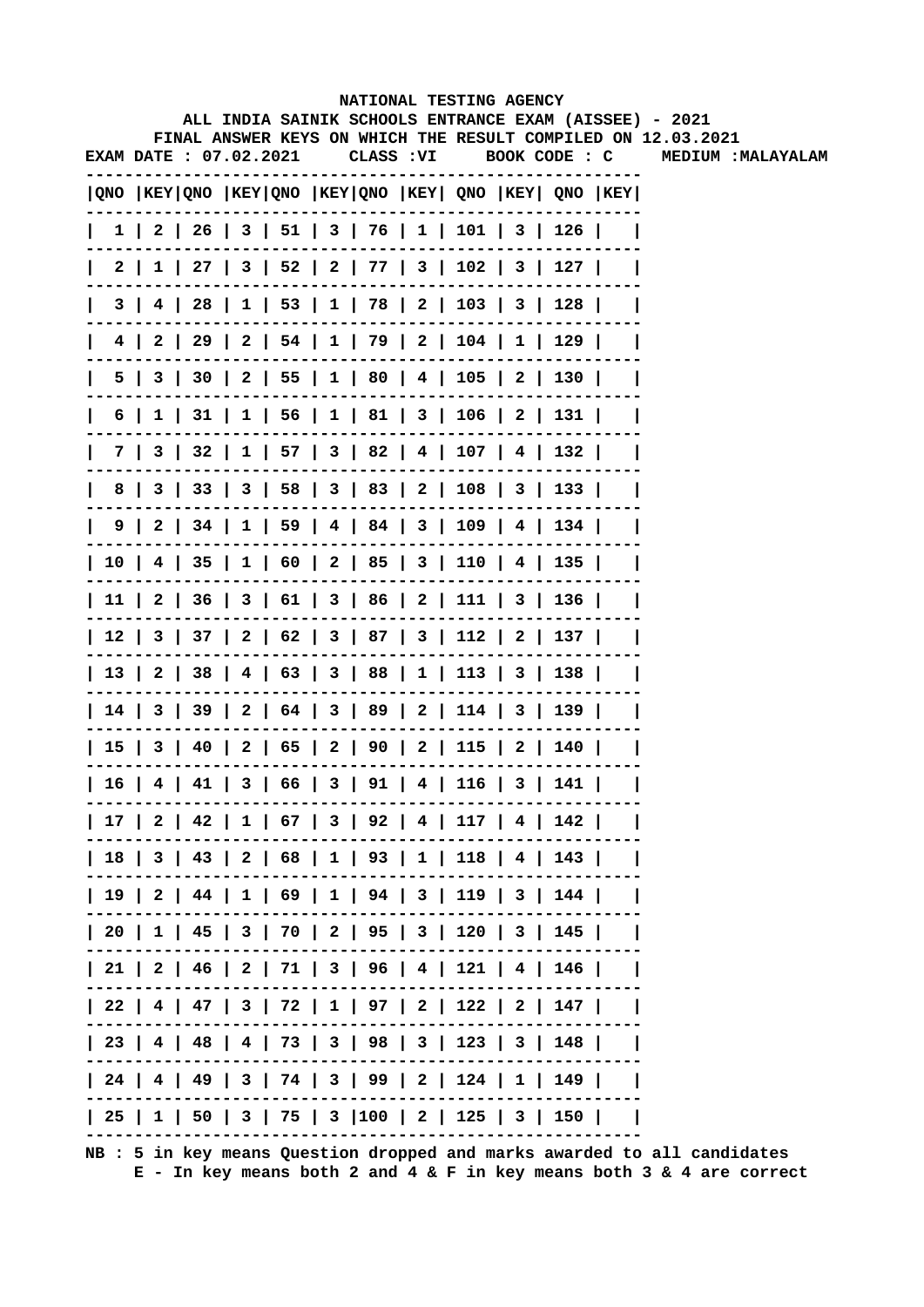|              |                               |  |  | NATIONAL TESTING AGENCY                     |  |                                                                                     |                                                                                                                        |
|--------------|-------------------------------|--|--|---------------------------------------------|--|-------------------------------------------------------------------------------------|------------------------------------------------------------------------------------------------------------------------|
|              |                               |  |  |                                             |  |                                                                                     | ALL INDIA SAINIK SCHOOLS ENTRANCE EXAM (AISSEE) - 2021<br>FINAL ANSWER KEYS ON WHICH THE RESULT COMPILED ON 12.03.2021 |
|              | <b>EXAM DATE : 07.02.2021</b> |  |  | CLASS :VI                                   |  |                                                                                     | BOOK CODE : C MEDIUM : MALAYALAM                                                                                       |
|              |                               |  |  |                                             |  | $ QNO $ KEY $ QNO $ KEY $ QNO $ KEY $ QNO $ KEY $ QNO $ KEY $ QNO $ KEY $ QNO $ KEY |                                                                                                                        |
|              |                               |  |  |                                             |  | 1   2   26   3   51   3   76   1   101   3   126                                    |                                                                                                                        |
| $\mathbf{L}$ |                               |  |  |                                             |  | 2   1   27   3   52   2   77   3   102   3   127                                    |                                                                                                                        |
| $\mathbf{L}$ |                               |  |  |                                             |  | 3   4   28   1   53   1   78   2   103   3   128                                    |                                                                                                                        |
| $\mathbf{I}$ |                               |  |  |                                             |  | 4   2   29   2   54   1   79   2   104   1   129                                    |                                                                                                                        |
| $\mathbf{I}$ |                               |  |  |                                             |  | 5   3   30   2   55   1   80   4   105   2   130                                    |                                                                                                                        |
| $\mathbf{L}$ |                               |  |  |                                             |  | 6   1   31   1   56   1   81   3   106   2   131                                    |                                                                                                                        |
| $\mathbf{L}$ |                               |  |  |                                             |  | 7   3   32   1   57   3   82   4   107   4   132                                    |                                                                                                                        |
| $\mathbf{L}$ |                               |  |  |                                             |  | 8   3   33   3   58   3   83   2   108   3   133                                    |                                                                                                                        |
|              |                               |  |  |                                             |  | 9   2   34   1   59   4   84   3   109   4   134                                    |                                                                                                                        |
|              |                               |  |  |                                             |  | 10   4   35   1   60   2   85   3   110   4   135                                   |                                                                                                                        |
|              |                               |  |  |                                             |  | 11   2   36   3   61   3   86   2   111   3   136                                   |                                                                                                                        |
|              |                               |  |  |                                             |  | 12   3   37   2   62   3   87   3   112   2   137                                   |                                                                                                                        |
|              |                               |  |  |                                             |  | 13   2   38   4   63   3   88   1   113   3   138                                   |                                                                                                                        |
|              |                               |  |  |                                             |  | 14   3   39   2   64   3   89   2   114   3   139                                   |                                                                                                                        |
|              |                               |  |  |                                             |  | 15   3   40   2   65   2   90   2   115   2   140                                   |                                                                                                                        |
|              |                               |  |  | 16   4   41   3   66   3   91   4   116   3 |  | 141 l                                                                               |                                                                                                                        |
|              |                               |  |  |                                             |  | 17   2   42   1   67   3   92   4   117   4   142                                   |                                                                                                                        |
|              |                               |  |  |                                             |  | 18   3   43   2   68   1   93   1   118   4   143                                   |                                                                                                                        |
|              |                               |  |  |                                             |  | 19   2   44   1   69   1   94   3   119   3   144                                   |                                                                                                                        |
|              |                               |  |  |                                             |  | 20   1   45   3   70   2   95   3   120   3   145                                   |                                                                                                                        |
|              |                               |  |  |                                             |  | 21   2   46   2   71   3   96   4   121   4   146                                   |                                                                                                                        |
|              |                               |  |  |                                             |  | 22   4   47   3   72   1   97   2   122   2   147                                   |                                                                                                                        |
|              |                               |  |  |                                             |  | 23   4   48   4   73   3   98   3   123   3   148                                   |                                                                                                                        |
|              |                               |  |  |                                             |  | 24   4   49   3   74   3   99   2   124   1   149                                   |                                                                                                                        |
|              |                               |  |  |                                             |  | 25   1   50   3   75   3  100   2   125   3   150                                   |                                                                                                                        |
|              |                               |  |  |                                             |  |                                                                                     |                                                                                                                        |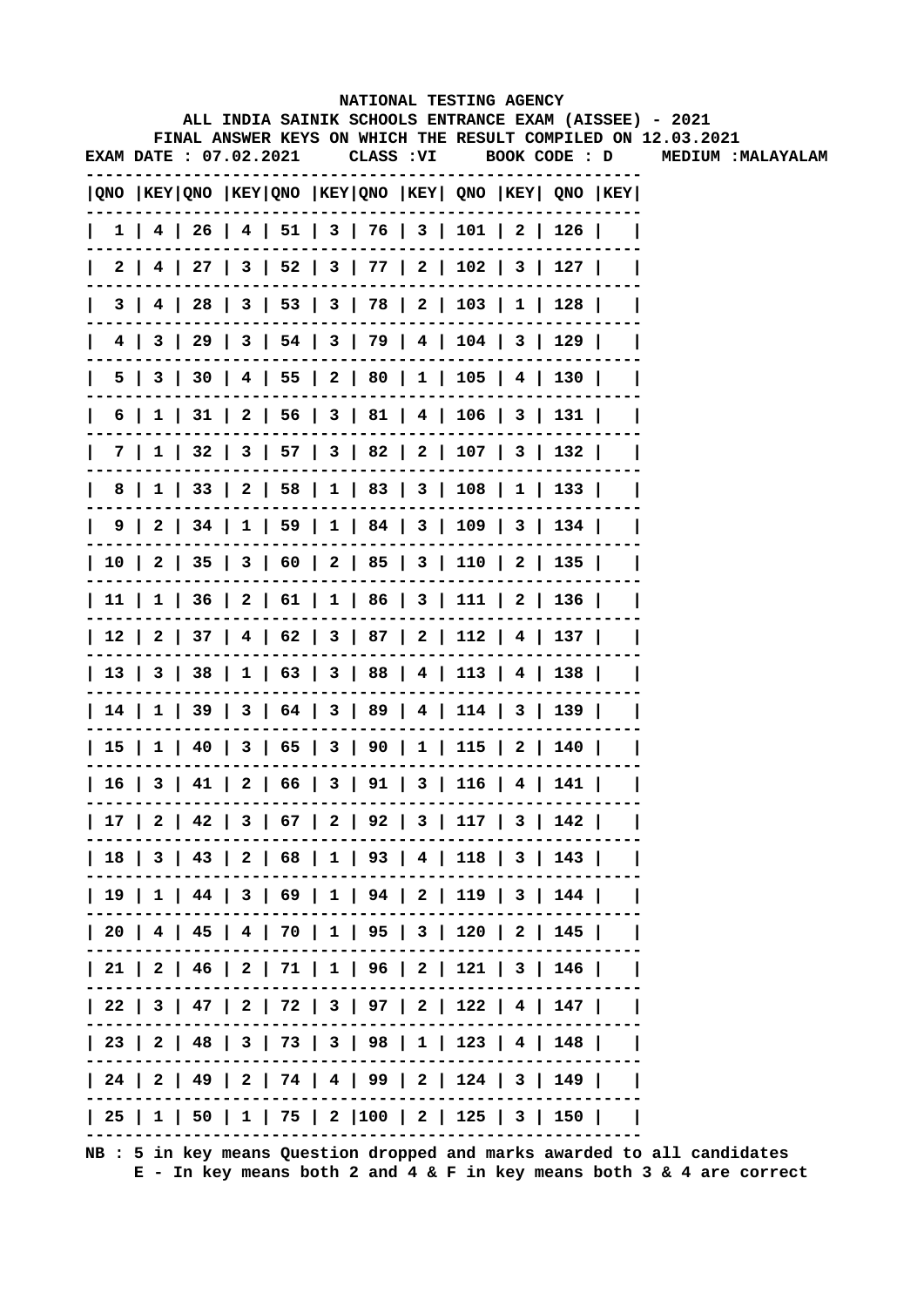|              |                               |  |  | NATIONAL TESTING AGENCY                           |  |                                                         |                                                                                           |
|--------------|-------------------------------|--|--|---------------------------------------------------|--|---------------------------------------------------------|-------------------------------------------------------------------------------------------|
|              |                               |  |  |                                                   |  |                                                         | ALL INDIA SAINIK SCHOOLS ENTRANCE EXAM (AISSEE) - 2021                                    |
|              | <b>EXAM DATE : 07.02.2021</b> |  |  | CLASS : VI                                        |  | BOOK CODE : D                                           | FINAL ANSWER KEYS ON WHICH THE RESULT COMPILED ON 12.03.2021<br><b>MEDIUM : MALAYALAM</b> |
|              |                               |  |  |                                                   |  |                                                         |                                                                                           |
|              |                               |  |  |                                                   |  | QNO  KEY QNO  KEY QNO  KEY QNO  KEY  QNO  KEY  QNO  KEY |                                                                                           |
| $\mathbf{L}$ |                               |  |  |                                                   |  | 1   4   26   4   51   3   76   3   101   2   126        |                                                                                           |
|              |                               |  |  |                                                   |  | 2   4   27   3   52   3   77   2   102   3   127        |                                                                                           |
|              |                               |  |  |                                                   |  | 3   4   28   3   53   3   78   2   103   1   128        |                                                                                           |
| $\mathsf{I}$ |                               |  |  |                                                   |  | 4   3   29   3   54   3   79   4   104   3   129        |                                                                                           |
| $\mathsf{I}$ |                               |  |  |                                                   |  | 5   3   30   4   55   2   80   1   105   4   130        |                                                                                           |
| $\mathsf{I}$ |                               |  |  |                                                   |  | 6   1   31   2   56   3   81   4   106   3   131        |                                                                                           |
| L            |                               |  |  |                                                   |  | 7   1   32   3   57   3   82   2   107   3   132        |                                                                                           |
| $\mathsf{L}$ |                               |  |  |                                                   |  | 8   1   33   2   58   1   83   3   108   1   133        |                                                                                           |
|              |                               |  |  |                                                   |  | 9   2   34   1   59   1   84   3   109   3   134        |                                                                                           |
|              |                               |  |  |                                                   |  | 10   2   35   3   60   2   85   3   110   2   135       |                                                                                           |
|              |                               |  |  |                                                   |  | 11   1   36   2   61   1   86   3   111   2   136       |                                                                                           |
|              |                               |  |  |                                                   |  | 12   2   37   4   62   3   87   2   112   4   137       |                                                                                           |
|              |                               |  |  |                                                   |  | 13   3   38   1   63   3   88   4   113   4   138       |                                                                                           |
|              |                               |  |  |                                                   |  | 14   1   39   3   64   3   89   4   114   3   139       |                                                                                           |
|              |                               |  |  |                                                   |  | 15   1   40   3   65   3   90   1   115   2   140       |                                                                                           |
|              |                               |  |  | 16   3   41   2   66   3   91   3   116   4   141 |  |                                                         |                                                                                           |
|              |                               |  |  |                                                   |  | 17   2   42   3   67   2   92   3   117   3   142       |                                                                                           |
|              |                               |  |  |                                                   |  | 18   3   43   2   68   1   93   4   118   3   143       |                                                                                           |
|              |                               |  |  |                                                   |  | 19   1   44   3   69   1   94   2   119   3   144       |                                                                                           |
|              |                               |  |  |                                                   |  | 20   4   45   4   70   1   95   3   120   2   145       |                                                                                           |
|              |                               |  |  |                                                   |  | 21   2   46   2   71   1   96   2   121   3   146       |                                                                                           |
|              |                               |  |  |                                                   |  | 22   3   47   2   72   3   97   2   122   4   147       |                                                                                           |
|              |                               |  |  |                                                   |  | 23   2   48   3   73   3   98   1   123   4   148       |                                                                                           |
|              |                               |  |  |                                                   |  | 24   2   49   2   74   4   99   2   124   3   149       |                                                                                           |
|              |                               |  |  |                                                   |  | 25   1   50   1   75   2  100   2   125   3   150       |                                                                                           |
|              |                               |  |  |                                                   |  |                                                         |                                                                                           |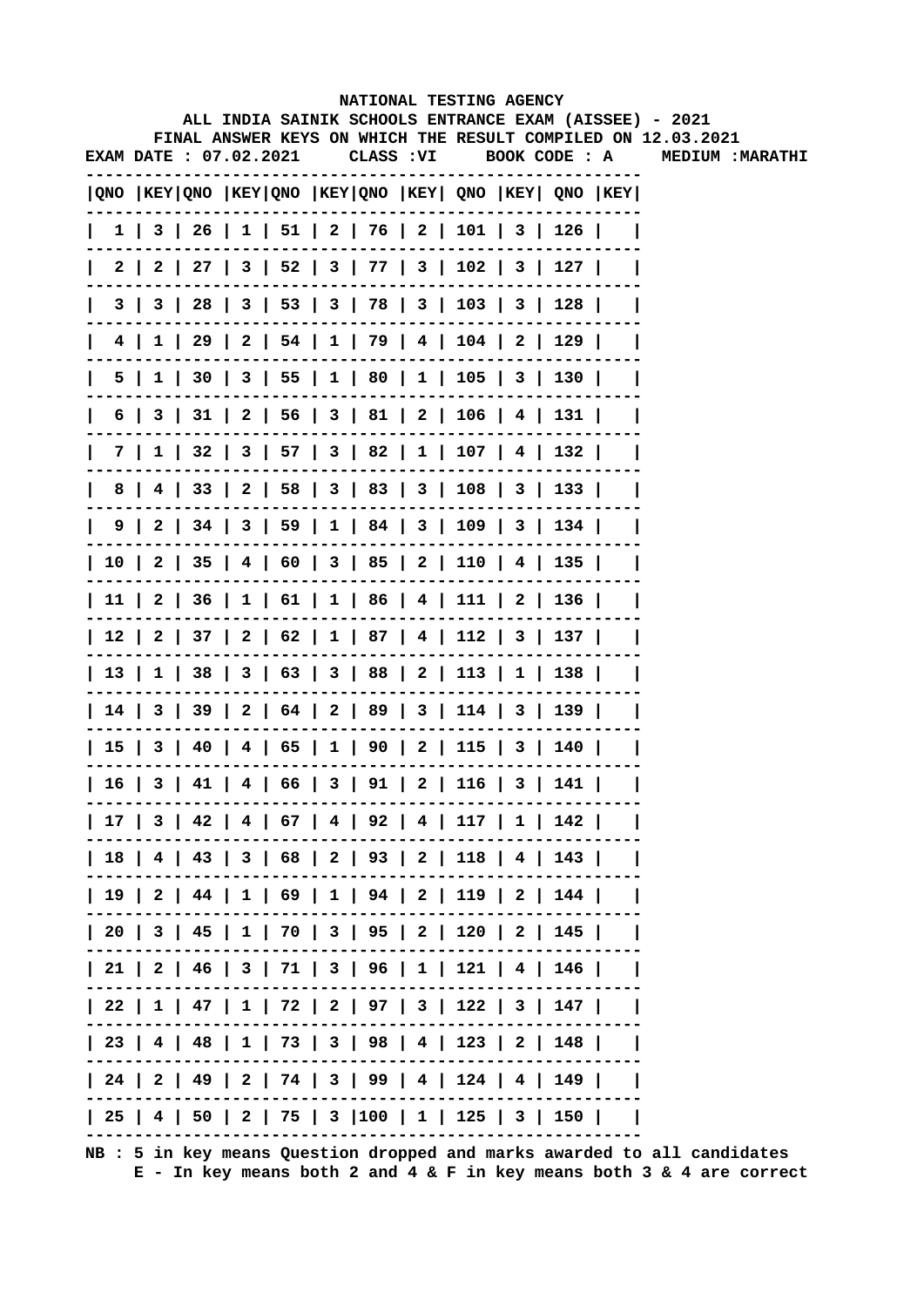|              |   |                        |  |            |  | NATIONAL TESTING AGENCY                                                               |  |                                                                                                                        |
|--------------|---|------------------------|--|------------|--|---------------------------------------------------------------------------------------|--|------------------------------------------------------------------------------------------------------------------------|
|              |   |                        |  |            |  |                                                                                       |  | ALL INDIA SAINIK SCHOOLS ENTRANCE EXAM (AISSEE) - 2021<br>FINAL ANSWER KEYS ON WHICH THE RESULT COMPILED ON 12.03.2021 |
|              |   | EXAM DATE : 07.02.2021 |  | CLASS : VI |  | BOOK CODE : A                                                                         |  | MEDIUM: MARATHI                                                                                                        |
|              |   |                        |  |            |  | QNO  KEY QNO  KEY QNO  KEY QNO  KEY  QNO  KEY  QNO  KEY                               |  |                                                                                                                        |
| $\mathbf{I}$ |   |                        |  |            |  | $1 \mid 3 \mid 26 \mid 1 \mid 51 \mid 2 \mid 76 \mid 2 \mid 101 \mid 3 \mid 126 \mid$ |  |                                                                                                                        |
| 2 I          |   |                        |  |            |  | 2   27   3   52   3   77   3   102   3   127                                          |  |                                                                                                                        |
| 31           |   |                        |  |            |  | $3 \mid 28 \mid 3 \mid 53 \mid 3 \mid 78 \mid 3 \mid 103 \mid 3 \mid 128$             |  |                                                                                                                        |
|              |   |                        |  |            |  | 4   1   29   2   54   1   79   4   104   2   129                                      |  |                                                                                                                        |
|              | 5 |                        |  |            |  | $1$   30   3   55   1   80   1   105   3   130                                        |  |                                                                                                                        |
| 6            |   |                        |  |            |  | 3   31   2   56   3   81   2   106   4   131                                          |  |                                                                                                                        |
| 7 I          |   |                        |  |            |  | $1 \mid 32 \mid 3 \mid 57 \mid 3 \mid 82 \mid 1 \mid 107 \mid 4 \mid 132 \mid$        |  |                                                                                                                        |
| 8            |   |                        |  |            |  | 4   33   2   58   3   83   3   108   3   133                                          |  |                                                                                                                        |
|              |   |                        |  |            |  | 9   2   34   3   59   1   84   3   109   3   134                                      |  |                                                                                                                        |
|              |   |                        |  |            |  | 10   2   35   4   60   3   85   2   110   4   135                                     |  |                                                                                                                        |
|              |   |                        |  |            |  | 11   2   36   1   61   1   86   4   111   2   136                                     |  |                                                                                                                        |
|              |   |                        |  |            |  | 12   2   37   2   62   1   87   4   112   3   137                                     |  |                                                                                                                        |
|              |   |                        |  |            |  | 13   1   38   3   63   3   88   2   113   1   138                                     |  |                                                                                                                        |
|              |   |                        |  |            |  | 14   3   39   2   64   2   89   3   114   3   139                                     |  |                                                                                                                        |
|              |   |                        |  |            |  | 15   3   40   4   65   1   90   2   115   3   140                                     |  |                                                                                                                        |
|              |   |                        |  |            |  | 16   3   41   4   66   3   91   2   116   3   141                                     |  |                                                                                                                        |
|              |   |                        |  |            |  | 17   3   42   4   67   4   92   4   117   1   142                                     |  |                                                                                                                        |
|              |   |                        |  |            |  | 18   4   43   3   68   2   93   2   118   4   143                                     |  |                                                                                                                        |
|              |   |                        |  |            |  | 19   2   44   1   69   1   94   2   119   2   144                                     |  |                                                                                                                        |
|              |   |                        |  |            |  | 20   3   45   1   70   3   95   2   120   2   145                                     |  |                                                                                                                        |
|              |   |                        |  |            |  | 21   2   46   3   71   3   96   1   121   4   146                                     |  |                                                                                                                        |
|              |   |                        |  |            |  | 22   1   47   1   72   2   97   3   122   3   147                                     |  |                                                                                                                        |
|              |   |                        |  |            |  | 23   4   48   1   73   3   98   4   123   2   148                                     |  |                                                                                                                        |
|              |   |                        |  |            |  | 24   2   49   2   74   3   99   4   124   4   149                                     |  |                                                                                                                        |
|              |   |                        |  |            |  | 25   4   50   2   75   3  100   1   125   3   150                                     |  |                                                                                                                        |
|              |   |                        |  |            |  |                                                                                       |  |                                                                                                                        |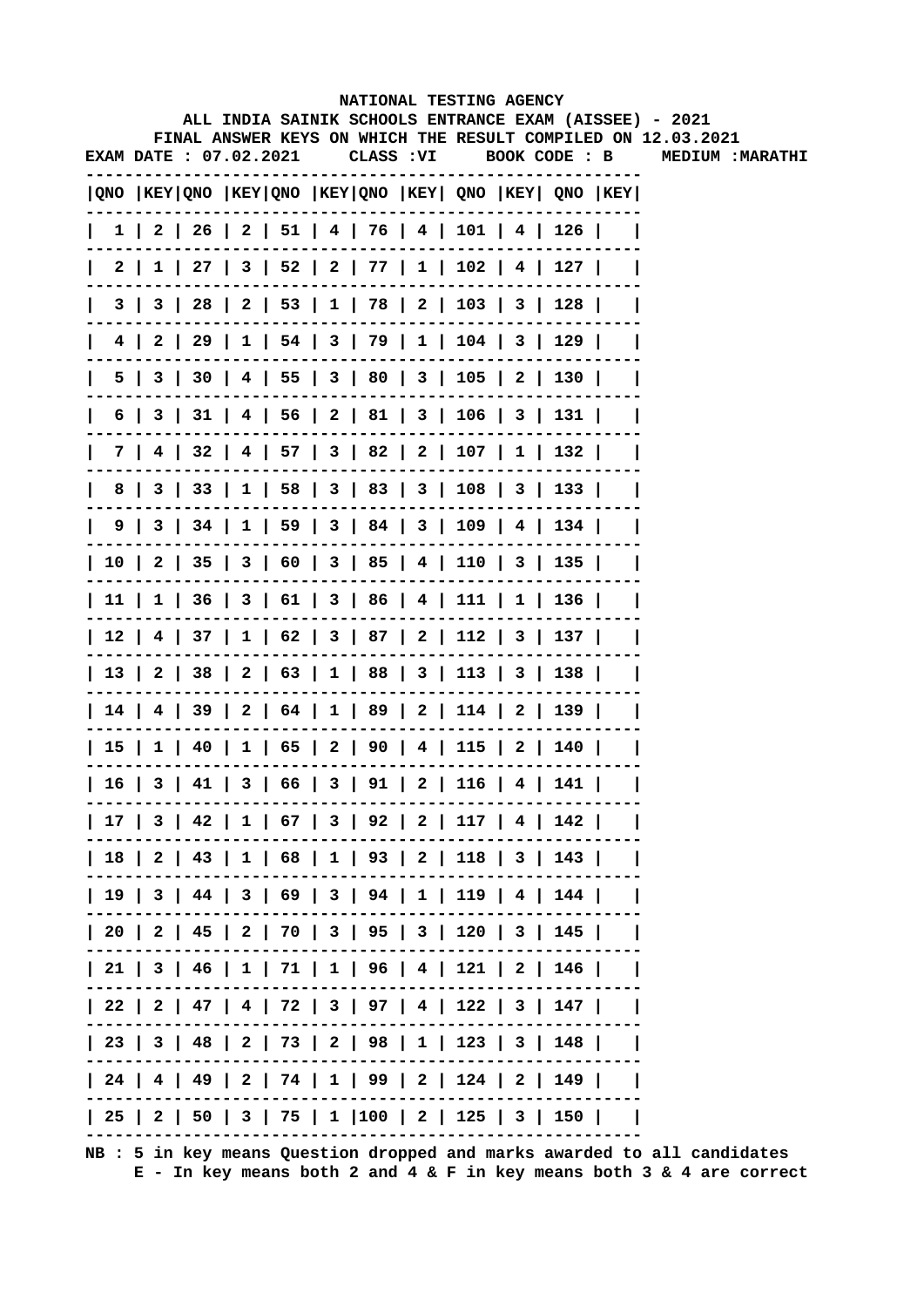|    |                        |  |            | NATIONAL TESTING AGENCY                      |  |                                                                                       |                                                                                                                        |
|----|------------------------|--|------------|----------------------------------------------|--|---------------------------------------------------------------------------------------|------------------------------------------------------------------------------------------------------------------------|
|    |                        |  |            |                                              |  |                                                                                       | ALL INDIA SAINIK SCHOOLS ENTRANCE EXAM (AISSEE) - 2021<br>FINAL ANSWER KEYS ON WHICH THE RESULT COMPILED ON 12.03.2021 |
|    | EXAM DATE : 07.02.2021 |  | CLASS : VI |                                              |  | BOOK CODE : B                                                                         | <b>MEDIUM: MARATHI</b>                                                                                                 |
|    |                        |  |            |                                              |  |                                                                                       |                                                                                                                        |
|    |                        |  |            |                                              |  | QNO  KEY QNO  KEY QNO  KEY QNO  KEY  QNO  KEY  QNO  KEY                               |                                                                                                                        |
|    |                        |  |            |                                              |  | $1 \mid 2 \mid 26 \mid 2 \mid 51 \mid 4 \mid 76 \mid 4 \mid 101 \mid 4 \mid 126 \mid$ |                                                                                                                        |
|    |                        |  |            |                                              |  | 2   1   27   3   52   2   77   1   102   4   127                                      |                                                                                                                        |
|    |                        |  |            |                                              |  | 3   3   28   2   53   1   78   2   103   3   128                                      |                                                                                                                        |
| 4  |                        |  |            |                                              |  | 2   29   1   54   3   79   1   104   3   129                                          |                                                                                                                        |
|    |                        |  |            |                                              |  | 5   3   30   4   55   3   80   3   105   2   130                                      |                                                                                                                        |
| 6  |                        |  |            |                                              |  | 3   31   4   56   2   81   3   106   3   131                                          |                                                                                                                        |
|    |                        |  |            |                                              |  | 7   4   32   4   57   3   82   2   107   1   132                                      |                                                                                                                        |
| 8  |                        |  |            |                                              |  | 3   33   1   58   3   83   3   108   3   133                                          |                                                                                                                        |
|    |                        |  |            |                                              |  | 9   3   34   1   59   3   84   3   109   4   134                                      |                                                                                                                        |
|    |                        |  |            |                                              |  | 10   2   35   3   60   3   85   4   110   3   135                                     |                                                                                                                        |
|    |                        |  |            |                                              |  | 11   1   36   3   61   3   86   4   111   1   136                                     |                                                                                                                        |
|    |                        |  |            |                                              |  | 12   4   37   1   62   3   87   2   112   3   137                                     |                                                                                                                        |
|    |                        |  |            |                                              |  | 13   2   38   2   63   1   88   3   113   3   138                                     |                                                                                                                        |
|    |                        |  |            |                                              |  | 14   4   39   2   64   1   89   2   114   2   139                                     |                                                                                                                        |
|    |                        |  |            |                                              |  | 15   1   40   1   65   2   90   4   115   2   140                                     |                                                                                                                        |
| 16 |                        |  |            | 3   41   3   66   3   91   2   116   4   141 |  |                                                                                       |                                                                                                                        |
|    |                        |  |            |                                              |  | 17   3   42   1   67   3   92   2   117   4   142                                     |                                                                                                                        |
|    |                        |  |            |                                              |  | 18   2   43   1   68   1   93   2   118   3   143                                     |                                                                                                                        |
|    |                        |  |            |                                              |  | 19   3   44   3   69   3   94   1   119   4   144                                     |                                                                                                                        |
|    |                        |  |            |                                              |  | 20   2   45   2   70   3   95   3   120   3   145                                     |                                                                                                                        |
|    |                        |  |            |                                              |  | 21   3   46   1   71   1   96   4   121   2   146                                     |                                                                                                                        |
|    |                        |  |            |                                              |  | 22   2   47   4   72   3   97   4   122   3   147                                     |                                                                                                                        |
|    |                        |  |            |                                              |  | 23   3   48   2   73   2   98   1   123   3   148                                     |                                                                                                                        |
|    |                        |  |            |                                              |  | 24   4   49   2   74   1   99   2   124   2   149                                     |                                                                                                                        |
|    |                        |  |            |                                              |  | 25   2   50   3   75   1  100   2   125   3   150                                     |                                                                                                                        |
|    |                        |  |            |                                              |  |                                                                                       |                                                                                                                        |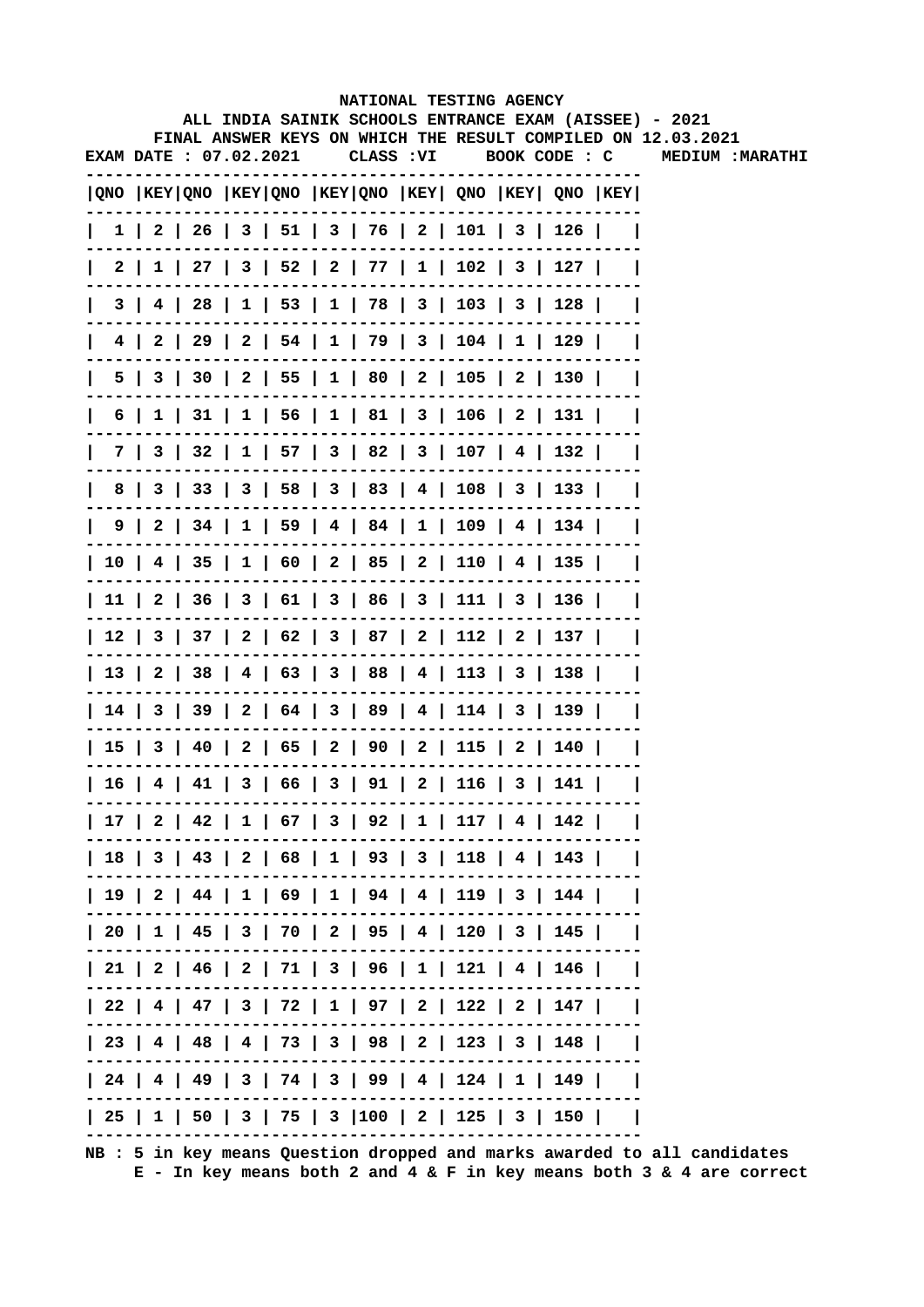|     |  |                               |            | NATIONAL TESTING AGENCY                           |  |                                                                                       |                                                                                                                        |
|-----|--|-------------------------------|------------|---------------------------------------------------|--|---------------------------------------------------------------------------------------|------------------------------------------------------------------------------------------------------------------------|
|     |  |                               |            |                                                   |  |                                                                                       | ALL INDIA SAINIK SCHOOLS ENTRANCE EXAM (AISSEE) - 2021<br>FINAL ANSWER KEYS ON WHICH THE RESULT COMPILED ON 12.03.2021 |
|     |  | <b>EXAM DATE : 07.02.2021</b> | CLASS : VI |                                                   |  | BOOK CODE : C                                                                         | <b>MEDIUM: MARATHI</b>                                                                                                 |
|     |  |                               |            |                                                   |  |                                                                                       |                                                                                                                        |
|     |  |                               |            |                                                   |  | QNO  KEY QNO  KEY QNO  KEY QNO  KEY  QNO  KEY  QNO  KEY                               |                                                                                                                        |
|     |  |                               |            |                                                   |  | $1 \mid 2 \mid 26 \mid 3 \mid 51 \mid 3 \mid 76 \mid 2 \mid 101 \mid 3 \mid 126 \mid$ |                                                                                                                        |
|     |  |                               |            |                                                   |  | 2   1   27   3   52   2   77   1   102   3   127                                      |                                                                                                                        |
| 3 I |  |                               |            |                                                   |  | 4   28   1   53   1   78   3   103   3   128                                          |                                                                                                                        |
|     |  |                               |            |                                                   |  | 4   2   29   2   54   1   79   3   104   1   129                                      |                                                                                                                        |
| 5   |  |                               |            |                                                   |  | 3   30   2   55   1   80   2   105   2   130                                          |                                                                                                                        |
| 6   |  |                               |            |                                                   |  | 1   31   1   56   1   81   3   106   2   131                                          |                                                                                                                        |
|     |  |                               |            |                                                   |  | 7   3   32   1   57   3   82   3   107   4   132                                      |                                                                                                                        |
| 8   |  |                               |            |                                                   |  | 3   33   3   58   3   83   4   108   3   133                                          |                                                                                                                        |
|     |  |                               |            |                                                   |  | $9 \mid 2 \mid 34 \mid 1 \mid 59 \mid 4 \mid 84 \mid 1 \mid 109 \mid 4 \mid 134 \mid$ |                                                                                                                        |
|     |  |                               |            |                                                   |  | 10   4   35   1   60   2   85   2   110   4   135                                     |                                                                                                                        |
|     |  |                               |            |                                                   |  | 11   2   36   3   61   3   86   3   111   3   136                                     |                                                                                                                        |
|     |  |                               |            |                                                   |  | 12   3   37   2   62   3   87   2   112   2   137                                     |                                                                                                                        |
|     |  |                               |            |                                                   |  | 13   2   38   4   63   3   88   4   113   3   138                                     |                                                                                                                        |
|     |  |                               |            |                                                   |  | 14   3   39   2   64   3   89   4   114   3   139                                     |                                                                                                                        |
|     |  |                               |            |                                                   |  | 15   3   40   2   65   2   90   2   115   2   140                                     |                                                                                                                        |
|     |  |                               |            | 16   4   41   3   66   3   91   2   116   3   141 |  |                                                                                       |                                                                                                                        |
|     |  |                               |            |                                                   |  | 17   2   42   1   67   3   92   1   117   4   142                                     |                                                                                                                        |
|     |  |                               |            |                                                   |  | 18   3   43   2   68   1   93   3   118   4   143                                     |                                                                                                                        |
|     |  |                               |            |                                                   |  | 19   2   44   1   69   1   94   4   119   3   144                                     |                                                                                                                        |
|     |  |                               |            |                                                   |  | 20   1   45   3   70   2   95   4   120   3   145                                     |                                                                                                                        |
|     |  |                               |            |                                                   |  | 21   2   46   2   71   3   96   1   121   4   146                                     |                                                                                                                        |
|     |  |                               |            |                                                   |  | 22   4   47   3   72   1   97   2   122   2   147                                     |                                                                                                                        |
|     |  |                               |            |                                                   |  | 23   4   48   4   73   3   98   2   123   3   148                                     |                                                                                                                        |
|     |  |                               |            |                                                   |  | 24   4   49   3   74   3   99   4   124   1   149                                     |                                                                                                                        |
|     |  |                               |            |                                                   |  | 25   1   50   3   75   3  100   2   125   3   150                                     |                                                                                                                        |
|     |  |                               |            |                                                   |  |                                                                                       |                                                                                                                        |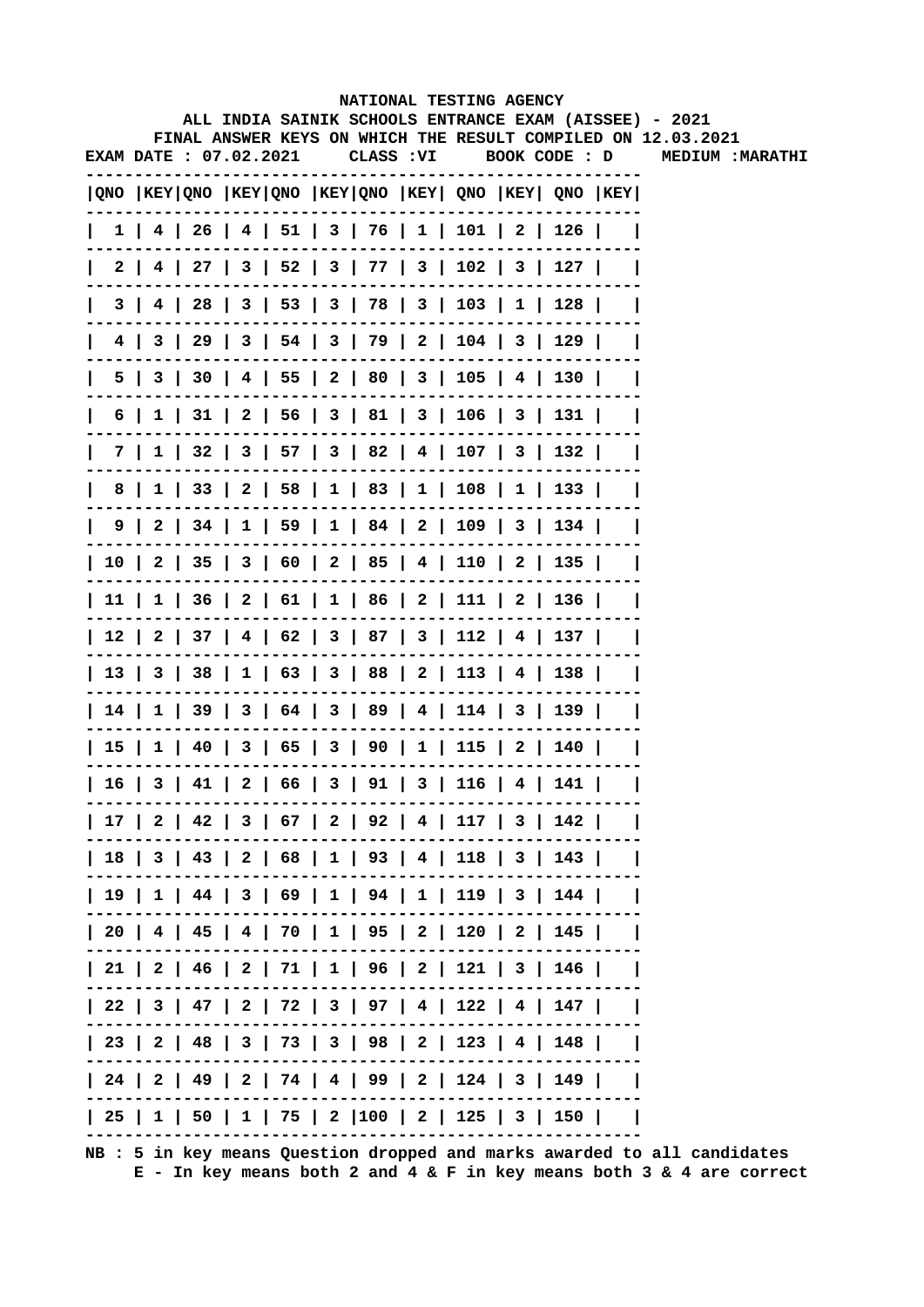|    |     |                        |  |            |  | NATIONAL TESTING AGENCY                                                               |  |                                                                                                                        |
|----|-----|------------------------|--|------------|--|---------------------------------------------------------------------------------------|--|------------------------------------------------------------------------------------------------------------------------|
|    |     |                        |  |            |  |                                                                                       |  | ALL INDIA SAINIK SCHOOLS ENTRANCE EXAM (AISSEE) - 2021<br>FINAL ANSWER KEYS ON WHICH THE RESULT COMPILED ON 12.03.2021 |
|    |     | EXAM DATE : 07.02.2021 |  | CLASS : VI |  | BOOK CODE : D                                                                         |  | MEDIUM: MARATHI                                                                                                        |
|    |     |                        |  |            |  | QNO  KEY QNO  KEY QNO  KEY QNO  KEY  QNO  KEY  QNO  KEY                               |  |                                                                                                                        |
|    |     |                        |  |            |  | $1$   4   26   4   51   3   76   1   101   2   126                                    |  |                                                                                                                        |
|    |     |                        |  |            |  | 2   4   27   3   52   3   77   3   102   3   127                                      |  |                                                                                                                        |
|    | 3 I |                        |  |            |  | 4   28   3   53   3   78   3   103   1   128                                          |  |                                                                                                                        |
|    |     |                        |  |            |  | 4   3   29   3   54   3   79   2   104   3   129                                      |  |                                                                                                                        |
|    |     |                        |  |            |  | 5   3   30   4   55   2   80   3   105   4   130                                      |  |                                                                                                                        |
| 6  |     |                        |  |            |  | 1   31   2   56   3   81   3   106   3   131                                          |  |                                                                                                                        |
|    |     |                        |  |            |  | 7   1   32   3   57   3   82   4   107   3   132                                      |  |                                                                                                                        |
| 8  |     |                        |  |            |  | 1   33   2   58   1   83   1   108   1   133                                          |  |                                                                                                                        |
|    |     |                        |  |            |  | $9 \mid 2 \mid 34 \mid 1 \mid 59 \mid 1 \mid 84 \mid 2 \mid 109 \mid 3 \mid 134 \mid$ |  |                                                                                                                        |
|    |     |                        |  |            |  | 10   2   35   3   60   2   85   4   110   2   135                                     |  |                                                                                                                        |
|    |     |                        |  |            |  | 11   1   36   2   61   1   86   2   111   2   136                                     |  |                                                                                                                        |
|    |     |                        |  |            |  | 12   2   37   4   62   3   87   3   112   4   137                                     |  |                                                                                                                        |
|    |     |                        |  |            |  | 13   3   38   1   63   3   88   2   113   4   138                                     |  |                                                                                                                        |
|    |     |                        |  |            |  | 14   1   39   3   64   3   89   4   114   3   139                                     |  |                                                                                                                        |
|    |     |                        |  |            |  | 15   1   40   3   65   3   90   1   115   2   140                                     |  |                                                                                                                        |
| 16 |     |                        |  |            |  | 3   41   2   66   3   91   3   116   4   141                                          |  |                                                                                                                        |
|    |     |                        |  |            |  | 17   2   42   3   67   2   92   4   117   3   142                                     |  |                                                                                                                        |
|    |     |                        |  |            |  | 18   3   43   2   68   1   93   4   118   3   143                                     |  |                                                                                                                        |
|    |     |                        |  |            |  | 19   1   44   3   69   1   94   1   119   3   144                                     |  |                                                                                                                        |
|    |     |                        |  |            |  | 20   4   45   4   70   1   95   2   120   2   145                                     |  |                                                                                                                        |
|    |     |                        |  |            |  | 21   2   46   2   71   1   96   2   121   3   146                                     |  |                                                                                                                        |
|    |     |                        |  |            |  | 22   3   47   2   72   3   97   4   122   4   147                                     |  |                                                                                                                        |
|    |     |                        |  |            |  | 23   2   48   3   73   3   98   2   123   4   148                                     |  |                                                                                                                        |
|    |     |                        |  |            |  | 24   2   49   2   74   4   99   2   124   3   149                                     |  |                                                                                                                        |
|    |     |                        |  |            |  | 25   1   50   1   75   2  100   2   125   3   150                                     |  |                                                                                                                        |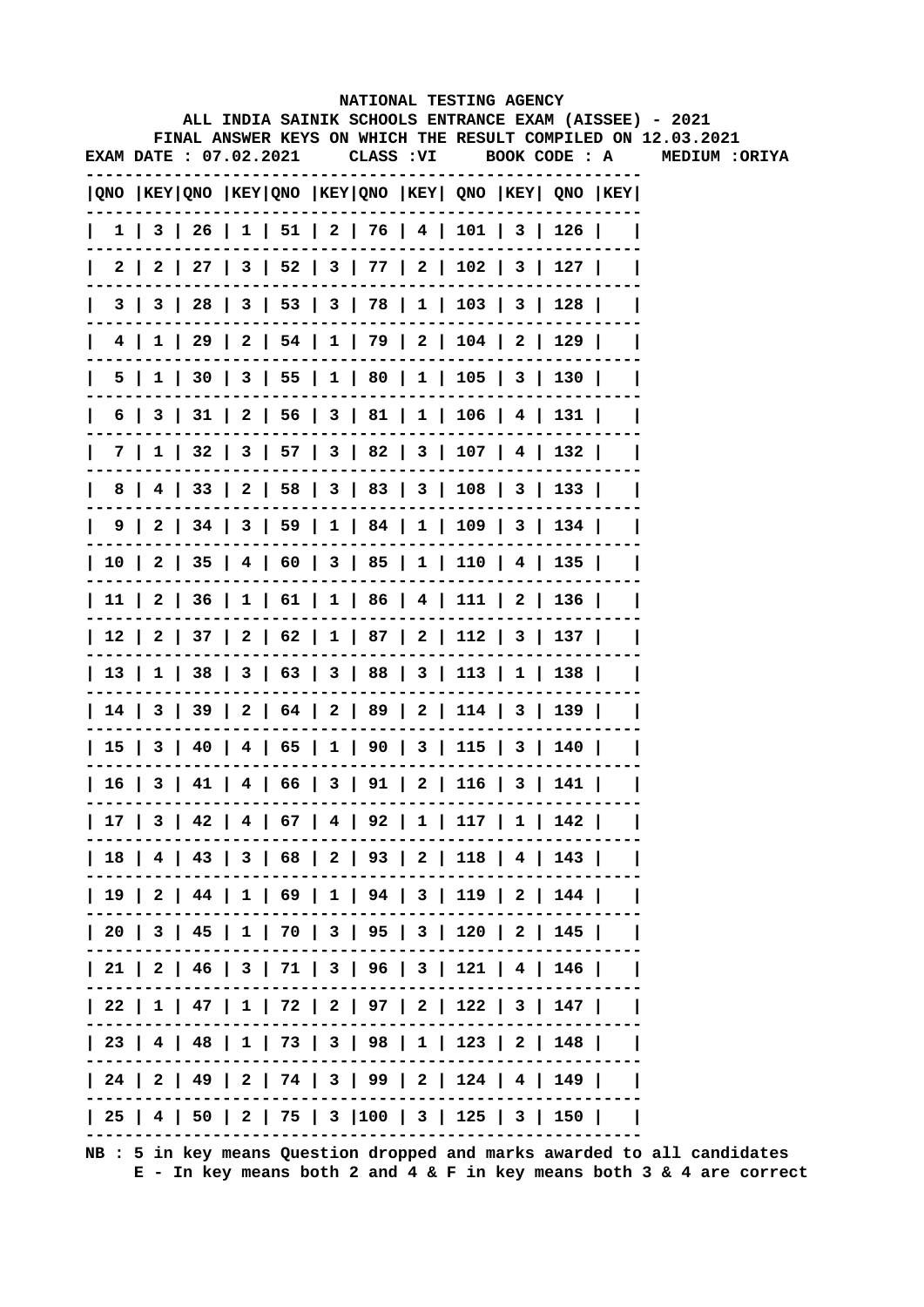|                        |     |  |  |  |  |  |  | NATIONAL TESTING AGENCY                           |  |                                                                                        |                                                                                                                        |
|------------------------|-----|--|--|--|--|--|--|---------------------------------------------------|--|----------------------------------------------------------------------------------------|------------------------------------------------------------------------------------------------------------------------|
|                        |     |  |  |  |  |  |  |                                                   |  |                                                                                        | ALL INDIA SAINIK SCHOOLS ENTRANCE EXAM (AISSEE) - 2021<br>FINAL ANSWER KEYS ON WHICH THE RESULT COMPILED ON 12.03.2021 |
| EXAM DATE : 07.02.2021 |     |  |  |  |  |  |  |                                                   |  | CLASS: VI BOOK CODE: A                                                                 | <b>MEDIUM :ORIYA</b>                                                                                                   |
|                        |     |  |  |  |  |  |  |                                                   |  | ONO KEY QNO KEY QNO KEY QNO KEY QNO KEY QNO KEY QNO KEY                                |                                                                                                                        |
|                        |     |  |  |  |  |  |  |                                                   |  | $1 \mid 3 \mid 26 \mid 1 \mid 51 \mid 2 \mid 76 \mid 4 \mid 101 \mid 3 \mid 126 \mid$  |                                                                                                                        |
|                        | 2 I |  |  |  |  |  |  |                                                   |  | 2   27   3   52   3   77   2   102   3   127                                           |                                                                                                                        |
|                        | 3 I |  |  |  |  |  |  |                                                   |  | 3   28   3   53   3   78   1   103   3   128                                           |                                                                                                                        |
| 4                      |     |  |  |  |  |  |  | $1   29   2   54   1   79   2   104   2   129$    |  |                                                                                        |                                                                                                                        |
| 5                      |     |  |  |  |  |  |  |                                                   |  | 1   30   3   55   1   80   1   105   3   130                                           |                                                                                                                        |
|                        | 6   |  |  |  |  |  |  |                                                   |  | 3   31   2   56   3   81   1   106   4   131                                           |                                                                                                                        |
|                        | 7 I |  |  |  |  |  |  |                                                   |  | $1 \mid 32 \mid 3 \mid 57 \mid 3 \mid 82 \mid 3 \mid 107 \mid 4 \mid 132 \mid$         |                                                                                                                        |
| 8                      |     |  |  |  |  |  |  |                                                   |  | 4   33   2   58   3   83   3   108   3   133                                           |                                                                                                                        |
|                        |     |  |  |  |  |  |  |                                                   |  | $9 \mid 2 \mid 34 \mid 3 \mid 59 \mid 1 \mid 84 \mid 1 \mid 109 \mid 3 \mid 134 \mid$  |                                                                                                                        |
|                        |     |  |  |  |  |  |  |                                                   |  | $10 \mid 2 \mid 35 \mid 4 \mid 60 \mid 3 \mid 85 \mid 1 \mid 110 \mid 4 \mid 135 \mid$ |                                                                                                                        |
|                        |     |  |  |  |  |  |  |                                                   |  | $11 \mid 2 \mid 36 \mid 1 \mid 61 \mid 1 \mid 86 \mid 4 \mid 111 \mid 2 \mid 136 \mid$ |                                                                                                                        |
|                        |     |  |  |  |  |  |  |                                                   |  | $12$   2   37   2   62   1   87   2   112   3   137                                    |                                                                                                                        |
|                        |     |  |  |  |  |  |  |                                                   |  | 13   1   38   3   63   3   88   3   113   1   138                                      |                                                                                                                        |
|                        |     |  |  |  |  |  |  |                                                   |  | 14   3   39   2   64   2   89   2   114   3   139                                      |                                                                                                                        |
|                        |     |  |  |  |  |  |  |                                                   |  | 15   3   40   4   65   1   90   3   115   3   140                                      |                                                                                                                        |
|                        |     |  |  |  |  |  |  | 16   3   41   4   66   3   91   2   116   3   141 |  |                                                                                        |                                                                                                                        |
|                        |     |  |  |  |  |  |  |                                                   |  | 17   3   42   4   67   4   92   1   117   1   142                                      |                                                                                                                        |
|                        |     |  |  |  |  |  |  |                                                   |  | 18   4   43   3   68   2   93   2   118   4   143                                      |                                                                                                                        |
|                        |     |  |  |  |  |  |  |                                                   |  | 19   2   44   1   69   1   94   3   119   2   144                                      |                                                                                                                        |
|                        |     |  |  |  |  |  |  |                                                   |  | 20   3   45   1   70   3   95   3   120   2   145                                      |                                                                                                                        |
|                        |     |  |  |  |  |  |  |                                                   |  | 21   2   46   3   71   3   96   3   121   4   146                                      |                                                                                                                        |
|                        |     |  |  |  |  |  |  |                                                   |  | 22   1   47   1   72   2   97   2   122   3   147                                      |                                                                                                                        |
|                        |     |  |  |  |  |  |  |                                                   |  | 23   4   48   1   73   3   98   1   123   2   148                                      |                                                                                                                        |
|                        |     |  |  |  |  |  |  |                                                   |  | 24   2   49   2   74   3   99   2   124   4   149                                      |                                                                                                                        |
|                        |     |  |  |  |  |  |  |                                                   |  | 25   4   50   2   75   3  100   3   125   3   150                                      |                                                                                                                        |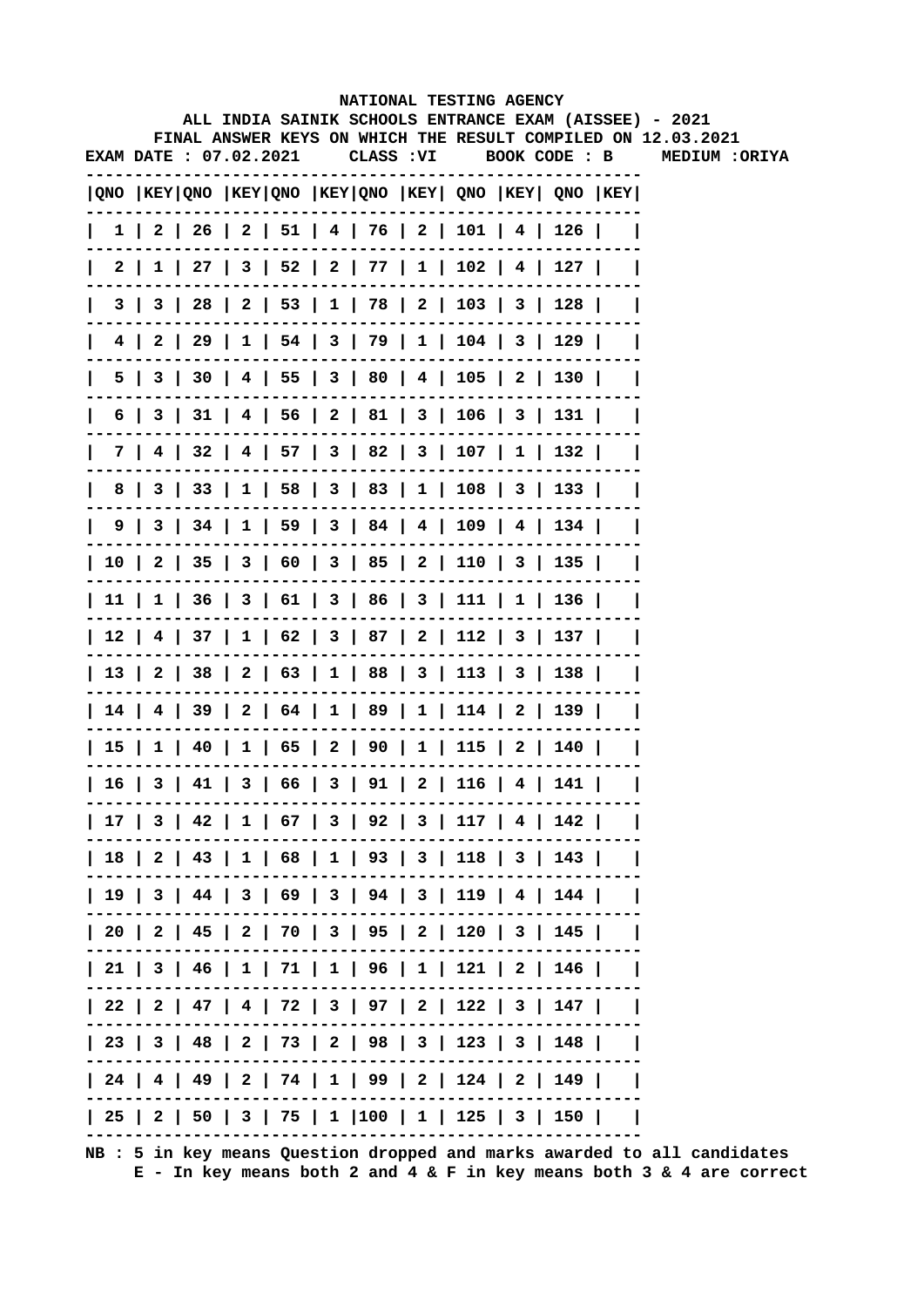|  |                        |  |           |  | NATIONAL TESTING AGENCY                                                               |  | ALL INDIA SAINIK SCHOOLS ENTRANCE EXAM (AISSEE) - 2021       |
|--|------------------------|--|-----------|--|---------------------------------------------------------------------------------------|--|--------------------------------------------------------------|
|  |                        |  |           |  |                                                                                       |  | FINAL ANSWER KEYS ON WHICH THE RESULT COMPILED ON 12.03.2021 |
|  | EXAM DATE : 07.02.2021 |  | CLASS :VI |  | BOOK CODE : B                                                                         |  | <b>MEDIUM :ORIYA</b>                                         |
|  |                        |  |           |  | $ QNO $ KEY $ QNO $ KEY $ QNO $ KEY $ QNO $ KEY $ QNO $ KEY $ QNO $ KEY $ QNO $ KEY   |  |                                                              |
|  |                        |  |           |  | $1 \mid 2 \mid 26 \mid 2 \mid 51 \mid 4 \mid 76 \mid 2 \mid 101 \mid 4 \mid 126 \mid$ |  |                                                              |
|  |                        |  |           |  | $2 \mid 1 \mid 27 \mid 3 \mid 52 \mid 2 \mid 77 \mid 1 \mid 102 \mid 4 \mid 127 \mid$ |  |                                                              |
|  |                        |  |           |  | 3   3   28   2   53   1   78   2   103   3   128                                      |  |                                                              |
|  |                        |  |           |  | 4   2   29   1   54   3   79   1   104   3   129                                      |  |                                                              |
|  |                        |  |           |  | 5   3   30   4   55   3   80   4   105   2   130                                      |  |                                                              |
|  |                        |  |           |  | $6$   3   31   4   56   2   81   3   106   3   131                                    |  |                                                              |
|  |                        |  |           |  | 7   4   32   4   57   3   82   3   107   1   132                                      |  |                                                              |
|  |                        |  |           |  | 8   3   33   1   58   3   83   1   108   3   133                                      |  |                                                              |
|  |                        |  |           |  | $9 \mid 3 \mid 34 \mid 1 \mid 59 \mid 3 \mid 84 \mid 4 \mid 109 \mid 4 \mid 134 \mid$ |  |                                                              |
|  |                        |  |           |  | 10   2   35   3   60   3   85   2   110   3   135                                     |  |                                                              |
|  |                        |  |           |  | 11   1   36   3   61   3   86   3   111   1   136                                     |  |                                                              |
|  |                        |  |           |  | 12   4   37   1   62   3   87   2   112   3   137                                     |  |                                                              |
|  |                        |  |           |  | 13   2   38   2   63   1   88   3   113   3   138                                     |  |                                                              |
|  |                        |  |           |  | 14   4   39   2   64   1   89   1   114   2   139                                     |  |                                                              |
|  |                        |  |           |  | 15   1   40   1   65   2   90   1   115   2   140                                     |  |                                                              |
|  |                        |  |           |  | 16   3   41   3   66   3   91   2   116   4   141                                     |  |                                                              |
|  |                        |  |           |  | 17   3   42   1   67   3   92   3   117   4   142                                     |  |                                                              |
|  |                        |  |           |  | 18   2   43   1   68   1   93   3   118   3   143                                     |  |                                                              |
|  |                        |  |           |  | 19   3   44   3   69   3   94   3   119   4   144                                     |  |                                                              |
|  |                        |  |           |  | 20   2   45   2   70   3   95   2   120   3   145                                     |  |                                                              |
|  |                        |  |           |  | 21   3   46   1   71   1   96   1   121   2   146                                     |  |                                                              |
|  |                        |  |           |  | 22   2   47   4   72   3   97   2   122   3   147                                     |  |                                                              |
|  |                        |  |           |  | 23   3   48   2   73   2   98   3   123   3   148                                     |  |                                                              |
|  |                        |  |           |  | 24   4   49   2   74   1   99   2   124   2   149                                     |  |                                                              |
|  |                        |  |           |  | 25   2   50   3   75   1  100   1   125   3   150                                     |  |                                                              |
|  |                        |  |           |  |                                                                                       |  |                                                              |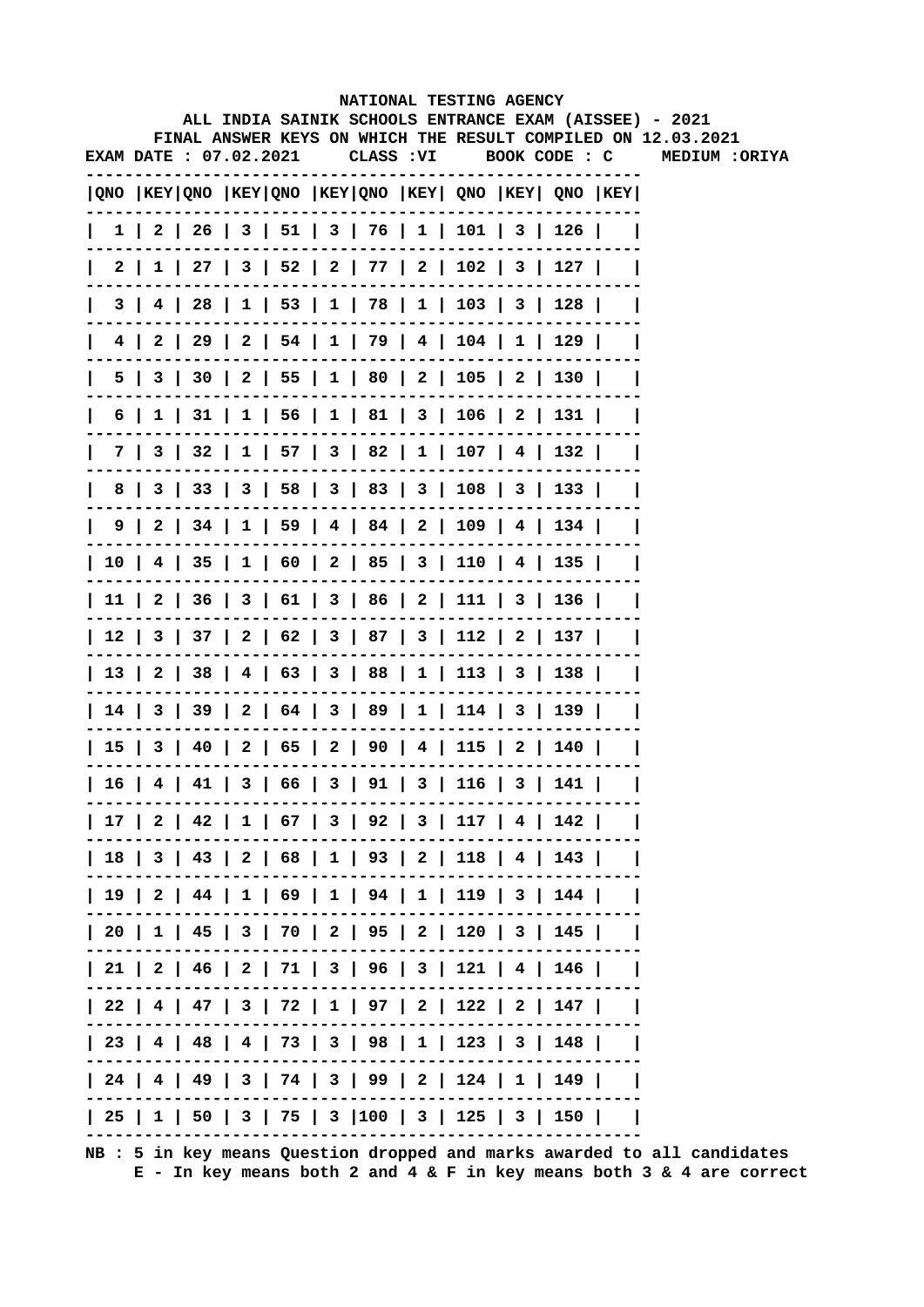|                        |   |  |  |  |           |  | NATIONAL TESTING AGENCY                                                               |  | ALL INDIA SAINIK SCHOOLS ENTRANCE EXAM (AISSEE) - 2021       |
|------------------------|---|--|--|--|-----------|--|---------------------------------------------------------------------------------------|--|--------------------------------------------------------------|
|                        |   |  |  |  |           |  |                                                                                       |  | FINAL ANSWER KEYS ON WHICH THE RESULT COMPILED ON 12.03.2021 |
| EXAM DATE : 07.02.2021 |   |  |  |  | CLASS :VI |  |                                                                                       |  | BOOK CODE : C MEDIUM : ORIYA                                 |
|                        |   |  |  |  |           |  | $ QNO $ KEY $ QNO $ KEY $ QNO $ KEY $ QNO $ KEY $ QNO $ KEY $ QNO $ KEY $ QNO $ KEY   |  |                                                              |
|                        |   |  |  |  |           |  | $1 \mid 2 \mid 26 \mid 3 \mid 51 \mid 3 \mid 76 \mid 1 \mid 101 \mid 3 \mid 126 \mid$ |  |                                                              |
|                        |   |  |  |  |           |  | 2   1   27   3   52   2   77   2   102   3   127                                      |  |                                                              |
|                        | 3 |  |  |  |           |  | 4   28   1   53   1   78   1   103   3   128                                          |  |                                                              |
|                        |   |  |  |  |           |  | $4$   2   29   2   54   1   79   4   104   1   129                                    |  |                                                              |
|                        |   |  |  |  |           |  | 5   3   30   2   55   1   80   2   105   2   130                                      |  |                                                              |
|                        | 6 |  |  |  |           |  | $1 \mid 31 \mid 1 \mid 56 \mid 1 \mid 81 \mid 3 \mid 106 \mid 2 \mid 131 \mid$        |  |                                                              |
|                        |   |  |  |  |           |  | 7   3   32   1   57   3   82   1   107   4   132                                      |  |                                                              |
|                        |   |  |  |  |           |  | 8   3   33   3   58   3   83   3   108   3   133                                      |  |                                                              |
|                        |   |  |  |  |           |  | $9 \mid 2 \mid 34 \mid 1 \mid 59 \mid 4 \mid 84 \mid 2 \mid 109 \mid 4 \mid 134 \mid$ |  |                                                              |
|                        |   |  |  |  |           |  | 10   4   35   1   60   2   85   3   110   4   135                                     |  |                                                              |
|                        |   |  |  |  |           |  | 11   2   36   3   61   3   86   2   111   3   136                                     |  |                                                              |
|                        |   |  |  |  |           |  | 12   3   37   2   62   3   87   3   112   2   137                                     |  |                                                              |
|                        |   |  |  |  |           |  | 13   2   38   4   63   3   88   1   113   3   138                                     |  |                                                              |
|                        |   |  |  |  |           |  | 14   3   39   2   64   3   89   1   114   3   139                                     |  |                                                              |
|                        |   |  |  |  |           |  | 15   3   40   2   65   2   90   4   115   2   140                                     |  |                                                              |
|                        |   |  |  |  |           |  | 16   4   41   3   66   3   91   3   116   3   141                                     |  |                                                              |
|                        |   |  |  |  |           |  | 17   2   42   1   67   3   92   3   117   4   142                                     |  |                                                              |
|                        |   |  |  |  |           |  | 18   3   43   2   68   1   93   2   118   4   143                                     |  |                                                              |
|                        |   |  |  |  |           |  | 19   2   44   1   69   1   94   1   119   3   144                                     |  |                                                              |
|                        |   |  |  |  |           |  | 20   1   45   3   70   2   95   2   120   3   145                                     |  |                                                              |
|                        |   |  |  |  |           |  | 21   2   46   2   71   3   96   3   121   4   146                                     |  |                                                              |
|                        |   |  |  |  |           |  | 22   4   47   3   72   1   97   2   122   2   147                                     |  |                                                              |
|                        |   |  |  |  |           |  | 23   4   48   4   73   3   98   1   123   3   148                                     |  |                                                              |
|                        |   |  |  |  |           |  | 24   4   49   3   74   3   99   2   124   1   149                                     |  |                                                              |
|                        |   |  |  |  |           |  | 25   1   50   3   75   3  100   3   125   3   150                                     |  |                                                              |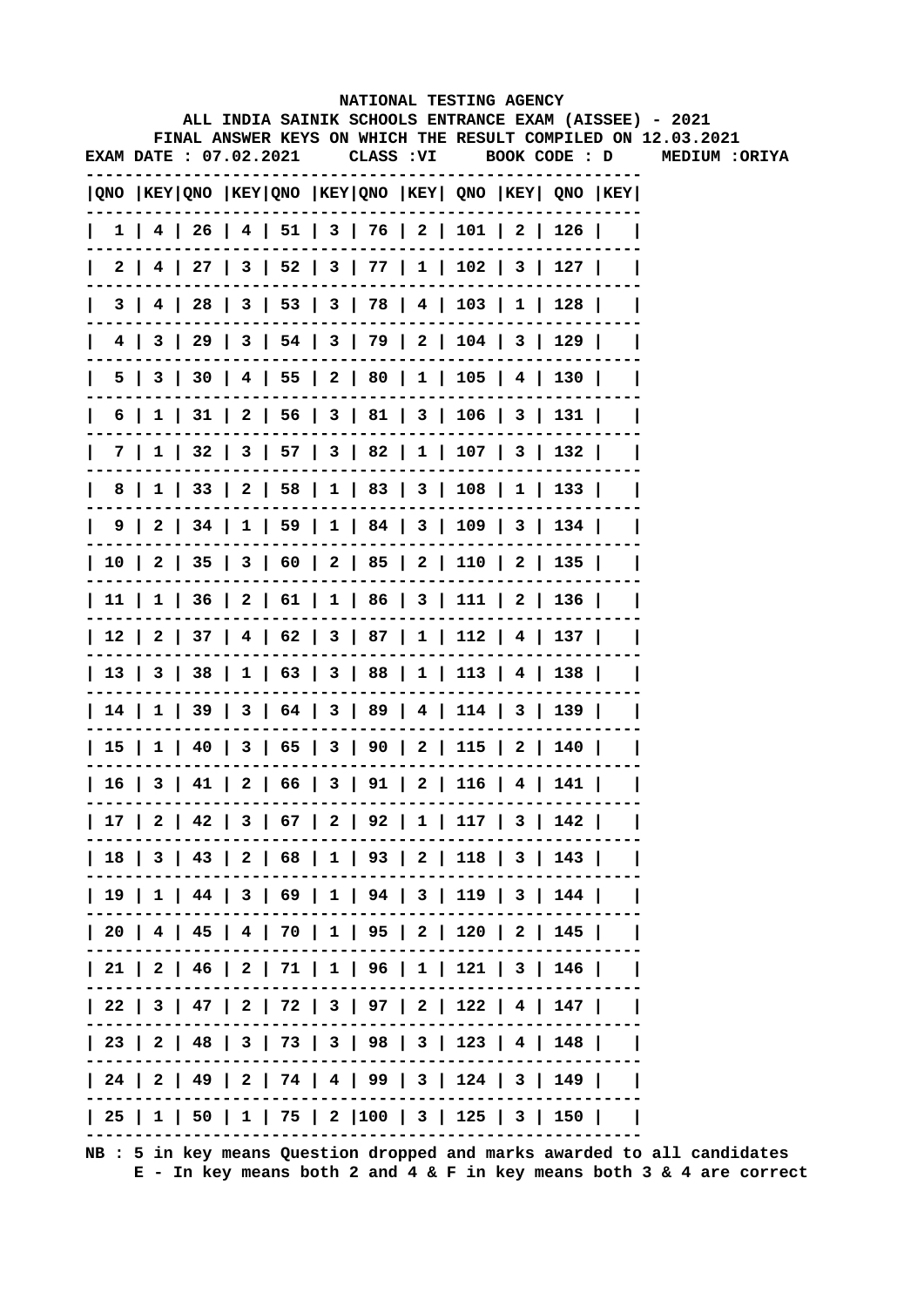|                 |  |                               |  | NATIONAL TESTING AGENCY                      |                                                                                |                                                                                                                        |
|-----------------|--|-------------------------------|--|----------------------------------------------|--------------------------------------------------------------------------------|------------------------------------------------------------------------------------------------------------------------|
|                 |  |                               |  |                                              |                                                                                | ALL INDIA SAINIK SCHOOLS ENTRANCE EXAM (AISSEE) - 2021<br>FINAL ANSWER KEYS ON WHICH THE RESULT COMPILED ON 12.03.2021 |
|                 |  | <b>EXAM DATE : 07.02.2021</b> |  |                                              |                                                                                | CLASS : VI BOOK CODE : D MEDIUM : ORIYA                                                                                |
|                 |  |                               |  |                                              | QNO  KEY QNO  KEY QNO  KEY QNO  KEY  QNO  KEY  QNO  KEY                        |                                                                                                                        |
|                 |  |                               |  |                                              | $1$   4   26   4   51   3   76   2   101   2   126                             |                                                                                                                        |
|                 |  |                               |  |                                              | 2   4   27   3   52   3   77   1   102   3   127                               |                                                                                                                        |
| 31              |  |                               |  |                                              | 4   28   3   53   3   78   4   103   1   128                                   |                                                                                                                        |
| 4 I             |  |                               |  |                                              | 3   29   3   54   3   79   2   104   3   129                                   |                                                                                                                        |
| 5               |  |                               |  |                                              | 3   30   4   55   2   80   1   105   4   130                                   |                                                                                                                        |
| 6               |  |                               |  |                                              | $1 \mid 31 \mid 2 \mid 56 \mid 3 \mid 81 \mid 3 \mid 106 \mid 3 \mid 131 \mid$ |                                                                                                                        |
| 7 I             |  |                               |  |                                              | $1 \mid 32 \mid 3 \mid 57 \mid 3 \mid 82 \mid 1 \mid 107 \mid 3 \mid 132 \mid$ |                                                                                                                        |
| 8               |  |                               |  |                                              | $1 \mid 33 \mid 2 \mid 58 \mid 1 \mid 83 \mid 3 \mid 108 \mid 1 \mid 133 \mid$ |                                                                                                                        |
|                 |  |                               |  |                                              | 9   2   34   1   59   1   84   3   109   3   134                               |                                                                                                                        |
|                 |  |                               |  |                                              | 10   2   35   3   60   2   85   2   110   2   135                              |                                                                                                                        |
|                 |  |                               |  |                                              | 11   1   36   2   61   1   86   3   111   2   136                              |                                                                                                                        |
|                 |  |                               |  |                                              | 12   2   37   4   62   3   87   1   112   4   137                              |                                                                                                                        |
|                 |  |                               |  |                                              | 13   3   38   1   63   3   88   1   113   4   138                              |                                                                                                                        |
|                 |  |                               |  |                                              | 14   1   39   3   64   3   89   4   114   3   139                              |                                                                                                                        |
|                 |  |                               |  |                                              | 15   1   40   3   65   3   90   2   115   2   140                              |                                                                                                                        |
| 16 <sup>1</sup> |  |                               |  | 3   41   2   66   3   91   2   116   4   141 |                                                                                |                                                                                                                        |
|                 |  |                               |  |                                              | 17   2   42   3   67   2   92   1   117   3   142                              |                                                                                                                        |
|                 |  |                               |  |                                              | 18   3   43   2   68   1   93   2   118   3   143                              |                                                                                                                        |
|                 |  |                               |  |                                              | 19   1   44   3   69   1   94   3   119   3   144                              |                                                                                                                        |
|                 |  |                               |  |                                              | 20   4   45   4   70   1   95   2   120   2   145                              |                                                                                                                        |
|                 |  |                               |  |                                              | 21   2   46   2   71   1   96   1   121   3   146                              |                                                                                                                        |
|                 |  |                               |  |                                              | 22   3   47   2   72   3   97   2   122   4   147                              |                                                                                                                        |
|                 |  |                               |  |                                              | 23   2   48   3   73   3   98   3   123   4   148                              |                                                                                                                        |
|                 |  |                               |  |                                              | 24   2   49   2   74   4   99   3   124   3   149                              |                                                                                                                        |
|                 |  |                               |  |                                              | 25   1   50   1   75   2  100   3   125   3   150                              |                                                                                                                        |
|                 |  |                               |  |                                              |                                                                                |                                                                                                                        |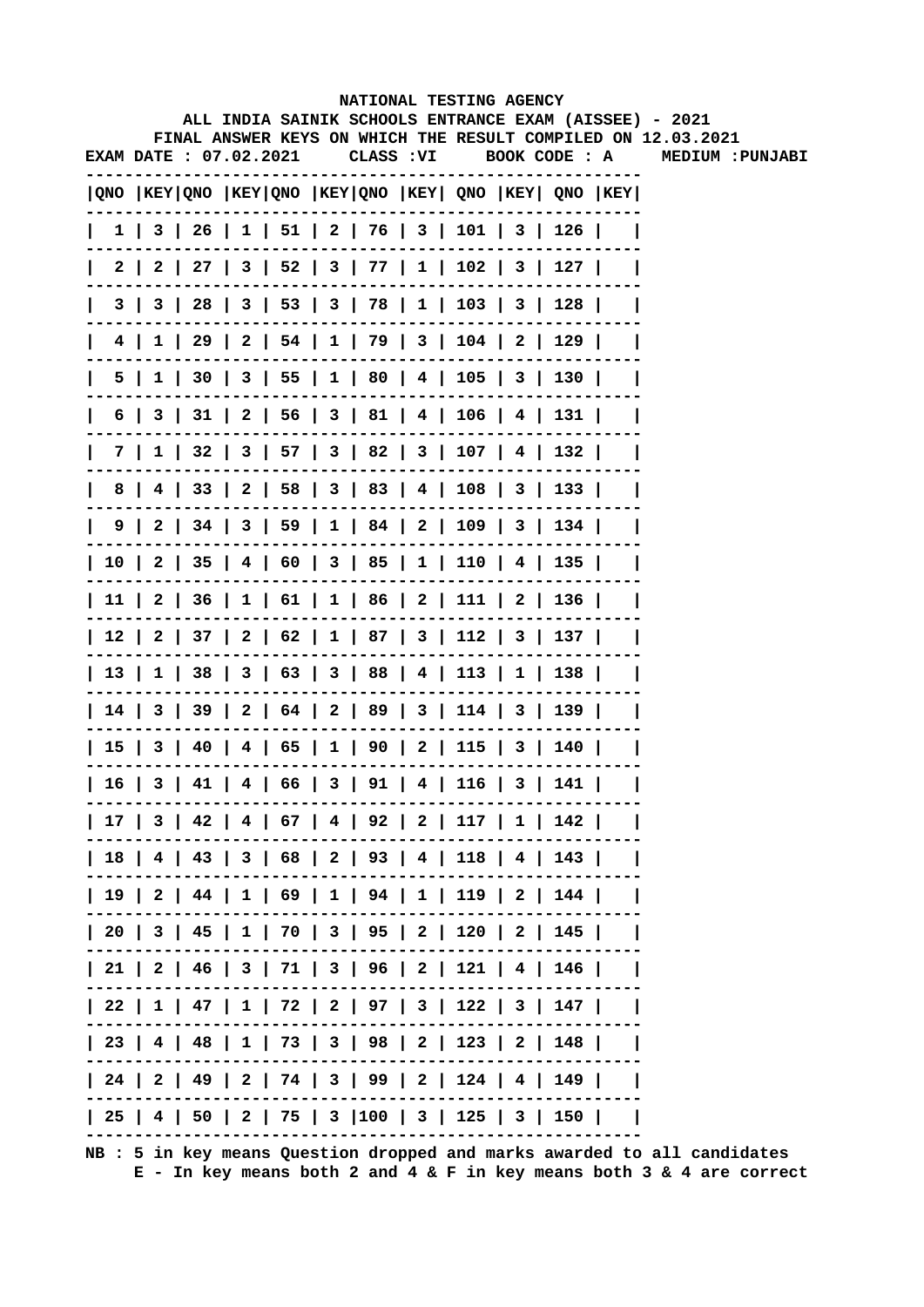|              |     |                        |  |            |  | NATIONAL TESTING AGENCY                                 |  |                                                                                                                        |
|--------------|-----|------------------------|--|------------|--|---------------------------------------------------------|--|------------------------------------------------------------------------------------------------------------------------|
|              |     |                        |  |            |  |                                                         |  | ALL INDIA SAINIK SCHOOLS ENTRANCE EXAM (AISSEE) - 2021<br>FINAL ANSWER KEYS ON WHICH THE RESULT COMPILED ON 12.03.2021 |
|              |     | EXAM DATE : 07.02.2021 |  | CLASS : VI |  | BOOK CODE : A                                           |  | MEDIUM : PUNJABI                                                                                                       |
|              |     |                        |  |            |  | QNO  KEY QNO  KEY QNO  KEY QNO  KEY  QNO  KEY  QNO  KEY |  |                                                                                                                        |
| $\mathbf{I}$ |     |                        |  |            |  | 1   3   26   1   51   2   76   3   101   3   126        |  |                                                                                                                        |
| 2 I          |     |                        |  |            |  | 2   27   3   52   3   77   1   102   3   127            |  |                                                                                                                        |
| 3 I          |     |                        |  |            |  | $3   28   3   53   3   78   1   103   3   128$          |  |                                                                                                                        |
|              |     |                        |  |            |  | 4   1   29   2   54   1   79   3   104   2   129        |  |                                                                                                                        |
|              | 5   |                        |  |            |  | $1$   30   3   55   1   80   4   105   3   130          |  |                                                                                                                        |
| 6            |     |                        |  |            |  | 3   31   2   56   3   81   4   106   4   131            |  |                                                                                                                        |
|              | 7 I |                        |  |            |  | $1$   32   3   57   3   82   3   107   4   132          |  |                                                                                                                        |
| 8            |     |                        |  |            |  | 4   33   2   58   3   83   4   108   3   133            |  |                                                                                                                        |
|              |     |                        |  |            |  | 9   2   34   3   59   1   84   2   109   3   134        |  |                                                                                                                        |
|              |     |                        |  |            |  | 10   2   35   4   60   3   85   1   110   4   135       |  |                                                                                                                        |
|              |     |                        |  |            |  | 11   2   36   1   61   1   86   2   111   2   136       |  |                                                                                                                        |
|              |     |                        |  |            |  | 12   2   37   2   62   1   87   3   112   3   137       |  |                                                                                                                        |
|              |     |                        |  |            |  | 13   1   38   3   63   3   88   4   113   1   138       |  |                                                                                                                        |
|              |     |                        |  |            |  | 14   3   39   2   64   2   89   3   114   3   139       |  |                                                                                                                        |
|              |     |                        |  |            |  | 15   3   40   4   65   1   90   2   115   3   140       |  |                                                                                                                        |
|              |     |                        |  |            |  | 16   3   41   4   66   3   91   4   116   3   141       |  |                                                                                                                        |
|              |     |                        |  |            |  | 17   3   42   4   67   4   92   2   117   1   142       |  |                                                                                                                        |
|              |     |                        |  |            |  | 18   4   43   3   68   2   93   4   118   4   143       |  |                                                                                                                        |
|              |     |                        |  |            |  | 19   2   44   1   69   1   94   1   119   2   144       |  |                                                                                                                        |
|              |     |                        |  |            |  | 20   3   45   1   70   3   95   2   120   2   145       |  |                                                                                                                        |
|              |     |                        |  |            |  | 21   2   46   3   71   3   96   2   121   4   146       |  |                                                                                                                        |
|              |     |                        |  |            |  | 22   1   47   1   72   2   97   3   122   3   147       |  |                                                                                                                        |
|              |     |                        |  |            |  | 23   4   48   1   73   3   98   2   123   2   148       |  |                                                                                                                        |
|              |     |                        |  |            |  | 24   2   49   2   74   3   99   2   124   4   149       |  |                                                                                                                        |
|              |     |                        |  |            |  | 25   4   50   2   75   3  100   3   125   3   150       |  |                                                                                                                        |
|              |     |                        |  |            |  |                                                         |  |                                                                                                                        |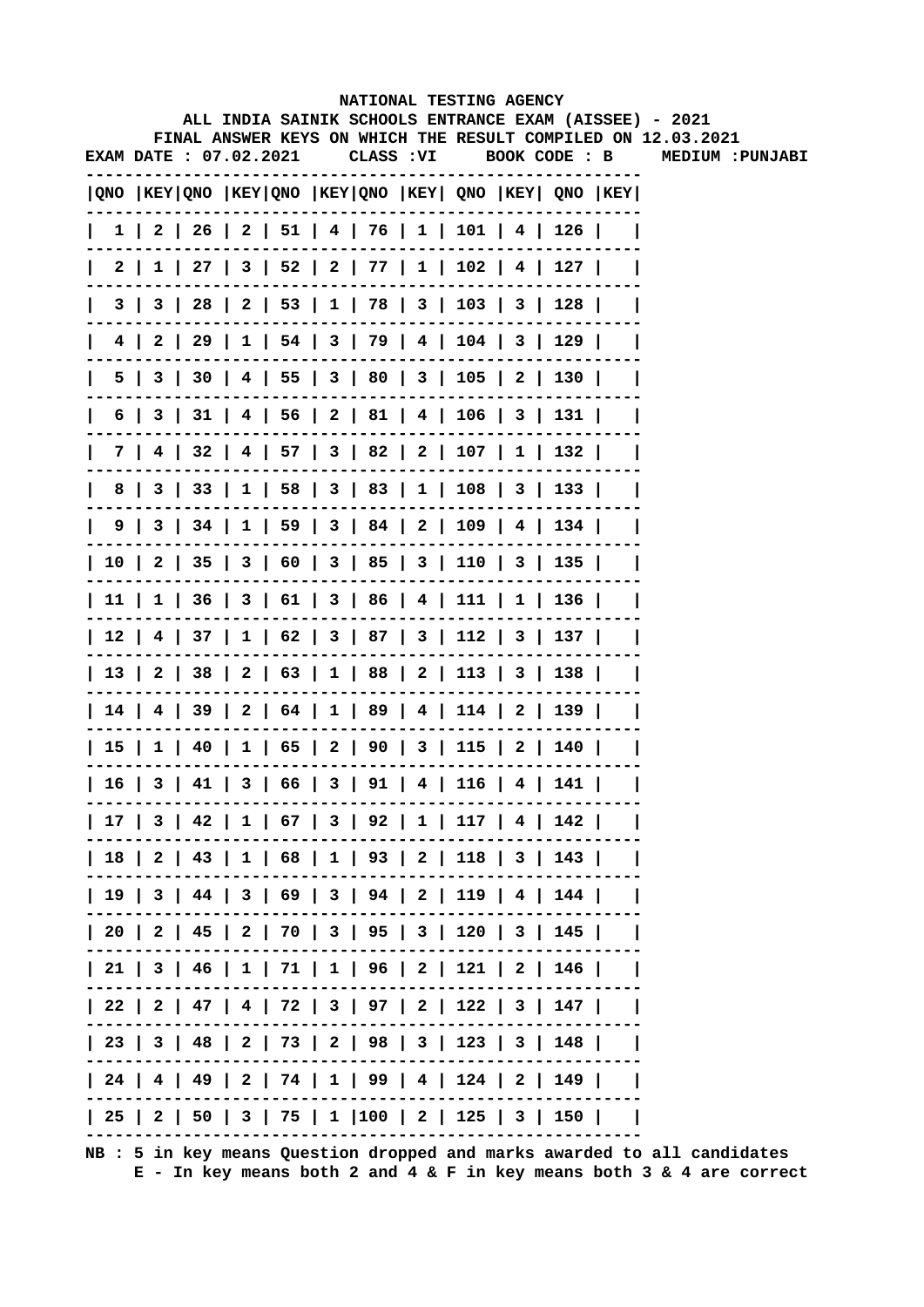|      |     |                               |  |            | NATIONAL TESTING AGENCY                      |  |                                                                                       |                                                                                                                        |
|------|-----|-------------------------------|--|------------|----------------------------------------------|--|---------------------------------------------------------------------------------------|------------------------------------------------------------------------------------------------------------------------|
|      |     |                               |  |            |                                              |  |                                                                                       | ALL INDIA SAINIK SCHOOLS ENTRANCE EXAM (AISSEE) - 2021<br>FINAL ANSWER KEYS ON WHICH THE RESULT COMPILED ON 12.03.2021 |
|      |     | <b>EXAM DATE : 07.02.2021</b> |  | CLASS : VI |                                              |  | BOOK CODE : B                                                                         | MEDIUM : PUNJABI                                                                                                       |
|      |     |                               |  |            |                                              |  | $ QNO $ KEY $ QNO $ KEY $ QNO $ KEY $ QNO $ KEY $ QNO $ KEY $ QNO $ KEY $ QNO $ KEY   |                                                                                                                        |
|      |     |                               |  |            |                                              |  | $1 \mid 2 \mid 26 \mid 2 \mid 51 \mid 4 \mid 76 \mid 1 \mid 101 \mid 4 \mid 126 \mid$ |                                                                                                                        |
| 2 I  |     |                               |  |            |                                              |  | $1$   27   3   52   2   77   1   102   4   127                                        |                                                                                                                        |
| 31   | 3 I |                               |  |            |                                              |  | 28   2   53   1   78   3   103   3   128                                              |                                                                                                                        |
| 4 I  | 2   |                               |  |            |                                              |  | 29   1   54   3   79   4   104   3   129                                              |                                                                                                                        |
| 5.   | 3   |                               |  |            |                                              |  | 30   4   55   3   80   3   105   2   130                                              |                                                                                                                        |
| 6    | 3   |                               |  |            |                                              |  | $31$   4   56   2   81   4   106   3   131                                            |                                                                                                                        |
| 7 I  |     |                               |  |            |                                              |  | 4   32   4   57   3   82   2   107   1   132                                          |                                                                                                                        |
| 8    |     |                               |  |            |                                              |  | 3   33   1   58   3   83   1   108   3   133                                          |                                                                                                                        |
| 9    |     |                               |  |            |                                              |  | 3   34   1   59   3   84   2   109   4   134                                          |                                                                                                                        |
|      |     |                               |  |            |                                              |  | 10   2   35   3   60   3   85   3   110   3   135                                     |                                                                                                                        |
|      |     |                               |  |            |                                              |  | 11   1   36   3   61   3   86   4   111   1   136                                     |                                                                                                                        |
|      |     |                               |  |            |                                              |  | 12   4   37   1   62   3   87   3   112   3   137                                     |                                                                                                                        |
|      |     |                               |  |            |                                              |  | 13   2   38   2   63   1   88   2   113   3   138                                     |                                                                                                                        |
|      |     |                               |  |            |                                              |  | 14   4   39   2   64   1   89   4   114   2   139                                     |                                                                                                                        |
|      |     |                               |  |            |                                              |  | 15   1   40   1   65   2   90   3   115   2   140                                     |                                                                                                                        |
| 16 I |     |                               |  |            | 3   41   3   66   3   91   4   116   4   141 |  |                                                                                       |                                                                                                                        |
|      |     |                               |  |            |                                              |  | 17   3   42   1   67   3   92   1   117   4   142                                     |                                                                                                                        |
|      |     |                               |  |            |                                              |  | 18   2   43   1   68   1   93   2   118   3   143                                     |                                                                                                                        |
|      |     |                               |  |            |                                              |  | 19   3   44   3   69   3   94   2   119   4   144                                     |                                                                                                                        |
|      |     |                               |  |            |                                              |  | 20   2   45   2   70   3   95   3   120   3   145                                     |                                                                                                                        |
|      |     |                               |  |            |                                              |  | 21   3   46   1   71   1   96   2   121   2   146                                     |                                                                                                                        |
|      |     |                               |  |            |                                              |  | 22   2   47   4   72   3   97   2   122   3   147                                     |                                                                                                                        |
|      |     |                               |  |            |                                              |  | 23   3   48   2   73   2   98   3   123   3   148                                     |                                                                                                                        |
|      |     |                               |  |            |                                              |  | 24   4   49   2   74   1   99   4   124   2   149                                     |                                                                                                                        |
|      |     |                               |  |            |                                              |  | 25   2   50   3   75   1  100   2   125   3   150                                     |                                                                                                                        |
|      |     |                               |  |            |                                              |  |                                                                                       |                                                                                                                        |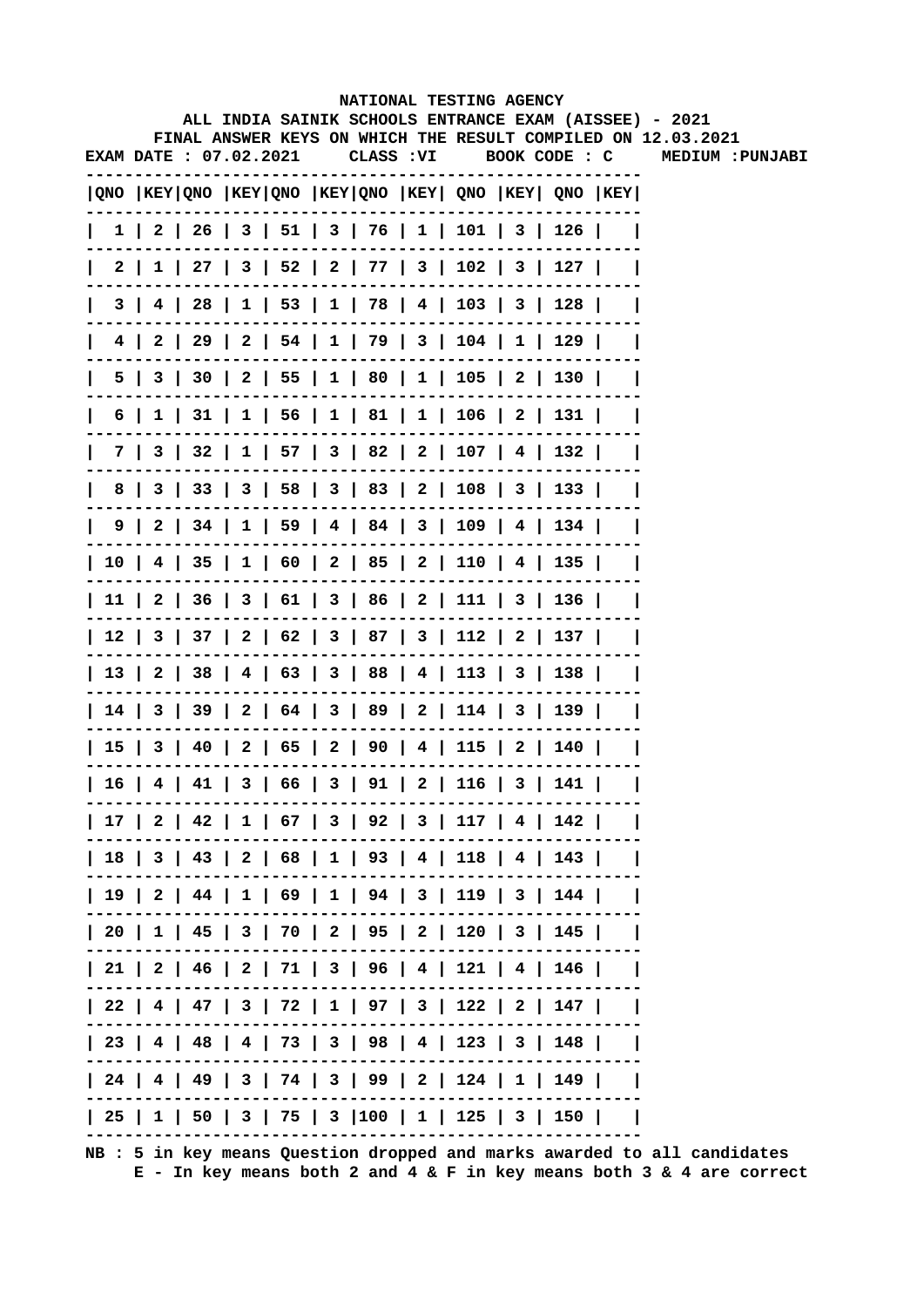|              |                        |  |            |  | NATIONAL TESTING AGENCY                                                               |  |                                                                                                                        |
|--------------|------------------------|--|------------|--|---------------------------------------------------------------------------------------|--|------------------------------------------------------------------------------------------------------------------------|
|              |                        |  |            |  |                                                                                       |  | ALL INDIA SAINIK SCHOOLS ENTRANCE EXAM (AISSEE) - 2021<br>FINAL ANSWER KEYS ON WHICH THE RESULT COMPILED ON 12.03.2021 |
|              | EXAM DATE : 07.02.2021 |  | CLASS : VI |  | BOOK CODE : C                                                                         |  | MEDIUM : PUNJABI                                                                                                       |
|              |                        |  |            |  |                                                                                       |  |                                                                                                                        |
|              |                        |  |            |  | QNO  KEY QNO  KEY QNO  KEY QNO  KEY  QNO  KEY  QNO  KEY                               |  |                                                                                                                        |
| $\mathbf{L}$ |                        |  |            |  | $1 \mid 2 \mid 26 \mid 3 \mid 51 \mid 3 \mid 76 \mid 1 \mid 101 \mid 3 \mid 126 \mid$ |  |                                                                                                                        |
|              |                        |  |            |  | 2   1   27   3   52   2   77   3   102   3   127                                      |  |                                                                                                                        |
|              |                        |  |            |  | 3   4   28   1   53   1   78   4   103   3   128                                      |  |                                                                                                                        |
|              |                        |  |            |  | 4   2   29   2   54   1   79   3   104   1   129                                      |  |                                                                                                                        |
|              |                        |  |            |  | 5   3   30   2   55   1   80   1   105   2   130                                      |  |                                                                                                                        |
| 6            |                        |  |            |  | 1   31   1   56   1   81   1   106   2   131                                          |  |                                                                                                                        |
|              |                        |  |            |  | 7   3   32   1   57   3   82   2   107   4   132                                      |  |                                                                                                                        |
| 8            |                        |  |            |  | 3   33   3   58   3   83   2   108   3   133                                          |  |                                                                                                                        |
|              |                        |  |            |  | $9 \mid 2 \mid 34 \mid 1 \mid 59 \mid 4 \mid 84 \mid 3 \mid 109 \mid 4 \mid 134 \mid$ |  |                                                                                                                        |
|              |                        |  |            |  | 10   4   35   1   60   2   85   2   110   4   135                                     |  |                                                                                                                        |
|              |                        |  |            |  | 11   2   36   3   61   3   86   2   111   3   136                                     |  |                                                                                                                        |
|              |                        |  |            |  | 12   3   37   2   62   3   87   3   112   2   137                                     |  |                                                                                                                        |
|              |                        |  |            |  | 13   2   38   4   63   3   88   4   113   3   138                                     |  |                                                                                                                        |
|              |                        |  |            |  | 14   3   39   2   64   3   89   2   114   3   139                                     |  |                                                                                                                        |
|              |                        |  |            |  | 15   3   40   2   65   2   90   4   115   2   140                                     |  |                                                                                                                        |
|              |                        |  |            |  | 16   4   41   3   66   3   91   2   116   3   141                                     |  |                                                                                                                        |
|              |                        |  |            |  | 17   2   42   1   67   3   92   3   117   4   142                                     |  |                                                                                                                        |
|              |                        |  |            |  | 18   3   43   2   68   1   93   4   118   4   143                                     |  |                                                                                                                        |
|              |                        |  |            |  | 19   2   44   1   69   1   94   3   119   3   144                                     |  |                                                                                                                        |
|              |                        |  |            |  | 20   1   45   3   70   2   95   2   120   3   145                                     |  |                                                                                                                        |
|              |                        |  |            |  | 21   2   46   2   71   3   96   4   121   4   146                                     |  |                                                                                                                        |
|              |                        |  |            |  | 22   4   47   3   72   1   97   3   122   2   147                                     |  |                                                                                                                        |
|              |                        |  |            |  | 23   4   48   4   73   3   98   4   123   3   148                                     |  |                                                                                                                        |
|              |                        |  |            |  | 24   4   49   3   74   3   99   2   124   1   149                                     |  |                                                                                                                        |
|              |                        |  |            |  | 25   1   50   3   75   3  100   1   125   3   150                                     |  |                                                                                                                        |
|              |                        |  |            |  |                                                                                       |  |                                                                                                                        |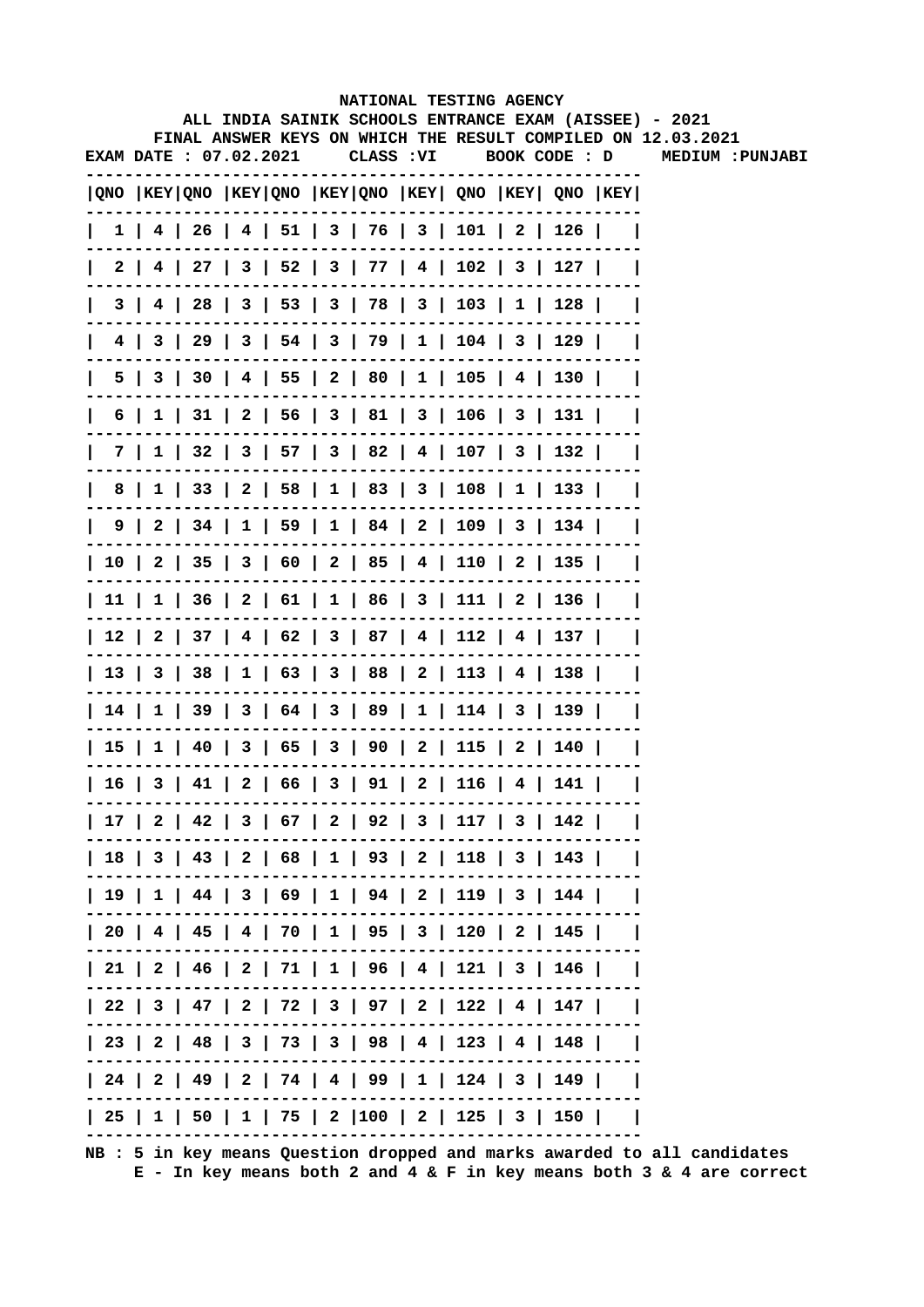|                       |                 |  |  |            |  | NATIONAL TESTING AGENCY                      |                                                                                     |                                                                                                                        |
|-----------------------|-----------------|--|--|------------|--|----------------------------------------------|-------------------------------------------------------------------------------------|------------------------------------------------------------------------------------------------------------------------|
|                       |                 |  |  |            |  |                                              |                                                                                     | ALL INDIA SAINIK SCHOOLS ENTRANCE EXAM (AISSEE) - 2021<br>FINAL ANSWER KEYS ON WHICH THE RESULT COMPILED ON 12.03.2021 |
| EXAM DATE: 07.02.2021 |                 |  |  | CLASS : VI |  |                                              | BOOK CODE : D                                                                       | MEDIUM : PUNJABI                                                                                                       |
|                       |                 |  |  |            |  |                                              | $ QNO $ KEY $ QNO $ KEY $ QNO $ KEY $ QNO $ KEY $ QNO $ KEY $ QNO $ KEY $ QNO $ KEY |                                                                                                                        |
|                       |                 |  |  |            |  |                                              | $1$   4   26   4   51   3   76   3   101   2   126                                  |                                                                                                                        |
| 2 I                   |                 |  |  |            |  |                                              | 4   27   3   52   3   77   4   102   3   127                                        |                                                                                                                        |
| 3                     |                 |  |  |            |  | 4   28   3   53   3   78   3   103   1   128 |                                                                                     |                                                                                                                        |
| 4 I                   |                 |  |  |            |  |                                              | 3   29   3   54   3   79   1   104   3   129                                        |                                                                                                                        |
|                       |                 |  |  |            |  |                                              | 5   3   30   4   55   2   80   1   105   4   130                                    |                                                                                                                        |
|                       | 6  <br>$1 \mid$ |  |  |            |  |                                              | $31 \mid 2 \mid 56 \mid 3 \mid 81 \mid 3 \mid 106 \mid 3 \mid 131 \mid$             |                                                                                                                        |
|                       |                 |  |  |            |  |                                              | 7   1   32   3   57   3   82   4   107   3   132                                    |                                                                                                                        |
| 8                     |                 |  |  |            |  |                                              | 1   33   2   58   1   83   3   108   1   133                                        |                                                                                                                        |
| 9                     |                 |  |  |            |  |                                              | 2   34   1   59   1   84   2   109   3   134                                        |                                                                                                                        |
|                       |                 |  |  |            |  |                                              | 10   2   35   3   60   2   85   4   110   2   135                                   |                                                                                                                        |
|                       |                 |  |  |            |  |                                              | 11   1   36   2   61   1   86   3   111   2   136                                   |                                                                                                                        |
|                       |                 |  |  |            |  |                                              | 12   2   37   4   62   3   87   4   112   4   137                                   |                                                                                                                        |
|                       |                 |  |  |            |  |                                              | 13   3   38   1   63   3   88   2   113   4   138                                   |                                                                                                                        |
|                       |                 |  |  |            |  |                                              | 14   1   39   3   64   3   89   1   114   3   139                                   |                                                                                                                        |
|                       |                 |  |  |            |  |                                              | 15   1   40   3   65   3   90   2   115   2   140                                   |                                                                                                                        |
| 16 I                  |                 |  |  |            |  | 3   41   2   66   3   91   2   116   4   141 |                                                                                     |                                                                                                                        |
|                       |                 |  |  |            |  |                                              | 17   2   42   3   67   2   92   3   117   3   142                                   |                                                                                                                        |
|                       |                 |  |  |            |  |                                              | 18   3   43   2   68   1   93   2   118   3   143                                   |                                                                                                                        |
|                       |                 |  |  |            |  |                                              | 19   1   44   3   69   1   94   2   119   3   144                                   |                                                                                                                        |
|                       |                 |  |  |            |  |                                              | 20   4   45   4   70   1   95   3   120   2   145                                   |                                                                                                                        |
|                       |                 |  |  |            |  |                                              | 21   2   46   2   71   1   96   4   121   3   146                                   |                                                                                                                        |
|                       |                 |  |  |            |  |                                              | 22   3   47   2   72   3   97   2   122   4   147                                   |                                                                                                                        |
|                       |                 |  |  |            |  |                                              | 23   2   48   3   73   3   98   4   123   4   148                                   |                                                                                                                        |
|                       |                 |  |  |            |  |                                              | 24   2   49   2   74   4   99   1   124   3   149                                   |                                                                                                                        |
|                       |                 |  |  |            |  |                                              | 25   1   50   1   75   2  100   2   125   3   150                                   |                                                                                                                        |
|                       |                 |  |  |            |  |                                              |                                                                                     |                                                                                                                        |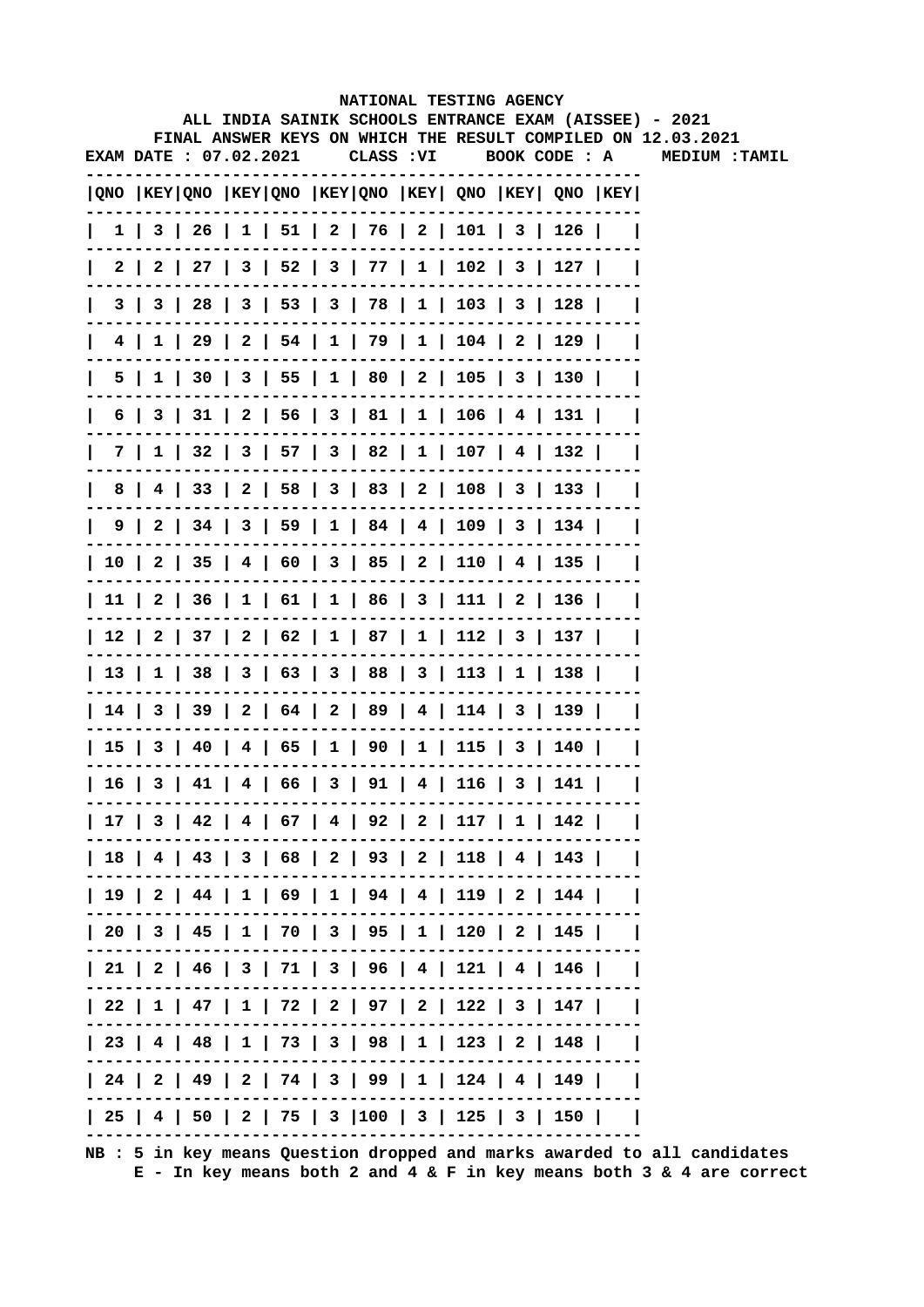|                       |  |  |  | NATIONAL TESTING AGENCY                                 |  |                                                                                                                        |  |
|-----------------------|--|--|--|---------------------------------------------------------|--|------------------------------------------------------------------------------------------------------------------------|--|
|                       |  |  |  |                                                         |  | ALL INDIA SAINIK SCHOOLS ENTRANCE EXAM (AISSEE) - 2021<br>FINAL ANSWER KEYS ON WHICH THE RESULT COMPILED ON 12.03.2021 |  |
| EXAM DATE: 07.02.2021 |  |  |  |                                                         |  | CLASS :VI        BOOK CODE :  A          MEDIUM  : TAMIL                                                               |  |
|                       |  |  |  | QNO  KEY QNO  KEY QNO  KEY QNO  KEY  QNO  KEY  QNO  KEY |  |                                                                                                                        |  |
|                       |  |  |  | 1   3   26   1   51   2   76   2   101   3   126        |  |                                                                                                                        |  |
| 2 I                   |  |  |  | 2   27   3   52   3   77   1   102   3   127            |  |                                                                                                                        |  |
|                       |  |  |  | 3   3   28   3   53   3   78   1   103   3   128        |  |                                                                                                                        |  |
|                       |  |  |  | 4   1   29   2   54   1   79   1   104   2   129        |  |                                                                                                                        |  |
|                       |  |  |  | 5   1   30   3   55   1   80   2   105   3   130        |  |                                                                                                                        |  |
|                       |  |  |  | $6$   3   31   2   56   3   81   1   106   4   131      |  |                                                                                                                        |  |
|                       |  |  |  | 7   1   32   3   57   3   82   1   107   4   132        |  |                                                                                                                        |  |
|                       |  |  |  | 8   4   33   2   58   3   83   2   108   3   133        |  |                                                                                                                        |  |
|                       |  |  |  | 9   2   34   3   59   1   84   4   109   3   134        |  |                                                                                                                        |  |
|                       |  |  |  | 10   2   35   4   60   3   85   2   110   4   135       |  |                                                                                                                        |  |
|                       |  |  |  | 11   2   36   1   61   1   86   3   111   2   136       |  |                                                                                                                        |  |
|                       |  |  |  | 12   2   37   2   62   1   87   1   112   3   137       |  |                                                                                                                        |  |
|                       |  |  |  | 13   1   38   3   63   3   88   3   113   1   138       |  |                                                                                                                        |  |
|                       |  |  |  | 14   3   39   2   64   2   89   4   114   3   139       |  |                                                                                                                        |  |
|                       |  |  |  | 15   3   40   4   65   1   90   1   115   3   140       |  |                                                                                                                        |  |
|                       |  |  |  | 16   3   41   4   66   3   91   4   116   3   141       |  |                                                                                                                        |  |
|                       |  |  |  | 17   3   42   4   67   4   92   2   117   1   142       |  |                                                                                                                        |  |
|                       |  |  |  | 18   4   43   3   68   2   93   2   118   4   143       |  |                                                                                                                        |  |
|                       |  |  |  | 19   2   44   1   69   1   94   4   119   2   144       |  |                                                                                                                        |  |
|                       |  |  |  | 20   3   45   1   70   3   95   1   120   2   145       |  |                                                                                                                        |  |
|                       |  |  |  | 21   2   46   3   71   3   96   4   121   4   146       |  |                                                                                                                        |  |
|                       |  |  |  | 22   1   47   1   72   2   97   2   122   3   147       |  |                                                                                                                        |  |
|                       |  |  |  | 23   4   48   1   73   3   98   1   123   2   148       |  |                                                                                                                        |  |
|                       |  |  |  | 24   2   49   2   74   3   99   1   124   4   149       |  |                                                                                                                        |  |
|                       |  |  |  | 25   4   50   2   75   3  100   3   125   3   150       |  |                                                                                                                        |  |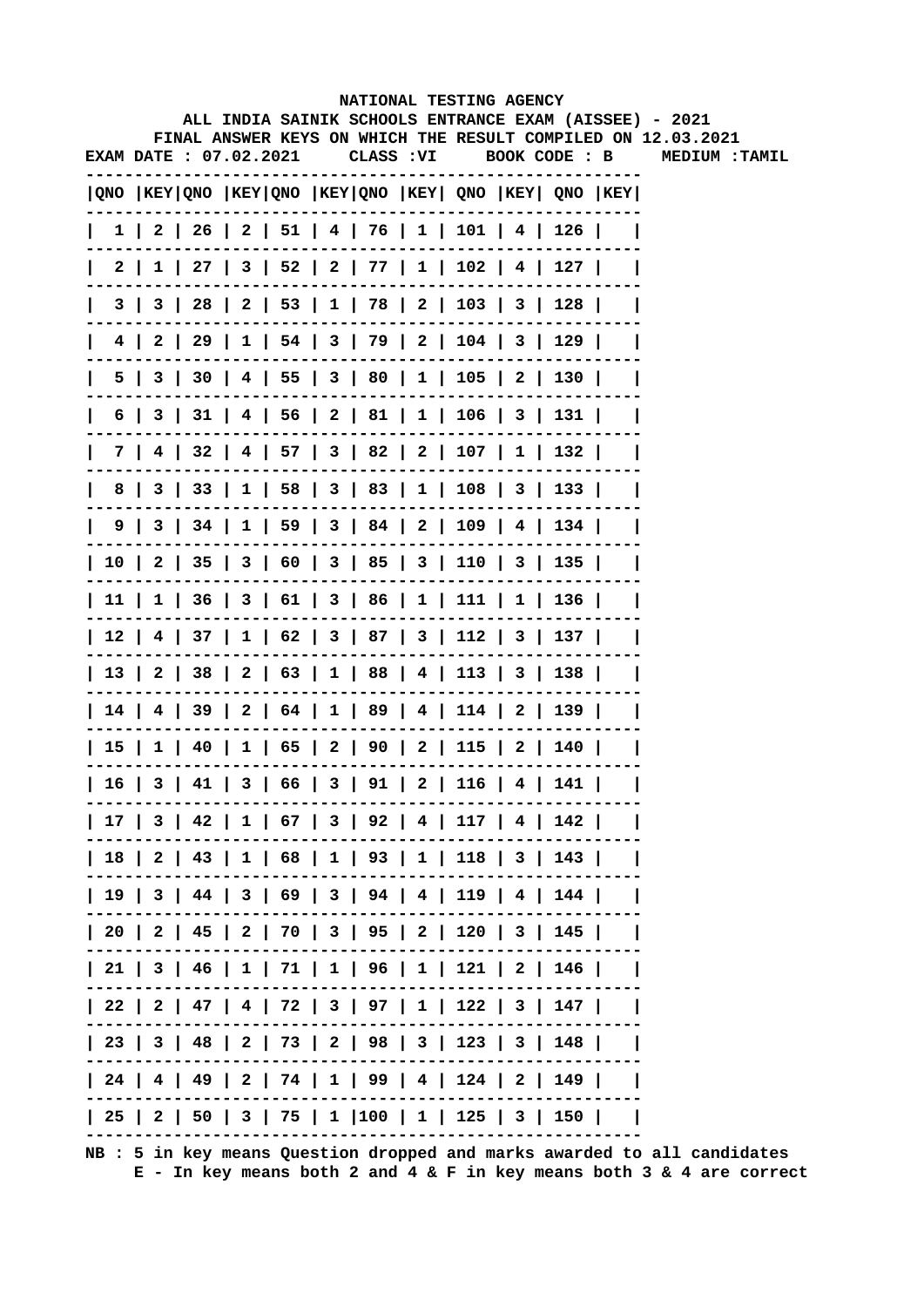|   |                        |  |  |  | NATIONAL TESTING AGENCY                                                                |  |                                                                                                                        |
|---|------------------------|--|--|--|----------------------------------------------------------------------------------------|--|------------------------------------------------------------------------------------------------------------------------|
|   |                        |  |  |  |                                                                                        |  | ALL INDIA SAINIK SCHOOLS ENTRANCE EXAM (AISSEE) - 2021<br>FINAL ANSWER KEYS ON WHICH THE RESULT COMPILED ON 12.03.2021 |
|   | EXAM DATE : 07.02.2021 |  |  |  |                                                                                        |  | CLASS: VI BOOK CODE: B MEDIUM: TAMIL                                                                                   |
|   |                        |  |  |  | QNO  KEY QNO  KEY QNO  KEY QNO  KEY  QNO  KEY  QNO  KEY                                |  |                                                                                                                        |
|   |                        |  |  |  | $1 \mid 2 \mid 26 \mid 2 \mid 51 \mid 4 \mid 76 \mid 1 \mid 101 \mid 4 \mid 126 \mid$  |  |                                                                                                                        |
|   | 2 I                    |  |  |  | $1 \mid 27 \mid 3 \mid 52 \mid 2 \mid 77 \mid 1 \mid 102 \mid 4 \mid 127 \mid$         |  |                                                                                                                        |
|   | 3                      |  |  |  | 3   28   2   53   1   78   2   103   3   128                                           |  |                                                                                                                        |
| 4 |                        |  |  |  | 2   29   1   54   3   79   2   104   3   129                                           |  |                                                                                                                        |
|   | 5                      |  |  |  | 3   30   4   55   3   80   1   105   2   130                                           |  |                                                                                                                        |
| 6 |                        |  |  |  | 3   31   4   56   2   81   1   106   3   131                                           |  |                                                                                                                        |
|   |                        |  |  |  | 7   4   32   4   57   3   82   2   107   1   132                                       |  |                                                                                                                        |
| 8 |                        |  |  |  | 3   33   1   58   3   83   1   108   3   133                                           |  |                                                                                                                        |
|   |                        |  |  |  | 9   3   34   1   59   3   84   2   109   4   134                                       |  |                                                                                                                        |
|   |                        |  |  |  | 10   2   35   3   60   3   85   3   110   3   135                                      |  |                                                                                                                        |
|   |                        |  |  |  | $11 \mid 1 \mid 36 \mid 3 \mid 61 \mid 3 \mid 86 \mid 1 \mid 111 \mid 1 \mid 136 \mid$ |  |                                                                                                                        |
|   |                        |  |  |  | $12$   4   37   1   62   3   87   3   112   3   137                                    |  |                                                                                                                        |
|   |                        |  |  |  | 13   2   38   2   63   1   88   4   113   3   138                                      |  |                                                                                                                        |
|   |                        |  |  |  | 14   4   39   2   64   1   89   4   114   2   139                                      |  |                                                                                                                        |
|   |                        |  |  |  | 15   1   40   1   65   2   90   2   115   2   140                                      |  |                                                                                                                        |
|   |                        |  |  |  | $16$   3   41   3   66   3   91   2   116   4   141                                    |  |                                                                                                                        |
|   |                        |  |  |  | 17   3   42   1   67   3   92   4   117   4   142                                      |  |                                                                                                                        |
|   |                        |  |  |  | 18   2   43   1   68   1   93   1   118   3   143                                      |  |                                                                                                                        |
|   |                        |  |  |  | 19   3   44   3   69   3   94   4   119   4   144                                      |  |                                                                                                                        |
|   |                        |  |  |  | 20   2   45   2   70   3   95   2   120   3   145                                      |  |                                                                                                                        |
|   |                        |  |  |  | 21   3   46   1   71   1   96   1   121   2   146                                      |  |                                                                                                                        |
|   |                        |  |  |  | 22   2   47   4   72   3   97   1   122   3   147                                      |  |                                                                                                                        |
|   |                        |  |  |  | 23   3   48   2   73   2   98   3   123   3   148                                      |  |                                                                                                                        |
|   |                        |  |  |  | 24   4   49   2   74   1   99   4   124   2   149                                      |  |                                                                                                                        |
|   |                        |  |  |  | 25   2   50   3   75   1  100   1   125   3   150                                      |  |                                                                                                                        |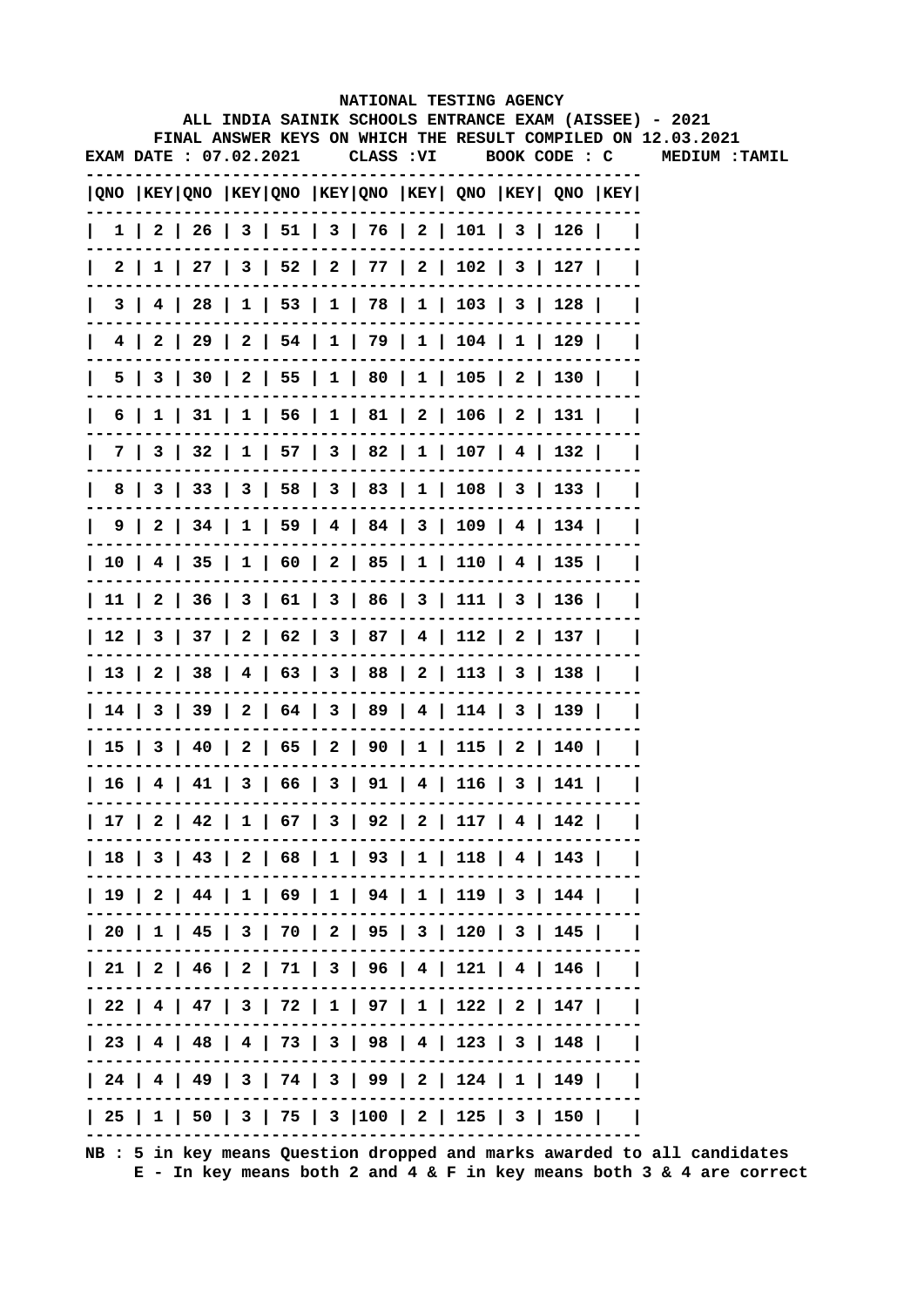|                        |  |  |  |  |  |  | NATIONAL TESTING AGENCY<br>ALL INDIA SAINIK SCHOOLS ENTRANCE EXAM (AISSEE) - 2021<br>FINAL ANSWER KEYS ON WHICH THE RESULT COMPILED ON 12.03.2021 |  |  |  |                       |  |
|------------------------|--|--|--|--|--|--|---------------------------------------------------------------------------------------------------------------------------------------------------|--|--|--|-----------------------|--|
| EXAM DATE : 07.02.2021 |  |  |  |  |  |  | CLASS: VI BOOK CODE: C                                                                                                                            |  |  |  | <b>MEDIUM : TAMIL</b> |  |
|                        |  |  |  |  |  |  | QNO  KEY QNO  KEY QNO  KEY QNO  KEY  QNO  KEY  QNO  KEY                                                                                           |  |  |  |                       |  |
|                        |  |  |  |  |  |  | $  1   2   26   3   51   3   76   2   101   3   126  $                                                                                            |  |  |  |                       |  |
|                        |  |  |  |  |  |  | 2   1   27   3   52   2   77   2   102   3   127                                                                                                  |  |  |  |                       |  |
| $\mathbf{I}$           |  |  |  |  |  |  | $3   4   28   1   53   1   78   1   103   3   128  $                                                                                              |  |  |  |                       |  |
|                        |  |  |  |  |  |  | 4   2   29   2   54   1   79   1   104   1   129                                                                                                  |  |  |  |                       |  |
|                        |  |  |  |  |  |  | 5   3   30   2   55   1   80   1   105   2   130                                                                                                  |  |  |  |                       |  |
| $\mathbf{I}$           |  |  |  |  |  |  | 6   1   31   1   56   1   81   2   106   2   131                                                                                                  |  |  |  |                       |  |
|                        |  |  |  |  |  |  | 7   3   32   1   57   3   82   1   107   4   132                                                                                                  |  |  |  |                       |  |
|                        |  |  |  |  |  |  | 8   3   33   3   58   3   83   1   108   3   133                                                                                                  |  |  |  |                       |  |
|                        |  |  |  |  |  |  | 9   2   34   1   59   4   84   3   109   4   134                                                                                                  |  |  |  |                       |  |
|                        |  |  |  |  |  |  | 10   4   35   1   60   2   85   1   110   4   135                                                                                                 |  |  |  |                       |  |
|                        |  |  |  |  |  |  | 11   2   36   3   61   3   86   3   111   3   136                                                                                                 |  |  |  |                       |  |
|                        |  |  |  |  |  |  | 12   3   37   2   62   3   87   4   112   2   137                                                                                                 |  |  |  |                       |  |
|                        |  |  |  |  |  |  | 13   2   38   4   63   3   88   2   113   3   138                                                                                                 |  |  |  |                       |  |
|                        |  |  |  |  |  |  | 14   3   39   2   64   3   89   4   114   3   139                                                                                                 |  |  |  |                       |  |
|                        |  |  |  |  |  |  | 15   3   40   2   65   2   90   1   115   2   140                                                                                                 |  |  |  |                       |  |
|                        |  |  |  |  |  |  | $  16   4   41   3   66   3   91   4   116   3   141  $                                                                                           |  |  |  |                       |  |
|                        |  |  |  |  |  |  | 17   2   42   1   67   3   92   2   117   4   142                                                                                                 |  |  |  |                       |  |
|                        |  |  |  |  |  |  | 18   3   43   2   68   1   93   1   118   4   143                                                                                                 |  |  |  |                       |  |
|                        |  |  |  |  |  |  | 19   2   44   1   69   1   94   1   119   3   144                                                                                                 |  |  |  |                       |  |
|                        |  |  |  |  |  |  | 20   1   45   3   70   2   95   3   120   3   145                                                                                                 |  |  |  |                       |  |
|                        |  |  |  |  |  |  | 21   2   46   2   71   3   96   4   121   4   146                                                                                                 |  |  |  |                       |  |
|                        |  |  |  |  |  |  | 22   4   47   3   72   1   97   1   122   2   147                                                                                                 |  |  |  |                       |  |
|                        |  |  |  |  |  |  | 23   4   48   4   73   3   98   4   123   3   148                                                                                                 |  |  |  |                       |  |
|                        |  |  |  |  |  |  | 24   4   49   3   74   3   99   2   124   1   149                                                                                                 |  |  |  |                       |  |
|                        |  |  |  |  |  |  | 25   1   50   3   75   3   100   2   125   3   150                                                                                                |  |  |  |                       |  |
|                        |  |  |  |  |  |  |                                                                                                                                                   |  |  |  |                       |  |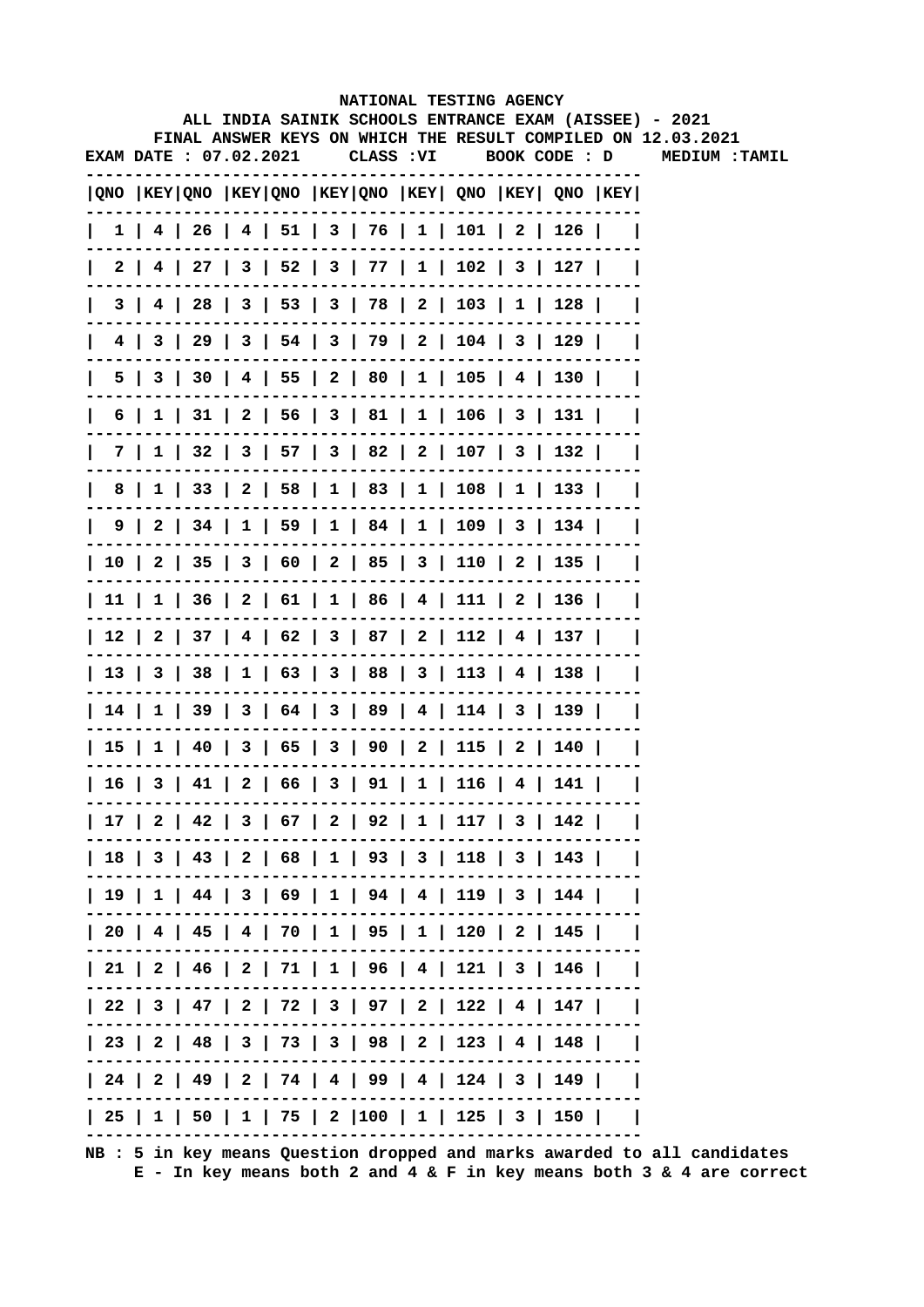|                        |  |  | NATIONAL TESTING AGENCY                                                             |  |  |                                                              |  |
|------------------------|--|--|-------------------------------------------------------------------------------------|--|--|--------------------------------------------------------------|--|
|                        |  |  | ALL INDIA SAINIK SCHOOLS ENTRANCE EXAM (AISSEE) - 2021                              |  |  | FINAL ANSWER KEYS ON WHICH THE RESULT COMPILED ON 12.03.2021 |  |
| EXAM DATE : 07.02.2021 |  |  |                                                                                     |  |  | CLASS: VI BOOK CODE: D MEDIUM: TAMIL                         |  |
|                        |  |  | $ QNO $ KEY $ QNO $ KEY $ QNO $ KEY $ QNO $ KEY $ QNO $ KEY $ QNO $ KEY $ QNO $ KEY |  |  |                                                              |  |
|                        |  |  | $1$   4   26   4   51   3   76   1   101   2   126                                  |  |  |                                                              |  |
|                        |  |  | 2   4   27   3   52   3   77   1   102   3   127                                    |  |  |                                                              |  |
| 3 I                    |  |  | 4   28   3   53   3   78   2   103   1   128                                        |  |  |                                                              |  |
|                        |  |  | 4   3   29   3   54   3   79   2   104   3   129                                    |  |  |                                                              |  |
|                        |  |  | 5   3   30   4   55   2   80   1   105   4   130                                    |  |  |                                                              |  |
|                        |  |  | $6$   1   31   2   56   3   81   1   106   3   131                                  |  |  |                                                              |  |
|                        |  |  | 7   1   32   3   57   3   82   2   107   3   132                                    |  |  |                                                              |  |
|                        |  |  | 8   1   33   2   58   1   83   1   108   1   133                                    |  |  |                                                              |  |
|                        |  |  | 9   2   34   1   59   1   84   1   109   3   134                                    |  |  |                                                              |  |
|                        |  |  | 10   2   35   3   60   2   85   3   110   2   135                                   |  |  |                                                              |  |
|                        |  |  | 11   1   36   2   61   1   86   4   111   2   136                                   |  |  |                                                              |  |
|                        |  |  | 12   2   37   4   62   3   87   2   112   4   137                                   |  |  |                                                              |  |
|                        |  |  | 13   3   38   1   63   3   88   3   113   4   138                                   |  |  |                                                              |  |
|                        |  |  | 14   1   39   3   64   3   89   4   114   3   139                                   |  |  |                                                              |  |
|                        |  |  | 15   1   40   3   65   3   90   2   115   2   140                                   |  |  |                                                              |  |
|                        |  |  | 16   3   41   2   66   3   91   1   116   4   141                                   |  |  |                                                              |  |
|                        |  |  | 17   2   42   3   67   2   92   1   117   3   142                                   |  |  |                                                              |  |
|                        |  |  | 18   3   43   2   68   1   93   3   118   3   143                                   |  |  |                                                              |  |
|                        |  |  | 19   1   44   3   69   1   94   4   119   3   144                                   |  |  |                                                              |  |
|                        |  |  | 20   4   45   4   70   1   95   1   120   2   145                                   |  |  |                                                              |  |
|                        |  |  | 21   2   46   2   71   1   96   4   121   3   146                                   |  |  |                                                              |  |
|                        |  |  | 22   3   47   2   72   3   97   2   122   4   147                                   |  |  |                                                              |  |
|                        |  |  | 23   2   48   3   73   3   98   2   123   4   148                                   |  |  |                                                              |  |
|                        |  |  | 24   2   49   2   74   4   99   4   124   3   149                                   |  |  |                                                              |  |
|                        |  |  | 25   1   50   1   75   2  100   1   125   3   150                                   |  |  |                                                              |  |
|                        |  |  |                                                                                     |  |  |                                                              |  |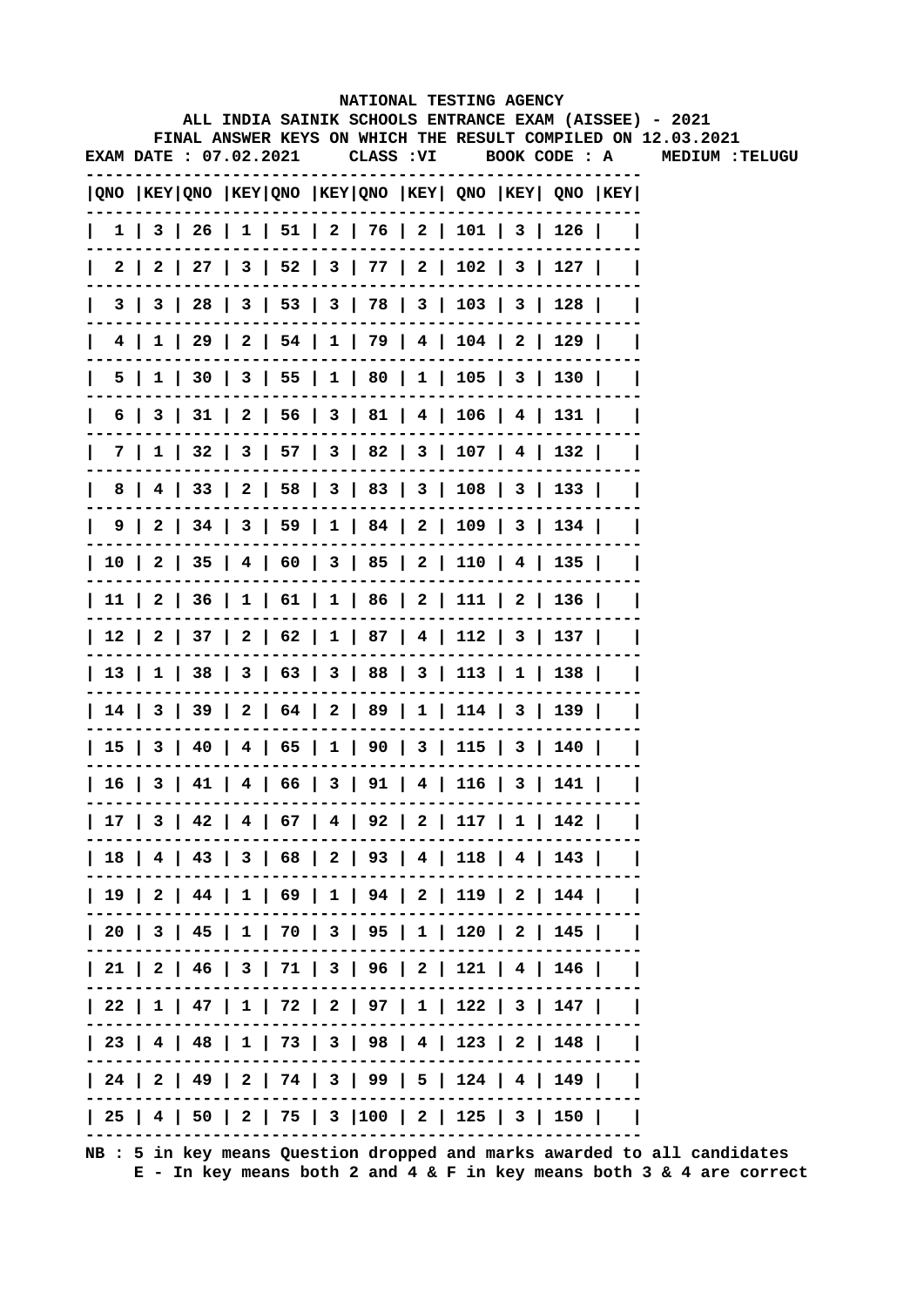|   |                        |  |  |            | NATIONAL TESTING AGENCY                                                               |  |                                                                                                                        |
|---|------------------------|--|--|------------|---------------------------------------------------------------------------------------|--|------------------------------------------------------------------------------------------------------------------------|
|   |                        |  |  |            |                                                                                       |  | ALL INDIA SAINIK SCHOOLS ENTRANCE EXAM (AISSEE) - 2021<br>FINAL ANSWER KEYS ON WHICH THE RESULT COMPILED ON 12.03.2021 |
|   | EXAM DATE : 07.02.2021 |  |  | CLASS : VI | BOOK CODE : A                                                                         |  | <b>MEDIUM :TELUGU</b>                                                                                                  |
|   |                        |  |  |            | $ QNO $ KEY $ QNO $ KEY $ QNO $ KEY $ QNO $ KEY $ QNO $ KEY $ QNO $ KEY $ QNO $ KEY   |  |                                                                                                                        |
|   |                        |  |  |            | $1 \mid 3 \mid 26 \mid 1 \mid 51 \mid 2 \mid 76 \mid 2 \mid 101 \mid 3 \mid 126 \mid$ |  |                                                                                                                        |
|   | 2 I                    |  |  |            | 2   27   3   52   3   77   2   102   3   127                                          |  |                                                                                                                        |
|   | 3 I<br>3               |  |  |            | 28   3   53   3   78   3   103   3   128                                              |  |                                                                                                                        |
|   | 4 I                    |  |  |            | $1 \mid 29 \mid 2 \mid 54 \mid 1 \mid 79 \mid 4 \mid 104 \mid 2 \mid 129 \mid$        |  |                                                                                                                        |
|   | 5                      |  |  |            | $1$   30   3   55   1   80   1   105   3   130                                        |  |                                                                                                                        |
| 6 |                        |  |  |            | 3   31   2   56   3   81   4   106   4   131                                          |  |                                                                                                                        |
|   | 7 I                    |  |  |            | $1 \mid 32 \mid 3 \mid 57 \mid 3 \mid 82 \mid 3 \mid 107 \mid 4 \mid 132 \mid$        |  |                                                                                                                        |
| 8 |                        |  |  |            | 4   33   2   58   3   83   3   108   3   133                                          |  |                                                                                                                        |
|   |                        |  |  |            | 9   2   34   3   59   1   84   2   109   3   134                                      |  |                                                                                                                        |
|   |                        |  |  |            | 10   2   35   4   60   3   85   2   110   4   135                                     |  |                                                                                                                        |
|   |                        |  |  |            | 11   2   36   1   61   1   86   2   111   2   136                                     |  |                                                                                                                        |
|   |                        |  |  |            | 12   2   37   2   62   1   87   4   112   3   137                                     |  |                                                                                                                        |
|   |                        |  |  |            | 13   1   38   3   63   3   88   3   113   1   138                                     |  |                                                                                                                        |
|   |                        |  |  |            | 14   3   39   2   64   2   89   1   114   3   139                                     |  |                                                                                                                        |
|   |                        |  |  |            | 15   3   40   4   65   1   90   3   115   3   140                                     |  |                                                                                                                        |
|   |                        |  |  |            | 16   3   41   4   66   3   91   4   116   3   141                                     |  |                                                                                                                        |
|   |                        |  |  |            | 17   3   42   4   67   4   92   2   117   1   142                                     |  |                                                                                                                        |
|   |                        |  |  |            | 18   4   43   3   68   2   93   4   118   4   143                                     |  |                                                                                                                        |
|   |                        |  |  |            | 19   2   44   1   69   1   94   2   119   2   144                                     |  |                                                                                                                        |
|   |                        |  |  |            | 20   3   45   1   70   3   95   1   120   2   145                                     |  |                                                                                                                        |
|   |                        |  |  |            | 21   2   46   3   71   3   96   2   121   4   146                                     |  |                                                                                                                        |
|   |                        |  |  |            | 22   1   47   1   72   2   97   1   122   3   147                                     |  |                                                                                                                        |
|   |                        |  |  |            | 23   4   48   1   73   3   98   4   123   2   148                                     |  |                                                                                                                        |
|   |                        |  |  |            | 24   2   49   2   74   3   99   5   124   4   149                                     |  |                                                                                                                        |
|   |                        |  |  |            | 25   4   50   2   75   3  100   2   125   3   150                                     |  |                                                                                                                        |
|   |                        |  |  |            |                                                                                       |  |                                                                                                                        |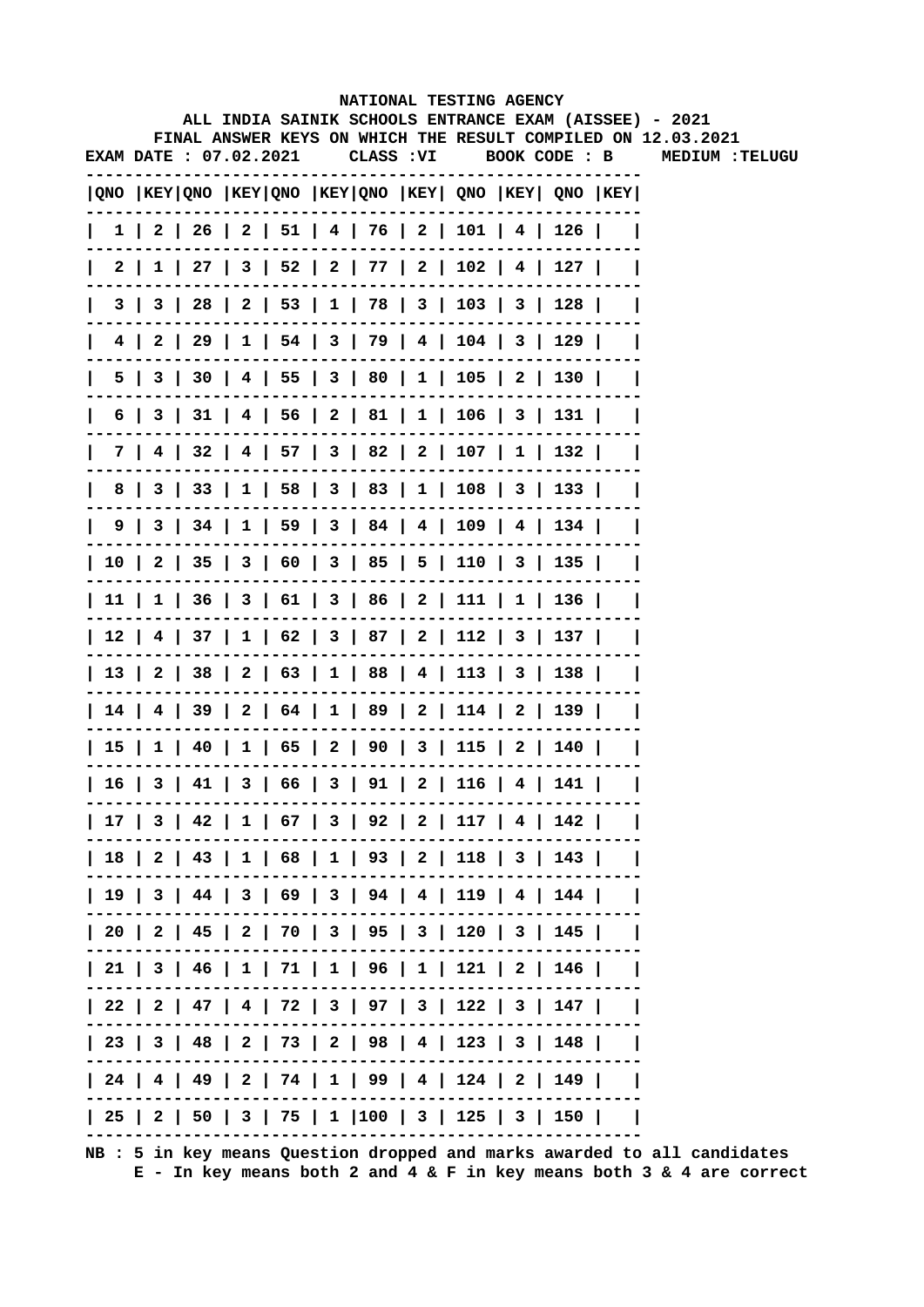|                        |  |  |            |  | NATIONAL TESTING AGENCY |                                                                                         | ALL INDIA SAINIK SCHOOLS ENTRANCE EXAM (AISSEE) - 2021       |
|------------------------|--|--|------------|--|-------------------------|-----------------------------------------------------------------------------------------|--------------------------------------------------------------|
|                        |  |  |            |  |                         |                                                                                         | FINAL ANSWER KEYS ON WHICH THE RESULT COMPILED ON 12.03.2021 |
| EXAM DATE : 07.02.2021 |  |  | CLASS : VI |  |                         | BOOK CODE : B                                                                           | <b>MEDIUM :TELUGU</b>                                        |
|                        |  |  |            |  |                         | $ QNO $ KEY $ QNO $ KEY $ QNO $ KEY $ QNO $ KEY $ QNO $ KEY $ QNO $ KEY $ QNO $ KEY $ $ |                                                              |
|                        |  |  |            |  |                         | $1 \mid 2 \mid 26 \mid 2 \mid 51 \mid 4 \mid 76 \mid 2 \mid 101 \mid 4 \mid 126 \mid$   |                                                              |
| 2                      |  |  |            |  |                         | $1 \mid 27 \mid 3 \mid 52 \mid 2 \mid 77 \mid 2 \mid 102 \mid 4 \mid 127 \mid$          |                                                              |
|                        |  |  |            |  |                         | 3   3   28   2   53   1   78   3   103   3   128                                        |                                                              |
|                        |  |  |            |  |                         | 4   2   29   1   54   3   79   4   104   3   129                                        |                                                              |
|                        |  |  |            |  |                         | 5   3   30   4   55   3   80   1   105   2   130                                        |                                                              |
|                        |  |  |            |  |                         | $6$   3   31   4   56   2   81   1   106   3   131                                      |                                                              |
|                        |  |  |            |  |                         | 7   4   32   4   57   3   82   2   107   1   132                                        |                                                              |
|                        |  |  |            |  |                         | 8   3   33   1   58   3   83   1   108   3   133                                        |                                                              |
|                        |  |  |            |  |                         | $9 \mid 3 \mid 34 \mid 1 \mid 59 \mid 3 \mid 84 \mid 4 \mid 109 \mid 4 \mid 134 \mid$   |                                                              |
|                        |  |  |            |  |                         | 10   2   35   3   60   3   85   5   110   3   135                                       |                                                              |
|                        |  |  |            |  |                         | 11   1   36   3   61   3   86   2   111   1   136                                       |                                                              |
|                        |  |  |            |  |                         | 12   4   37   1   62   3   87   2   112   3   137                                       |                                                              |
|                        |  |  |            |  |                         | 13   2   38   2   63   1   88   4   113   3   138                                       |                                                              |
|                        |  |  |            |  |                         | 14   4   39   2   64   1   89   2   114   2   139                                       |                                                              |
|                        |  |  |            |  |                         | 15   1   40   1   65   2   90   3   115   2   140                                       |                                                              |
|                        |  |  |            |  |                         | 16   3   41   3   66   3   91   2   116   4   141                                       |                                                              |
|                        |  |  |            |  |                         | 17   3   42   1   67   3   92   2   117   4   142                                       |                                                              |
|                        |  |  |            |  |                         | 18   2   43   1   68   1   93   2   118   3   143                                       |                                                              |
|                        |  |  |            |  |                         | 19   3   44   3   69   3   94   4   119   4   144                                       |                                                              |
|                        |  |  |            |  |                         | 20   2   45   2   70   3   95   3   120   3   145                                       |                                                              |
|                        |  |  |            |  |                         | 21   3   46   1   71   1   96   1   121   2   146                                       |                                                              |
|                        |  |  |            |  |                         | 22   2   47   4   72   3   97   3   122   3   147                                       |                                                              |
|                        |  |  |            |  |                         | 23   3   48   2   73   2   98   4   123   3   148                                       |                                                              |
|                        |  |  |            |  |                         | 24   4   49   2   74   1   99   4   124   2   149                                       |                                                              |
|                        |  |  |            |  |                         | 25   2   50   3   75   1  100   3   125   3   150                                       |                                                              |
|                        |  |  |            |  |                         |                                                                                         |                                                              |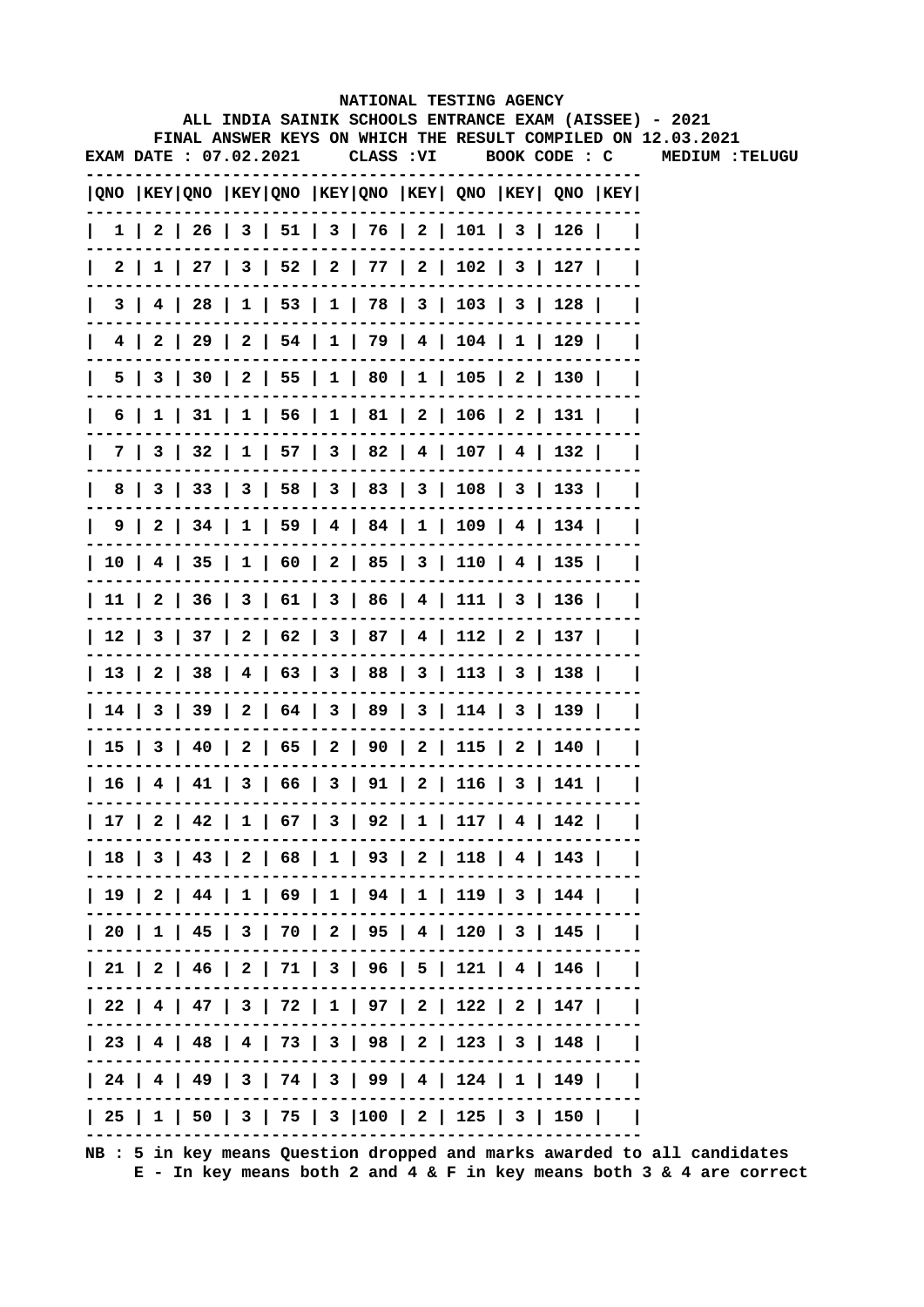|                        |  |  |            |  | NATIONAL TESTING AGENCY                                                                 |  | ALL INDIA SAINIK SCHOOLS ENTRANCE EXAM (AISSEE) - 2021       |
|------------------------|--|--|------------|--|-----------------------------------------------------------------------------------------|--|--------------------------------------------------------------|
|                        |  |  |            |  |                                                                                         |  | FINAL ANSWER KEYS ON WHICH THE RESULT COMPILED ON 12.03.2021 |
| EXAM DATE : 07.02.2021 |  |  | CLASS : VI |  | BOOK CODE : C                                                                           |  | <b>MEDIUM :TELUGU</b>                                        |
|                        |  |  |            |  | $ QNO $ KEY $ QNO $ KEY $ QNO $ KEY $ QNO $ KEY $ QNO $ KEY $ QNO $ KEY $ QNO $ KEY $ $ |  |                                                              |
|                        |  |  |            |  | $1 \mid 2 \mid 26 \mid 3 \mid 51 \mid 3 \mid 76 \mid 2 \mid 101 \mid 3 \mid 126 \mid$   |  |                                                              |
| 2                      |  |  |            |  | $1 \mid 27 \mid 3 \mid 52 \mid 2 \mid 77 \mid 2 \mid 102 \mid 3 \mid 127 \mid$          |  |                                                              |
| 3                      |  |  |            |  | 4   28   1   53   1   78   3   103   3   128                                            |  |                                                              |
|                        |  |  |            |  | 4   2   29   2   54   1   79   4   104   1   129                                        |  |                                                              |
|                        |  |  |            |  | 5   3   30   2   55   1   80   1   105   2   130                                        |  |                                                              |
| 6                      |  |  |            |  | $1 \mid 31 \mid 1 \mid 56 \mid 1 \mid 81 \mid 2 \mid 106 \mid 2 \mid 131 \mid$          |  |                                                              |
|                        |  |  |            |  | 7   3   32   1   57   3   82   4   107   4   132                                        |  |                                                              |
|                        |  |  |            |  | 8   3   33   3   58   3   83   3   108   3   133                                        |  |                                                              |
|                        |  |  |            |  | $9$   2   34   1   59   4   84   1   109   4   134                                      |  |                                                              |
|                        |  |  |            |  | 10   4   35   1   60   2   85   3   110   4   135                                       |  |                                                              |
|                        |  |  |            |  | 11   2   36   3   61   3   86   4   111   3   136                                       |  |                                                              |
|                        |  |  |            |  | 12   3   37   2   62   3   87   4   112   2   137                                       |  |                                                              |
|                        |  |  |            |  | 13   2   38   4   63   3   88   3   113   3   138                                       |  |                                                              |
|                        |  |  |            |  | 14   3   39   2   64   3   89   3   114   3   139                                       |  |                                                              |
|                        |  |  |            |  | 15   3   40   2   65   2   90   2   115   2   140                                       |  |                                                              |
|                        |  |  |            |  | 16   4   41   3   66   3   91   2   116   3   141                                       |  |                                                              |
|                        |  |  |            |  | 17   2   42   1   67   3   92   1   117   4   142                                       |  |                                                              |
|                        |  |  |            |  | 18   3   43   2   68   1   93   2   118   4   143                                       |  |                                                              |
|                        |  |  |            |  | 19   2   44   1   69   1   94   1   119   3   144                                       |  |                                                              |
|                        |  |  |            |  | 20   1   45   3   70   2   95   4   120   3   145                                       |  |                                                              |
|                        |  |  |            |  | 21   2   46   2   71   3   96   5   121   4   146                                       |  |                                                              |
|                        |  |  |            |  | 22   4   47   3   72   1   97   2   122   2   147                                       |  |                                                              |
|                        |  |  |            |  | 23   4   48   4   73   3   98   2   123   3   148                                       |  |                                                              |
|                        |  |  |            |  | 24   4   49   3   74   3   99   4   124   1   149                                       |  |                                                              |
|                        |  |  |            |  | 25   1   50   3   75   3  100   2   125   3   150                                       |  |                                                              |
|                        |  |  |            |  |                                                                                         |  |                                                              |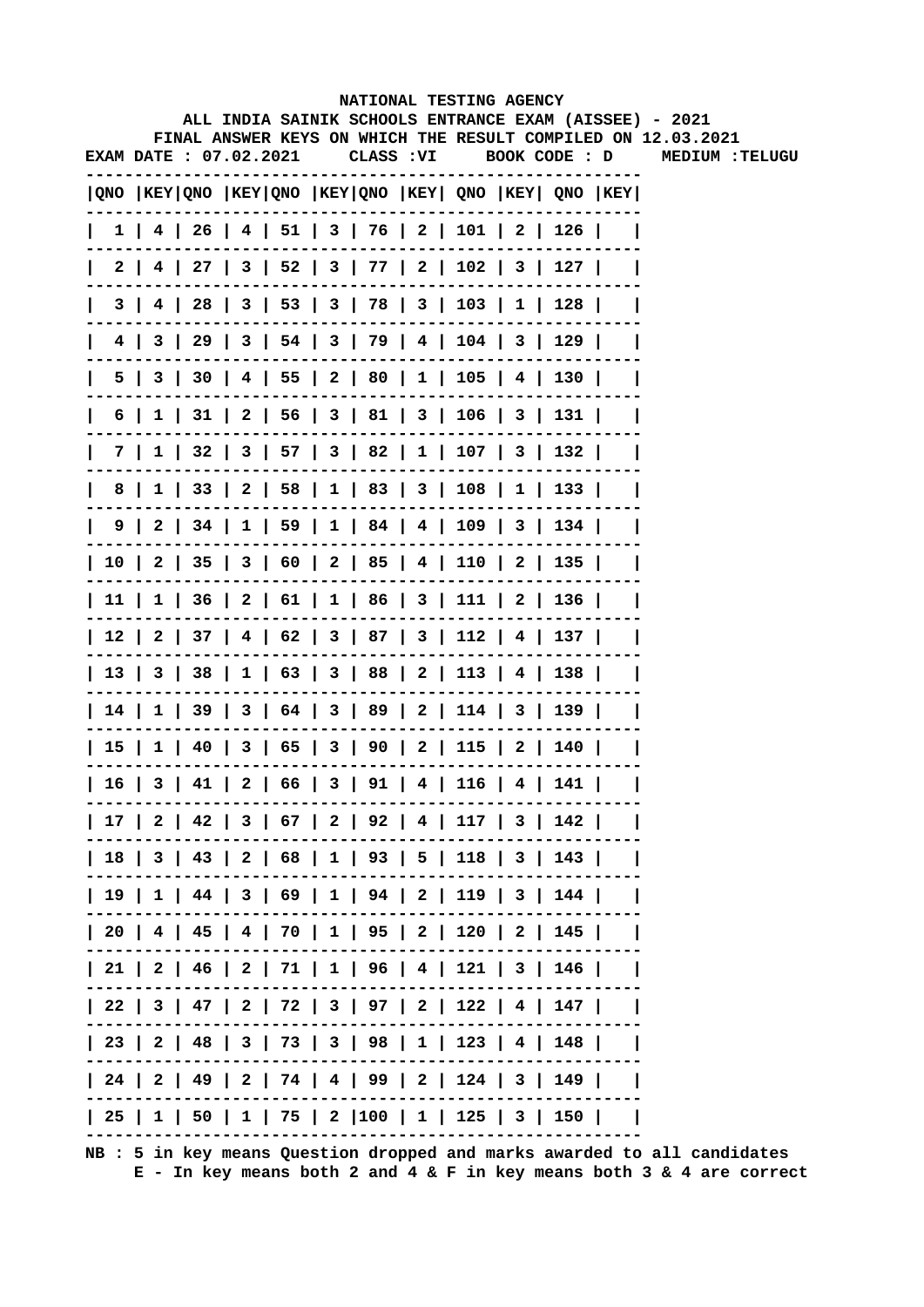|    |                        |  |  |            | NATIONAL TESTING AGENCY                                                   |  |                                                         |                |                                                                                                                        |
|----|------------------------|--|--|------------|---------------------------------------------------------------------------|--|---------------------------------------------------------|----------------|------------------------------------------------------------------------------------------------------------------------|
|    |                        |  |  |            |                                                                           |  |                                                         |                | ALL INDIA SAINIK SCHOOLS ENTRANCE EXAM (AISSEE) - 2021<br>FINAL ANSWER KEYS ON WHICH THE RESULT COMPILED ON 12.03.2021 |
|    | EXAM DATE : 07.02.2021 |  |  | CLASS : VI |                                                                           |  |                                                         |                | BOOK CODE : D MEDIUM : TELUGU                                                                                          |
|    |                        |  |  |            |                                                                           |  |                                                         |                |                                                                                                                        |
|    |                        |  |  |            |                                                                           |  | QNO  KEY QNO  KEY QNO  KEY QNO  KEY  QNO  KEY  QNO  KEY |                |                                                                                                                        |
|    |                        |  |  |            | $1$   4   26   4   51   3   76   2   101   2   126                        |  |                                                         | $\perp$        |                                                                                                                        |
|    |                        |  |  |            |                                                                           |  | 2   4   27   3   52   3   77   2   102   3   127        |                |                                                                                                                        |
|    |                        |  |  |            | 3   4   28   3   53   3   78   3   103   1   128                          |  |                                                         | $\blacksquare$ |                                                                                                                        |
|    |                        |  |  |            | 4   3   29   3   54   3   79   4   104   3   129                          |  |                                                         | - 1            |                                                                                                                        |
| 5. |                        |  |  |            | 3   30   4   55   2   80   1   105   4   130                              |  |                                                         |                |                                                                                                                        |
| 6  | 11                     |  |  |            | $31 \mid 2 \mid 56 \mid 3 \mid 81 \mid 3 \mid 106 \mid 3 \mid 131$        |  |                                                         |                |                                                                                                                        |
|    | 7 I                    |  |  |            | $1 \mid 32 \mid 3 \mid 57 \mid 3 \mid 82 \mid 1 \mid 107 \mid 3 \mid 132$ |  |                                                         |                |                                                                                                                        |
| 8  |                        |  |  |            | $1 \mid 33 \mid 2 \mid 58 \mid 1 \mid 83 \mid 3 \mid 108 \mid 1 \mid 133$ |  |                                                         |                |                                                                                                                        |
|    |                        |  |  |            |                                                                           |  | 9   2   34   1   59   1   84   4   109   3   134        |                |                                                                                                                        |
|    |                        |  |  |            |                                                                           |  | 10   2   35   3   60   2   85   4   110   2   135       |                |                                                                                                                        |
|    |                        |  |  |            |                                                                           |  | 11   1   36   2   61   1   86   3   111   2   136       |                |                                                                                                                        |
|    |                        |  |  |            |                                                                           |  | 12   2   37   4   62   3   87   3   112   4   137       |                |                                                                                                                        |
|    |                        |  |  |            |                                                                           |  | 13   3   38   1   63   3   88   2   113   4   138       |                |                                                                                                                        |
|    |                        |  |  |            |                                                                           |  | 14   1   39   3   64   3   89   2   114   3   139       |                |                                                                                                                        |
|    |                        |  |  |            |                                                                           |  | $1   40   3   65   3   90   2   115   2   140  $        |                |                                                                                                                        |
| 16 | 3                      |  |  |            | $41 \mid 2 \mid 66 \mid 3 \mid 91 \mid 4 \mid 116 \mid 4 \mid 141$        |  |                                                         |                |                                                                                                                        |
|    |                        |  |  |            |                                                                           |  | 17   2   42   3   67   2   92   4   117   3   142       |                |                                                                                                                        |
|    |                        |  |  |            |                                                                           |  | 18   3   43   2   68   1   93   5   118   3   143       |                |                                                                                                                        |
|    |                        |  |  |            |                                                                           |  | 19   1   44   3   69   1   94   2   119   3   144       |                |                                                                                                                        |
|    |                        |  |  |            |                                                                           |  | 20   4   45   4   70   1   95   2   120   2   145       |                |                                                                                                                        |
|    |                        |  |  |            |                                                                           |  | 21   2   46   2   71   1   96   4   121   3   146       |                |                                                                                                                        |
|    |                        |  |  |            |                                                                           |  | 22   3   47   2   72   3   97   2   122   4   147       |                |                                                                                                                        |
|    |                        |  |  |            |                                                                           |  | 23   2   48   3   73   3   98   1   123   4   148       |                |                                                                                                                        |
|    |                        |  |  |            |                                                                           |  | 24   2   49   2   74   4   99   2   124   3   149       |                |                                                                                                                        |
|    |                        |  |  |            |                                                                           |  | 25   1   50   1   75   2  100   1   125   3   150       |                |                                                                                                                        |
|    |                        |  |  |            |                                                                           |  |                                                         |                |                                                                                                                        |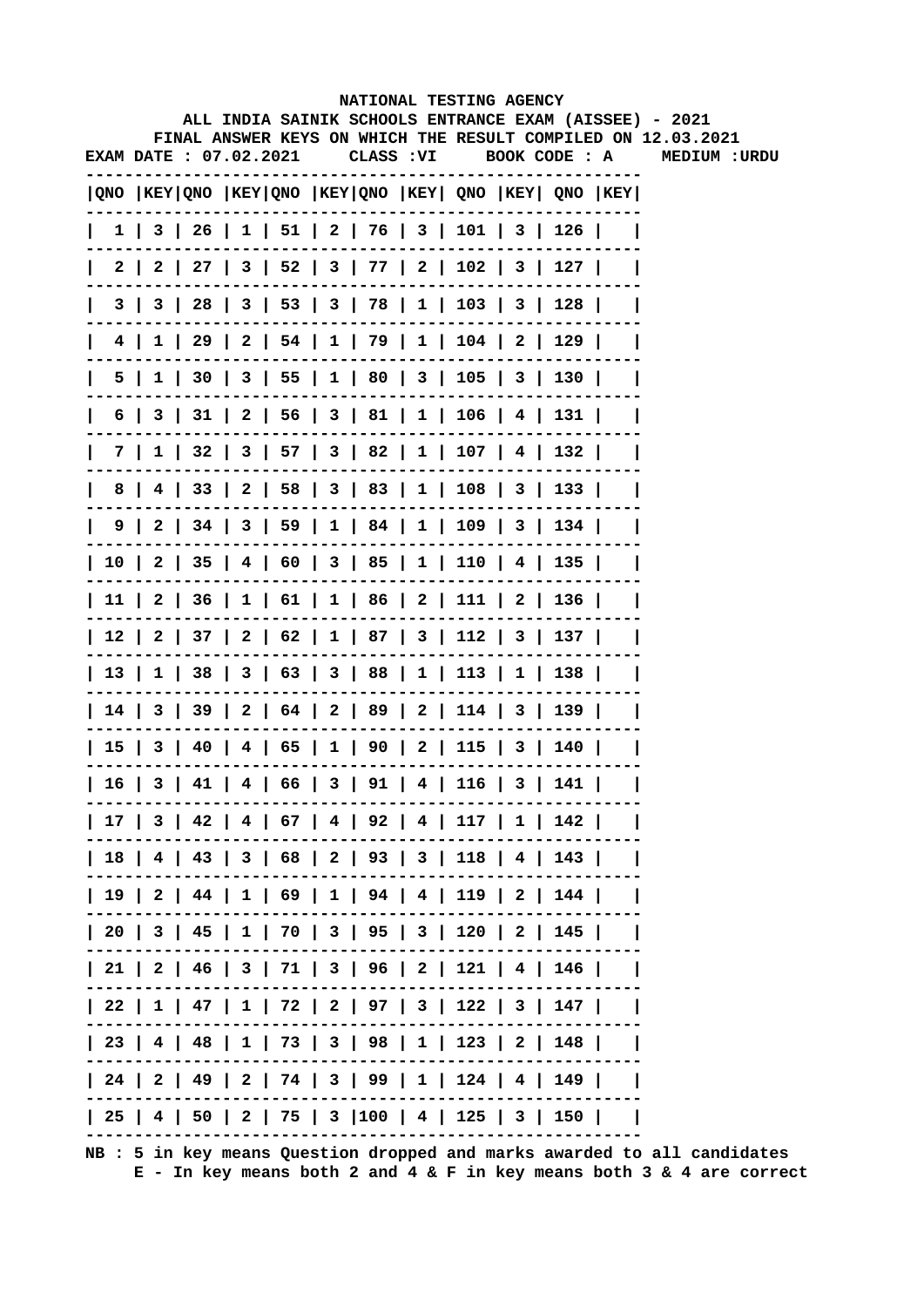|  |                       |                                                                       | NATIONAL TESTING AGENCY |  |               |                                                                              |
|--|-----------------------|-----------------------------------------------------------------------|-------------------------|--|---------------|------------------------------------------------------------------------------|
|  |                       |                                                                       |                         |  |               | ALL INDIA SAINIK SCHOOLS ENTRANCE EXAM (AISSEE) - 2021                       |
|  | EXAM DATE: 07.02.2021 | CLASS : VI                                                            |                         |  | BOOK CODE : A | FINAL ANSWER KEYS ON WHICH THE RESULT COMPILED ON 12.03.2021<br>MEDIUM :URDU |
|  |                       |                                                                       |                         |  |               |                                                                              |
|  |                       | QNO   KEY   QNO   KEY   QNO   KEY   QNO   KEY   QNO   KEY   QNO   KEY |                         |  |               |                                                                              |
|  |                       | 1   3   26   1   51   2   76   3   101   3   126                      |                         |  |               |                                                                              |
|  |                       | 2   2   27   3   52   3   77   2   102   3   127                      |                         |  |               |                                                                              |
|  |                       | $3   3   28   3   53   3   78   1   103   3   128  $                  |                         |  |               |                                                                              |
|  |                       | $4$   1   29   2   54   1   79   1   104   2   129                    |                         |  |               |                                                                              |
|  |                       | 5   1   30   3   55   1   80   3   105   3   130                      |                         |  |               |                                                                              |
|  |                       | 6   3   31   2   56   3   81   1   106   4   131                      |                         |  |               |                                                                              |
|  |                       | 7   1   32   3   57   3   82   1   107   4   132                      |                         |  |               |                                                                              |
|  |                       | 8   4   33   2   58   3   83   1   108   3   133   1                  |                         |  |               |                                                                              |
|  |                       | 9   2   34   3   59   1   84   1   109   3   134                      |                         |  |               |                                                                              |
|  |                       | 10   2   35   4   60   3   85   1   110   4   135                     |                         |  |               |                                                                              |
|  |                       | 11   2   36   1   61   1   86   2   111   2   136                     |                         |  |               |                                                                              |
|  |                       | 12   2   37   2   62   1   87   3   112   3   137                     |                         |  |               |                                                                              |
|  |                       | 13   1   38   3   63   3   88   1   113   1   138                     |                         |  |               |                                                                              |
|  |                       | 14   3   39   2   64   2   89   2   114   3   139                     |                         |  |               |                                                                              |
|  |                       | 15   3   40   4   65   1   90   2   115   3   140                     |                         |  |               |                                                                              |
|  |                       | 16   3   41   4   66   3   91   4   116   3   141                     |                         |  |               |                                                                              |
|  |                       | 17   3   42   4   67   4   92   4   117   1   142                     |                         |  |               |                                                                              |
|  |                       | 18   4   43   3   68   2   93   3   118   4   143                     |                         |  |               |                                                                              |
|  |                       | 19   2   44   1   69   1   94   4   119   2   144                     |                         |  |               |                                                                              |
|  |                       | 20   3   45   1   70   3   95   3   120   2   145                     |                         |  |               |                                                                              |
|  |                       | 21   2   46   3   71   3   96   2   121   4   146                     |                         |  |               |                                                                              |
|  |                       | 22   1   47   1   72   2   97   3   122   3   147                     |                         |  |               |                                                                              |
|  |                       | 23   4   48   1   73   3   98   1   123   2   148                     |                         |  |               |                                                                              |
|  |                       | 24   2   49   2   74   3   99   1   124   4   149                     |                         |  |               |                                                                              |
|  |                       | 25   4   50   2   75   3  100   4   125   3   150                     |                         |  |               |                                                                              |
|  |                       |                                                                       |                         |  |               |                                                                              |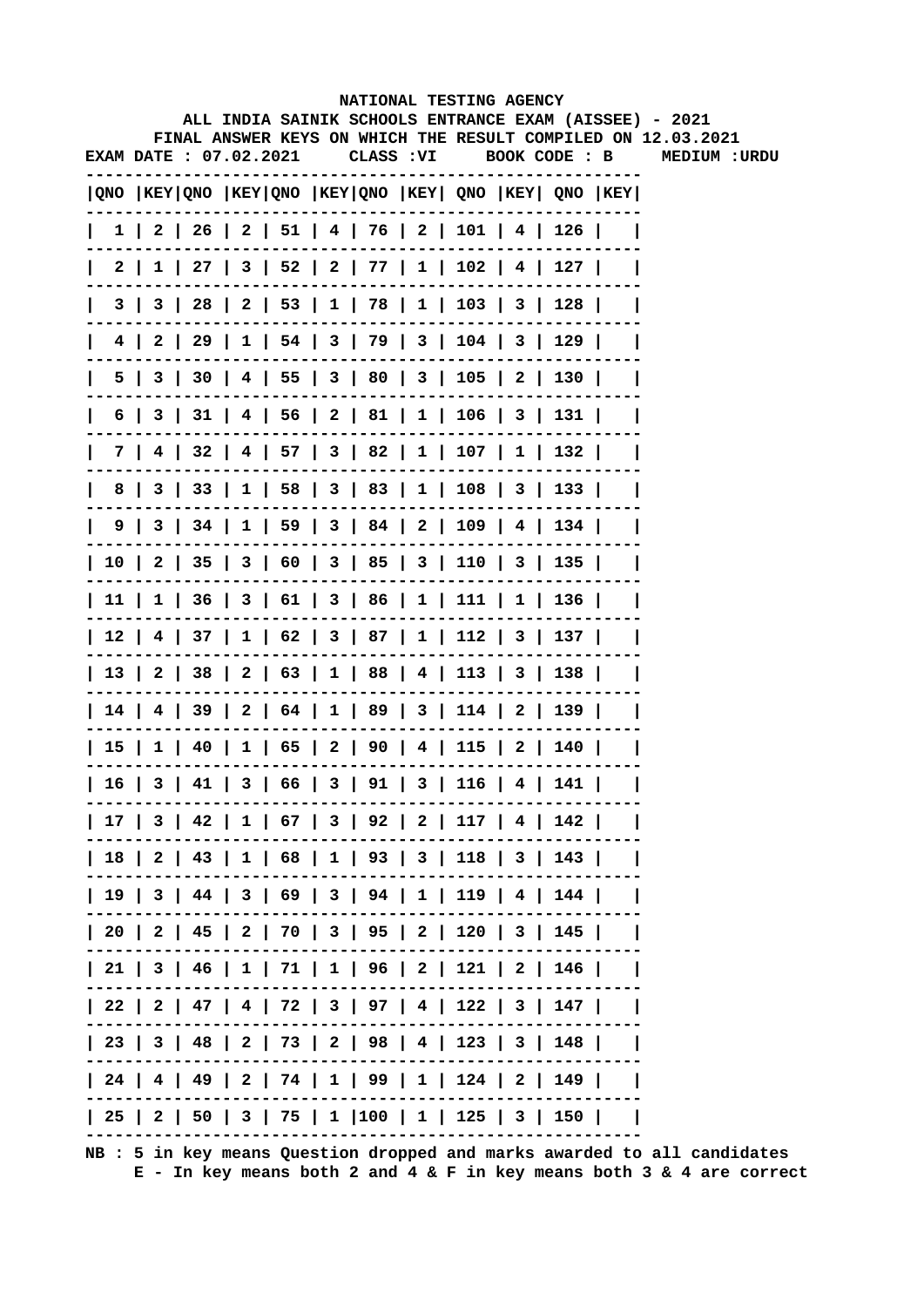|     |     |                               |  |            | NATIONAL TESTING AGENCY                                                                |  | ALL INDIA SAINIK SCHOOLS ENTRANCE EXAM (AISSEE) - 2021       |
|-----|-----|-------------------------------|--|------------|----------------------------------------------------------------------------------------|--|--------------------------------------------------------------|
|     |     |                               |  |            |                                                                                        |  | FINAL ANSWER KEYS ON WHICH THE RESULT COMPILED ON 12.03.2021 |
|     |     | <b>EXAM DATE : 07.02.2021</b> |  | CLASS : VI |                                                                                        |  | BOOK CODE : B MEDIUM :URDU                                   |
|     |     |                               |  |            | QNO  KEY QNO  KEY QNO  KEY QNO  KEY  QNO  KEY  QNO  KEY                                |  |                                                              |
|     |     |                               |  |            | $1 \mid 2 \mid 26 \mid 2 \mid 51 \mid 4 \mid 76 \mid 2 \mid 101 \mid 4 \mid 126 \mid$  |  |                                                              |
| 2 I |     |                               |  |            | $1 \mid 27 \mid 3 \mid 52 \mid 2 \mid 77 \mid 1 \mid 102 \mid 4 \mid 127 \mid$         |  |                                                              |
|     | 3   |                               |  |            | 3   28   2   53   1   78   1   103   3   128                                           |  |                                                              |
| 4   |     |                               |  |            | 2   29   1   54   3   79   3   104   3   129                                           |  |                                                              |
|     |     |                               |  |            | 5   3   30   4   55   3   80   3   105   2   130                                       |  |                                                              |
| 6   |     |                               |  |            | $3 \mid 31 \mid 4 \mid 56 \mid 2 \mid 81 \mid 1 \mid 106 \mid 3 \mid 131 \mid$         |  |                                                              |
|     | 7 I |                               |  |            | 4   32   4   57   3   82   1   107   1   132                                           |  |                                                              |
| 8   |     |                               |  |            | 3   33   1   58   3   83   1   108   3   133                                           |  |                                                              |
|     |     |                               |  |            | 9   3   34   1   59   3   84   2   109   4   134                                       |  |                                                              |
|     |     |                               |  |            | $10 \mid 2 \mid 35 \mid 3 \mid 60 \mid 3 \mid 85 \mid 3 \mid 110 \mid 3 \mid 135 \mid$ |  |                                                              |
|     |     |                               |  |            | $11 \mid 1 \mid 36 \mid 3 \mid 61 \mid 3 \mid 86 \mid 1 \mid 111 \mid 1 \mid 136 \mid$ |  |                                                              |
|     |     |                               |  |            | 12   4   37   1   62   3   87   1   112   3   137                                      |  |                                                              |
|     |     |                               |  |            | 13   2   38   2   63   1   88   4   113   3   138                                      |  |                                                              |
|     |     |                               |  |            | 14   4   39   2   64   1   89   3   114   2   139                                      |  |                                                              |
|     |     |                               |  |            | 15   1   40   1   65   2   90   4   115   2   140                                      |  |                                                              |
|     |     |                               |  |            | 16   3   41   3   66   3   91   3   116   4   141                                      |  |                                                              |
|     |     |                               |  |            | 17   3   42   1   67   3   92   2   117   4   142                                      |  |                                                              |
|     |     |                               |  |            | 18   2   43   1   68   1   93   3   118   3   143                                      |  |                                                              |
|     |     |                               |  |            | 19   3   44   3   69   3   94   1   119   4   144                                      |  |                                                              |
|     |     |                               |  |            | 20   2   45   2   70   3   95   2   120   3   145                                      |  |                                                              |
|     |     |                               |  |            | 21   3   46   1   71   1   96   2   121   2   146                                      |  |                                                              |
|     |     |                               |  |            | 22   2   47   4   72   3   97   4   122   3   147                                      |  |                                                              |
|     |     |                               |  |            | 23   3   48   2   73   2   98   4   123   3   148                                      |  |                                                              |
|     |     |                               |  |            | 24   4   49   2   74   1   99   1   124   2   149                                      |  |                                                              |
|     |     |                               |  |            | 25   2   50   3   75   1  100   1   125   3   150                                      |  |                                                              |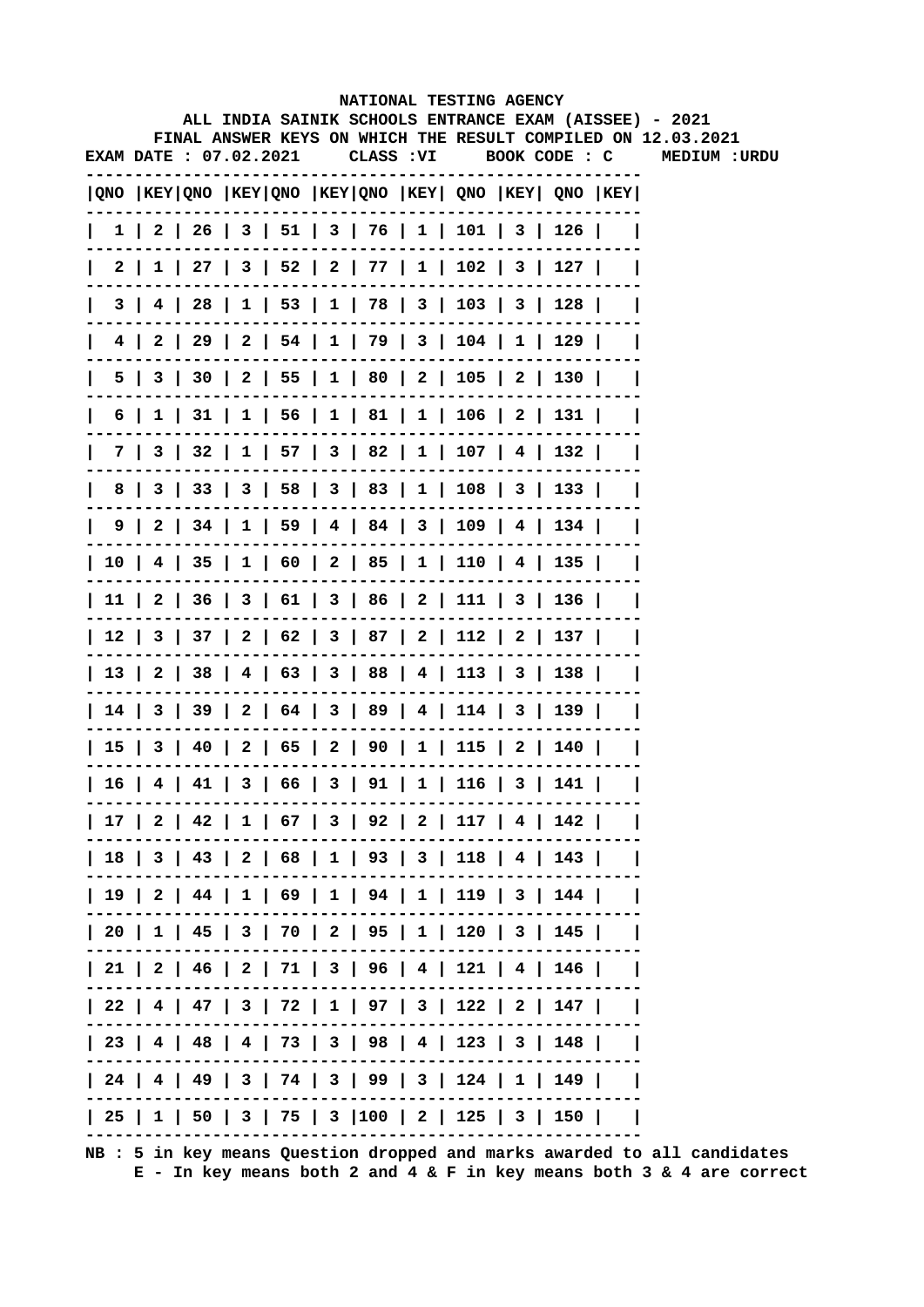|  |                       | NATIONAL TESTING AGENCY                                                    |  |  |                             |  |
|--|-----------------------|----------------------------------------------------------------------------|--|--|-----------------------------|--|
|  |                       | ALL INDIA SAINIK SCHOOLS ENTRANCE EXAM (AISSEE) - 2021                     |  |  |                             |  |
|  | EXAM DATE: 07.02.2021 | FINAL ANSWER KEYS ON WHICH THE RESULT COMPILED ON 12.03.2021<br>CLASS : VI |  |  | BOOK CODE : C MEDIUM : URDU |  |
|  |                       |                                                                            |  |  |                             |  |
|  |                       | QNO  KEY QNO  KEY QNO  KEY QNO  KEY  QNO  KEY  QNO  KEY                    |  |  |                             |  |
|  |                       | 1   2   26   3   51   3   76   1   101   3   126                           |  |  |                             |  |
|  |                       | 2   1   27   3   52   2   77   1   102   3   127                           |  |  |                             |  |
|  |                       | $3   4   28   1   53   1   78   3   103   3   128  $                       |  |  |                             |  |
|  |                       | $4$   2   29   2   54   1   79   3   104   1   129                         |  |  |                             |  |
|  |                       | 5   3   30   2   55   1   80   2   105   2   130                           |  |  |                             |  |
|  |                       | 6   1   31   1   56   1   81   1   106   2   131                           |  |  |                             |  |
|  |                       | 7   3   32   1   57   3   82   1   107   4   132                           |  |  |                             |  |
|  |                       | 8   3   33   3   58   3   83   1   108   3   133                           |  |  |                             |  |
|  |                       | 9   2   34   1   59   4   84   3   109   4   134                           |  |  |                             |  |
|  |                       | 10   4   35   1   60   2   85   1   110   4   135                          |  |  |                             |  |
|  |                       | 11   2   36   3   61   3   86   2   111   3   136                          |  |  |                             |  |
|  |                       | 12   3   37   2   62   3   87   2   112   2   137                          |  |  |                             |  |
|  |                       | 13   2   38   4   63   3   88   4   113   3   138                          |  |  |                             |  |
|  |                       | 14   3   39   2   64   3   89   4   114   3   139                          |  |  |                             |  |
|  |                       | 15   3   40   2   65   2   90   1   115   2   140                          |  |  |                             |  |
|  |                       | $  16   4   41   3   66   3   91   1   116   3   141  $                    |  |  |                             |  |
|  |                       | 17   2   42   1   67   3   92   2   117   4   142                          |  |  |                             |  |
|  |                       | 18   3   43   2   68   1   93   3   118   4   143                          |  |  |                             |  |
|  |                       | 19   2   44   1   69   1   94   1   119   3   144                          |  |  |                             |  |
|  |                       | 20   1   45   3   70   2   95   1   120   3   145                          |  |  |                             |  |
|  |                       | 21   2   46   2   71   3   96   4   121   4   146                          |  |  |                             |  |
|  |                       | 22   4   47   3   72   1   97   3   122   2   147                          |  |  |                             |  |
|  |                       | 23   4   48   4   73   3   98   4   123   3   148                          |  |  |                             |  |
|  |                       | 24   4   49   3   74   3   99   3   124   1   149                          |  |  |                             |  |
|  |                       | 25   1   50   3   75   3  100   2   125   3   150                          |  |  |                             |  |
|  |                       |                                                                            |  |  |                             |  |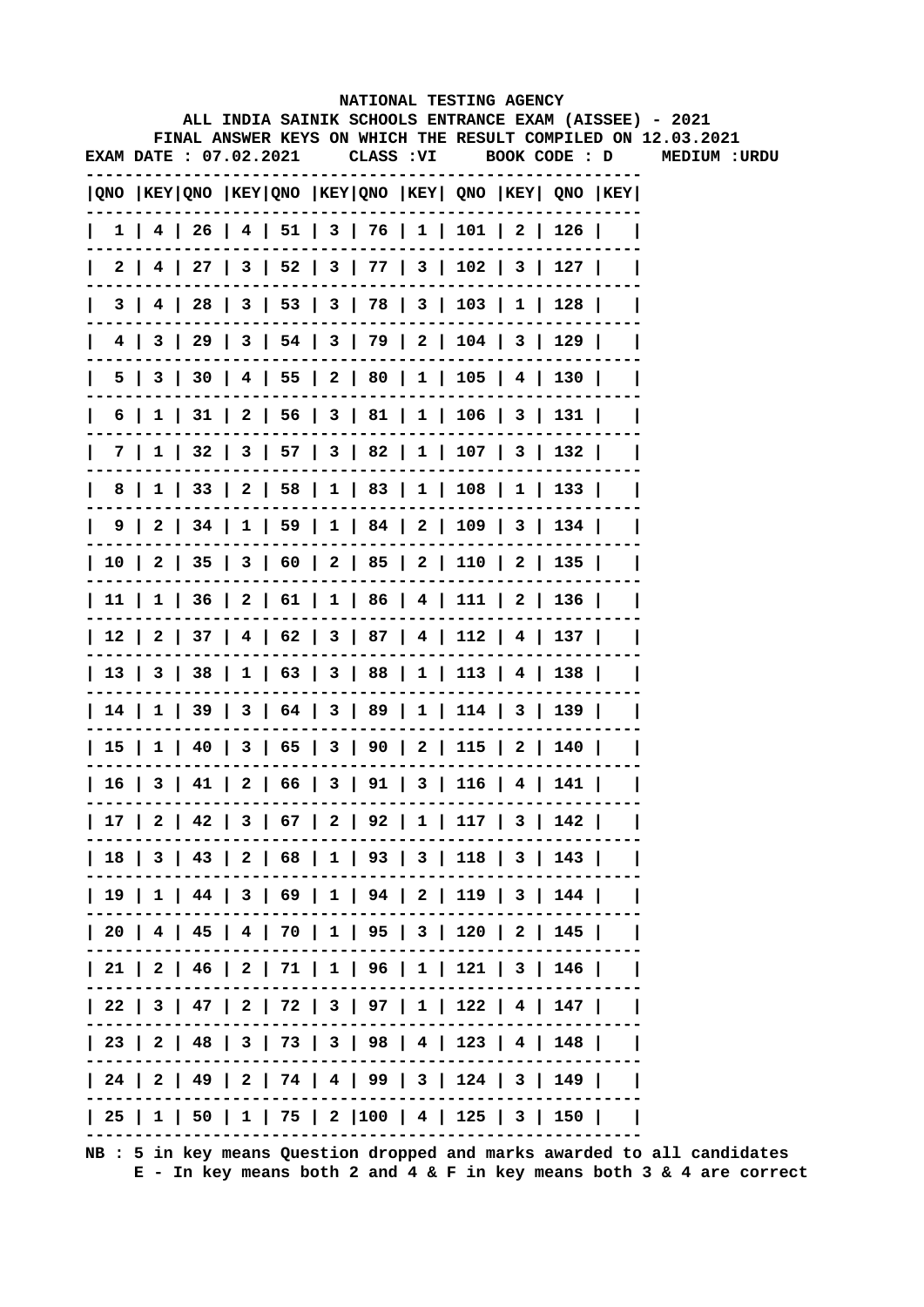|  |                        |                                                                                       | NATIONAL TESTING AGENCY |  |               |                                                                              |
|--|------------------------|---------------------------------------------------------------------------------------|-------------------------|--|---------------|------------------------------------------------------------------------------|
|  |                        | ALL INDIA SAINIK SCHOOLS ENTRANCE EXAM (AISSEE) - 2021                                |                         |  |               |                                                                              |
|  | EXAM DATE : 07.02.2021 |                                                                                       | CLASS : VI              |  | BOOK CODE : D | FINAL ANSWER KEYS ON WHICH THE RESULT COMPILED ON 12.03.2021<br>MEDIUM :URDU |
|  |                        | $ QNO $ KEY $ QNO $ KEY $ QNO $ KEY $ QNO $ KEY $ QNO $ KEY $ QNO $ KEY $ QNO $ KEY   |                         |  |               |                                                                              |
|  |                        | $1$   4   26   4   51   3   76   1   101   2   126                                    |                         |  |               |                                                                              |
|  |                        | $2$   4   27   3   52   3   77   3   102   3   127                                    |                         |  |               |                                                                              |
|  |                        | 3   4   28   3   53   3   78   3   103   1   128                                      |                         |  |               |                                                                              |
|  |                        | 4   3   29   3   54   3   79   2   104   3   129                                      |                         |  |               |                                                                              |
|  |                        | 5   3   30   4   55   2   80   1   105   4   130                                      |                         |  |               |                                                                              |
|  |                        | $6$   1   31   2   56   3   81   1   106   3   131                                    |                         |  |               |                                                                              |
|  |                        | 7   1   32   3   57   3   82   1   107   3   132                                      |                         |  |               |                                                                              |
|  |                        | 8   1   33   2   58   1   83   1   108   1   133                                      |                         |  |               |                                                                              |
|  |                        | $9 \mid 2 \mid 34 \mid 1 \mid 59 \mid 1 \mid 84 \mid 2 \mid 109 \mid 3 \mid 134 \mid$ |                         |  |               |                                                                              |
|  |                        | 10   2   35   3   60   2   85   2   110   2   135                                     |                         |  |               |                                                                              |
|  |                        | 11   1   36   2   61   1   86   4   111   2   136                                     |                         |  |               |                                                                              |
|  |                        | 12   2   37   4   62   3   87   4   112   4   137                                     |                         |  |               |                                                                              |
|  |                        | 13   3   38   1   63   3   88   1   113   4   138                                     |                         |  |               |                                                                              |
|  |                        | 14   1   39   3   64   3   89   1   114   3   139                                     |                         |  |               |                                                                              |
|  |                        | 15   1   40   3   65   3   90   2   115   2   140                                     |                         |  |               |                                                                              |
|  |                        | 16   3   41   2   66   3   91   3   116   4   141                                     |                         |  |               |                                                                              |
|  |                        | 17   2   42   3   67   2   92   1   117   3   142                                     |                         |  |               |                                                                              |
|  |                        | 18   3   43   2   68   1   93   3   118   3   143                                     |                         |  |               |                                                                              |
|  |                        | 19   1   44   3   69   1   94   2   119   3   144                                     |                         |  |               |                                                                              |
|  |                        | 20   4   45   4   70   1   95   3   120   2   145                                     |                         |  |               |                                                                              |
|  |                        | 21   2   46   2   71   1   96   1   121   3   146                                     |                         |  |               |                                                                              |
|  |                        | 22   3   47   2   72   3   97   1   122   4   147                                     |                         |  |               |                                                                              |
|  |                        | 23   2   48   3   73   3   98   4   123   4   148                                     |                         |  |               |                                                                              |
|  |                        | 24   2   49   2   74   4   99   3   124   3   149                                     |                         |  |               |                                                                              |
|  |                        | 25   1   50   1   75   2  100   4   125   3   150                                     |                         |  |               |                                                                              |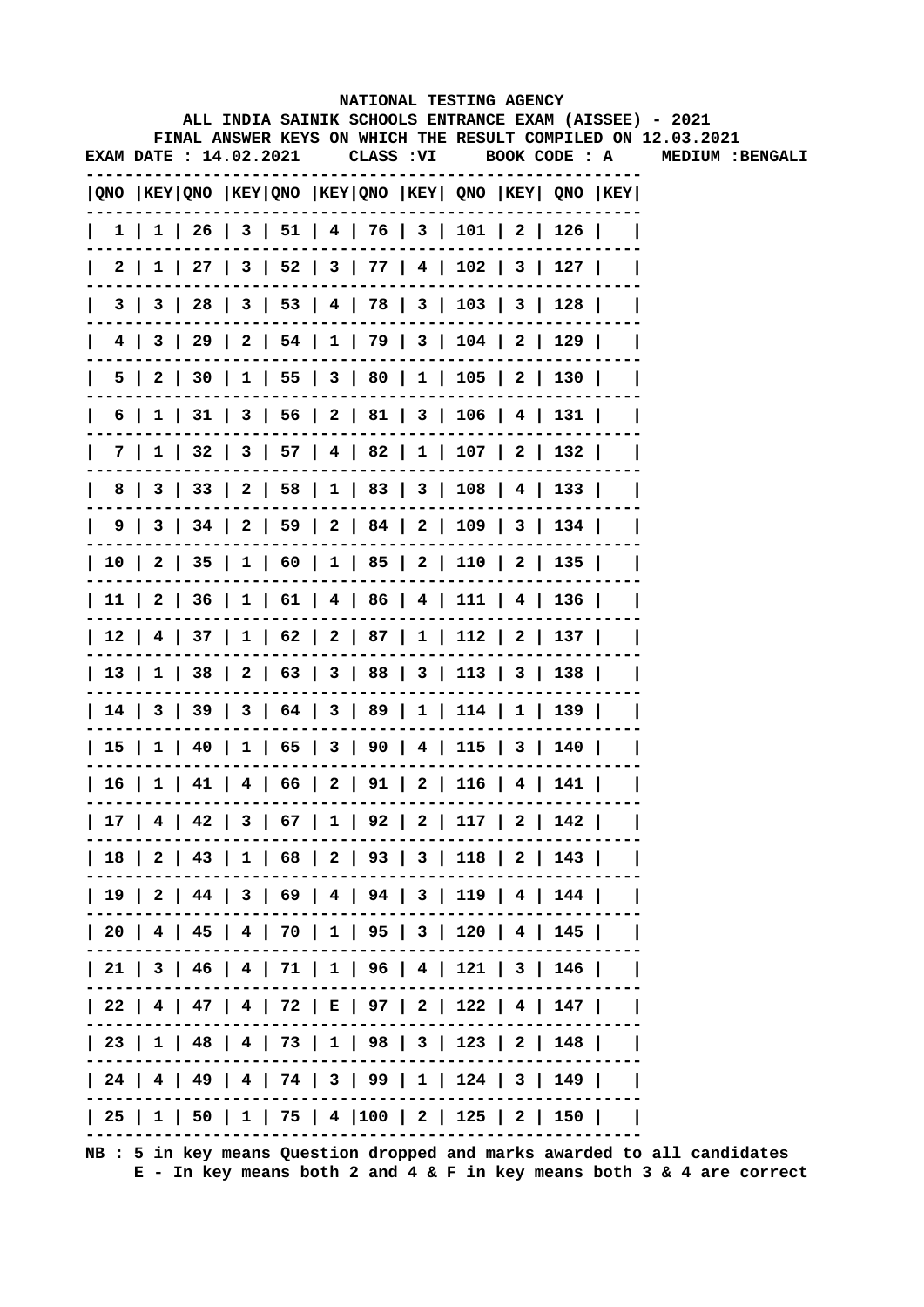|              |                        |  |  |            | NATIONAL TESTING AGENCY                                                               |  |                                                                                                                        |
|--------------|------------------------|--|--|------------|---------------------------------------------------------------------------------------|--|------------------------------------------------------------------------------------------------------------------------|
|              |                        |  |  |            |                                                                                       |  | ALL INDIA SAINIK SCHOOLS ENTRANCE EXAM (AISSEE) - 2021<br>FINAL ANSWER KEYS ON WHICH THE RESULT COMPILED ON 12.03.2021 |
|              | EXAM DATE : 14.02.2021 |  |  | CLASS : VI | BOOK CODE : A                                                                         |  | MEDIUM : BENGALI                                                                                                       |
|              |                        |  |  |            | QNO  KEY QNO  KEY QNO  KEY QNO  KEY  QNO  KEY  QNO  KEY                               |  |                                                                                                                        |
| $\mathbf{I}$ |                        |  |  |            | $1 \mid 1 \mid 26 \mid 3 \mid 51 \mid 4 \mid 76 \mid 3 \mid 101 \mid 2 \mid 126 \mid$ |  |                                                                                                                        |
|              | 2                      |  |  |            | $1$   27   3   52   3   77   4   102   3   127                                        |  |                                                                                                                        |
|              | 3 I                    |  |  |            | 3   28   3   53   4   78   3   103   3   128                                          |  |                                                                                                                        |
|              |                        |  |  |            | 4   3   29   2   54   1   79   3   104   2   129                                      |  |                                                                                                                        |
| 5            |                        |  |  |            | 2   30   1   55   3   80   1   105   2   130                                          |  |                                                                                                                        |
| 6            | ı.                     |  |  |            | 31   3   56   2   81   3   106   4   131                                              |  |                                                                                                                        |
|              |                        |  |  |            | 7   1   32   3   57   4   82   1   107   2   132                                      |  |                                                                                                                        |
| 8            |                        |  |  |            | 3   33   2   58   1   83   3   108   4   133                                          |  |                                                                                                                        |
|              |                        |  |  |            | 9   3   34   2   59   2   84   2   109   3   134                                      |  |                                                                                                                        |
|              |                        |  |  |            | 10   2   35   1   60   1   85   2   110   2   135                                     |  |                                                                                                                        |
|              |                        |  |  |            | 11   2   36   1   61   4   86   4   111   4   136                                     |  |                                                                                                                        |
|              |                        |  |  |            | 12   4   37   1   62   2   87   1   112   2   137                                     |  |                                                                                                                        |
|              |                        |  |  |            | 13   1   38   2   63   3   88   3   113   3   138                                     |  |                                                                                                                        |
|              |                        |  |  |            | 14   3   39   3   64   3   89   1   114   1   139                                     |  |                                                                                                                        |
|              |                        |  |  |            | 15   1   40   1   65   3   90   4   115   3   140                                     |  |                                                                                                                        |
|              |                        |  |  |            | 16   1   41   4   66   2   91   2   116   4   141                                     |  |                                                                                                                        |
|              |                        |  |  |            | 17   4   42   3   67   1   92   2   117   2   142                                     |  |                                                                                                                        |
|              |                        |  |  |            | 18   2   43   1   68   2   93   3   118   2   143                                     |  |                                                                                                                        |
|              |                        |  |  |            | 19   2   44   3   69   4   94   3   119   4   144                                     |  |                                                                                                                        |
|              |                        |  |  |            | 20   4   45   4   70   1   95   3   120   4   145                                     |  |                                                                                                                        |
|              |                        |  |  |            | 21   3   46   4   71   1   96   4   121   3   146                                     |  |                                                                                                                        |
|              |                        |  |  |            | 22   4   47   4   72   E   97   2   122   4   147                                     |  |                                                                                                                        |
|              |                        |  |  |            | 23   1   48   4   73   1   98   3   123   2   148                                     |  |                                                                                                                        |
|              |                        |  |  |            | 24   4   49   4   74   3   99   1   124   3   149                                     |  |                                                                                                                        |
|              |                        |  |  |            | 25   1   50   1   75   4  100   2   125   2   150                                     |  |                                                                                                                        |
|              |                        |  |  |            |                                                                                       |  |                                                                                                                        |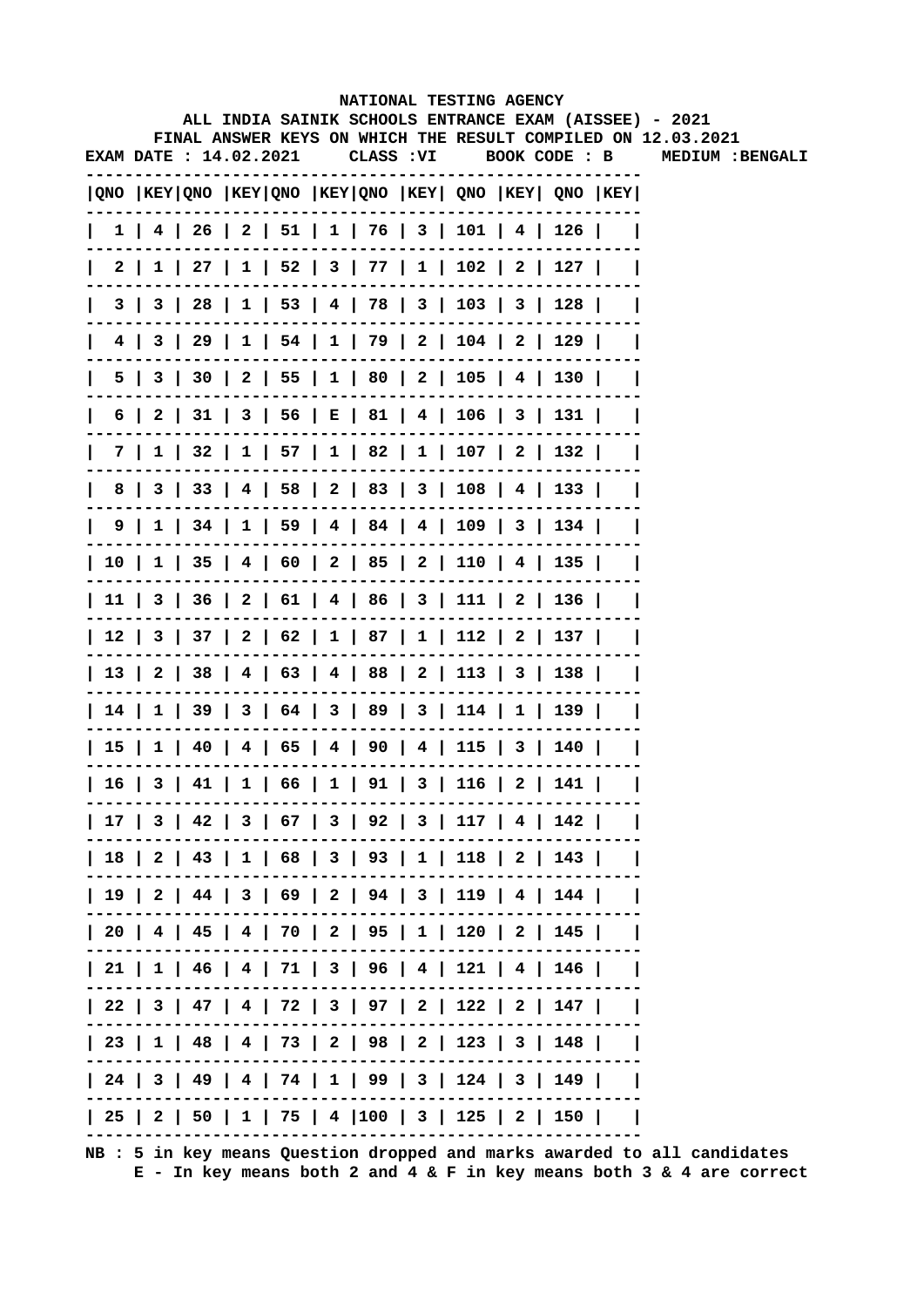|   |                               |  |            | NATIONAL TESTING AGENCY                           |  |                                                                                       |                                                                                                                        |
|---|-------------------------------|--|------------|---------------------------------------------------|--|---------------------------------------------------------------------------------------|------------------------------------------------------------------------------------------------------------------------|
|   |                               |  |            |                                                   |  |                                                                                       | ALL INDIA SAINIK SCHOOLS ENTRANCE EXAM (AISSEE) - 2021<br>FINAL ANSWER KEYS ON WHICH THE RESULT COMPILED ON 12.03.2021 |
|   | <b>EXAM DATE : 14.02.2021</b> |  | CLASS : VI |                                                   |  | BOOK CODE : B                                                                         | MEDIUM : BENGALI                                                                                                       |
|   |                               |  |            |                                                   |  |                                                                                       |                                                                                                                        |
|   |                               |  |            |                                                   |  | $ QNO $ KEY $ QNO $ KEY $ QNO $ KEY $ QNO $ KEY $ QNO $ KEY $ QNO $ KEY $ QNO $ KEY   |                                                                                                                        |
|   |                               |  |            |                                                   |  | $1$   4   26   2   51   1   76   3   101   4   126                                    |                                                                                                                        |
|   |                               |  |            |                                                   |  | 2   1   27   1   52   3   77   1   102   2   127                                      |                                                                                                                        |
|   |                               |  |            |                                                   |  | 3   3   28   1   53   4   78   3   103   3   128                                      |                                                                                                                        |
|   |                               |  |            |                                                   |  | 4   3   29   1   54   1   79   2   104   2   129                                      |                                                                                                                        |
| 5 |                               |  |            |                                                   |  | 3   30   2   55   1   80   2   105   4   130                                          |                                                                                                                        |
| 6 |                               |  |            |                                                   |  | 2   31   3   56   E   81   4   106   3   131                                          |                                                                                                                        |
|   |                               |  |            |                                                   |  | 7   1   32   1   57   1   82   1   107   2   132                                      |                                                                                                                        |
| 8 |                               |  |            |                                                   |  | 3   33   4   58   2   83   3   108   4   133                                          |                                                                                                                        |
|   |                               |  |            |                                                   |  | $9 \mid 1 \mid 34 \mid 1 \mid 59 \mid 4 \mid 84 \mid 4 \mid 109 \mid 3 \mid 134 \mid$ |                                                                                                                        |
|   |                               |  |            |                                                   |  | 10   1   35   4   60   2   85   2   110   4   135                                     |                                                                                                                        |
|   |                               |  |            |                                                   |  | 11   3   36   2   61   4   86   3   111   2   136                                     |                                                                                                                        |
|   |                               |  |            |                                                   |  | 12   3   37   2   62   1   87   1   112   2   137                                     |                                                                                                                        |
|   |                               |  |            |                                                   |  | 13   2   38   4   63   4   88   2   113   3   138                                     |                                                                                                                        |
|   |                               |  |            |                                                   |  | 14   1   39   3   64   3   89   3   114   1   139                                     |                                                                                                                        |
|   |                               |  |            |                                                   |  | 15   1   40   4   65   4   90   4   115   3   140                                     |                                                                                                                        |
|   |                               |  |            | 16   3   41   1   66   1   91   3   116   2   141 |  |                                                                                       |                                                                                                                        |
|   |                               |  |            |                                                   |  | 17   3   42   3   67   3   92   3   117   4   142                                     |                                                                                                                        |
|   |                               |  |            |                                                   |  | 18   2   43   1   68   3   93   1   118   2   143                                     |                                                                                                                        |
|   |                               |  |            |                                                   |  | 19   2   44   3   69   2   94   3   119   4   144                                     |                                                                                                                        |
|   |                               |  |            |                                                   |  | 20   4   45   4   70   2   95   1   120   2   145                                     |                                                                                                                        |
|   |                               |  |            |                                                   |  | 21   1   46   4   71   3   96   4   121   4   146                                     |                                                                                                                        |
|   |                               |  |            |                                                   |  | 22   3   47   4   72   3   97   2   122   2   147                                     |                                                                                                                        |
|   |                               |  |            |                                                   |  | 23   1   48   4   73   2   98   2   123   3   148                                     |                                                                                                                        |
|   |                               |  |            |                                                   |  | 24   3   49   4   74   1   99   3   124   3   149                                     |                                                                                                                        |
|   |                               |  |            |                                                   |  | 25   2   50   1   75   4  100   3   125   2   150                                     |                                                                                                                        |
|   |                               |  |            |                                                   |  |                                                                                       |                                                                                                                        |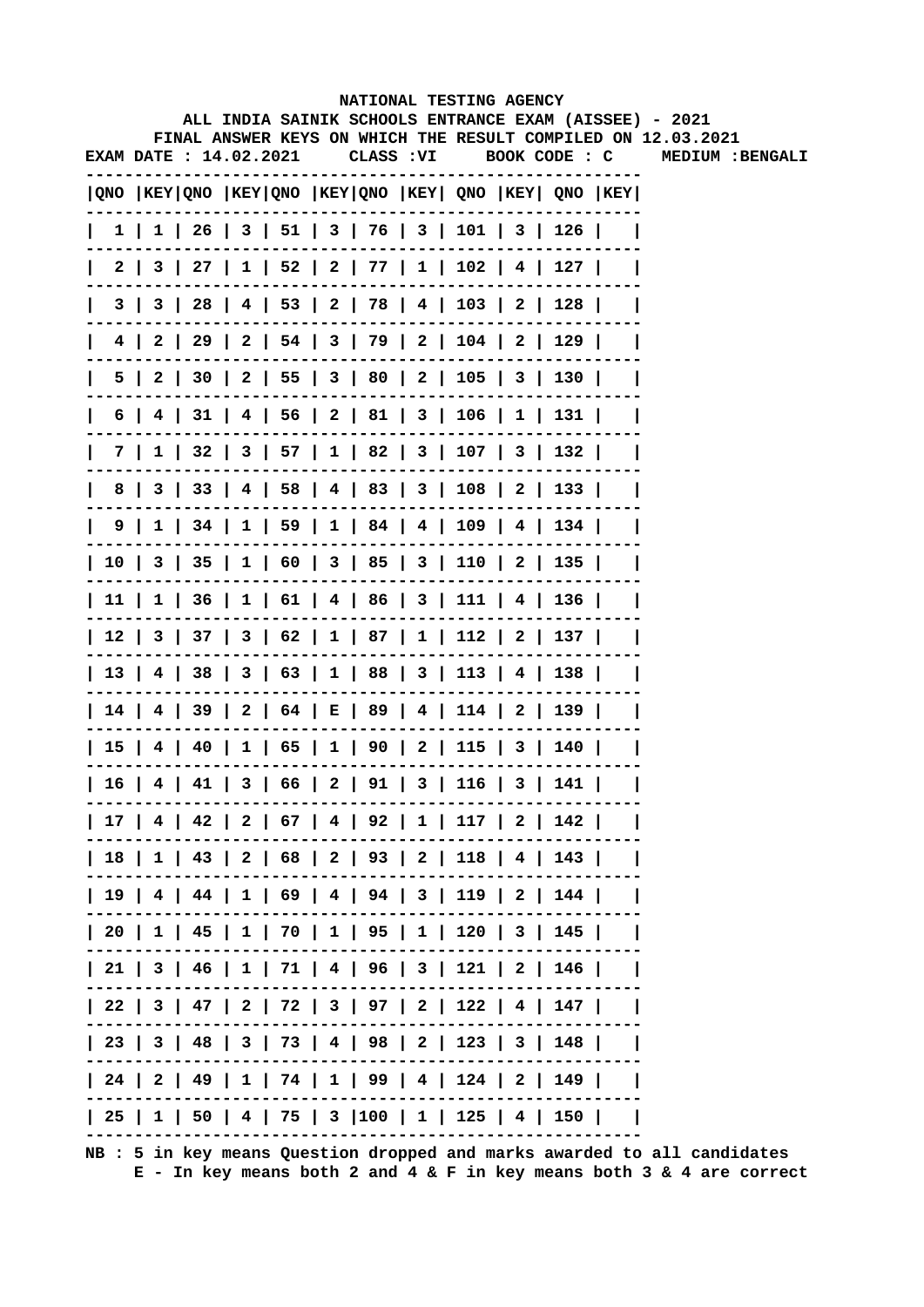|              |     |                        |  |            |  | NATIONAL TESTING AGENCY                      |                                                                                       |                                                                                                                        |
|--------------|-----|------------------------|--|------------|--|----------------------------------------------|---------------------------------------------------------------------------------------|------------------------------------------------------------------------------------------------------------------------|
|              |     |                        |  |            |  |                                              |                                                                                       | ALL INDIA SAINIK SCHOOLS ENTRANCE EXAM (AISSEE) - 2021<br>FINAL ANSWER KEYS ON WHICH THE RESULT COMPILED ON 12.03.2021 |
|              |     | EXAM DATE : 14.02.2021 |  | CLASS : VI |  |                                              | BOOK CODE : C                                                                         | MEDIUM : BENGALI                                                                                                       |
|              |     |                        |  |            |  |                                              | QNO  KEY QNO  KEY QNO  KEY QNO  KEY  QNO  KEY  QNO  KEY                               |                                                                                                                        |
| $\mathbf{I}$ |     |                        |  |            |  |                                              | $1 \mid 1 \mid 26 \mid 3 \mid 51 \mid 3 \mid 76 \mid 3 \mid 101 \mid 3 \mid 126 \mid$ |                                                                                                                        |
|              |     |                        |  |            |  |                                              | 2   3   27   1   52   2   77   1   102   4   127                                      |                                                                                                                        |
|              | 3 I |                        |  |            |  | 3   28   4   53   2   78   4   103   2   128 |                                                                                       |                                                                                                                        |
|              |     |                        |  |            |  |                                              | 4   2   29   2   54   3   79   2   104   2   129                                      |                                                                                                                        |
| 5 I          |     |                        |  |            |  |                                              | 2   30   2   55   3   80   2   105   3   130                                          |                                                                                                                        |
| 6            |     |                        |  |            |  |                                              | 31   4   56   2   81   3   106   1   131                                              |                                                                                                                        |
|              | 7 I |                        |  |            |  |                                              | 1   32   3   57   1   82   3   107   3   132                                          |                                                                                                                        |
| 8            |     |                        |  |            |  |                                              | 3   33   4   58   4   83   3   108   2   133                                          |                                                                                                                        |
|              |     |                        |  |            |  |                                              | $9 \mid 1 \mid 34 \mid 1 \mid 59 \mid 1 \mid 84 \mid 4 \mid 109 \mid 4 \mid 134 \mid$ |                                                                                                                        |
|              |     |                        |  |            |  |                                              | 10   3   35   1   60   3   85   3   110   2   135                                     |                                                                                                                        |
|              |     |                        |  |            |  |                                              | 11   1   36   1   61   4   86   3   111   4   136                                     |                                                                                                                        |
|              |     |                        |  |            |  |                                              | 12   3   37   3   62   1   87   1   112   2   137                                     |                                                                                                                        |
|              |     |                        |  |            |  |                                              | 13   4   38   3   63   1   88   3   113   4   138                                     |                                                                                                                        |
|              |     |                        |  |            |  |                                              | 14   4   39   2   64   E   89   4   114   2   139                                     |                                                                                                                        |
|              |     |                        |  |            |  |                                              | 15   4   40   1   65   1   90   2   115   3   140                                     |                                                                                                                        |
|              |     |                        |  |            |  |                                              | 16   4   41   3   66   2   91   3   116   3   141                                     |                                                                                                                        |
|              |     |                        |  |            |  |                                              | 17   4   42   2   67   4   92   1   117   2   142                                     |                                                                                                                        |
|              |     |                        |  |            |  |                                              | 18   1   43   2   68   2   93   2   118   4   143                                     |                                                                                                                        |
|              |     |                        |  |            |  |                                              | 19   4   44   1   69   4   94   3   119   2   144                                     |                                                                                                                        |
|              |     |                        |  |            |  |                                              | 20   1   45   1   70   1   95   1   120   3   145                                     |                                                                                                                        |
|              |     |                        |  |            |  |                                              | 21   3   46   1   71   4   96   3   121   2   146                                     |                                                                                                                        |
|              |     |                        |  |            |  |                                              | 22   3   47   2   72   3   97   2   122   4   147                                     |                                                                                                                        |
|              |     |                        |  |            |  |                                              | 23   3   48   3   73   4   98   2   123   3   148                                     |                                                                                                                        |
|              |     |                        |  |            |  |                                              | 24   2   49   1   74   1   99   4   124   2   149                                     |                                                                                                                        |
|              |     |                        |  |            |  |                                              | 25   1   50   4   75   3  100   1   125   4   150                                     |                                                                                                                        |
|              |     |                        |  |            |  |                                              |                                                                                       |                                                                                                                        |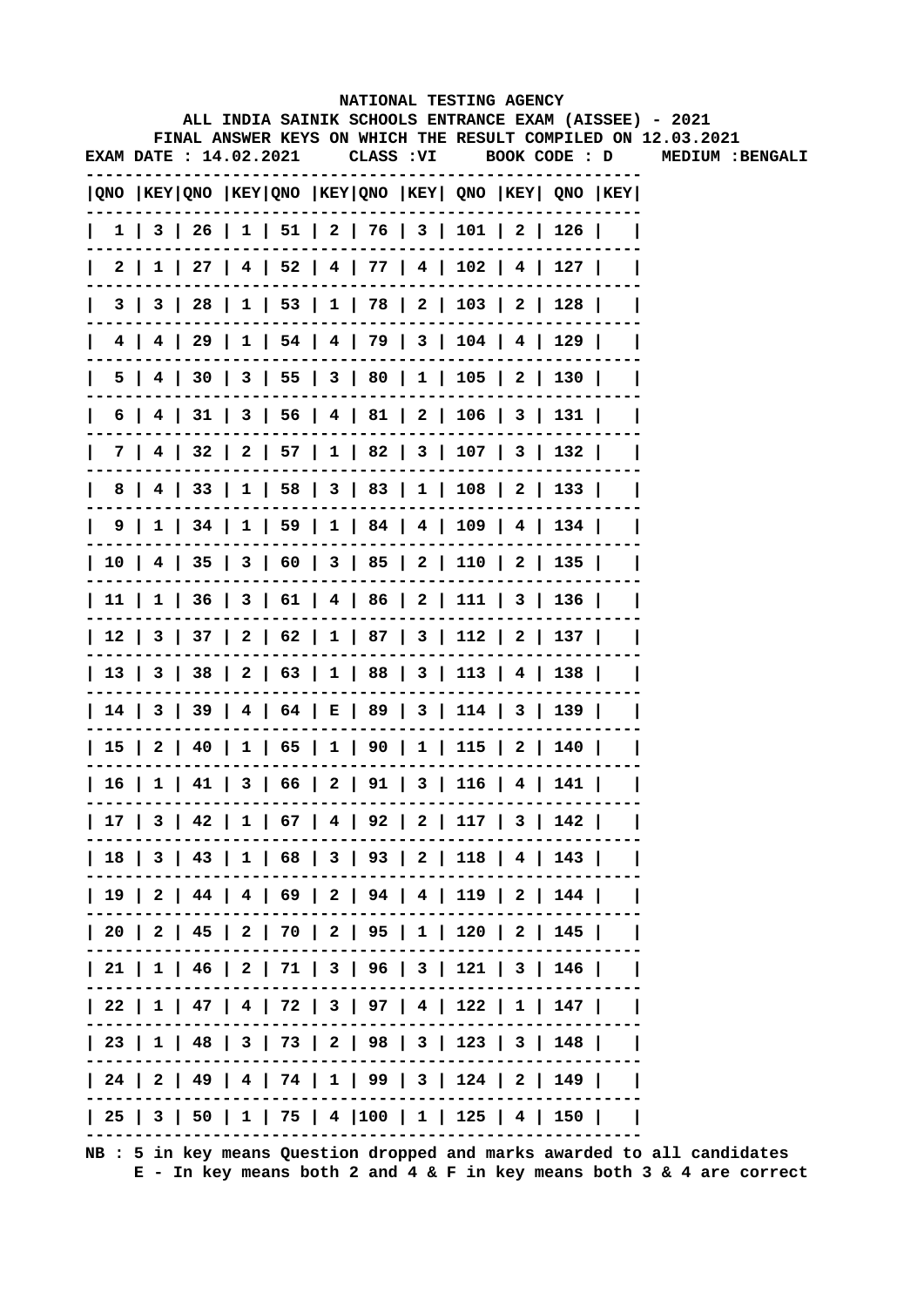|              |     |                        |  |            |  | NATIONAL TESTING AGENCY                                                               |  |                                                                                                                        |
|--------------|-----|------------------------|--|------------|--|---------------------------------------------------------------------------------------|--|------------------------------------------------------------------------------------------------------------------------|
|              |     |                        |  |            |  |                                                                                       |  | ALL INDIA SAINIK SCHOOLS ENTRANCE EXAM (AISSEE) - 2021<br>FINAL ANSWER KEYS ON WHICH THE RESULT COMPILED ON 12.03.2021 |
|              |     | EXAM DATE : 14.02.2021 |  | CLASS : VI |  | BOOK CODE : D                                                                         |  | MEDIUM : BENGALI                                                                                                       |
|              |     |                        |  |            |  | $ QNO $ KEY $ QNO $ KEY $ QNO $ KEY $ QNO $ KEY $ QNO $ KEY $ QNO $ KEY $ QNO $ KEY   |  |                                                                                                                        |
| $\mathbf{I}$ |     |                        |  |            |  | 1   3   26   1   51   2   76   3   101   2   126                                      |  |                                                                                                                        |
| 2 I          |     |                        |  |            |  | $1 \mid 27 \mid 4 \mid 52 \mid 4 \mid 77 \mid 4 \mid 102 \mid 4 \mid 127 \mid$        |  |                                                                                                                        |
|              | 3 I |                        |  |            |  | 3   28   1   53   1   78   2   103   2   128                                          |  |                                                                                                                        |
|              |     |                        |  |            |  | 4   4   29   1   54   4   79   3   104   4   129                                      |  |                                                                                                                        |
| 5 I          |     |                        |  |            |  | 4   30   3   55   3   80   1   105   2   130                                          |  |                                                                                                                        |
| 6            |     |                        |  |            |  | 31   3   56   4   81   2   106   3   131                                              |  |                                                                                                                        |
| 7 I          |     |                        |  |            |  | 4   32   2   57   1   82   3   107   3   132                                          |  |                                                                                                                        |
| 8            |     |                        |  |            |  | 4   33   1   58   3   83   1   108   2   133                                          |  |                                                                                                                        |
|              |     |                        |  |            |  | $9 \mid 1 \mid 34 \mid 1 \mid 59 \mid 1 \mid 84 \mid 4 \mid 109 \mid 4 \mid 134 \mid$ |  |                                                                                                                        |
|              |     |                        |  |            |  | 10   4   35   3   60   3   85   2   110   2   135                                     |  |                                                                                                                        |
|              |     |                        |  |            |  | 11   1   36   3   61   4   86   2   111   3   136                                     |  |                                                                                                                        |
|              |     |                        |  |            |  | 12   3   37   2   62   1   87   3   112   2   137                                     |  |                                                                                                                        |
|              |     |                        |  |            |  | 13   3   38   2   63   1   88   3   113   4   138                                     |  |                                                                                                                        |
|              |     |                        |  |            |  | 14   3   39   4   64   E   89   3   114   3   139                                     |  |                                                                                                                        |
|              |     |                        |  |            |  | 15   2   40   1   65   1   90   1   115   2   140                                     |  |                                                                                                                        |
|              |     |                        |  |            |  | 16   1   41   3   66   2   91   3   116   4   141                                     |  |                                                                                                                        |
|              |     |                        |  |            |  | 17   3   42   1   67   4   92   2   117   3   142                                     |  |                                                                                                                        |
|              |     |                        |  |            |  | 18   3   43   1   68   3   93   2   118   4   143                                     |  |                                                                                                                        |
|              |     |                        |  |            |  | 19   2   44   4   69   2   94   4   119   2   144                                     |  |                                                                                                                        |
|              |     |                        |  |            |  | 20   2   45   2   70   2   95   1   120   2   145                                     |  |                                                                                                                        |
|              |     |                        |  |            |  | 21   1   46   2   71   3   96   3   121   3   146                                     |  |                                                                                                                        |
|              |     |                        |  |            |  | 22   1   47   4   72   3   97   4   122   1   147                                     |  |                                                                                                                        |
|              |     |                        |  |            |  | 23   1   48   3   73   2   98   3   123   3   148                                     |  |                                                                                                                        |
|              |     |                        |  |            |  | 24   2   49   4   74   1   99   3   124   2   149                                     |  |                                                                                                                        |
|              |     |                        |  |            |  | 25   3   50   1   75   4  100   1   125   4   150                                     |  |                                                                                                                        |
|              |     |                        |  |            |  |                                                                                       |  |                                                                                                                        |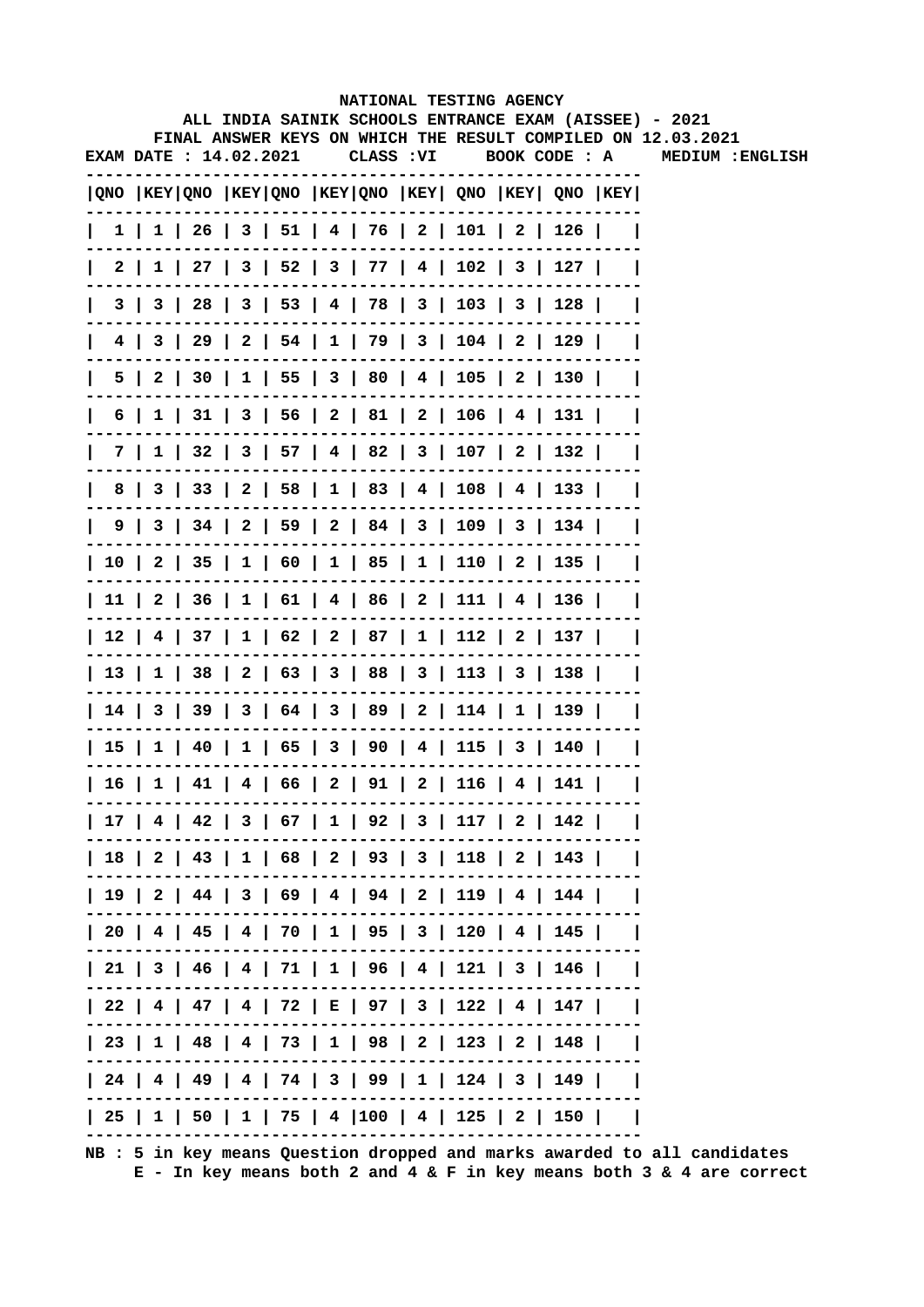|                       |  |  |            | NATIONAL TESTING AGENCY                                                               |  | ALL INDIA SAINIK SCHOOLS ENTRANCE EXAM (AISSEE) - 2021       |
|-----------------------|--|--|------------|---------------------------------------------------------------------------------------|--|--------------------------------------------------------------|
|                       |  |  |            |                                                                                       |  | FINAL ANSWER KEYS ON WHICH THE RESULT COMPILED ON 12.03.2021 |
| EXAM DATE: 14.02.2021 |  |  | CLASS : VI | BOOK CODE : A                                                                         |  | MEDIUM : ENGLISH                                             |
|                       |  |  |            | QNO  KEY QNO  KEY QNO  KEY QNO  KEY  QNO  KEY  QNO  KEY                               |  |                                                              |
|                       |  |  |            | $1 \mid 1 \mid 26 \mid 3 \mid 51 \mid 4 \mid 76 \mid 2 \mid 101 \mid 2 \mid 126 \mid$ |  |                                                              |
|                       |  |  |            | 2   1   27   3   52   3   77   4   102   3   127                                      |  |                                                              |
|                       |  |  |            | 3   3   28   3   53   4   78   3   103   3   128                                      |  |                                                              |
|                       |  |  |            | 4   3   29   2   54   1   79   3   104   2   129                                      |  |                                                              |
|                       |  |  |            | 5   2   30   1   55   3   80   4   105   2   130                                      |  |                                                              |
|                       |  |  |            | 6   1   31   3   56   2   81   2   106   4   131                                      |  |                                                              |
|                       |  |  |            | 7   1   32   3   57   4   82   3   107   2   132                                      |  |                                                              |
|                       |  |  |            | 8   3   33   2   58   1   83   4   108   4   133                                      |  |                                                              |
|                       |  |  |            | 9   3   34   2   59   2   84   3   109   3   134                                      |  |                                                              |
|                       |  |  |            | 10   2   35   1   60   1   85   1   110   2   135                                     |  |                                                              |
|                       |  |  |            | 11   2   36   1   61   4   86   2   111   4   136                                     |  |                                                              |
|                       |  |  |            | 12   4   37   1   62   2   87   1   112   2   137                                     |  |                                                              |
|                       |  |  |            | 13   1   38   2   63   3   88   3   113   3   138                                     |  |                                                              |
|                       |  |  |            | 14   3   39   3   64   3   89   2   114   1   139                                     |  |                                                              |
|                       |  |  |            | 15   1   40   1   65   3   90   4   115   3   140                                     |  |                                                              |
|                       |  |  |            | 16   1   41   4   66   2   91   2   116   4   141                                     |  |                                                              |
|                       |  |  |            | 17   4   42   3   67   1   92   3   117   2   142                                     |  |                                                              |
|                       |  |  |            | 18   2   43   1   68   2   93   3   118   2   143                                     |  |                                                              |
|                       |  |  |            | 19   2   44   3   69   4   94   2   119   4   144                                     |  |                                                              |
|                       |  |  |            | 20   4   45   4   70   1   95   3   120   4   145                                     |  |                                                              |
|                       |  |  |            | 21   3   46   4   71   1   96   4   121   3   146                                     |  |                                                              |
|                       |  |  |            | 22   4   47   4   72   E   97   3   122   4   147                                     |  |                                                              |
|                       |  |  |            | 23   1   48   4   73   1   98   2   123   2   148                                     |  |                                                              |
|                       |  |  |            | 24   4   49   4   74   3   99   1   124   3   149                                     |  |                                                              |
|                       |  |  |            | 25   1   50   1   75   4  100   4   125   2   150                                     |  |                                                              |
|                       |  |  |            |                                                                                       |  |                                                              |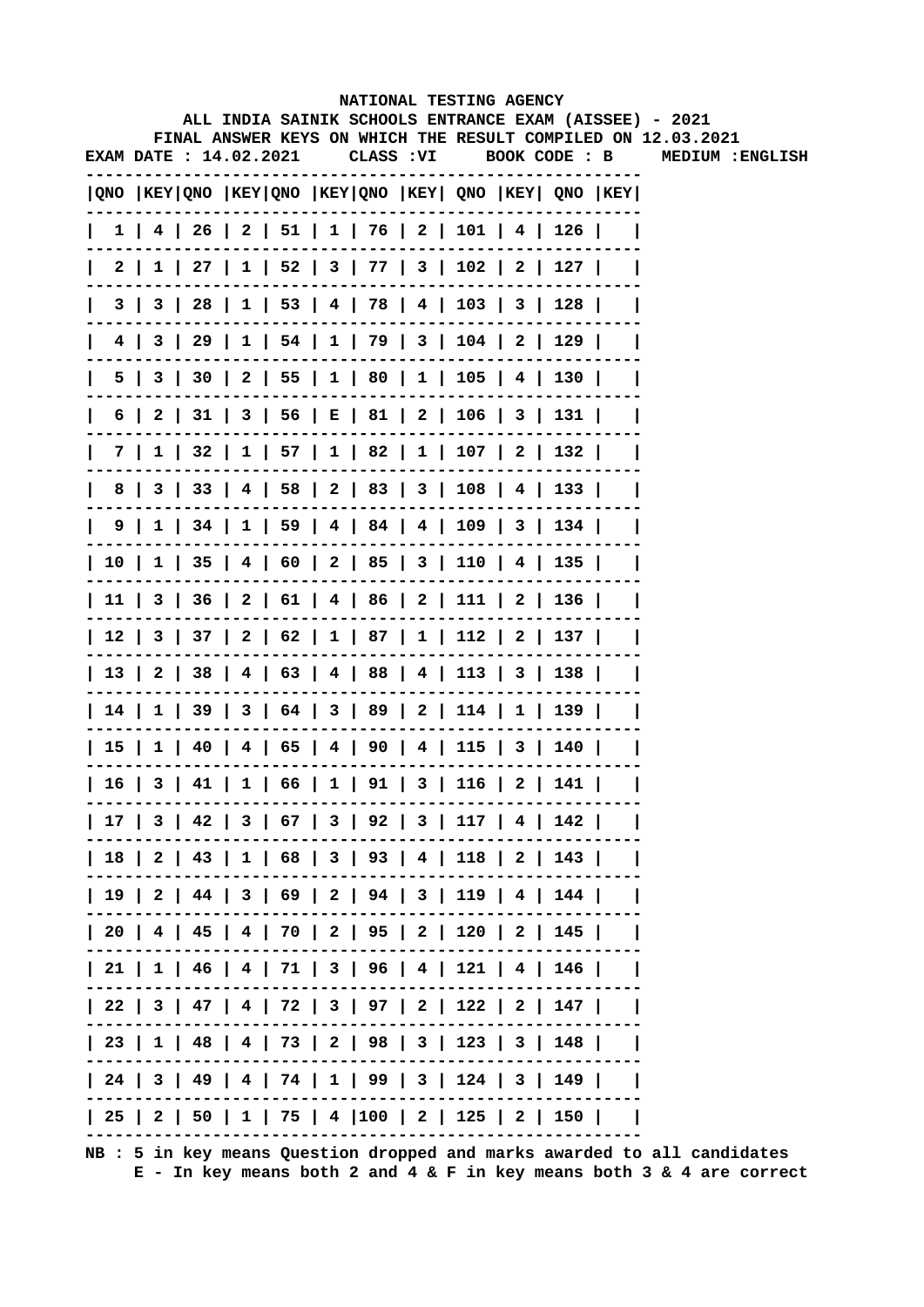|   |                        |  |  | NATIONAL TESTING AGENCY                                                               |               |  | ALL INDIA SAINIK SCHOOLS ENTRANCE EXAM (AISSEE) - 2021       |
|---|------------------------|--|--|---------------------------------------------------------------------------------------|---------------|--|--------------------------------------------------------------|
|   |                        |  |  |                                                                                       |               |  | FINAL ANSWER KEYS ON WHICH THE RESULT COMPILED ON 12.03.2021 |
|   | EXAM DATE : 14.02.2021 |  |  | CLASS : VI                                                                            | BOOK CODE : B |  | MEDIUM : ENGLISH                                             |
|   |                        |  |  | QNO  KEY QNO  KEY QNO  KEY QNO  KEY  QNO  KEY  QNO  KEY                               |               |  |                                                              |
|   |                        |  |  | $1$   4   26   2   51   1   76   2   101   4   126                                    |               |  |                                                              |
|   |                        |  |  | 2   1   27   1   52   3   77   3   102   2   127                                      |               |  |                                                              |
|   |                        |  |  | 3   3   28   1   53   4   78   4   103   3   128                                      |               |  |                                                              |
|   |                        |  |  | 4   3   29   1   54   1   79   3   104   2   129                                      |               |  |                                                              |
|   |                        |  |  | 5   3   30   2   55   1   80   1   105   4   130                                      |               |  |                                                              |
|   |                        |  |  | 6   2   31   3   56   E   81   2   106   3   131                                      |               |  |                                                              |
|   |                        |  |  | 7   1   32   1   57   1   82   1   107   2   132                                      |               |  |                                                              |
| 8 |                        |  |  | 3   33   4   58   2   83   3   108   4   133                                          |               |  |                                                              |
|   |                        |  |  | $9 \mid 1 \mid 34 \mid 1 \mid 59 \mid 4 \mid 84 \mid 4 \mid 109 \mid 3 \mid 134 \mid$ |               |  |                                                              |
|   |                        |  |  | 10   1   35   4   60   2   85   3   110   4   135                                     |               |  |                                                              |
|   |                        |  |  | 11   3   36   2   61   4   86   2   111   2   136                                     |               |  |                                                              |
|   |                        |  |  | 12   3   37   2   62   1   87   1   112   2   137                                     |               |  |                                                              |
|   |                        |  |  | 13   2   38   4   63   4   88   4   113   3   138                                     |               |  |                                                              |
|   |                        |  |  | 14   1   39   3   64   3   89   2   114   1   139                                     |               |  |                                                              |
|   |                        |  |  | 15   1   40   4   65   4   90   4   115   3   140                                     |               |  |                                                              |
|   |                        |  |  | 16   3   41   1   66   1   91   3   116   2   141                                     |               |  |                                                              |
|   |                        |  |  | 17   3   42   3   67   3   92   3   117   4   142                                     |               |  |                                                              |
|   |                        |  |  | 18   2   43   1   68   3   93   4   118   2   143                                     |               |  |                                                              |
|   |                        |  |  | 19   2   44   3   69   2   94   3   119   4   144                                     |               |  |                                                              |
|   |                        |  |  | 20   4   45   4   70   2   95   2   120   2   145                                     |               |  |                                                              |
|   |                        |  |  | 21   1   46   4   71   3   96   4   121   4   146                                     |               |  |                                                              |
|   |                        |  |  | 22   3   47   4   72   3   97   2   122   2   147                                     |               |  |                                                              |
|   |                        |  |  | 23   1   48   4   73   2   98   3   123   3   148                                     |               |  |                                                              |
|   |                        |  |  | 24   3   49   4   74   1   99   3   124   3   149                                     |               |  |                                                              |
|   |                        |  |  | 25   2   50   1   75   4  100   2   125   2   150                                     |               |  |                                                              |
|   |                        |  |  |                                                                                       |               |  |                                                              |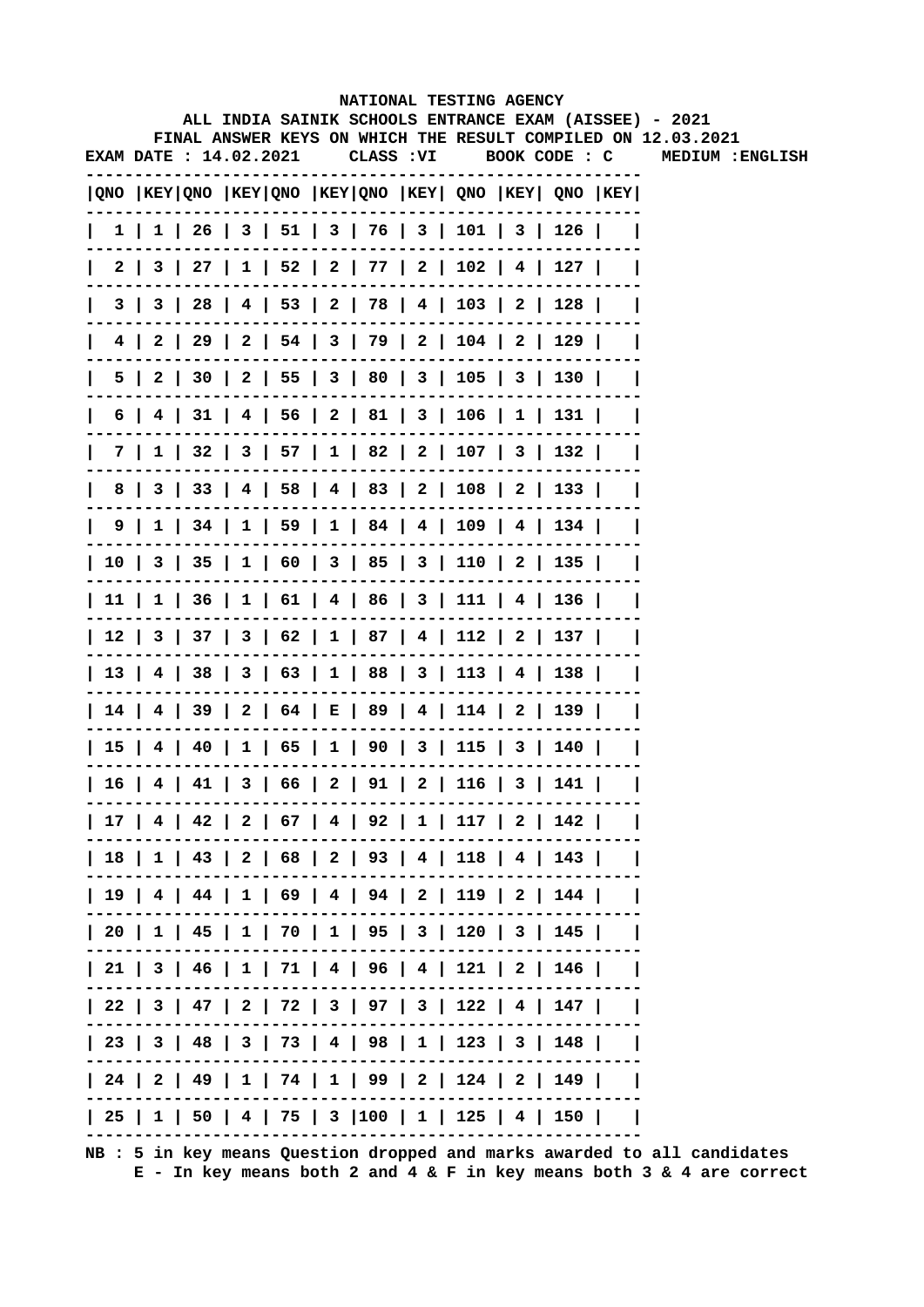|   |  |                              |  | NATIONAL TESTING AGENCY                                                               |               |  | ALL INDIA SAINIK SCHOOLS ENTRANCE EXAM (AISSEE) - 2021       |
|---|--|------------------------------|--|---------------------------------------------------------------------------------------|---------------|--|--------------------------------------------------------------|
|   |  |                              |  |                                                                                       |               |  | FINAL ANSWER KEYS ON WHICH THE RESULT COMPILED ON 12.03.2021 |
|   |  | <b>EXAM DATE: 14.02.2021</b> |  | CLASS : VI                                                                            | BOOK CODE : C |  | MEDIUM : ENGLISH                                             |
|   |  |                              |  | QNO  KEY QNO  KEY QNO  KEY QNO  KEY  QNO  KEY  QNO  KEY                               |               |  |                                                              |
|   |  |                              |  | $1 \mid 1 \mid 26 \mid 3 \mid 51 \mid 3 \mid 76 \mid 3 \mid 101 \mid 3 \mid 126 \mid$ |               |  |                                                              |
|   |  |                              |  | 2   3   27   1   52   2   77   2   102   4   127                                      |               |  |                                                              |
|   |  |                              |  | 3   3   28   4   53   2   78   4   103   2   128                                      |               |  |                                                              |
|   |  |                              |  | 4   2   29   2   54   3   79   2   104   2   129                                      |               |  |                                                              |
|   |  |                              |  | 5   2   30   2   55   3   80   3   105   3   130                                      |               |  |                                                              |
| 6 |  |                              |  | 4   31   4   56   2   81   3   106   1   131                                          |               |  |                                                              |
|   |  |                              |  | 7   1   32   3   57   1   82   2   107   3   132                                      |               |  |                                                              |
| 8 |  |                              |  | 3   33   4   58   4   83   2   108   2   133                                          |               |  |                                                              |
|   |  |                              |  | $9 \mid 1 \mid 34 \mid 1 \mid 59 \mid 1 \mid 84 \mid 4 \mid 109 \mid 4 \mid 134 \mid$ |               |  |                                                              |
|   |  |                              |  | 10   3   35   1   60   3   85   3   110   2   135                                     |               |  |                                                              |
|   |  |                              |  | 11   1   36   1   61   4   86   3   111   4   136                                     |               |  |                                                              |
|   |  |                              |  | 12   3   37   3   62   1   87   4   112   2   137                                     |               |  |                                                              |
|   |  |                              |  | 13   4   38   3   63   1   88   3   113   4   138                                     |               |  |                                                              |
|   |  |                              |  | 14   4   39   2   64   E   89   4   114   2   139                                     |               |  |                                                              |
|   |  |                              |  | 15   4   40   1   65   1   90   3   115   3   140                                     |               |  |                                                              |
|   |  |                              |  | 16   4   41   3   66   2   91   2   116   3   141                                     |               |  |                                                              |
|   |  |                              |  | 17   4   42   2   67   4   92   1   117   2   142                                     |               |  |                                                              |
|   |  |                              |  | 18   1   43   2   68   2   93   4   118   4   143                                     |               |  |                                                              |
|   |  |                              |  | 19   4   44   1   69   4   94   2   119   2   144                                     |               |  |                                                              |
|   |  |                              |  | 20   1   45   1   70   1   95   3   120   3   145                                     |               |  |                                                              |
|   |  |                              |  | 21   3   46   1   71   4   96   4   121   2   146                                     |               |  |                                                              |
|   |  |                              |  | 22   3   47   2   72   3   97   3   122   4   147                                     |               |  |                                                              |
|   |  |                              |  | 23   3   48   3   73   4   98   1   123   3   148                                     |               |  |                                                              |
|   |  |                              |  | 24   2   49   1   74   1   99   2   124   2   149                                     |               |  |                                                              |
|   |  |                              |  | 25   1   50   4   75   3  100   1   125   4   150                                     |               |  |                                                              |
|   |  |                              |  |                                                                                       |               |  |                                                              |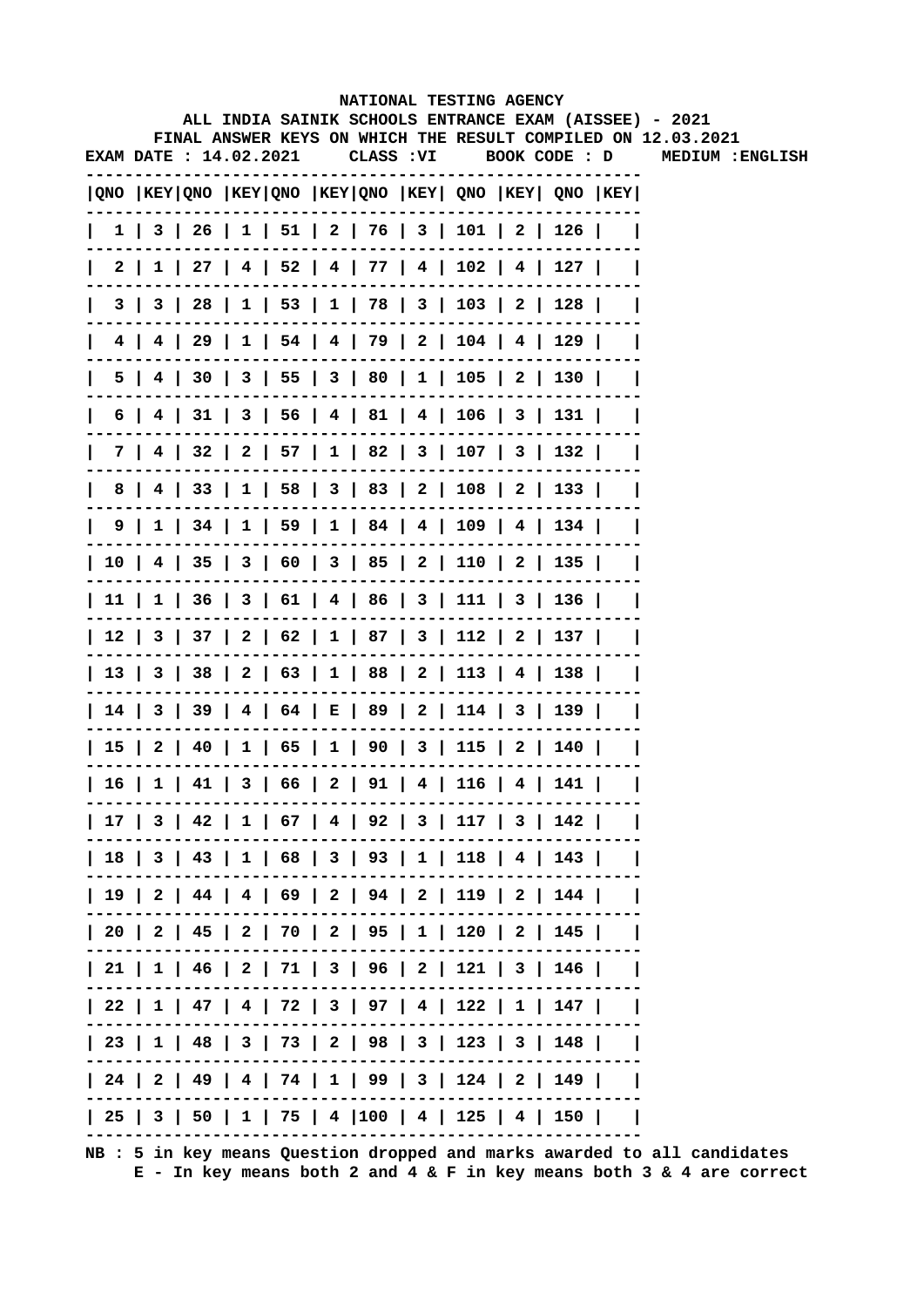|     |                       |  |  |            | NATIONAL TESTING AGENCY                                                               |  | ALL INDIA SAINIK SCHOOLS ENTRANCE EXAM (AISSEE) - 2021       |
|-----|-----------------------|--|--|------------|---------------------------------------------------------------------------------------|--|--------------------------------------------------------------|
|     |                       |  |  |            |                                                                                       |  | FINAL ANSWER KEYS ON WHICH THE RESULT COMPILED ON 12.03.2021 |
|     | EXAM DATE: 14.02.2021 |  |  | CLASS : VI | BOOK CODE : D                                                                         |  | MEDIUM : ENGLISH                                             |
|     |                       |  |  |            | QNO  KEY QNO  KEY QNO  KEY QNO  KEY  QNO  KEY  QNO  KEY                               |  |                                                              |
|     |                       |  |  |            | $1 \mid 3 \mid 26 \mid 1 \mid 51 \mid 2 \mid 76 \mid 3 \mid 101 \mid 2 \mid 126 \mid$ |  |                                                              |
|     |                       |  |  |            | 2   1   27   4   52   4   77   4   102   4   127                                      |  |                                                              |
|     |                       |  |  |            | 3   3   28   1   53   1   78   3   103   2   128                                      |  |                                                              |
|     |                       |  |  |            | 4   4   29   1   54   4   79   2   104   4   129                                      |  |                                                              |
| 5 I |                       |  |  |            | 4   30   3   55   3   80   1   105   2   130                                          |  |                                                              |
| 6 I |                       |  |  |            | 4   31   3   56   4   81   4   106   3   131                                          |  |                                                              |
|     |                       |  |  |            | 7   4   32   2   57   1   82   3   107   3   132                                      |  |                                                              |
| 8   |                       |  |  |            | 4   33   1   58   3   83   2   108   2   133                                          |  |                                                              |
|     |                       |  |  |            | 9   1   34   1   59   1   84   4   109   4   134                                      |  |                                                              |
|     |                       |  |  |            | 10   4   35   3   60   3   85   2   110   2   135                                     |  |                                                              |
|     |                       |  |  |            | 11   1   36   3   61   4   86   3   111   3   136                                     |  |                                                              |
|     |                       |  |  |            | 12   3   37   2   62   1   87   3   112   2   137                                     |  |                                                              |
|     |                       |  |  |            | 13   3   38   2   63   1   88   2   113   4   138                                     |  |                                                              |
|     |                       |  |  |            | 14   3   39   4   64   E   89   2   114   3   139                                     |  |                                                              |
|     |                       |  |  |            | 15   2   40   1   65   1   90   3   115   2   140                                     |  |                                                              |
|     |                       |  |  |            | 16   1   41   3   66   2   91   4   116   4   141                                     |  |                                                              |
|     |                       |  |  |            | 17   3   42   1   67   4   92   3   117   3   142                                     |  |                                                              |
|     |                       |  |  |            | 18   3   43   1   68   3   93   1   118   4   143                                     |  |                                                              |
|     |                       |  |  |            | 19   2   44   4   69   2   94   2   119   2   144                                     |  |                                                              |
|     |                       |  |  |            | 20   2   45   2   70   2   95   1   120   2   145                                     |  |                                                              |
|     |                       |  |  |            | 21   1   46   2   71   3   96   2   121   3   146                                     |  |                                                              |
|     |                       |  |  |            | 22   1   47   4   72   3   97   4   122   1   147                                     |  |                                                              |
|     |                       |  |  |            | 23   1   48   3   73   2   98   3   123   3   148                                     |  |                                                              |
|     |                       |  |  |            | 24   2   49   4   74   1   99   3   124   2   149                                     |  |                                                              |
|     |                       |  |  |            | 25   3   50   1   75   4  100   4   125   4   150                                     |  |                                                              |
|     |                       |  |  |            |                                                                                       |  |                                                              |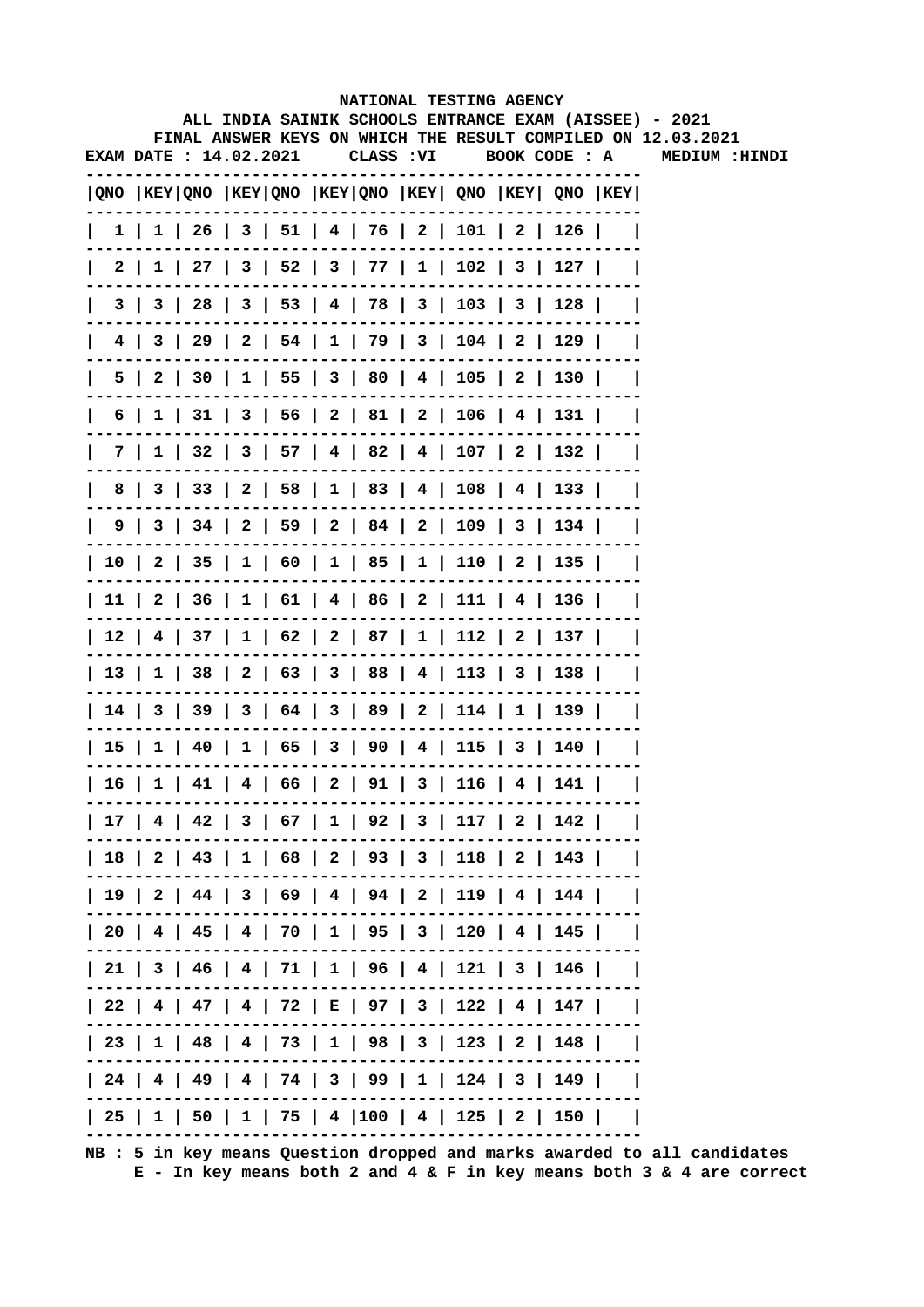|              |  |                        |  |  |  |  |  | NATIONAL TESTING AGENCY<br>ALL INDIA SAINIK SCHOOLS ENTRANCE EXAM (AISSEE) - 2021<br>FINAL ANSWER KEYS ON WHICH THE RESULT COMPILED ON 12.03.2021 |  |  |  |  |               |  |  |
|--------------|--|------------------------|--|--|--|--|--|---------------------------------------------------------------------------------------------------------------------------------------------------|--|--|--|--|---------------|--|--|
|              |  | EXAM DATE : 14.02.2021 |  |  |  |  |  | CLASS: VI BOOK CODE: A                                                                                                                            |  |  |  |  | MEDIUM :HINDI |  |  |
|              |  |                        |  |  |  |  |  | QNO  KEY QNO  KEY QNO  KEY QNO  KEY  QNO  KEY  QNO  KEY                                                                                           |  |  |  |  |               |  |  |
|              |  |                        |  |  |  |  |  | 1   1   26   3   51   4   76   2   101   2   126                                                                                                  |  |  |  |  |               |  |  |
|              |  |                        |  |  |  |  |  | 2   1   27   3   52   3   77   1   102   3   127                                                                                                  |  |  |  |  |               |  |  |
| $\mathbf{I}$ |  |                        |  |  |  |  |  | $3 \mid 3 \mid 28 \mid 3 \mid 53 \mid 4 \mid 78 \mid 3 \mid 103 \mid 3 \mid 128 \mid$                                                             |  |  |  |  |               |  |  |
| $\mathbf{I}$ |  |                        |  |  |  |  |  | 4   3   29   2   54   1   79   3   104   2   129                                                                                                  |  |  |  |  |               |  |  |
|              |  |                        |  |  |  |  |  | 5   2   30   1   55   3   80   4   105   2   130                                                                                                  |  |  |  |  |               |  |  |
| $\mathbf{I}$ |  |                        |  |  |  |  |  | 6   1   31   3   56   2   81   2   106   4   131                                                                                                  |  |  |  |  |               |  |  |
|              |  |                        |  |  |  |  |  | 7   1   32   3   57   4   82   4   107   2   132                                                                                                  |  |  |  |  |               |  |  |
|              |  |                        |  |  |  |  |  | 8   3   33   2   58   1   83   4   108   4   133                                                                                                  |  |  |  |  |               |  |  |
|              |  |                        |  |  |  |  |  | 9   3   34   2   59   2   84   2   109   3   134                                                                                                  |  |  |  |  |               |  |  |
|              |  |                        |  |  |  |  |  | 10   2   35   1   60   1   85   1   110   2   135                                                                                                 |  |  |  |  |               |  |  |
|              |  |                        |  |  |  |  |  | 11   2   36   1   61   4   86   2   111   4   136                                                                                                 |  |  |  |  |               |  |  |
|              |  |                        |  |  |  |  |  | 12   4   37   1   62   2   87   1   112   2   137                                                                                                 |  |  |  |  |               |  |  |
|              |  |                        |  |  |  |  |  | 13   1   38   2   63   3   88   4   113   3   138                                                                                                 |  |  |  |  |               |  |  |
|              |  |                        |  |  |  |  |  | 14   3   39   3   64   3   89   2   114   1   139                                                                                                 |  |  |  |  |               |  |  |
|              |  |                        |  |  |  |  |  | 15   1   40   1   65   3   90   4   115   3   140                                                                                                 |  |  |  |  |               |  |  |
|              |  |                        |  |  |  |  |  | $  16   1   41   4   66   2   91   3   116   4   141  $                                                                                           |  |  |  |  |               |  |  |
|              |  |                        |  |  |  |  |  | 17   4   42   3   67   1   92   3   117   2   142                                                                                                 |  |  |  |  |               |  |  |
|              |  |                        |  |  |  |  |  | 18   2   43   1   68   2   93   3   118   2   143                                                                                                 |  |  |  |  |               |  |  |
|              |  |                        |  |  |  |  |  | 19   2   44   3   69   4   94   2   119   4   144                                                                                                 |  |  |  |  |               |  |  |
|              |  |                        |  |  |  |  |  | 20   4   45   4   70   1   95   3   120   4   145                                                                                                 |  |  |  |  |               |  |  |
|              |  |                        |  |  |  |  |  | 21   3   46   4   71   1   96   4   121   3   146                                                                                                 |  |  |  |  |               |  |  |
|              |  |                        |  |  |  |  |  | 22   4   47   4   72   E   97   3   122   4   147                                                                                                 |  |  |  |  |               |  |  |
|              |  |                        |  |  |  |  |  | 23   1   48   4   73   1   98   3   123   2   148                                                                                                 |  |  |  |  |               |  |  |
|              |  |                        |  |  |  |  |  | 24   4   49   4   74   3   99   1   124   3   149                                                                                                 |  |  |  |  |               |  |  |
|              |  |                        |  |  |  |  |  | 25   1   50   1   75   4  100   4   125   2   150                                                                                                 |  |  |  |  |               |  |  |
|              |  |                        |  |  |  |  |  |                                                                                                                                                   |  |  |  |  |               |  |  |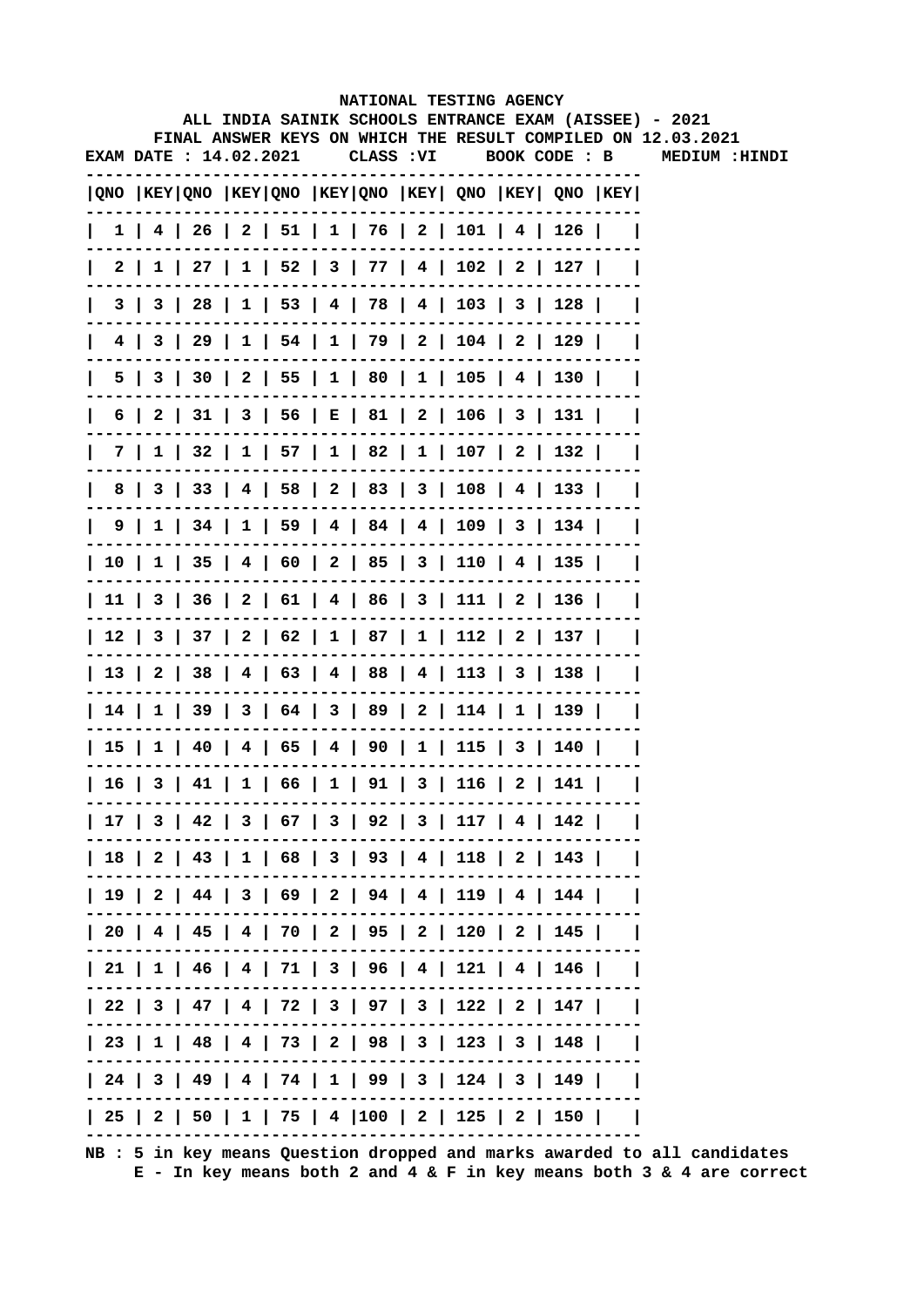|                        |  |  | NATIONAL TESTING AGENCY                                                                                                |  |  |                             |  |
|------------------------|--|--|------------------------------------------------------------------------------------------------------------------------|--|--|-----------------------------|--|
|                        |  |  | ALL INDIA SAINIK SCHOOLS ENTRANCE EXAM (AISSEE) - 2021<br>FINAL ANSWER KEYS ON WHICH THE RESULT COMPILED ON 12.03.2021 |  |  |                             |  |
| EXAM DATE : 14.02.2021 |  |  | CLASS : VI                                                                                                             |  |  | BOOK CODE : B MEDIUM :HINDI |  |
|                        |  |  | $ QNO $ KEY $ QNO $ KEY $ QNO $ KEY $ QNO $ KEY $ QNO $ KEY $ QNO $ KEY $ QNO $ KEY                                    |  |  |                             |  |
|                        |  |  | $1$   4   26   2   51   1   76   2   101   4   126                                                                     |  |  |                             |  |
|                        |  |  | $2 \mid 1 \mid 27 \mid 1 \mid 52 \mid 3 \mid 77 \mid 4 \mid 102 \mid 2 \mid 127 \mid$                                  |  |  |                             |  |
|                        |  |  | 3   3   28   1   53   4   78   4   103   3   128                                                                       |  |  |                             |  |
|                        |  |  | 4   3   29   1   54   1   79   2   104   2   129                                                                       |  |  |                             |  |
|                        |  |  | 5   3   30   2   55   1   80   1   105   4   130                                                                       |  |  |                             |  |
|                        |  |  | 6   2   31   3   56   E   81   2   106   3   131                                                                       |  |  |                             |  |
|                        |  |  | 7   1   32   1   57   1   82   1   107   2   132                                                                       |  |  |                             |  |
|                        |  |  | 8   3   33   4   58   2   83   3   108   4   133                                                                       |  |  |                             |  |
|                        |  |  | $9 \mid 1 \mid 34 \mid 1 \mid 59 \mid 4 \mid 84 \mid 4 \mid 109 \mid 3 \mid 134 \mid$                                  |  |  |                             |  |
|                        |  |  | 10   1   35   4   60   2   85   3   110   4   135                                                                      |  |  |                             |  |
|                        |  |  | 11   3   36   2   61   4   86   3   111   2   136                                                                      |  |  |                             |  |
|                        |  |  | 12   3   37   2   62   1   87   1   112   2   137                                                                      |  |  |                             |  |
|                        |  |  | 13   2   38   4   63   4   88   4   113   3   138                                                                      |  |  |                             |  |
|                        |  |  | 14   1   39   3   64   3   89   2   114   1   139                                                                      |  |  |                             |  |
|                        |  |  | 15   1   40   4   65   4   90   1   115   3   140                                                                      |  |  |                             |  |
|                        |  |  | 16   3   41   1   66   1   91   3   116   2   141                                                                      |  |  |                             |  |
|                        |  |  | 17   3   42   3   67   3   92   3   117   4   142                                                                      |  |  |                             |  |
|                        |  |  | 18   2   43   1   68   3   93   4   118   2   143                                                                      |  |  |                             |  |
|                        |  |  | 19   2   44   3   69   2   94   4   119   4   144                                                                      |  |  |                             |  |
|                        |  |  | 20   4   45   4   70   2   95   2   120   2   145                                                                      |  |  |                             |  |
|                        |  |  | 21   1   46   4   71   3   96   4   121   4   146                                                                      |  |  |                             |  |
|                        |  |  | 22   3   47   4   72   3   97   3   122   2   147                                                                      |  |  |                             |  |
|                        |  |  | 23   1   48   4   73   2   98   3   123   3   148                                                                      |  |  |                             |  |
|                        |  |  | 24   3   49   4   74   1   99   3   124   3   149                                                                      |  |  |                             |  |
|                        |  |  | 25   2   50   1   75   4  100   2   125   2   150                                                                      |  |  |                             |  |
|                        |  |  |                                                                                                                        |  |  |                             |  |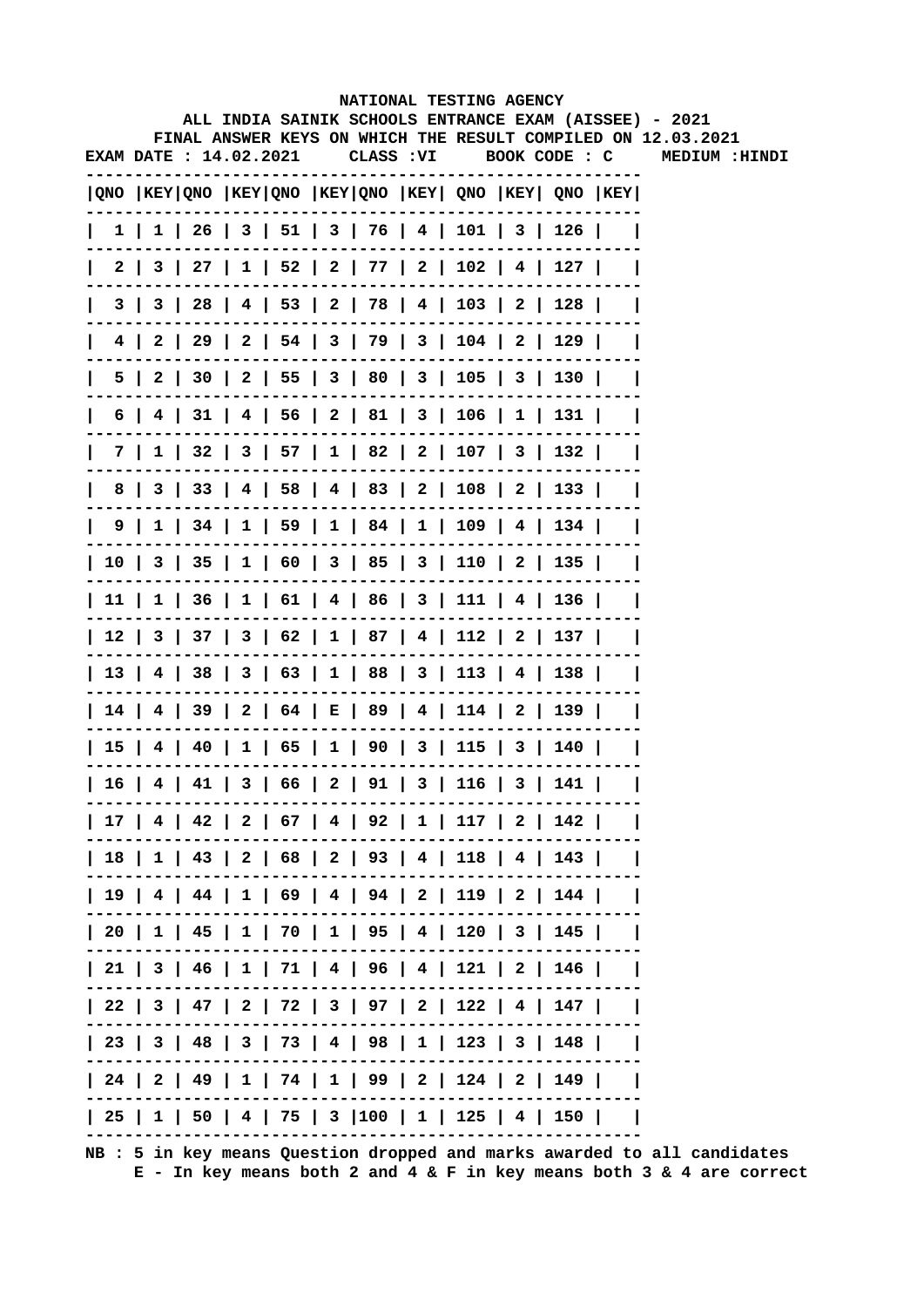|  |                       |  |  |  |  |  | NATIONAL TESTING AGENCY<br>ALL INDIA SAINIK SCHOOLS ENTRANCE EXAM (AISSEE) - 2021<br>FINAL ANSWER KEYS ON WHICH THE RESULT COMPILED ON 12.03.2021 |  |  |  |  |                |  |  |
|--|-----------------------|--|--|--|--|--|---------------------------------------------------------------------------------------------------------------------------------------------------|--|--|--|--|----------------|--|--|
|  | EXAM DATE: 14.02.2021 |  |  |  |  |  | CLASS: VI BOOK CODE: C                                                                                                                            |  |  |  |  | MEDIUM : HINDI |  |  |
|  |                       |  |  |  |  |  | QNO  KEY QNO  KEY QNO  KEY QNO  KEY  QNO  KEY  QNO  KEY                                                                                           |  |  |  |  |                |  |  |
|  |                       |  |  |  |  |  | 1   1   26   3   51   3   76   4   101   3   126                                                                                                  |  |  |  |  |                |  |  |
|  |                       |  |  |  |  |  | 2   3   27   1   52   2   77   2   102   4   127                                                                                                  |  |  |  |  |                |  |  |
|  |                       |  |  |  |  |  | $3   3   28   4   53   2   78   4   103   2   128  $                                                                                              |  |  |  |  |                |  |  |
|  |                       |  |  |  |  |  | $4$   2   29   2   54   3   79   3   104   2   129                                                                                                |  |  |  |  |                |  |  |
|  |                       |  |  |  |  |  | $5$   2   30   2   55   3   80   3   105   3   130                                                                                                |  |  |  |  |                |  |  |
|  |                       |  |  |  |  |  | 6   4   31   4   56   2   81   3   106   1   131                                                                                                  |  |  |  |  |                |  |  |
|  |                       |  |  |  |  |  | 7   1   32   3   57   1   82   2   107   3   132                                                                                                  |  |  |  |  |                |  |  |
|  |                       |  |  |  |  |  | 8   3   33   4   58   4   83   2   108   2   133                                                                                                  |  |  |  |  |                |  |  |
|  |                       |  |  |  |  |  | 9   1   34   1   59   1   84   1   109   4   134                                                                                                  |  |  |  |  |                |  |  |
|  |                       |  |  |  |  |  | 10   3   35   1   60   3   85   3   110   2   135                                                                                                 |  |  |  |  |                |  |  |
|  |                       |  |  |  |  |  | 11   1   36   1   61   4   86   3   111   4   136                                                                                                 |  |  |  |  |                |  |  |
|  |                       |  |  |  |  |  | 12   3   37   3   62   1   87   4   112   2   137                                                                                                 |  |  |  |  |                |  |  |
|  |                       |  |  |  |  |  | 13   4   38   3   63   1   88   3   113   4   138                                                                                                 |  |  |  |  |                |  |  |
|  |                       |  |  |  |  |  | 14   4   39   2   64   E   89   4   114   2   139                                                                                                 |  |  |  |  |                |  |  |
|  |                       |  |  |  |  |  | 15   4   40   1   65   1   90   3   115   3   140                                                                                                 |  |  |  |  |                |  |  |
|  |                       |  |  |  |  |  | 16   4   41   3   66   2   91   3   116   3   141                                                                                                 |  |  |  |  |                |  |  |
|  |                       |  |  |  |  |  | 17   4   42   2   67   4   92   1   117   2   142                                                                                                 |  |  |  |  |                |  |  |
|  |                       |  |  |  |  |  | 18   1   43   2   68   2   93   4   118   4   143                                                                                                 |  |  |  |  |                |  |  |
|  |                       |  |  |  |  |  | 19   4   44   1   69   4   94   2   119   2   144                                                                                                 |  |  |  |  |                |  |  |
|  |                       |  |  |  |  |  | 20   1   45   1   70   1   95   4   120   3   145                                                                                                 |  |  |  |  |                |  |  |
|  |                       |  |  |  |  |  | 21   3   46   1   71   4   96   4   121   2   146                                                                                                 |  |  |  |  |                |  |  |
|  |                       |  |  |  |  |  | 22   3   47   2   72   3   97   2   122   4   147                                                                                                 |  |  |  |  |                |  |  |
|  |                       |  |  |  |  |  | 23   3   48   3   73   4   98   1   123   3   148                                                                                                 |  |  |  |  |                |  |  |
|  |                       |  |  |  |  |  | 24   2   49   1   74   1   99   2   124   2   149                                                                                                 |  |  |  |  |                |  |  |
|  |                       |  |  |  |  |  | 25   1   50   4   75   3  100   1   125   4   150                                                                                                 |  |  |  |  |                |  |  |
|  |                       |  |  |  |  |  |                                                                                                                                                   |  |  |  |  |                |  |  |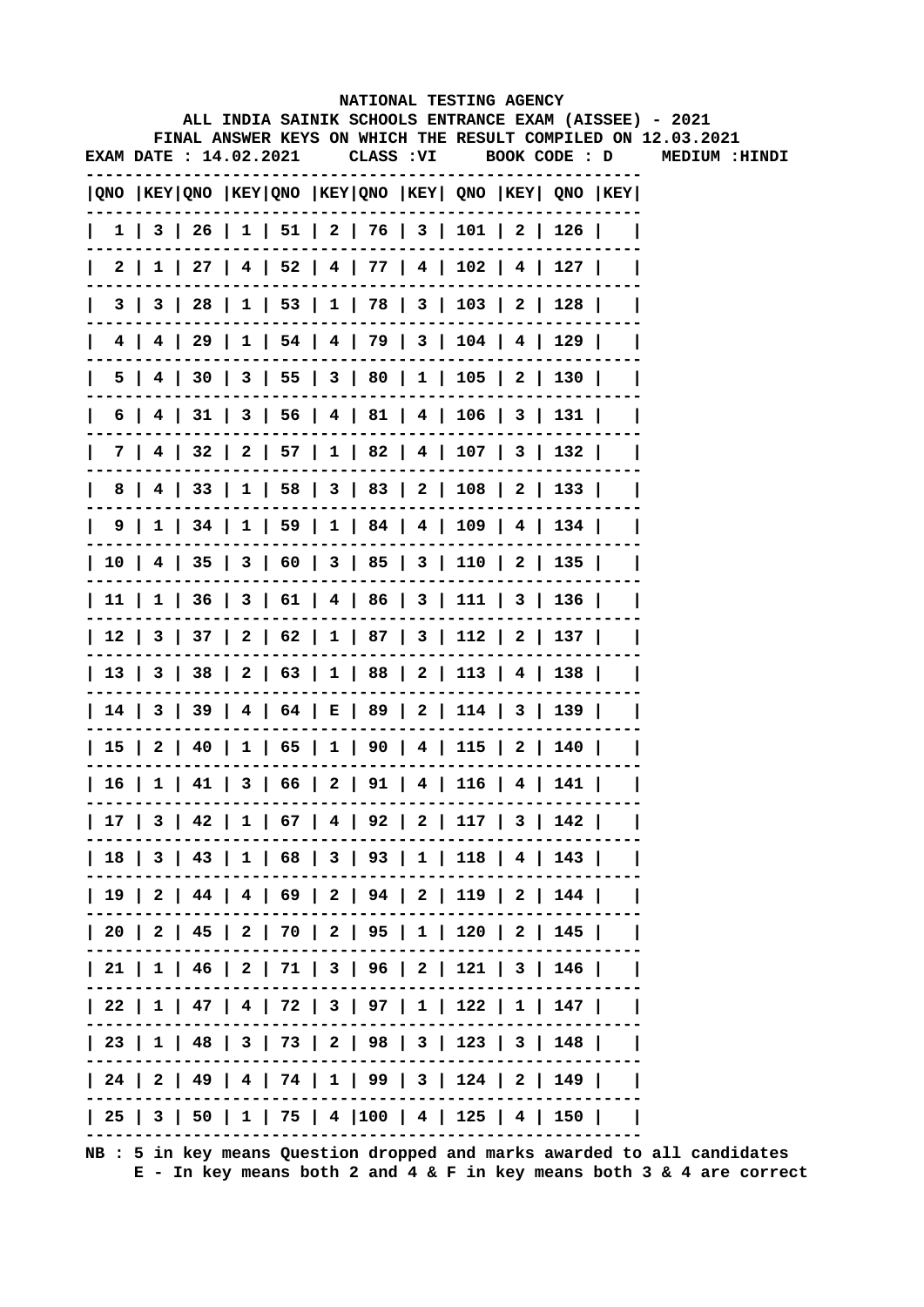|                        |  |  | NATIONAL TESTING AGENCY                                                               |  |  |                                                              |  |
|------------------------|--|--|---------------------------------------------------------------------------------------|--|--|--------------------------------------------------------------|--|
|                        |  |  | ALL INDIA SAINIK SCHOOLS ENTRANCE EXAM (AISSEE) - 2021                                |  |  | FINAL ANSWER KEYS ON WHICH THE RESULT COMPILED ON 12.03.2021 |  |
| EXAM DATE : 14.02.2021 |  |  |                                                                                       |  |  | CLASS: VI BOOK CODE: D MEDIUM: HINDI                         |  |
|                        |  |  | QNO  KEY QNO  KEY QNO  KEY QNO  KEY  QNO  KEY  QNO  KEY                               |  |  |                                                              |  |
|                        |  |  | 1   3   26   1   51   2   76   3   101   2   126                                      |  |  |                                                              |  |
| 2 I                    |  |  | $1 \mid 27 \mid 4 \mid 52 \mid 4 \mid 77 \mid 4 \mid 102 \mid 4 \mid 127 \mid$        |  |  |                                                              |  |
| 3                      |  |  | 3   28   1   53   1   78   3   103   2   128                                          |  |  |                                                              |  |
|                        |  |  | 4   4   29   1   54   4   79   3   104   4   129                                      |  |  |                                                              |  |
|                        |  |  | 5   4   30   3   55   3   80   1   105   2   130                                      |  |  |                                                              |  |
|                        |  |  | $6$   4   31   3   56   4   81   4   106   3   131                                    |  |  |                                                              |  |
|                        |  |  | 7   4   32   2   57   1   82   4   107   3   132                                      |  |  |                                                              |  |
|                        |  |  | 8   4   33   1   58   3   83   2   108   2   133                                      |  |  |                                                              |  |
|                        |  |  | $9 \mid 1 \mid 34 \mid 1 \mid 59 \mid 1 \mid 84 \mid 4 \mid 109 \mid 4 \mid 134 \mid$ |  |  |                                                              |  |
|                        |  |  | 10   4   35   3   60   3   85   3   110   2   135                                     |  |  |                                                              |  |
|                        |  |  | 11   1   36   3   61   4   86   3   111   3   136                                     |  |  |                                                              |  |
|                        |  |  | 12   3   37   2   62   1   87   3   112   2   137                                     |  |  |                                                              |  |
|                        |  |  | 13   3   38   2   63   1   88   2   113   4   138                                     |  |  |                                                              |  |
|                        |  |  | 14   3   39   4   64   E   89   2   114   3   139                                     |  |  |                                                              |  |
|                        |  |  | 15   2   40   1   65   1   90   4   115   2   140                                     |  |  |                                                              |  |
|                        |  |  | 16   1   41   3   66   2   91   4   116   4   141                                     |  |  |                                                              |  |
|                        |  |  | 17   3   42   1   67   4   92   2   117   3   142                                     |  |  |                                                              |  |
|                        |  |  | 18   3   43   1   68   3   93   1   118   4   143                                     |  |  |                                                              |  |
|                        |  |  | 19   2   44   4   69   2   94   2   119   2   144                                     |  |  |                                                              |  |
|                        |  |  | 20   2   45   2   70   2   95   1   120   2   145                                     |  |  |                                                              |  |
|                        |  |  | 21   1   46   2   71   3   96   2   121   3   146                                     |  |  |                                                              |  |
|                        |  |  | 22   1   47   4   72   3   97   1   122   1   147                                     |  |  |                                                              |  |
|                        |  |  | 23   1   48   3   73   2   98   3   123   3   148                                     |  |  |                                                              |  |
|                        |  |  | 24   2   49   4   74   1   99   3   124   2   149                                     |  |  |                                                              |  |
|                        |  |  | 25   3   50   1   75   4  100   4   125   4   150                                     |  |  |                                                              |  |
|                        |  |  |                                                                                       |  |  |                                                              |  |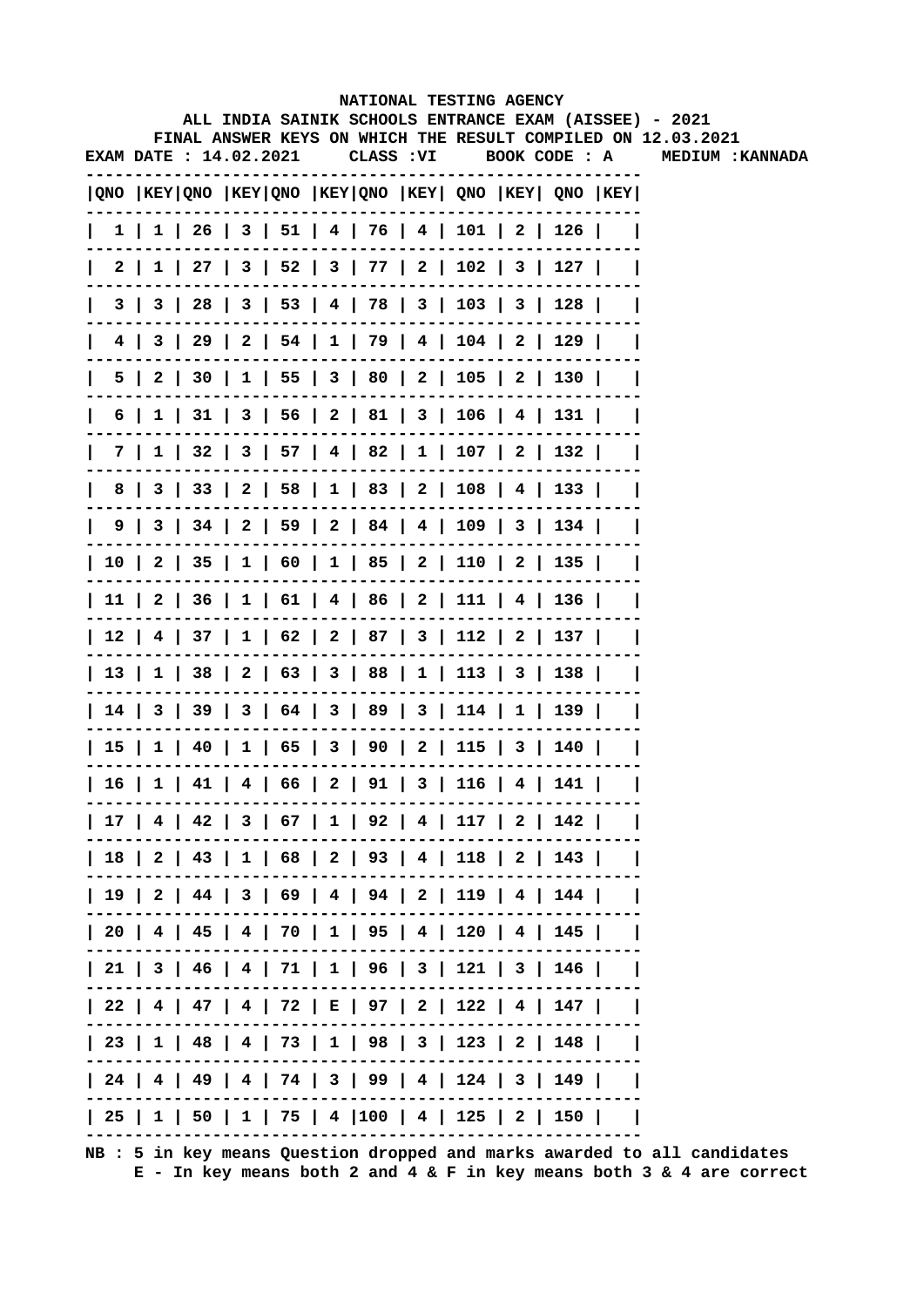|   |  |                        |  |            | NATIONAL TESTING AGENCY                                                               |  | ALL INDIA SAINIK SCHOOLS ENTRANCE EXAM (AISSEE) - 2021       |
|---|--|------------------------|--|------------|---------------------------------------------------------------------------------------|--|--------------------------------------------------------------|
|   |  |                        |  |            |                                                                                       |  | FINAL ANSWER KEYS ON WHICH THE RESULT COMPILED ON 12.03.2021 |
|   |  | EXAM DATE : 14.02.2021 |  | CLASS : VI | BOOK CODE : A                                                                         |  | <b>MEDIUM: KANNADA</b>                                       |
|   |  |                        |  |            | QNO  KEY QNO  KEY QNO  KEY QNO  KEY  QNO  KEY  QNO  KEY                               |  |                                                              |
|   |  |                        |  |            | $1 \mid 1 \mid 26 \mid 3 \mid 51 \mid 4 \mid 76 \mid 4 \mid 101 \mid 2 \mid 126 \mid$ |  |                                                              |
|   |  |                        |  |            | 2   1   27   3   52   3   77   2   102   3   127                                      |  |                                                              |
|   |  |                        |  |            | 3   3   28   3   53   4   78   3   103   3   128                                      |  |                                                              |
|   |  |                        |  |            | 4   3   29   2   54   1   79   4   104   2   129                                      |  |                                                              |
|   |  |                        |  |            | 5   2   30   1   55   3   80   2   105   2   130                                      |  |                                                              |
|   |  |                        |  |            | 6   1   31   3   56   2   81   3   106   4   131                                      |  |                                                              |
|   |  |                        |  |            | 7   1   32   3   57   4   82   1   107   2   132                                      |  |                                                              |
| 8 |  |                        |  |            | 3   33   2   58   1   83   2   108   4   133                                          |  |                                                              |
|   |  |                        |  |            | $9 \mid 3 \mid 34 \mid 2 \mid 59 \mid 2 \mid 84 \mid 4 \mid 109 \mid 3 \mid 134 \mid$ |  |                                                              |
|   |  |                        |  |            | 10   2   35   1   60   1   85   2   110   2   135                                     |  |                                                              |
|   |  |                        |  |            | 11   2   36   1   61   4   86   2   111   4   136                                     |  |                                                              |
|   |  |                        |  |            | 12   4   37   1   62   2   87   3   112   2   137                                     |  |                                                              |
|   |  |                        |  |            | 13   1   38   2   63   3   88   1   113   3   138                                     |  |                                                              |
|   |  |                        |  |            | 14   3   39   3   64   3   89   3   114   1   139                                     |  |                                                              |
|   |  |                        |  |            | 15   1   40   1   65   3   90   2   115   3   140                                     |  |                                                              |
|   |  |                        |  |            | 16   1   41   4   66   2   91   3   116   4   141                                     |  |                                                              |
|   |  |                        |  |            | 17   4   42   3   67   1   92   4   117   2   142                                     |  |                                                              |
|   |  |                        |  |            | 18   2   43   1   68   2   93   4   118   2   143                                     |  |                                                              |
|   |  |                        |  |            | 19   2   44   3   69   4   94   2   119   4   144                                     |  |                                                              |
|   |  |                        |  |            | 20   4   45   4   70   1   95   4   120   4   145                                     |  |                                                              |
|   |  |                        |  |            | 21   3   46   4   71   1   96   3   121   3   146                                     |  |                                                              |
|   |  |                        |  |            | 22   4   47   4   72   E   97   2   122   4   147                                     |  |                                                              |
|   |  |                        |  |            | 23   1   48   4   73   1   98   3   123   2   148                                     |  |                                                              |
|   |  |                        |  |            | 24   4   49   4   74   3   99   4   124   3   149                                     |  |                                                              |
|   |  |                        |  |            | 25   1   50   1   75   4  100   4   125   2   150                                     |  |                                                              |
|   |  |                        |  |            |                                                                                       |  |                                                              |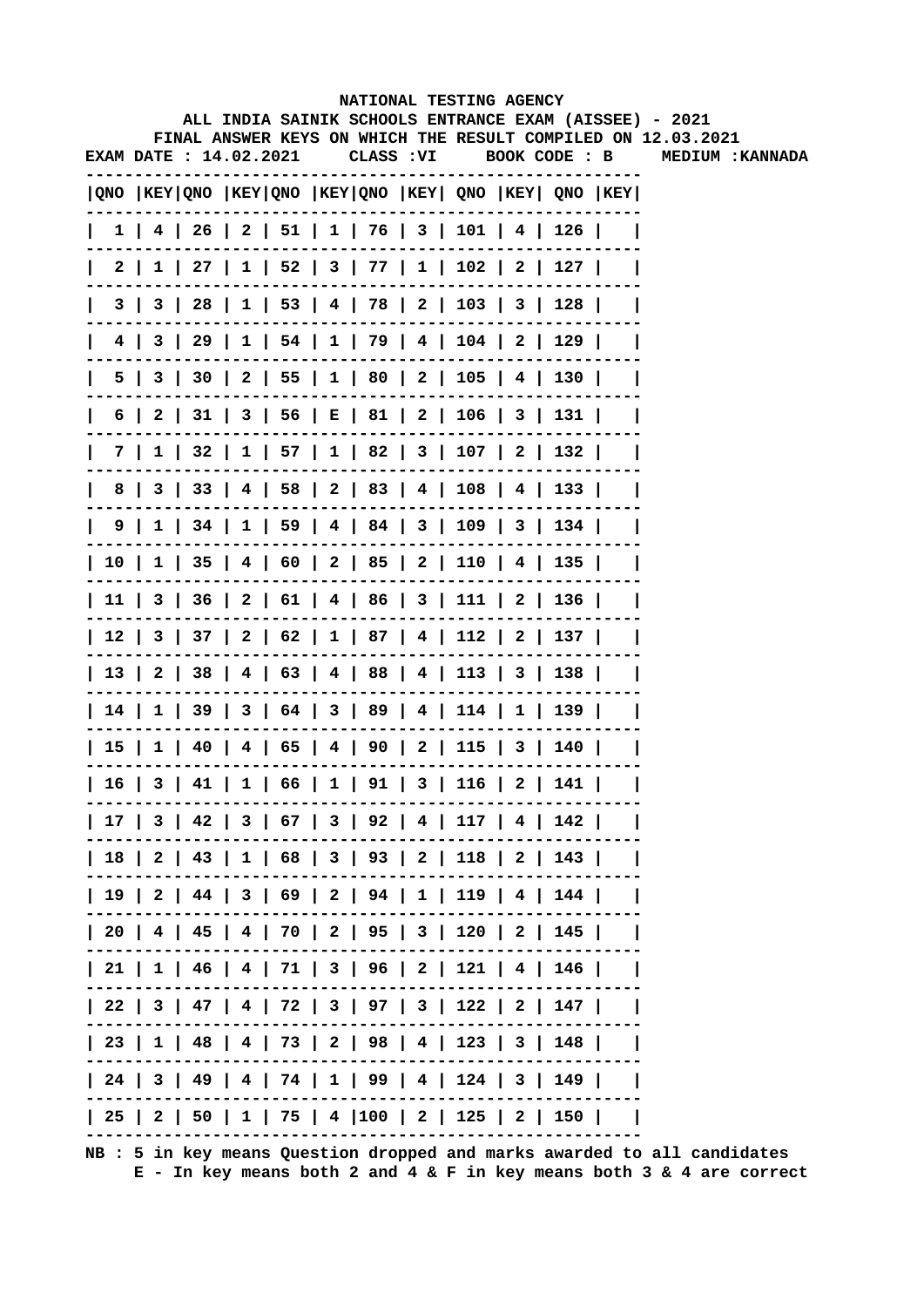|      |                        |  |  |            |                                        | NATIONAL TESTING AGENCY                           |                                                         |                                                                                                                        |
|------|------------------------|--|--|------------|----------------------------------------|---------------------------------------------------|---------------------------------------------------------|------------------------------------------------------------------------------------------------------------------------|
|      |                        |  |  |            |                                        |                                                   |                                                         | ALL INDIA SAINIK SCHOOLS ENTRANCE EXAM (AISSEE) - 2021<br>FINAL ANSWER KEYS ON WHICH THE RESULT COMPILED ON 12.03.2021 |
|      | EXAM DATE : 14.02.2021 |  |  | CLASS : VI |                                        |                                                   |                                                         | BOOK CODE : B MEDIUM : KANNADA                                                                                         |
|      |                        |  |  |            |                                        |                                                   | QNO  KEY QNO  KEY QNO  KEY QNO  KEY  QNO  KEY  QNO  KEY |                                                                                                                        |
|      |                        |  |  |            |                                        |                                                   | $1$   4   26   2   51   1   76   3   101   4   126      |                                                                                                                        |
|      |                        |  |  |            |                                        |                                                   | 2   1   27   1   52   3   77   1   102   2   127        |                                                                                                                        |
|      |                        |  |  |            |                                        | 3   3   28   1   53   4   78   2   103   3   128  |                                                         |                                                                                                                        |
| 4 I  |                        |  |  |            |                                        | 3   29   1   54   1   79   4   104   2   129      |                                                         |                                                                                                                        |
|      |                        |  |  |            |                                        | 5   3   30   2   55   1   80   2   105   4   130  |                                                         |                                                                                                                        |
|      |                        |  |  |            |                                        |                                                   | 6   2   31   3   56   E   81   2   106   3   131        |                                                                                                                        |
|      |                        |  |  |            |                                        | 7   1   32   1   57   1   82   3   107   2   132  |                                                         |                                                                                                                        |
| 8    |                        |  |  |            |                                        | 3   33   4   58   2   83   4   108   4   133      |                                                         |                                                                                                                        |
|      |                        |  |  |            |                                        | 9   1   34   1   59   4   84   3   109   3   134  |                                                         |                                                                                                                        |
|      |                        |  |  |            |                                        | 10   1   35   4   60   2   85   2   110   4   135 | $\mathbf{I}$                                            |                                                                                                                        |
|      |                        |  |  |            |                                        | 11   3   36   2   61   4   86   3   111   2   136 |                                                         |                                                                                                                        |
|      |                        |  |  |            |                                        |                                                   | 12   3   37   2   62   1   87   4   112   2   137       |                                                                                                                        |
|      |                        |  |  |            |                                        | 13   2   38   4   63   4   88   4   113   3   138 | $\mathbf{I}$                                            |                                                                                                                        |
|      |                        |  |  |            |                                        | 14   1   39   3   64   3   89   4   114   1   139 | $\mathbf{I}$                                            |                                                                                                                        |
|      |                        |  |  |            |                                        | 15   1   40   4   65   4   90   2   115   3   140 |                                                         |                                                                                                                        |
| 16 I |                        |  |  |            | 3   41   1   66   1   91   3   116   2 |                                                   | -141                                                    |                                                                                                                        |
|      |                        |  |  |            |                                        |                                                   | 17   3   42   3   67   3   92   4   117   4   142       |                                                                                                                        |
|      |                        |  |  |            |                                        |                                                   | 18   2   43   1   68   3   93   2   118   2   143       |                                                                                                                        |
|      |                        |  |  |            |                                        |                                                   | 19   2   44   3   69   2   94   1   119   4   144       |                                                                                                                        |
|      |                        |  |  |            |                                        |                                                   | 20   4   45   4   70   2   95   3   120   2   145       |                                                                                                                        |
|      |                        |  |  |            |                                        |                                                   | 21   1   46   4   71   3   96   2   121   4   146       |                                                                                                                        |
|      |                        |  |  |            |                                        |                                                   | 22   3   47   4   72   3   97   3   122   2   147       |                                                                                                                        |
|      |                        |  |  |            |                                        |                                                   | 23   1   48   4   73   2   98   4   123   3   148       |                                                                                                                        |
|      |                        |  |  |            |                                        |                                                   | 24   3   49   4   74   1   99   4   124   3   149       |                                                                                                                        |
|      |                        |  |  |            |                                        |                                                   | 25   2   50   1   75   4  100   2   125   2   150       |                                                                                                                        |
|      |                        |  |  |            |                                        |                                                   |                                                         |                                                                                                                        |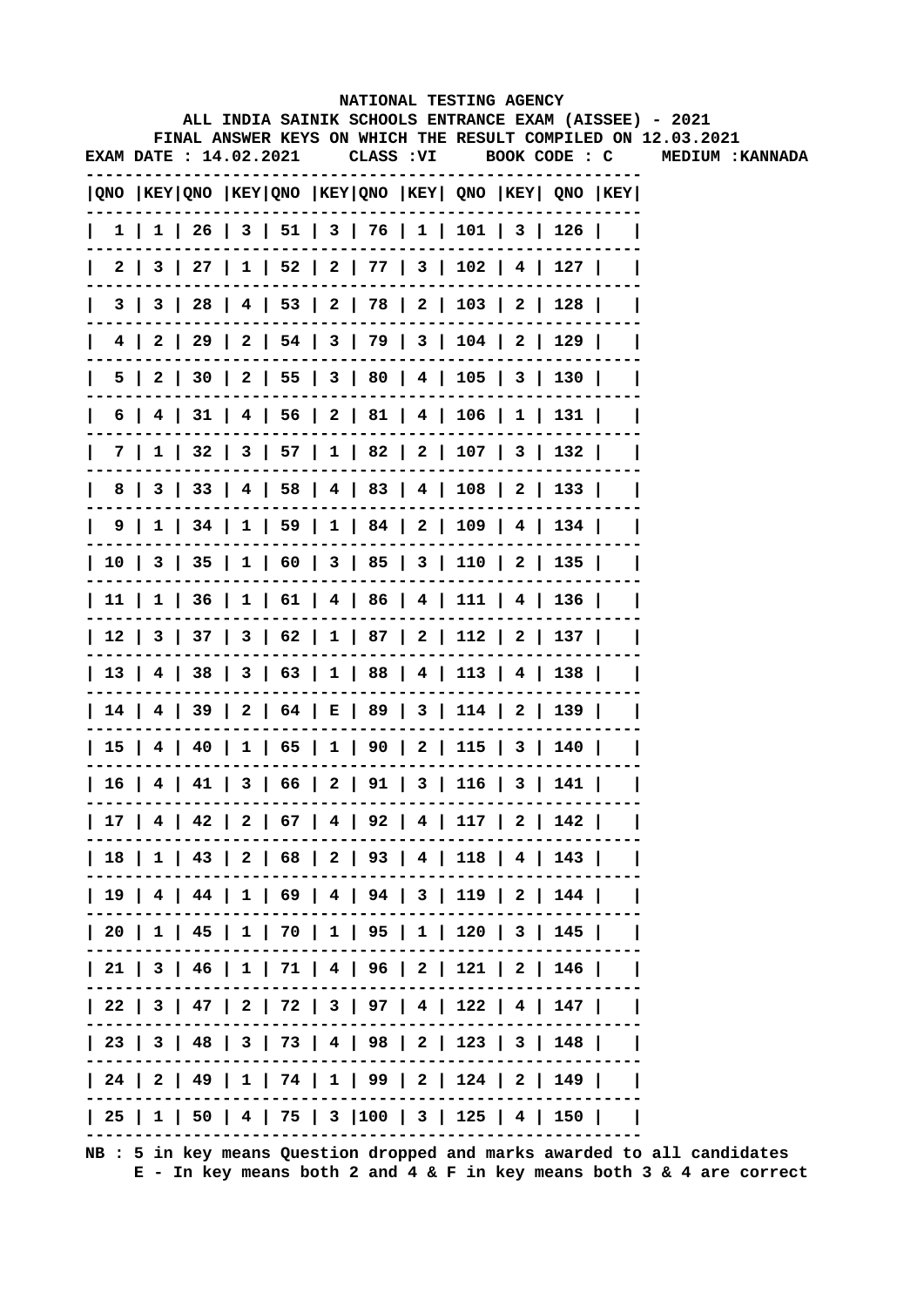|   |                        |  |  | NATIONAL TESTING AGENCY                                                               |               |  | ALL INDIA SAINIK SCHOOLS ENTRANCE EXAM (AISSEE) - 2021       |
|---|------------------------|--|--|---------------------------------------------------------------------------------------|---------------|--|--------------------------------------------------------------|
|   |                        |  |  |                                                                                       |               |  | FINAL ANSWER KEYS ON WHICH THE RESULT COMPILED ON 12.03.2021 |
|   | EXAM DATE : 14.02.2021 |  |  | CLASS : VI                                                                            | BOOK CODE : C |  | <b>MEDIUM: KANNADA</b>                                       |
|   |                        |  |  | QNO  KEY QNO  KEY QNO  KEY QNO  KEY  QNO  KEY  QNO  KEY                               |               |  |                                                              |
|   |                        |  |  | $1 \mid 1 \mid 26 \mid 3 \mid 51 \mid 3 \mid 76 \mid 1 \mid 101 \mid 3 \mid 126 \mid$ |               |  |                                                              |
|   |                        |  |  | 2   3   27   1   52   2   77   3   102   4   127                                      |               |  |                                                              |
|   |                        |  |  | 3   3   28   4   53   2   78   2   103   2   128                                      |               |  |                                                              |
|   |                        |  |  | 4   2   29   2   54   3   79   3   104   2   129                                      |               |  |                                                              |
|   |                        |  |  | 5   2   30   2   55   3   80   4   105   3   130                                      |               |  |                                                              |
|   |                        |  |  | 6   4   31   4   56   2   81   4   106   1   131                                      |               |  |                                                              |
|   |                        |  |  | 7   1   32   3   57   1   82   2   107   3   132                                      |               |  |                                                              |
| 8 |                        |  |  | 3   33   4   58   4   83   4   108   2   133                                          |               |  |                                                              |
|   |                        |  |  | $9 \mid 1 \mid 34 \mid 1 \mid 59 \mid 1 \mid 84 \mid 2 \mid 109 \mid 4 \mid 134 \mid$ |               |  |                                                              |
|   |                        |  |  | 10   3   35   1   60   3   85   3   110   2   135                                     |               |  |                                                              |
|   |                        |  |  | 11   1   36   1   61   4   86   4   111   4   136                                     |               |  |                                                              |
|   |                        |  |  | 12   3   37   3   62   1   87   2   112   2   137                                     |               |  |                                                              |
|   |                        |  |  | 13   4   38   3   63   1   88   4   113   4   138                                     |               |  |                                                              |
|   |                        |  |  | 14   4   39   2   64   E   89   3   114   2   139                                     |               |  |                                                              |
|   |                        |  |  | 15   4   40   1   65   1   90   2   115   3   140                                     |               |  |                                                              |
|   |                        |  |  | 16   4   41   3   66   2   91   3   116   3   141                                     |               |  |                                                              |
|   |                        |  |  | 17   4   42   2   67   4   92   4   117   2   142                                     |               |  |                                                              |
|   |                        |  |  | 18   1   43   2   68   2   93   4   118   4   143                                     |               |  |                                                              |
|   |                        |  |  | 19   4   44   1   69   4   94   3   119   2   144                                     |               |  |                                                              |
|   |                        |  |  | 20   1   45   1   70   1   95   1   120   3   145                                     |               |  |                                                              |
|   |                        |  |  | 21   3   46   1   71   4   96   2   121   2   146                                     |               |  |                                                              |
|   |                        |  |  | 22   3   47   2   72   3   97   4   122   4   147                                     |               |  |                                                              |
|   |                        |  |  | 23   3   48   3   73   4   98   2   123   3   148                                     |               |  |                                                              |
|   |                        |  |  | 24   2   49   1   74   1   99   2   124   2   149                                     |               |  |                                                              |
|   |                        |  |  | 25   1   50   4   75   3  100   3   125   4   150                                     |               |  |                                                              |
|   |                        |  |  |                                                                                       |               |  |                                                              |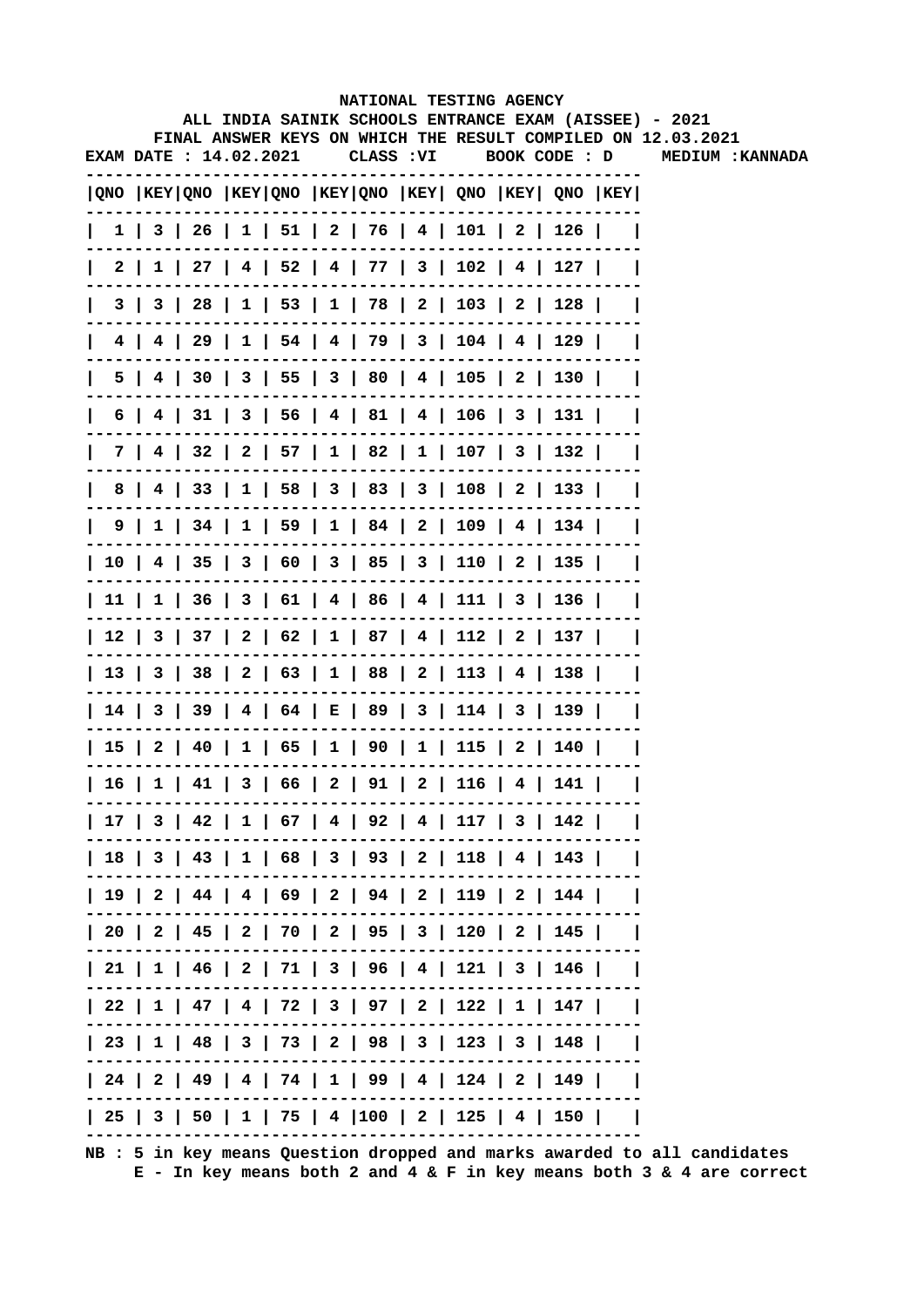| ALL INDIA SAINIK SCHOOLS ENTRANCE EXAM (AISSEE) - 2021<br>FINAL ANSWER KEYS ON WHICH THE RESULT COMPILED ON 12.03.2021<br>CLASS : VI<br>BOOK CODE : D<br> QNO  KEY QNO  KEY QNO  KEY QNO  KEY  QNO  KEY  QNO  KEY <br>$1 \mid 3 \mid 26 \mid 1 \mid 51 \mid 2 \mid 76 \mid 4 \mid 101 \mid 2 \mid 126 \mid$<br>$2 \mid 1 \mid 27 \mid 4 \mid 52 \mid 4 \mid 77 \mid 3 \mid 102 \mid 4 \mid 127 \mid$<br>3   3   28   1   53   1   78   2   103   2   128  <br>4   4   29   1   54   4   79   3   104   4   129  <br>4   30   3   55   3   80   4   105   2   130  <br>5  <br>6   4   31   3   56   4   81   4   106   3   131  <br>7   4   32   2   57   1   82   1   107   3   132  <br>8   4   33   1   58   3   83   3   108   2   133  <br>9   1   34   1   59   1   84   2   109   4   134  <br>  10   4   35   3   60   3   85   3   110   2   135  <br>  11   1   36   3   61   4   86   4   111   3   136  <br>  12   3   37   2   62   1   87   4   112   2   137  <br>  13   3   38   2   63   1   88   2   113   4   138  <br>  14   3   39   4   64   E   89   3   114   3   139  <br>  15   2   40   1   65   1   90   1   115   2   140  <br>  16   1   41   3   66   2   91   2   116   4   141<br>  25   3   50   1   75   4  100   2   125   4   150 |  |  |  |  | NATIONAL TESTING AGENCY |  |                  |
|-----------------------------------------------------------------------------------------------------------------------------------------------------------------------------------------------------------------------------------------------------------------------------------------------------------------------------------------------------------------------------------------------------------------------------------------------------------------------------------------------------------------------------------------------------------------------------------------------------------------------------------------------------------------------------------------------------------------------------------------------------------------------------------------------------------------------------------------------------------------------------------------------------------------------------------------------------------------------------------------------------------------------------------------------------------------------------------------------------------------------------------------------------------------------------------------------------------------------------------------------------------------------|--|--|--|--|-------------------------|--|------------------|
| EXAM DATE: 14.02.2021<br>  17   3   42   1   67   4   92   4   117   3   142  <br>  18   3   43   1   68   3   93   2   118   4   143  <br>  19   2   44   4   69   2   94   2   119   2   144  <br>  20   2   45   2   70   2   95   3   120   2   145  <br>  21   1   46   2   71   3   96   4   121   3   146  <br>  22   1   47   4   72   3   97   2   122   1   147  <br>  23   1   48   3   73   2   98   3   123   3   148  <br>  24   2   49   4   74   1   99   4   124   2   149                                                                                                                                                                                                                                                                                                                                                                                                                                                                                                                                                                                                                                                                                                                                                                           |  |  |  |  |                         |  |                  |
|                                                                                                                                                                                                                                                                                                                                                                                                                                                                                                                                                                                                                                                                                                                                                                                                                                                                                                                                                                                                                                                                                                                                                                                                                                                                       |  |  |  |  |                         |  | MEDIUM : KANNADA |
|                                                                                                                                                                                                                                                                                                                                                                                                                                                                                                                                                                                                                                                                                                                                                                                                                                                                                                                                                                                                                                                                                                                                                                                                                                                                       |  |  |  |  |                         |  |                  |
|                                                                                                                                                                                                                                                                                                                                                                                                                                                                                                                                                                                                                                                                                                                                                                                                                                                                                                                                                                                                                                                                                                                                                                                                                                                                       |  |  |  |  |                         |  |                  |
|                                                                                                                                                                                                                                                                                                                                                                                                                                                                                                                                                                                                                                                                                                                                                                                                                                                                                                                                                                                                                                                                                                                                                                                                                                                                       |  |  |  |  |                         |  |                  |
|                                                                                                                                                                                                                                                                                                                                                                                                                                                                                                                                                                                                                                                                                                                                                                                                                                                                                                                                                                                                                                                                                                                                                                                                                                                                       |  |  |  |  |                         |  |                  |
|                                                                                                                                                                                                                                                                                                                                                                                                                                                                                                                                                                                                                                                                                                                                                                                                                                                                                                                                                                                                                                                                                                                                                                                                                                                                       |  |  |  |  |                         |  |                  |
|                                                                                                                                                                                                                                                                                                                                                                                                                                                                                                                                                                                                                                                                                                                                                                                                                                                                                                                                                                                                                                                                                                                                                                                                                                                                       |  |  |  |  |                         |  |                  |
|                                                                                                                                                                                                                                                                                                                                                                                                                                                                                                                                                                                                                                                                                                                                                                                                                                                                                                                                                                                                                                                                                                                                                                                                                                                                       |  |  |  |  |                         |  |                  |
|                                                                                                                                                                                                                                                                                                                                                                                                                                                                                                                                                                                                                                                                                                                                                                                                                                                                                                                                                                                                                                                                                                                                                                                                                                                                       |  |  |  |  |                         |  |                  |
|                                                                                                                                                                                                                                                                                                                                                                                                                                                                                                                                                                                                                                                                                                                                                                                                                                                                                                                                                                                                                                                                                                                                                                                                                                                                       |  |  |  |  |                         |  |                  |
|                                                                                                                                                                                                                                                                                                                                                                                                                                                                                                                                                                                                                                                                                                                                                                                                                                                                                                                                                                                                                                                                                                                                                                                                                                                                       |  |  |  |  |                         |  |                  |
|                                                                                                                                                                                                                                                                                                                                                                                                                                                                                                                                                                                                                                                                                                                                                                                                                                                                                                                                                                                                                                                                                                                                                                                                                                                                       |  |  |  |  |                         |  |                  |
|                                                                                                                                                                                                                                                                                                                                                                                                                                                                                                                                                                                                                                                                                                                                                                                                                                                                                                                                                                                                                                                                                                                                                                                                                                                                       |  |  |  |  |                         |  |                  |
|                                                                                                                                                                                                                                                                                                                                                                                                                                                                                                                                                                                                                                                                                                                                                                                                                                                                                                                                                                                                                                                                                                                                                                                                                                                                       |  |  |  |  |                         |  |                  |
|                                                                                                                                                                                                                                                                                                                                                                                                                                                                                                                                                                                                                                                                                                                                                                                                                                                                                                                                                                                                                                                                                                                                                                                                                                                                       |  |  |  |  |                         |  |                  |
|                                                                                                                                                                                                                                                                                                                                                                                                                                                                                                                                                                                                                                                                                                                                                                                                                                                                                                                                                                                                                                                                                                                                                                                                                                                                       |  |  |  |  |                         |  |                  |
|                                                                                                                                                                                                                                                                                                                                                                                                                                                                                                                                                                                                                                                                                                                                                                                                                                                                                                                                                                                                                                                                                                                                                                                                                                                                       |  |  |  |  |                         |  |                  |
|                                                                                                                                                                                                                                                                                                                                                                                                                                                                                                                                                                                                                                                                                                                                                                                                                                                                                                                                                                                                                                                                                                                                                                                                                                                                       |  |  |  |  |                         |  |                  |
|                                                                                                                                                                                                                                                                                                                                                                                                                                                                                                                                                                                                                                                                                                                                                                                                                                                                                                                                                                                                                                                                                                                                                                                                                                                                       |  |  |  |  |                         |  |                  |
|                                                                                                                                                                                                                                                                                                                                                                                                                                                                                                                                                                                                                                                                                                                                                                                                                                                                                                                                                                                                                                                                                                                                                                                                                                                                       |  |  |  |  |                         |  |                  |
|                                                                                                                                                                                                                                                                                                                                                                                                                                                                                                                                                                                                                                                                                                                                                                                                                                                                                                                                                                                                                                                                                                                                                                                                                                                                       |  |  |  |  |                         |  |                  |
|                                                                                                                                                                                                                                                                                                                                                                                                                                                                                                                                                                                                                                                                                                                                                                                                                                                                                                                                                                                                                                                                                                                                                                                                                                                                       |  |  |  |  |                         |  |                  |
|                                                                                                                                                                                                                                                                                                                                                                                                                                                                                                                                                                                                                                                                                                                                                                                                                                                                                                                                                                                                                                                                                                                                                                                                                                                                       |  |  |  |  |                         |  |                  |
|                                                                                                                                                                                                                                                                                                                                                                                                                                                                                                                                                                                                                                                                                                                                                                                                                                                                                                                                                                                                                                                                                                                                                                                                                                                                       |  |  |  |  |                         |  |                  |
|                                                                                                                                                                                                                                                                                                                                                                                                                                                                                                                                                                                                                                                                                                                                                                                                                                                                                                                                                                                                                                                                                                                                                                                                                                                                       |  |  |  |  |                         |  |                  |
|                                                                                                                                                                                                                                                                                                                                                                                                                                                                                                                                                                                                                                                                                                                                                                                                                                                                                                                                                                                                                                                                                                                                                                                                                                                                       |  |  |  |  |                         |  |                  |
|                                                                                                                                                                                                                                                                                                                                                                                                                                                                                                                                                                                                                                                                                                                                                                                                                                                                                                                                                                                                                                                                                                                                                                                                                                                                       |  |  |  |  |                         |  |                  |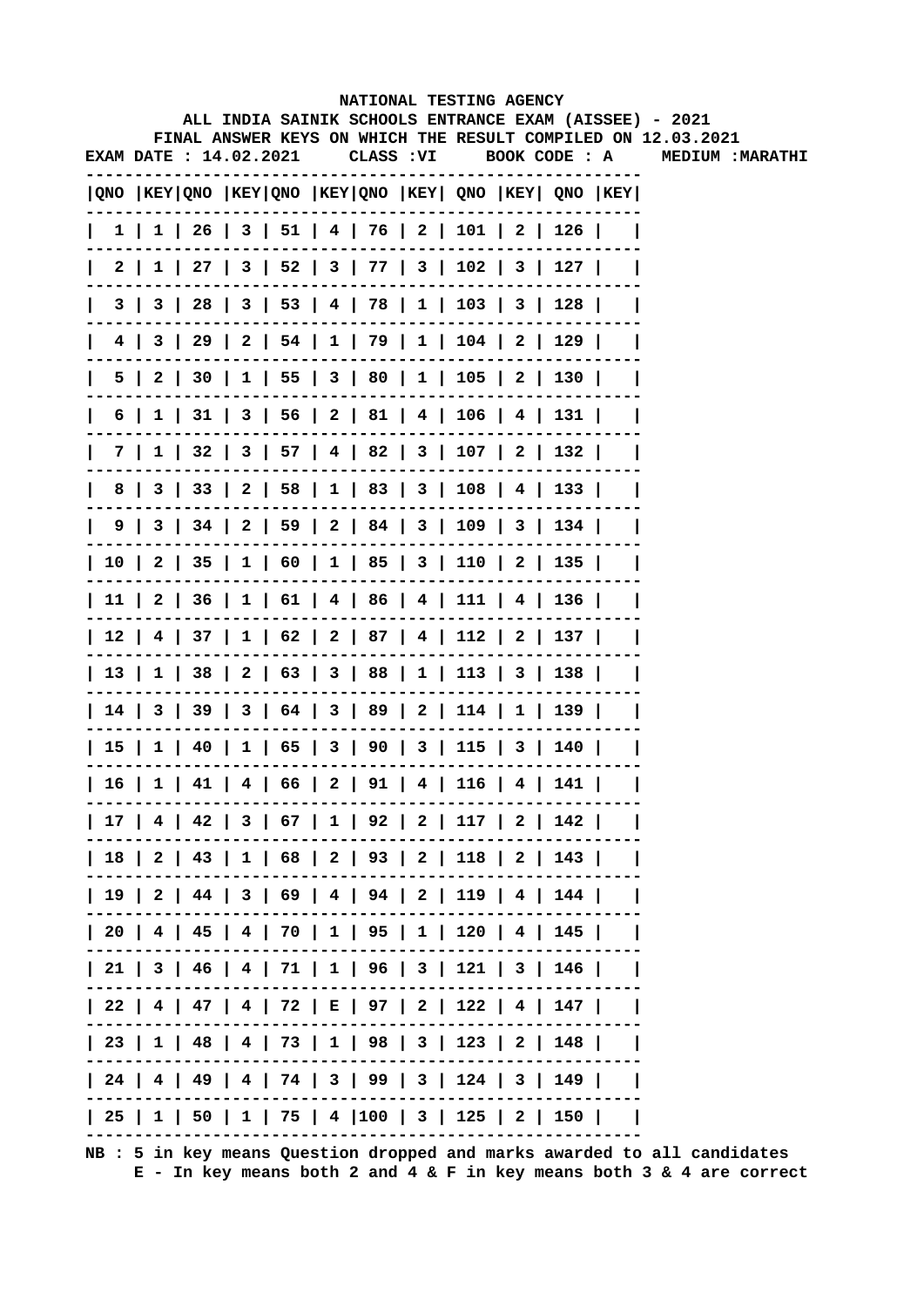|    |                                  |  |  |            |                                                   | NATIONAL TESTING AGENCY |                                                                                       |                                                                                                                        |
|----|----------------------------------|--|--|------------|---------------------------------------------------|-------------------------|---------------------------------------------------------------------------------------|------------------------------------------------------------------------------------------------------------------------|
|    |                                  |  |  |            |                                                   |                         |                                                                                       | ALL INDIA SAINIK SCHOOLS ENTRANCE EXAM (AISSEE) - 2021<br>FINAL ANSWER KEYS ON WHICH THE RESULT COMPILED ON 12.03.2021 |
|    | <b>EXAM DATE : 14.02.2021</b>    |  |  | CLASS : VI |                                                   |                         | BOOK CODE : A                                                                         | <b>MEDIUM: MARATHI</b>                                                                                                 |
|    |                                  |  |  |            |                                                   |                         |                                                                                       |                                                                                                                        |
|    |                                  |  |  |            |                                                   |                         | $ QNO $ KEY $ QNO $ KEY $ QNO $ KEY $ QNO $ KEY $ QNO $ KEY $ QNO $ KEY $ QNO $ KEY   |                                                                                                                        |
|    |                                  |  |  |            |                                                   |                         | $1 \mid 1 \mid 26 \mid 3 \mid 51 \mid 4 \mid 76 \mid 2 \mid 101 \mid 2 \mid 126 \mid$ |                                                                                                                        |
|    |                                  |  |  |            |                                                   |                         | 2   1   27   3   52   3   77   3   102   3   127                                      |                                                                                                                        |
|    |                                  |  |  |            |                                                   |                         | 3   3   28   3   53   4   78   1   103   3   128                                      |                                                                                                                        |
|    |                                  |  |  |            |                                                   |                         | 4   3   29   2   54   1   79   1   104   2   129                                      |                                                                                                                        |
| 5. | $\begin{array}{ccc} \end{array}$ |  |  |            |                                                   |                         | 30   1   55   3   80   1   105   2   130                                              |                                                                                                                        |
| 6  |                                  |  |  |            |                                                   |                         | 1   31   3   56   2   81   4   106   4   131                                          |                                                                                                                        |
|    |                                  |  |  |            |                                                   |                         | 7   1   32   3   57   4   82   3   107   2   132                                      |                                                                                                                        |
| 8  |                                  |  |  |            |                                                   |                         | 3   33   2   58   1   83   3   108   4   133                                          |                                                                                                                        |
|    |                                  |  |  |            |                                                   |                         | 9   3   34   2   59   2   84   3   109   3   134                                      |                                                                                                                        |
|    |                                  |  |  |            |                                                   |                         | 10   2   35   1   60   1   85   3   110   2   135                                     |                                                                                                                        |
|    |                                  |  |  |            |                                                   |                         | 11   2   36   1   61   4   86   4   111   4   136                                     |                                                                                                                        |
|    |                                  |  |  |            |                                                   |                         | 12   4   37   1   62   2   87   4   112   2   137                                     |                                                                                                                        |
|    |                                  |  |  |            |                                                   |                         | 13   1   38   2   63   3   88   1   113   3   138                                     |                                                                                                                        |
|    |                                  |  |  |            |                                                   |                         | 14   3   39   3   64   3   89   2   114   1   139                                     |                                                                                                                        |
|    |                                  |  |  |            |                                                   |                         | 15   1   40   1   65   3   90   3   115   3   140                                     |                                                                                                                        |
|    |                                  |  |  |            | 16   1   41   4   66   2   91   4   116   4   141 |                         |                                                                                       |                                                                                                                        |
|    |                                  |  |  |            |                                                   |                         | 17   4   42   3   67   1   92   2   117   2   142                                     |                                                                                                                        |
|    |                                  |  |  |            |                                                   |                         | 18   2   43   1   68   2   93   2   118   2   143                                     |                                                                                                                        |
|    |                                  |  |  |            |                                                   |                         | 19   2   44   3   69   4   94   2   119   4   144                                     |                                                                                                                        |
|    |                                  |  |  |            |                                                   |                         | 20   4   45   4   70   1   95   1   120   4   145                                     |                                                                                                                        |
|    |                                  |  |  |            |                                                   |                         | 21   3   46   4   71   1   96   3   121   3   146                                     |                                                                                                                        |
|    |                                  |  |  |            |                                                   |                         | 22   4   47   4   72   E   97   2   122   4   147                                     |                                                                                                                        |
|    |                                  |  |  |            |                                                   |                         | 23   1   48   4   73   1   98   3   123   2   148                                     |                                                                                                                        |
|    |                                  |  |  |            |                                                   |                         | 24   4   49   4   74   3   99   3   124   3   149                                     |                                                                                                                        |
|    |                                  |  |  |            |                                                   |                         | 25   1   50   1   75   4  100   3   125   2   150                                     |                                                                                                                        |
|    |                                  |  |  |            |                                                   |                         |                                                                                       |                                                                                                                        |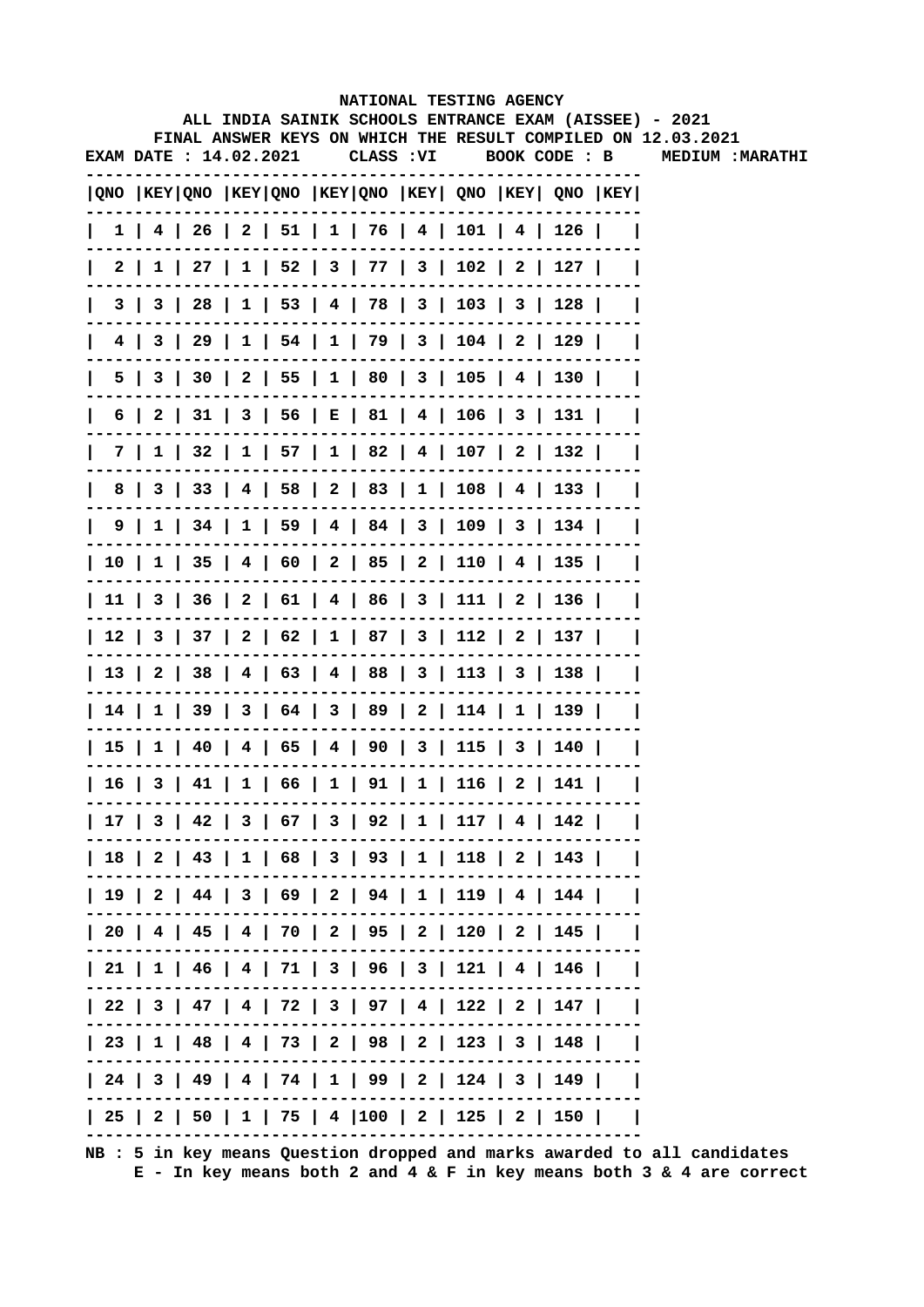|    |                        |  |            | NATIONAL TESTING AGENCY                      |  |                                                         |                                                                                                                        |
|----|------------------------|--|------------|----------------------------------------------|--|---------------------------------------------------------|------------------------------------------------------------------------------------------------------------------------|
|    |                        |  |            |                                              |  |                                                         | ALL INDIA SAINIK SCHOOLS ENTRANCE EXAM (AISSEE) - 2021<br>FINAL ANSWER KEYS ON WHICH THE RESULT COMPILED ON 12.03.2021 |
|    | EXAM DATE : 14.02.2021 |  | CLASS : VI |                                              |  | BOOK CODE : B                                           | <b>MEDIUM: MARATHI</b>                                                                                                 |
|    |                        |  |            |                                              |  |                                                         |                                                                                                                        |
|    |                        |  |            |                                              |  | QNO  KEY QNO  KEY QNO  KEY QNO  KEY  QNO  KEY  QNO  KEY |                                                                                                                        |
|    |                        |  |            |                                              |  | $1$   4   26   2   51   1   76   4   101   4   126      |                                                                                                                        |
|    |                        |  |            |                                              |  | 2   1   27   1   52   3   77   3   102   2   127        |                                                                                                                        |
|    |                        |  |            |                                              |  | 3   3   28   1   53   4   78   3   103   3   128        |                                                                                                                        |
|    |                        |  |            |                                              |  | 4   3   29   1   54   1   79   3   104   2   129        |                                                                                                                        |
|    |                        |  |            |                                              |  | 5   3   30   2   55   1   80   3   105   4   130        |                                                                                                                        |
|    |                        |  |            |                                              |  | 6   2   31   3   56   E   81   4   106   3   131        |                                                                                                                        |
|    |                        |  |            |                                              |  | 7   1   32   1   57   1   82   4   107   2   132        |                                                                                                                        |
| 8  |                        |  |            |                                              |  | 3   33   4   58   2   83   1   108   4   133            |                                                                                                                        |
|    |                        |  |            |                                              |  | 9   1   34   1   59   4   84   3   109   3   134        |                                                                                                                        |
|    |                        |  |            |                                              |  | 10   1   35   4   60   2   85   2   110   4   135       |                                                                                                                        |
|    |                        |  |            |                                              |  | 11   3   36   2   61   4   86   3   111   2   136       |                                                                                                                        |
|    |                        |  |            |                                              |  | 12   3   37   2   62   1   87   3   112   2   137       |                                                                                                                        |
|    |                        |  |            |                                              |  | 13   2   38   4   63   4   88   3   113   3   138       |                                                                                                                        |
|    |                        |  |            |                                              |  | 14   1   39   3   64   3   89   2   114   1   139       |                                                                                                                        |
|    |                        |  |            |                                              |  | 15   1   40   4   65   4   90   3   115   3   140       |                                                                                                                        |
| 16 |                        |  |            | 3   41   1   66   1   91   1   116   2   141 |  |                                                         |                                                                                                                        |
|    |                        |  |            |                                              |  | 17   3   42   3   67   3   92   1   117   4   142       |                                                                                                                        |
|    |                        |  |            |                                              |  | 18   2   43   1   68   3   93   1   118   2   143       |                                                                                                                        |
|    |                        |  |            |                                              |  | 19   2   44   3   69   2   94   1   119   4   144       |                                                                                                                        |
|    |                        |  |            |                                              |  | 20   4   45   4   70   2   95   2   120   2   145       |                                                                                                                        |
|    |                        |  |            |                                              |  | 21   1   46   4   71   3   96   3   121   4   146       |                                                                                                                        |
|    |                        |  |            |                                              |  | 22   3   47   4   72   3   97   4   122   2   147       |                                                                                                                        |
|    |                        |  |            |                                              |  | 23   1   48   4   73   2   98   2   123   3   148       |                                                                                                                        |
|    |                        |  |            |                                              |  | 24   3   49   4   74   1   99   2   124   3   149       |                                                                                                                        |
|    |                        |  |            |                                              |  | 25   2   50   1   75   4  100   2   125   2   150       |                                                                                                                        |
|    |                        |  |            |                                              |  |                                                         |                                                                                                                        |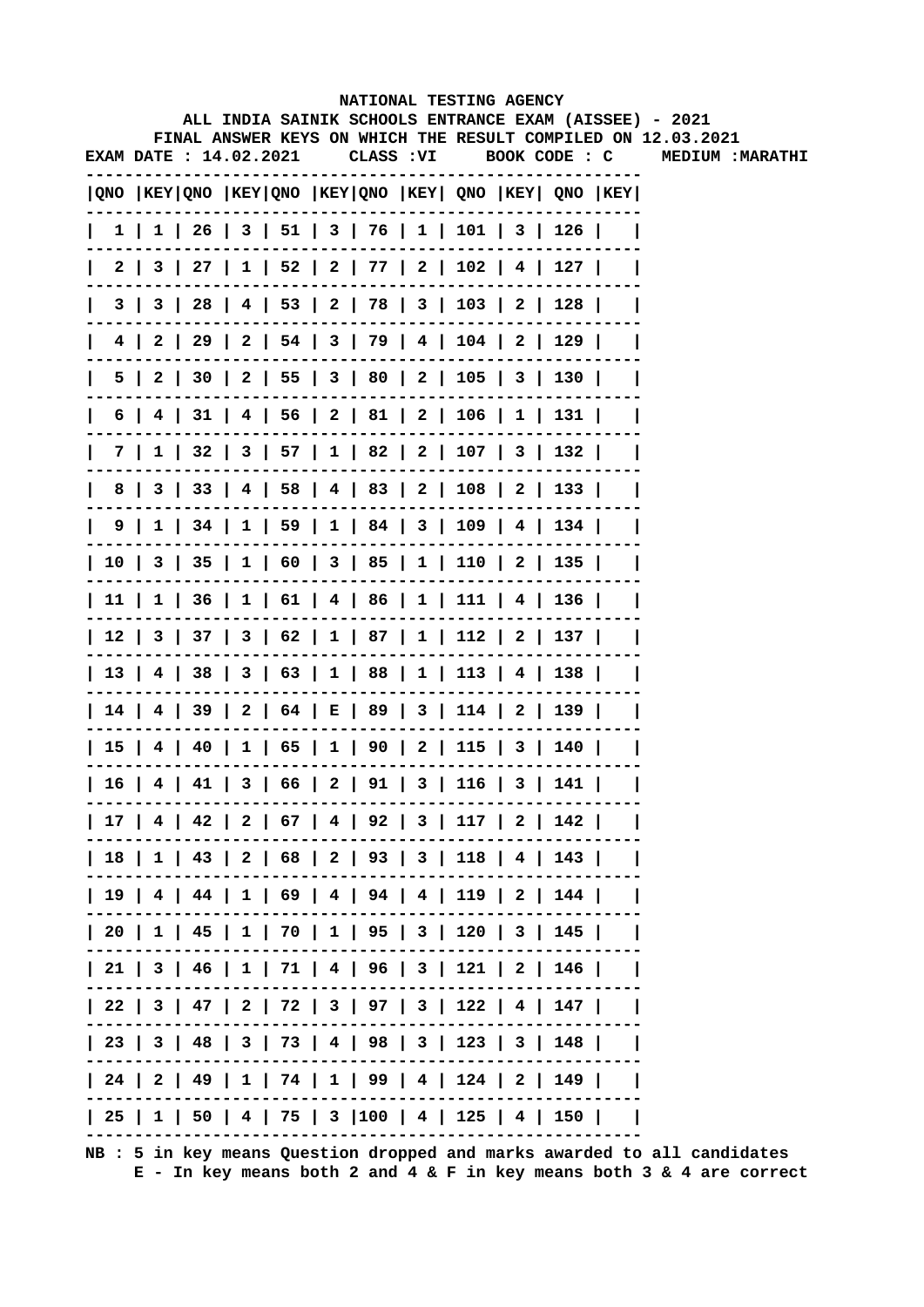|    |                               |  |  |            | NATIONAL TESTING AGENCY                           |  |                                                                                       |                                                                                                                        |
|----|-------------------------------|--|--|------------|---------------------------------------------------|--|---------------------------------------------------------------------------------------|------------------------------------------------------------------------------------------------------------------------|
|    |                               |  |  |            |                                                   |  |                                                                                       | ALL INDIA SAINIK SCHOOLS ENTRANCE EXAM (AISSEE) - 2021<br>FINAL ANSWER KEYS ON WHICH THE RESULT COMPILED ON 12.03.2021 |
|    | <b>EXAM DATE : 14.02.2021</b> |  |  | CLASS : VI |                                                   |  | BOOK CODE : C                                                                         | <b>MEDIUM :MARATHI</b>                                                                                                 |
|    |                               |  |  |            |                                                   |  | QNO  KEY QNO  KEY QNO  KEY QNO  KEY  QNO  KEY  QNO  KEY                               |                                                                                                                        |
|    |                               |  |  |            |                                                   |  | $1 \mid 1 \mid 26 \mid 3 \mid 51 \mid 3 \mid 76 \mid 1 \mid 101 \mid 3 \mid 126 \mid$ |                                                                                                                        |
|    |                               |  |  |            |                                                   |  | 2   3   27   1   52   2   77   2   102   4   127                                      |                                                                                                                        |
|    |                               |  |  |            |                                                   |  | 3   3   28   4   53   2   78   3   103   2   128                                      |                                                                                                                        |
| 4  | - 2                           |  |  |            |                                                   |  | 29   2   54   3   79   4   104   2   129                                              |                                                                                                                        |
| 5. |                               |  |  |            |                                                   |  | 2   30   2   55   3   80   2   105   3   130                                          |                                                                                                                        |
| 6  |                               |  |  |            |                                                   |  | 4   31   4   56   2   81   2   106   1   131                                          |                                                                                                                        |
|    |                               |  |  |            |                                                   |  | 7   1   32   3   57   1   82   2   107   3   132                                      |                                                                                                                        |
| 8  |                               |  |  |            |                                                   |  | 3   33   4   58   4   83   2   108   2   133                                          |                                                                                                                        |
|    |                               |  |  |            |                                                   |  | 9   1   34   1   59   1   84   3   109   4   134                                      |                                                                                                                        |
|    |                               |  |  |            |                                                   |  | 10   3   35   1   60   3   85   1   110   2   135                                     |                                                                                                                        |
|    |                               |  |  |            |                                                   |  | 11   1   36   1   61   4   86   1   111   4   136                                     |                                                                                                                        |
|    |                               |  |  |            |                                                   |  | 12   3   37   3   62   1   87   1   112   2   137                                     |                                                                                                                        |
|    |                               |  |  |            |                                                   |  | 13   4   38   3   63   1   88   1   113   4   138                                     |                                                                                                                        |
|    |                               |  |  |            |                                                   |  | 14   4   39   2   64   E   89   3   114   2   139                                     |                                                                                                                        |
|    |                               |  |  |            |                                                   |  | 15   4   40   1   65   1   90   2   115   3   140                                     |                                                                                                                        |
|    |                               |  |  |            | 16   4   41   3   66   2   91   3   116   3   141 |  |                                                                                       |                                                                                                                        |
|    |                               |  |  |            |                                                   |  | 17   4   42   2   67   4   92   3   117   2   142                                     |                                                                                                                        |
|    |                               |  |  |            |                                                   |  | 18   1   43   2   68   2   93   3   118   4   143                                     |                                                                                                                        |
|    |                               |  |  |            |                                                   |  | 19   4   44   1   69   4   94   4   119   2   144                                     |                                                                                                                        |
|    |                               |  |  |            |                                                   |  | 20   1   45   1   70   1   95   3   120   3   145                                     |                                                                                                                        |
|    |                               |  |  |            |                                                   |  | 21   3   46   1   71   4   96   3   121   2   146                                     |                                                                                                                        |
|    |                               |  |  |            |                                                   |  | 22   3   47   2   72   3   97   3   122   4   147                                     |                                                                                                                        |
|    |                               |  |  |            |                                                   |  | 23   3   48   3   73   4   98   3   123   3   148                                     |                                                                                                                        |
|    |                               |  |  |            |                                                   |  | 24   2   49   1   74   1   99   4   124   2   149                                     |                                                                                                                        |
|    |                               |  |  |            |                                                   |  | 25   1   50   4   75   3  100   4   125   4   150                                     |                                                                                                                        |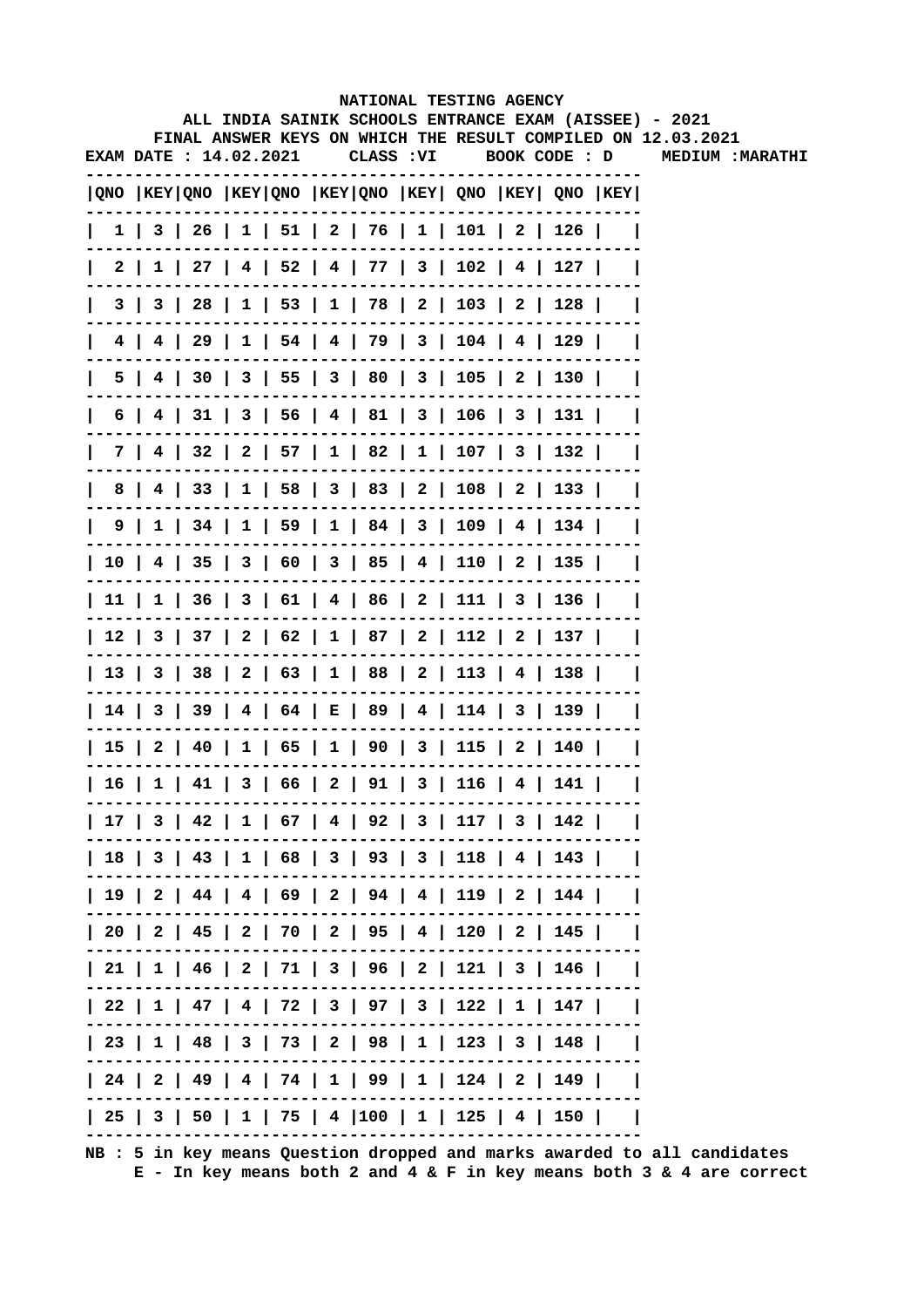|      |     |                        |  |            |  | NATIONAL TESTING AGENCY                                 |  |                                                                                                                        |
|------|-----|------------------------|--|------------|--|---------------------------------------------------------|--|------------------------------------------------------------------------------------------------------------------------|
|      |     |                        |  |            |  |                                                         |  | ALL INDIA SAINIK SCHOOLS ENTRANCE EXAM (AISSEE) - 2021<br>FINAL ANSWER KEYS ON WHICH THE RESULT COMPILED ON 12.03.2021 |
|      |     | EXAM DATE : 14.02.2021 |  | CLASS : VI |  | BOOK CODE : D                                           |  | MEDIUM: MARATHI                                                                                                        |
|      |     |                        |  |            |  | QNO  KEY QNO  KEY QNO  KEY QNO  KEY  QNO  KEY  QNO  KEY |  |                                                                                                                        |
|      |     |                        |  |            |  | 1   3   26   1   51   2   76   1   101   2   126        |  |                                                                                                                        |
| 2 I  |     |                        |  |            |  | $1$   27   4   52   4   77   3   102   4   127          |  |                                                                                                                        |
|      | 3 I |                        |  |            |  | 3   28   1   53   1   78   2   103   2   128            |  |                                                                                                                        |
|      |     |                        |  |            |  | 4   4   29   1   54   4   79   3   104   4   129        |  |                                                                                                                        |
| 5.   |     |                        |  |            |  | 4   30   3   55   3   80   3   105   2   130            |  |                                                                                                                        |
| 6    |     |                        |  |            |  | 31   3   56   4   81   3   106   3   131                |  |                                                                                                                        |
| 7    |     |                        |  |            |  | 4   32   2   57   1   82   1   107   3   132            |  |                                                                                                                        |
| 8    |     |                        |  |            |  | 4   33   1   58   3   83   2   108   2   133            |  |                                                                                                                        |
|      |     |                        |  |            |  | 9   1   34   1   59   1   84   3   109   4   134        |  |                                                                                                                        |
|      |     |                        |  |            |  | 10   4   35   3   60   3   85   4   110   2   135       |  |                                                                                                                        |
|      |     |                        |  |            |  | 11   1   36   3   61   4   86   2   111   3   136       |  |                                                                                                                        |
|      |     |                        |  |            |  | 12   3   37   2   62   1   87   2   112   2   137       |  |                                                                                                                        |
|      |     |                        |  |            |  | 13   3   38   2   63   1   88   2   113   4   138       |  |                                                                                                                        |
|      |     |                        |  |            |  | 14   3   39   4   64   E   89   4   114   3   139       |  |                                                                                                                        |
|      |     |                        |  |            |  | 15   2   40   1   65   1   90   3   115   2   140       |  |                                                                                                                        |
| 16 l |     |                        |  |            |  | $1   41   3   66   2   91   3   116   4   141$          |  |                                                                                                                        |
|      |     |                        |  |            |  | 17   3   42   1   67   4   92   3   117   3   142       |  |                                                                                                                        |
|      |     |                        |  |            |  | 18   3   43   1   68   3   93   3   118   4   143       |  |                                                                                                                        |
|      |     |                        |  |            |  | 19   2   44   4   69   2   94   4   119   2   144       |  |                                                                                                                        |
|      |     |                        |  |            |  | 20   2   45   2   70   2   95   4   120   2   145       |  |                                                                                                                        |
|      |     |                        |  |            |  | 21   1   46   2   71   3   96   2   121   3   146       |  |                                                                                                                        |
|      |     |                        |  |            |  | 22   1   47   4   72   3   97   3   122   1   147       |  |                                                                                                                        |
|      |     |                        |  |            |  | 23   1   48   3   73   2   98   1   123   3   148       |  |                                                                                                                        |
|      |     |                        |  |            |  | 24   2   49   4   74   1   99   1   124   2   149       |  |                                                                                                                        |
|      |     |                        |  |            |  | 25   3   50   1   75   4  100   1   125   4   150       |  |                                                                                                                        |
|      |     |                        |  |            |  |                                                         |  |                                                                                                                        |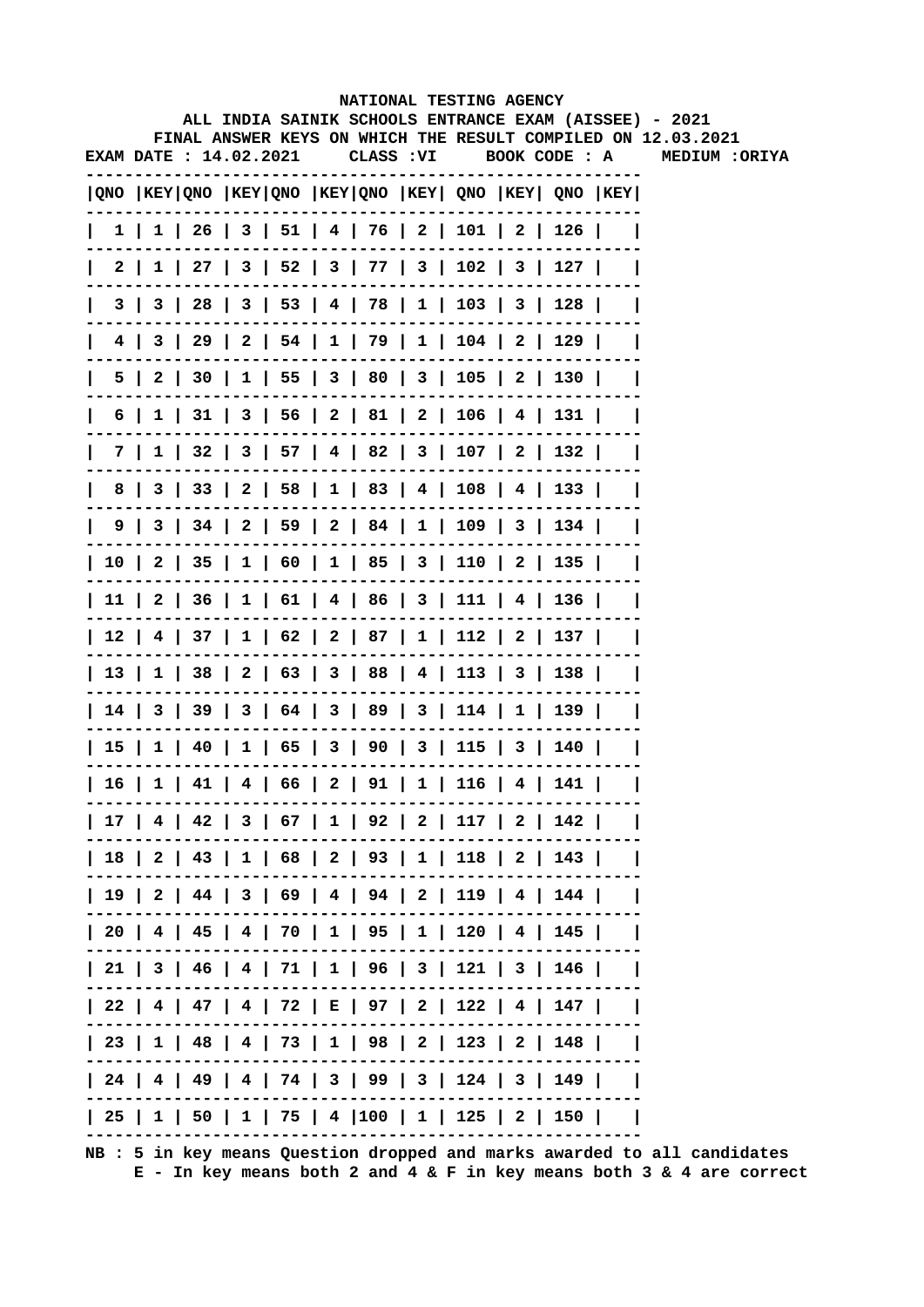|                        |  |  |           |  | NATIONAL TESTING AGENCY                                                               |  | ALL INDIA SAINIK SCHOOLS ENTRANCE EXAM (AISSEE) - 2021       |
|------------------------|--|--|-----------|--|---------------------------------------------------------------------------------------|--|--------------------------------------------------------------|
|                        |  |  |           |  |                                                                                       |  | FINAL ANSWER KEYS ON WHICH THE RESULT COMPILED ON 12.03.2021 |
| EXAM DATE : 14.02.2021 |  |  | CLASS :VI |  | BOOK CODE : A                                                                         |  | <b>MEDIUM :ORIYA</b>                                         |
|                        |  |  |           |  | $ QNO $ KEY $ QNO $ KEY $ QNO $ KEY $ QNO $ KEY $ QNO $ KEY $ QNO $ KEY $ QNO $ KEY   |  |                                                              |
|                        |  |  |           |  | $1 \mid 1 \mid 26 \mid 3 \mid 51 \mid 4 \mid 76 \mid 2 \mid 101 \mid 2 \mid 126 \mid$ |  |                                                              |
|                        |  |  |           |  | 2   1   27   3   52   3   77   3   102   3   127                                      |  |                                                              |
|                        |  |  |           |  | 3   3   28   3   53   4   78   1   103   3   128                                      |  |                                                              |
|                        |  |  |           |  | 4   3   29   2   54   1   79   1   104   2   129                                      |  |                                                              |
| 5                      |  |  |           |  | 2   30   1   55   3   80   3   105   2   130                                          |  |                                                              |
| 6                      |  |  |           |  | $1 \mid 31 \mid 3 \mid 56 \mid 2 \mid 81 \mid 2 \mid 106 \mid 4 \mid 131 \mid$        |  |                                                              |
|                        |  |  |           |  | 7   1   32   3   57   4   82   3   107   2   132                                      |  |                                                              |
|                        |  |  |           |  | 8   3   33   2   58   1   83   4   108   4   133                                      |  |                                                              |
|                        |  |  |           |  | $9 \mid 3 \mid 34 \mid 2 \mid 59 \mid 2 \mid 84 \mid 1 \mid 109 \mid 3 \mid 134 \mid$ |  |                                                              |
|                        |  |  |           |  | 10   2   35   1   60   1   85   3   110   2   135                                     |  |                                                              |
|                        |  |  |           |  | 11   2   36   1   61   4   86   3   111   4   136                                     |  |                                                              |
|                        |  |  |           |  | 12   4   37   1   62   2   87   1   112   2   137                                     |  |                                                              |
|                        |  |  |           |  | 13   1   38   2   63   3   88   4   113   3   138                                     |  |                                                              |
|                        |  |  |           |  | 14   3   39   3   64   3   89   3   114   1   139                                     |  |                                                              |
|                        |  |  |           |  | 15   1   40   1   65   3   90   3   115   3   140                                     |  |                                                              |
|                        |  |  |           |  | 16   1   41   4   66   2   91   1   116   4   141                                     |  |                                                              |
|                        |  |  |           |  | 17   4   42   3   67   1   92   2   117   2   142                                     |  |                                                              |
|                        |  |  |           |  | 18   2   43   1   68   2   93   1   118   2   143                                     |  |                                                              |
|                        |  |  |           |  | 19   2   44   3   69   4   94   2   119   4   144                                     |  |                                                              |
|                        |  |  |           |  | 20   4   45   4   70   1   95   1   120   4   145                                     |  |                                                              |
|                        |  |  |           |  | 21   3   46   4   71   1   96   3   121   3   146                                     |  |                                                              |
|                        |  |  |           |  | 22   4   47   4   72   E   97   2   122   4   147                                     |  |                                                              |
|                        |  |  |           |  | 23   1   48   4   73   1   98   2   123   2   148                                     |  |                                                              |
|                        |  |  |           |  | 24   4   49   4   74   3   99   3   124   3   149                                     |  |                                                              |
|                        |  |  |           |  | 25   1   50   1   75   4  100   1   125   2   150                                     |  |                                                              |
|                        |  |  |           |  |                                                                                       |  |                                                              |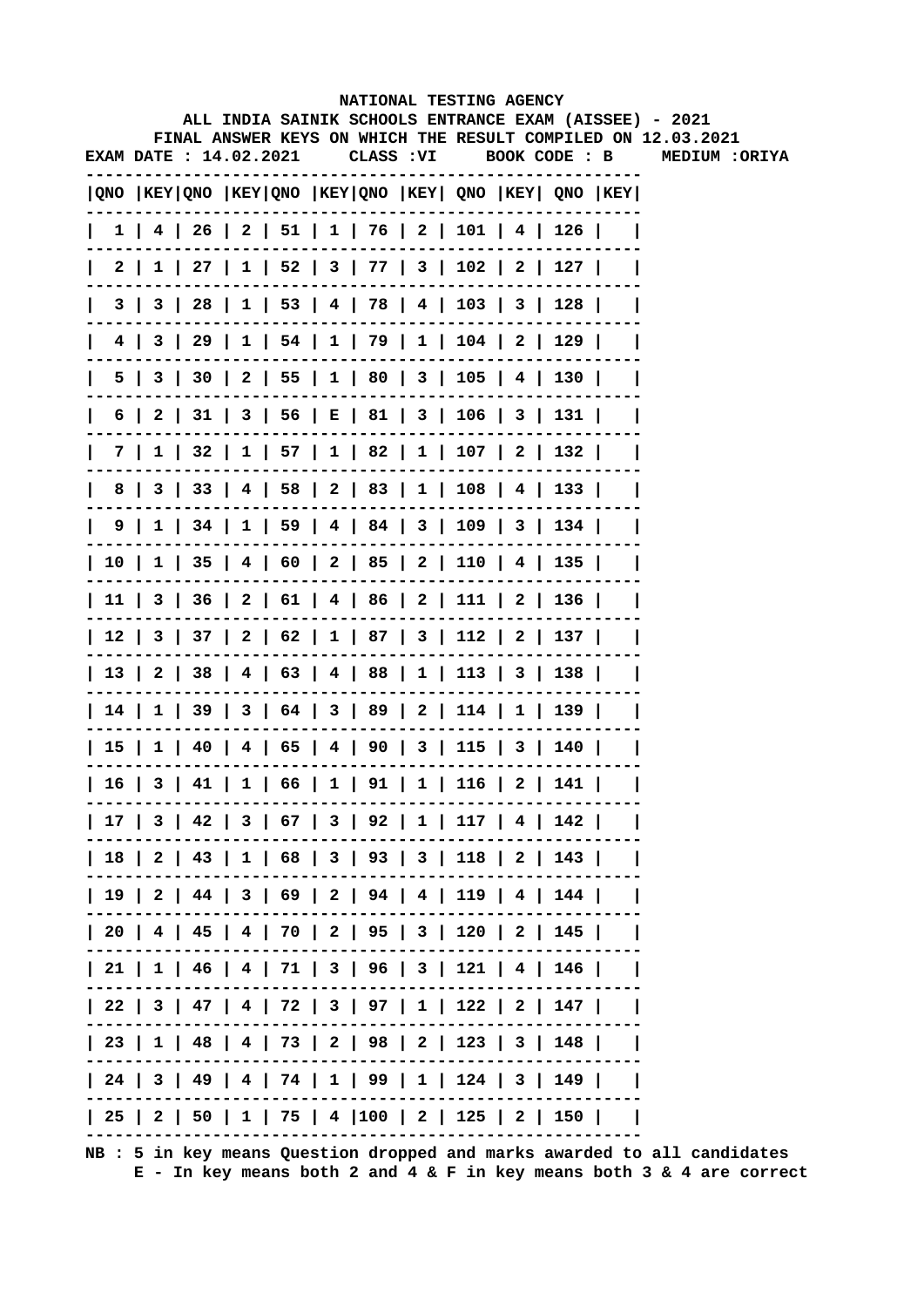|      |     |     |                               |  |  |           |  | NATIONAL TESTING AGENCY                                                                |     |                                                                                                                        |
|------|-----|-----|-------------------------------|--|--|-----------|--|----------------------------------------------------------------------------------------|-----|------------------------------------------------------------------------------------------------------------------------|
|      |     |     |                               |  |  |           |  |                                                                                        |     | ALL INDIA SAINIK SCHOOLS ENTRANCE EXAM (AISSEE) - 2021<br>FINAL ANSWER KEYS ON WHICH THE RESULT COMPILED ON 12.03.2021 |
|      |     |     | <b>EXAM DATE : 14.02.2021</b> |  |  | CLASS :VI |  | BOOK CODE : B                                                                          |     | <b>MEDIUM :ORIYA</b>                                                                                                   |
|      |     |     |                               |  |  |           |  | QNO  KEY QNO  KEY QNO  KEY QNO  KEY  QNO  KEY  QNO  KEY                                |     |                                                                                                                        |
|      |     |     |                               |  |  |           |  | $1$   4   26   2   51   1   76   2   101   4   126                                     |     |                                                                                                                        |
|      | 2 I |     |                               |  |  |           |  | $1 \mid 27 \mid 1 \mid 52 \mid 3 \mid 77 \mid 3 \mid 102 \mid 2 \mid 127 \mid$         |     |                                                                                                                        |
|      | 3 I | 3 I |                               |  |  |           |  | 28   1   53   4   78   4   103   3   128                                               |     |                                                                                                                        |
| 4    |     |     |                               |  |  |           |  | 3   29   1   54   1   79   1   104   2   129                                           |     |                                                                                                                        |
|      | 5   | 3   |                               |  |  |           |  | 30   2   55   1   80   3   105   4   130                                               |     |                                                                                                                        |
| 6    |     |     |                               |  |  |           |  | 2   31   3   56   E   81   3   106   3   131                                           |     |                                                                                                                        |
|      | 7 I |     |                               |  |  |           |  | $1 \mid 32 \mid 1 \mid 57 \mid 1 \mid 82 \mid 1 \mid 107 \mid 2 \mid 132 \mid$         |     |                                                                                                                        |
| 8    |     |     |                               |  |  |           |  | $3 \mid 33 \mid 4 \mid 58 \mid 2 \mid 83 \mid 1 \mid 108 \mid 4 \mid 133 \mid$         |     |                                                                                                                        |
|      |     |     |                               |  |  |           |  | 9   1   34   1   59   4   84   3   109   3   134                                       |     |                                                                                                                        |
| 10 I |     |     |                               |  |  |           |  | $1 \mid 35 \mid 4 \mid 60 \mid 2 \mid 85 \mid 2 \mid 110 \mid 4 \mid 135 \mid$         |     |                                                                                                                        |
|      |     |     |                               |  |  |           |  | $11 \mid 3 \mid 36 \mid 2 \mid 61 \mid 4 \mid 86 \mid 2 \mid 111 \mid 2 \mid 136 \mid$ |     |                                                                                                                        |
|      |     |     |                               |  |  |           |  | $12 \mid 3 \mid 37 \mid 2 \mid 62 \mid 1 \mid 87 \mid 3 \mid 112 \mid 2 \mid 137 \mid$ |     |                                                                                                                        |
|      |     |     |                               |  |  |           |  | 13   2   38   4   63   4   88   1   113   3   138                                      |     |                                                                                                                        |
|      |     |     |                               |  |  |           |  | 14   1   39   3   64   3   89   2   114   1   139                                      |     |                                                                                                                        |
|      |     |     |                               |  |  |           |  | 15   1   40   4   65   4   90   3   115   3   140                                      |     |                                                                                                                        |
| 16   |     | 3   |                               |  |  |           |  | $41 \mid 1 \mid 66 \mid 1 \mid 91 \mid 1 \mid 116 \mid 2 \mid$                         | 141 |                                                                                                                        |
|      |     |     |                               |  |  |           |  | 17   3   42   3   67   3   92   1   117   4   142                                      |     |                                                                                                                        |
|      |     |     |                               |  |  |           |  | 18   2   43   1   68   3   93   3   118   2   143                                      |     |                                                                                                                        |
|      |     |     |                               |  |  |           |  | 19   2   44   3   69   2   94   4   119   4   144                                      |     |                                                                                                                        |
|      |     |     |                               |  |  |           |  | 20   4   45   4   70   2   95   3   120   2   145                                      |     |                                                                                                                        |
|      |     |     |                               |  |  |           |  | 21   1   46   4   71   3   96   3   121   4   146                                      |     |                                                                                                                        |
|      |     |     |                               |  |  |           |  | 22   3   47   4   72   3   97   1   122   2   147                                      |     |                                                                                                                        |
|      |     |     |                               |  |  |           |  | 23   1   48   4   73   2   98   2   123   3   148                                      |     |                                                                                                                        |
|      |     |     |                               |  |  |           |  | 24   3   49   4   74   1   99   1   124   3   149                                      |     |                                                                                                                        |
|      |     |     |                               |  |  |           |  | 25   2   50   1   75   4  100   2   125   2   150                                      |     |                                                                                                                        |
|      |     |     |                               |  |  |           |  |                                                                                        |     |                                                                                                                        |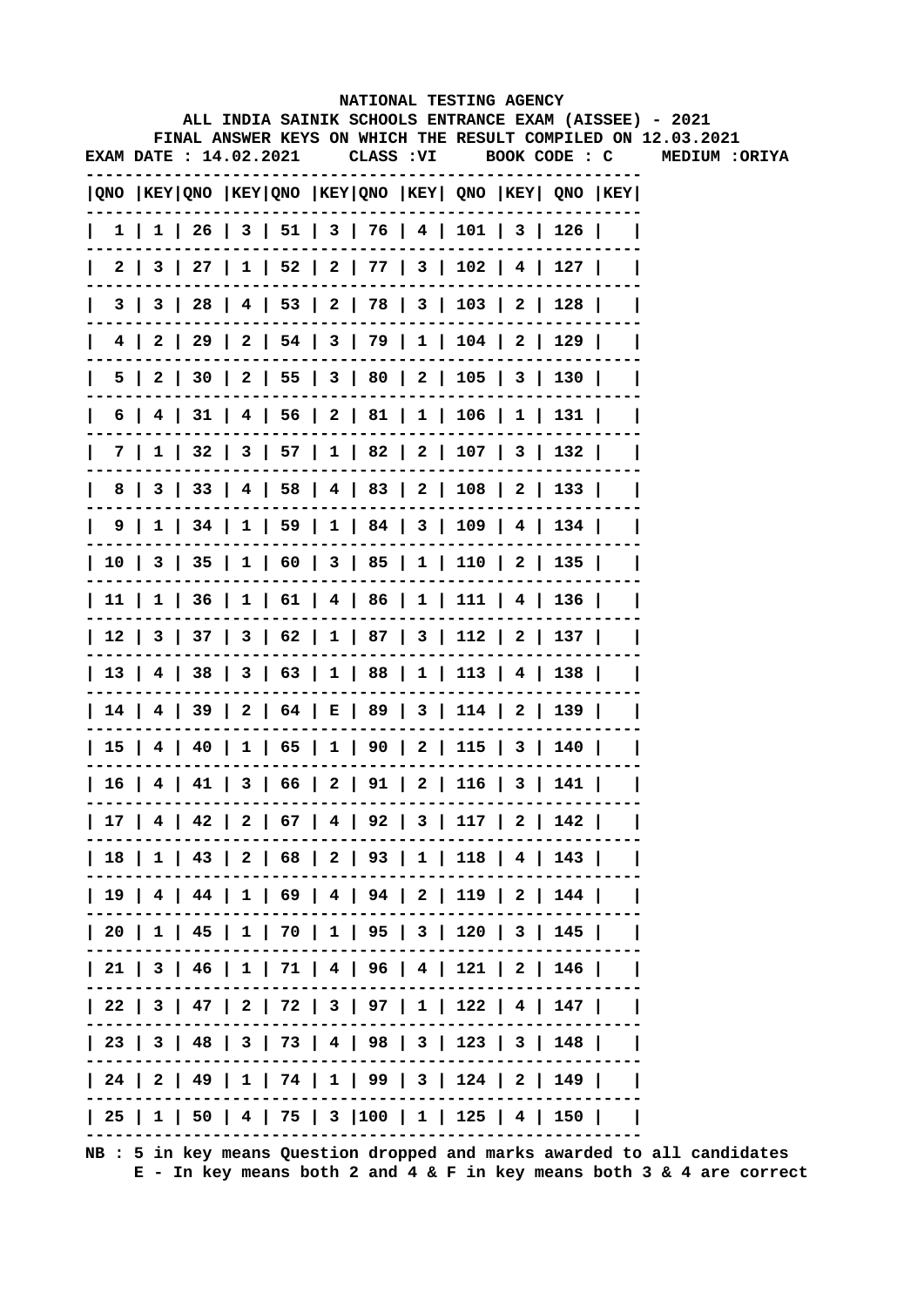|                        |  |  |           |  | NATIONAL TESTING AGENCY                                                               |  | ALL INDIA SAINIK SCHOOLS ENTRANCE EXAM (AISSEE) - 2021       |
|------------------------|--|--|-----------|--|---------------------------------------------------------------------------------------|--|--------------------------------------------------------------|
|                        |  |  |           |  |                                                                                       |  | FINAL ANSWER KEYS ON WHICH THE RESULT COMPILED ON 12.03.2021 |
| EXAM DATE : 14.02.2021 |  |  | CLASS :VI |  | BOOK CODE : C                                                                         |  | <b>MEDIUM :ORIYA</b>                                         |
|                        |  |  |           |  | $ QNO $ KEY $ QNO $ KEY $ QNO $ KEY $ QNO $ KEY $ QNO $ KEY $ QNO $ KEY $ QNO $ KEY   |  |                                                              |
|                        |  |  |           |  | $1 \mid 1 \mid 26 \mid 3 \mid 51 \mid 3 \mid 76 \mid 4 \mid 101 \mid 3 \mid 126 \mid$ |  |                                                              |
|                        |  |  |           |  | 2   3   27   1   52   2   77   3   102   4   127                                      |  |                                                              |
| 3                      |  |  |           |  | 3   28   4   53   2   78   3   103   2   128                                          |  |                                                              |
| 41                     |  |  |           |  | $2   29   2   54   3   79   1   104   2   129  $                                      |  |                                                              |
| 5                      |  |  |           |  | 2   30   2   55   3   80   2   105   3   130                                          |  |                                                              |
|                        |  |  |           |  | $6$   4   31   4   56   2   81   1   106   1   131                                    |  |                                                              |
|                        |  |  |           |  | 7   1   32   3   57   1   82   2   107   3   132                                      |  |                                                              |
|                        |  |  |           |  | 8   3   33   4   58   4   83   2   108   2   133                                      |  |                                                              |
|                        |  |  |           |  | $9 \mid 1 \mid 34 \mid 1 \mid 59 \mid 1 \mid 84 \mid 3 \mid 109 \mid 4 \mid 134 \mid$ |  |                                                              |
|                        |  |  |           |  | 10   3   35   1   60   3   85   1   110   2   135                                     |  |                                                              |
|                        |  |  |           |  | 11   1   36   1   61   4   86   1   111   4   136                                     |  |                                                              |
|                        |  |  |           |  | 12   3   37   3   62   1   87   3   112   2   137                                     |  |                                                              |
|                        |  |  |           |  | 13   4   38   3   63   1   88   1   113   4   138                                     |  |                                                              |
|                        |  |  |           |  | 14   4   39   2   64   E   89   3   114   2   139                                     |  |                                                              |
|                        |  |  |           |  | 15   4   40   1   65   1   90   2   115   3   140                                     |  |                                                              |
|                        |  |  |           |  | 16   4   41   3   66   2   91   2   116   3   141                                     |  |                                                              |
|                        |  |  |           |  | 17   4   42   2   67   4   92   3   117   2   142                                     |  |                                                              |
|                        |  |  |           |  | 18   1   43   2   68   2   93   1   118   4   143                                     |  |                                                              |
|                        |  |  |           |  | 19   4   44   1   69   4   94   2   119   2   144                                     |  |                                                              |
|                        |  |  |           |  | 20   1   45   1   70   1   95   3   120   3   145                                     |  |                                                              |
|                        |  |  |           |  | 21   3   46   1   71   4   96   4   121   2   146                                     |  |                                                              |
|                        |  |  |           |  | 22   3   47   2   72   3   97   1   122   4   147                                     |  |                                                              |
|                        |  |  |           |  | 23   3   48   3   73   4   98   3   123   3   148                                     |  |                                                              |
|                        |  |  |           |  | 24   2   49   1   74   1   99   3   124   2   149                                     |  |                                                              |
|                        |  |  |           |  | 25   1   50   4   75   3  100   1   125   4   150                                     |  |                                                              |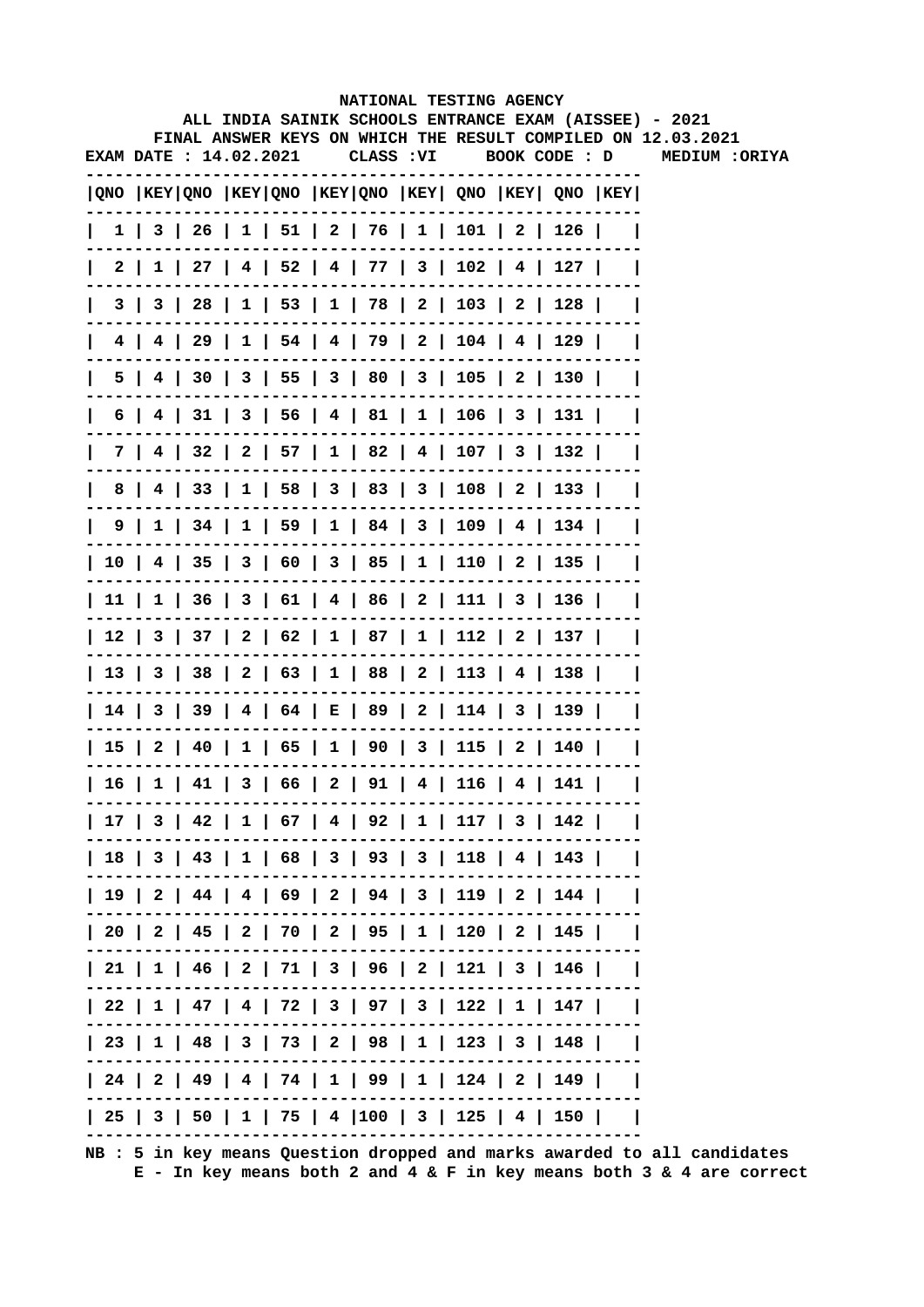|                        |  |  | NATIONAL TESTING AGENCY                                                               |  |  |                                                              |  |
|------------------------|--|--|---------------------------------------------------------------------------------------|--|--|--------------------------------------------------------------|--|
|                        |  |  | ALL INDIA SAINIK SCHOOLS ENTRANCE EXAM (AISSEE) - 2021                                |  |  | FINAL ANSWER KEYS ON WHICH THE RESULT COMPILED ON 12.03.2021 |  |
| EXAM DATE : 14.02.2021 |  |  |                                                                                       |  |  |                                                              |  |
|                        |  |  | QNO  KEY QNO  KEY QNO  KEY QNO  KEY  QNO  KEY  QNO  KEY                               |  |  |                                                              |  |
|                        |  |  | 1   3   26   1   51   2   76   1   101   2   126                                      |  |  |                                                              |  |
| 2 I                    |  |  | $1$   27   4   52   4   77   3   102   4   127                                        |  |  |                                                              |  |
| 3                      |  |  | 3   28   1   53   1   78   2   103   2   128                                          |  |  |                                                              |  |
|                        |  |  | 4   4   29   1   54   4   79   2   104   4   129                                      |  |  |                                                              |  |
|                        |  |  | 5   4   30   3   55   3   80   3   105   2   130                                      |  |  |                                                              |  |
|                        |  |  | $6$   4   31   3   56   4   81   1   106   3   131                                    |  |  |                                                              |  |
|                        |  |  | 7   4   32   2   57   1   82   4   107   3   132                                      |  |  |                                                              |  |
|                        |  |  | 8   4   33   1   58   3   83   3   108   2   133                                      |  |  |                                                              |  |
|                        |  |  | $9 \mid 1 \mid 34 \mid 1 \mid 59 \mid 1 \mid 84 \mid 3 \mid 109 \mid 4 \mid 134 \mid$ |  |  |                                                              |  |
|                        |  |  | 10   4   35   3   60   3   85   1   110   2   135                                     |  |  |                                                              |  |
|                        |  |  | 11   1   36   3   61   4   86   2   111   3   136                                     |  |  |                                                              |  |
|                        |  |  | 12   3   37   2   62   1   87   1   112   2   137                                     |  |  |                                                              |  |
|                        |  |  | 13   3   38   2   63   1   88   2   113   4   138                                     |  |  |                                                              |  |
|                        |  |  | 14   3   39   4   64   E   89   2   114   3   139                                     |  |  |                                                              |  |
|                        |  |  | 15   2   40   1   65   1   90   3   115   2   140                                     |  |  |                                                              |  |
|                        |  |  | 16   1   41   3   66   2   91   4   116   4   141                                     |  |  |                                                              |  |
|                        |  |  | 17   3   42   1   67   4   92   1   117   3   142                                     |  |  |                                                              |  |
|                        |  |  | 18   3   43   1   68   3   93   3   118   4   143                                     |  |  |                                                              |  |
|                        |  |  | 19   2   44   4   69   2   94   3   119   2   144                                     |  |  |                                                              |  |
|                        |  |  | 20   2   45   2   70   2   95   1   120   2   145                                     |  |  |                                                              |  |
|                        |  |  | 21   1   46   2   71   3   96   2   121   3   146                                     |  |  |                                                              |  |
|                        |  |  | 22   1   47   4   72   3   97   3   122   1   147                                     |  |  |                                                              |  |
|                        |  |  | 23   1   48   3   73   2   98   1   123   3   148                                     |  |  |                                                              |  |
|                        |  |  | 24   2   49   4   74   1   99   1   124   2   149                                     |  |  |                                                              |  |
|                        |  |  | 25   3   50   1   75   4  100   3   125   4   150                                     |  |  |                                                              |  |
|                        |  |  |                                                                                       |  |  |                                                              |  |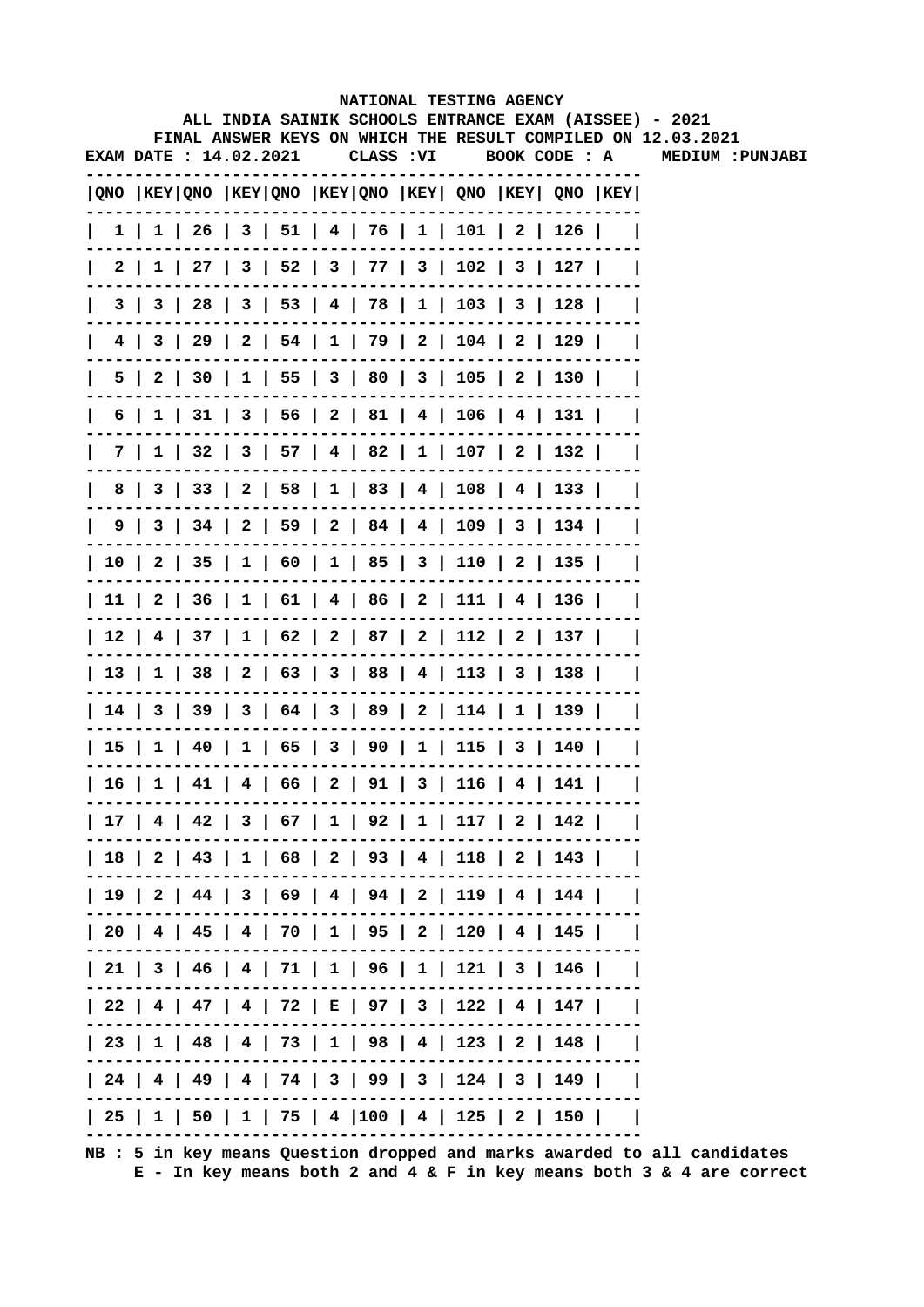|                               |  |  |            | NATIONAL TESTING AGENCY                           |  |                                                                                       |                                                                                                                        |
|-------------------------------|--|--|------------|---------------------------------------------------|--|---------------------------------------------------------------------------------------|------------------------------------------------------------------------------------------------------------------------|
|                               |  |  |            |                                                   |  |                                                                                       | ALL INDIA SAINIK SCHOOLS ENTRANCE EXAM (AISSEE) - 2021<br>FINAL ANSWER KEYS ON WHICH THE RESULT COMPILED ON 12.03.2021 |
| <b>EXAM DATE : 14.02.2021</b> |  |  | CLASS : VI |                                                   |  | BOOK CODE : A                                                                         | MEDIUM : PUNJABI                                                                                                       |
|                               |  |  |            |                                                   |  | $ QNO $ KEY $ QNO $ KEY $ QNO $ KEY $ QNO $ KEY $ QNO $ KEY $ QNO $ KEY $ QNO $ KEY   |                                                                                                                        |
|                               |  |  |            |                                                   |  | $1 \mid 1 \mid 26 \mid 3 \mid 51 \mid 4 \mid 76 \mid 1 \mid 101 \mid 2 \mid 126 \mid$ |                                                                                                                        |
|                               |  |  |            |                                                   |  | 2   1   27   3   52   3   77   3   102   3   127                                      |                                                                                                                        |
|                               |  |  |            |                                                   |  | 3   3   28   3   53   4   78   1   103   3   128                                      |                                                                                                                        |
|                               |  |  |            |                                                   |  | 4   3   29   2   54   1   79   2   104   2   129                                      |                                                                                                                        |
| 5.                            |  |  |            |                                                   |  | 2   30   1   55   3   80   3   105   2   130                                          |                                                                                                                        |
| 6                             |  |  |            |                                                   |  | 1   31   3   56   2   81   4   106   4   131                                          |                                                                                                                        |
|                               |  |  |            |                                                   |  | 7   1   32   3   57   4   82   1   107   2   132                                      |                                                                                                                        |
| 8                             |  |  |            |                                                   |  | 3   33   2   58   1   83   4   108   4   133                                          |                                                                                                                        |
|                               |  |  |            |                                                   |  | $9 \mid 3 \mid 34 \mid 2 \mid 59 \mid 2 \mid 84 \mid 4 \mid 109 \mid 3 \mid 134 \mid$ |                                                                                                                        |
|                               |  |  |            |                                                   |  | 10   2   35   1   60   1   85   3   110   2   135                                     |                                                                                                                        |
|                               |  |  |            |                                                   |  | 11   2   36   1   61   4   86   2   111   4   136                                     |                                                                                                                        |
|                               |  |  |            |                                                   |  | 12   4   37   1   62   2   87   2   112   2   137                                     |                                                                                                                        |
|                               |  |  |            |                                                   |  | 13   1   38   2   63   3   88   4   113   3   138                                     |                                                                                                                        |
|                               |  |  |            |                                                   |  | 14   3   39   3   64   3   89   2   114   1   139                                     |                                                                                                                        |
|                               |  |  |            |                                                   |  | 15   1   40   1   65   3   90   1   115   3   140                                     |                                                                                                                        |
|                               |  |  |            | 16   1   41   4   66   2   91   3   116   4   141 |  |                                                                                       |                                                                                                                        |
|                               |  |  |            |                                                   |  | 17   4   42   3   67   1   92   1   117   2   142                                     |                                                                                                                        |
|                               |  |  |            |                                                   |  | 18   2   43   1   68   2   93   4   118   2   143                                     |                                                                                                                        |
|                               |  |  |            |                                                   |  | 19   2   44   3   69   4   94   2   119   4   144                                     |                                                                                                                        |
|                               |  |  |            |                                                   |  | 20   4   45   4   70   1   95   2   120   4   145                                     |                                                                                                                        |
|                               |  |  |            |                                                   |  | 21   3   46   4   71   1   96   1   121   3   146                                     |                                                                                                                        |
|                               |  |  |            |                                                   |  | 22   4   47   4   72   E   97   3   122   4   147                                     |                                                                                                                        |
|                               |  |  |            |                                                   |  | 23   1   48   4   73   1   98   4   123   2   148                                     |                                                                                                                        |
|                               |  |  |            |                                                   |  | 24   4   49   4   74   3   99   3   124   3   149                                     |                                                                                                                        |
|                               |  |  |            |                                                   |  | 25   1   50   1   75   4  100   4   125   2   150                                     |                                                                                                                        |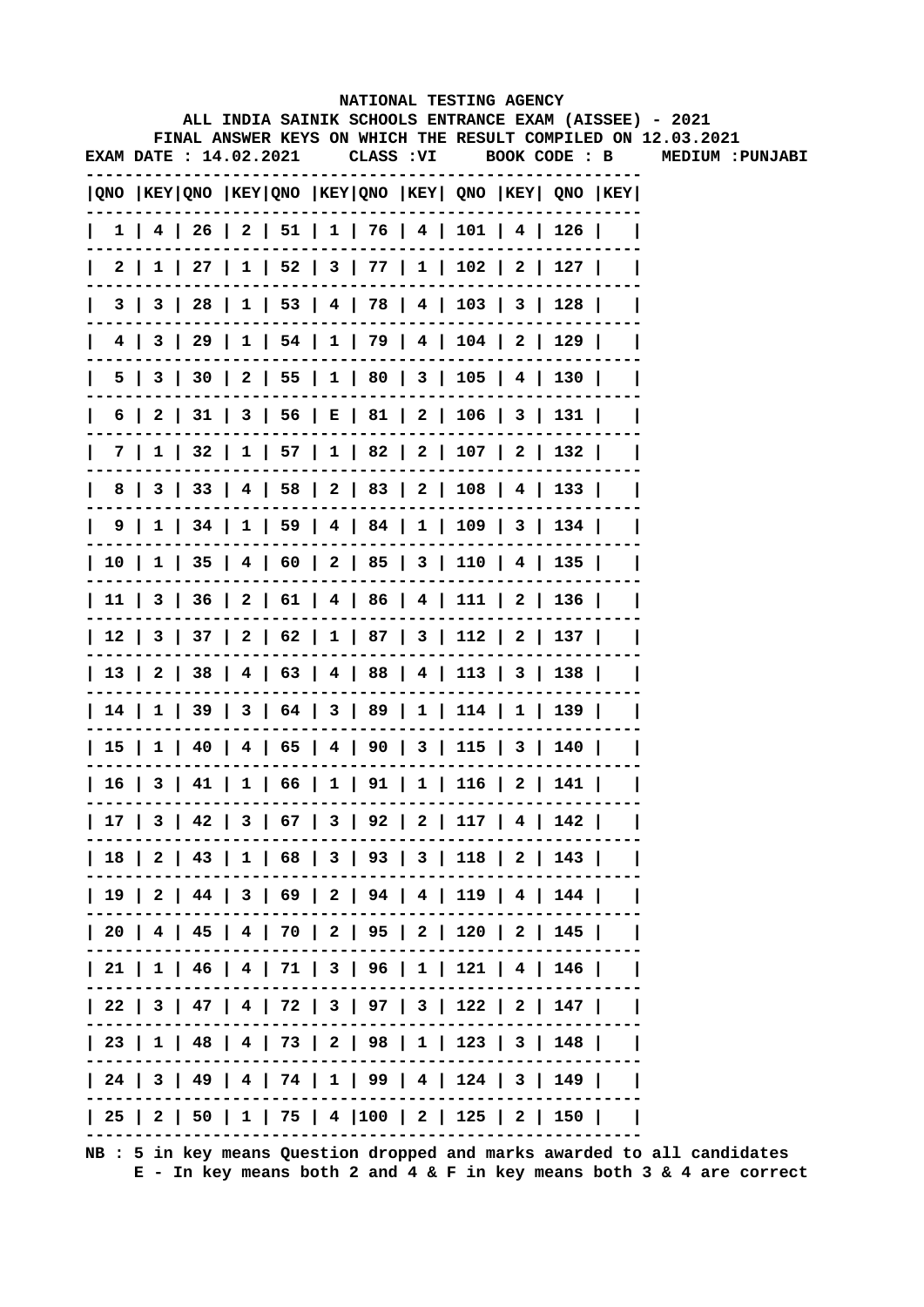|     |   |                               |  |            | NATIONAL TESTING AGENCY                                                               |  |               |                                                                                                                        |
|-----|---|-------------------------------|--|------------|---------------------------------------------------------------------------------------|--|---------------|------------------------------------------------------------------------------------------------------------------------|
|     |   |                               |  |            |                                                                                       |  |               | ALL INDIA SAINIK SCHOOLS ENTRANCE EXAM (AISSEE) - 2021<br>FINAL ANSWER KEYS ON WHICH THE RESULT COMPILED ON 12.03.2021 |
|     |   | <b>EXAM DATE : 14.02.2021</b> |  | CLASS : VI |                                                                                       |  | BOOK CODE : B | MEDIUM :PUNJABI                                                                                                        |
|     |   |                               |  |            |                                                                                       |  |               |                                                                                                                        |
|     |   |                               |  |            | $ QNO $ KEY $ QNO $ KEY $ QNO $ KEY $ QNO $ KEY $ QNO $ KEY $ QNO $ KEY $ QNO $ KEY   |  |               |                                                                                                                        |
|     |   |                               |  |            | $1$   4   26   2   51   1   76   4   101   4   126                                    |  |               |                                                                                                                        |
|     | 2 |                               |  |            | $1 \mid 27 \mid 1 \mid 52 \mid 3 \mid 77 \mid 1 \mid 102 \mid 2 \mid 127 \mid$        |  |               |                                                                                                                        |
|     | 3 |                               |  |            | 3   28   1   53   4   78   4   103   3   128                                          |  |               |                                                                                                                        |
| 4   |   |                               |  |            | 3   29   1   54   1   79   4   104   2   129                                          |  |               |                                                                                                                        |
| 5.  |   |                               |  |            | 3   30   2   55   1   80   3   105   4   130                                          |  |               |                                                                                                                        |
| 6   |   |                               |  |            | 2   31   3   56   E   81   2   106   3   131                                          |  |               |                                                                                                                        |
| 7 I |   |                               |  |            | $1 \mid 32 \mid 1 \mid 57 \mid 1 \mid 82 \mid 2 \mid 107 \mid 2 \mid 132 \mid$        |  |               |                                                                                                                        |
| 8   |   |                               |  |            | 3   33   4   58   2   83   2   108   4   133                                          |  |               |                                                                                                                        |
|     |   |                               |  |            | $9 \mid 1 \mid 34 \mid 1 \mid 59 \mid 4 \mid 84 \mid 1 \mid 109 \mid 3 \mid 134 \mid$ |  |               |                                                                                                                        |
|     |   |                               |  |            | 10   1   35   4   60   2   85   3   110   4   135                                     |  |               |                                                                                                                        |
|     |   |                               |  |            | 11   3   36   2   61   4   86   4   111   2   136                                     |  |               |                                                                                                                        |
|     |   |                               |  |            | 12   3   37   2   62   1   87   3   112   2   137                                     |  |               |                                                                                                                        |
|     |   |                               |  |            | 13   2   38   4   63   4   88   4   113   3   138                                     |  |               |                                                                                                                        |
|     |   |                               |  |            | 14   1   39   3   64   3   89   1   114   1   139                                     |  |               |                                                                                                                        |
|     |   |                               |  |            | 15   1   40   4   65   4   90   3   115   3   140                                     |  |               |                                                                                                                        |
|     |   |                               |  |            | 16   3   41   1   66   1   91   1   116   2   141                                     |  |               |                                                                                                                        |
|     |   |                               |  |            | 17   3   42   3   67   3   92   2   117   4   142                                     |  |               |                                                                                                                        |
|     |   |                               |  |            | 18   2   43   1   68   3   93   3   118   2   143                                     |  |               |                                                                                                                        |
|     |   |                               |  |            | 19   2   44   3   69   2   94   4   119   4   144                                     |  |               |                                                                                                                        |
|     |   |                               |  |            | 20   4   45   4   70   2   95   2   120   2   145                                     |  |               |                                                                                                                        |
|     |   |                               |  |            | 21   1   46   4   71   3   96   1   121   4   146                                     |  |               |                                                                                                                        |
|     |   |                               |  |            | 22   3   47   4   72   3   97   3   122   2   147                                     |  |               |                                                                                                                        |
|     |   |                               |  |            | 23   1   48   4   73   2   98   1   123   3   148                                     |  |               |                                                                                                                        |
|     |   |                               |  |            | 24   3   49   4   74   1   99   4   124   3   149                                     |  |               |                                                                                                                        |
|     |   |                               |  |            | 25   2   50   1   75   4  100   2   125   2   150                                     |  |               |                                                                                                                        |
|     |   |                               |  |            |                                                                                       |  |               |                                                                                                                        |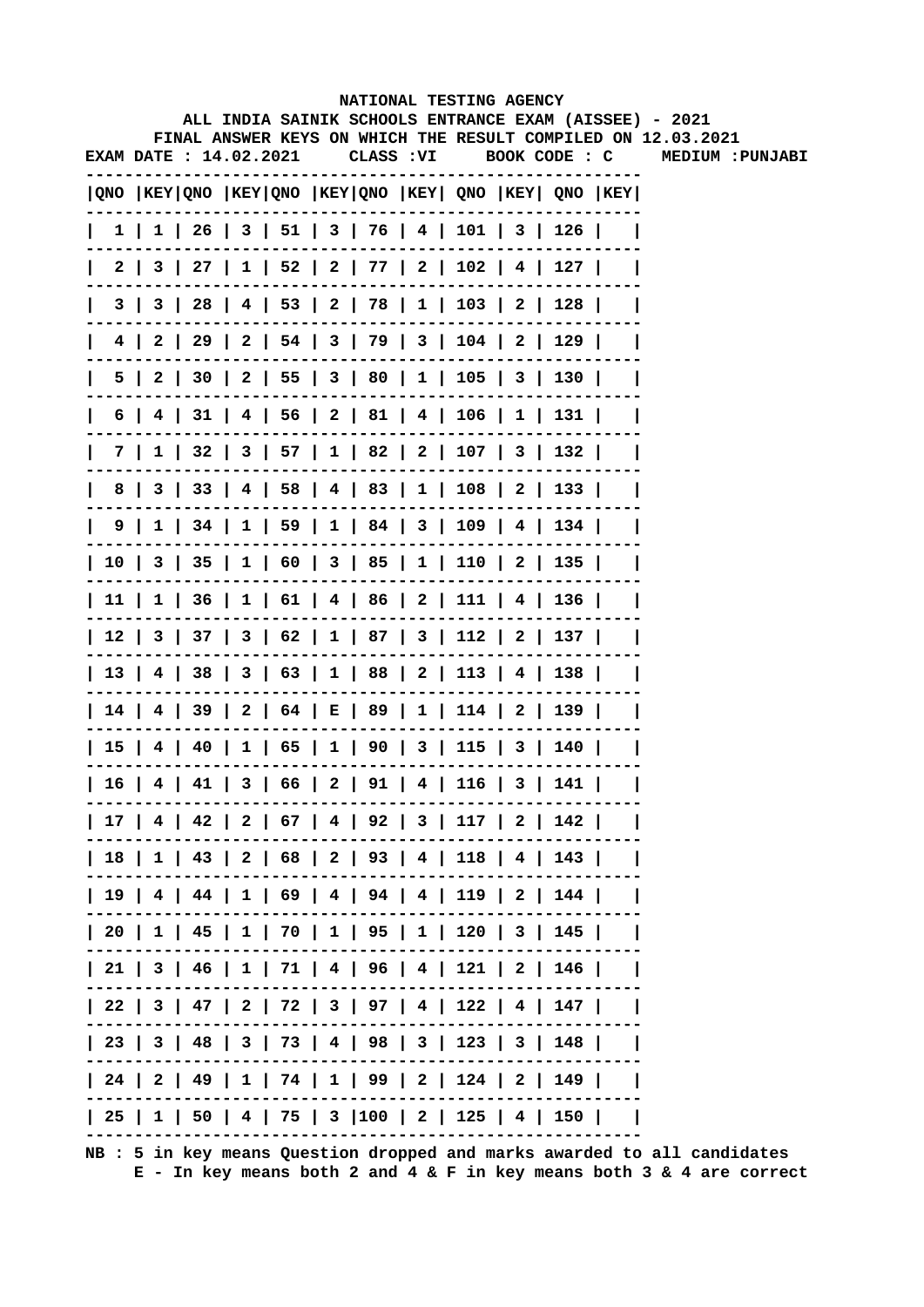|   |                        |  |  |            |  | NATIONAL TESTING AGENCY                                                               |  | ALL INDIA SAINIK SCHOOLS ENTRANCE EXAM (AISSEE) - 2021       |
|---|------------------------|--|--|------------|--|---------------------------------------------------------------------------------------|--|--------------------------------------------------------------|
|   |                        |  |  |            |  |                                                                                       |  | FINAL ANSWER KEYS ON WHICH THE RESULT COMPILED ON 12.03.2021 |
|   | EXAM DATE : 14.02.2021 |  |  | CLASS : VI |  | BOOK CODE : C                                                                         |  | MEDIUM : PUNJABI                                             |
|   |                        |  |  |            |  | QNO  KEY QNO  KEY QNO  KEY QNO  KEY  QNO  KEY  QNO  KEY                               |  |                                                              |
|   |                        |  |  |            |  | $1 \mid 1 \mid 26 \mid 3 \mid 51 \mid 3 \mid 76 \mid 4 \mid 101 \mid 3 \mid 126 \mid$ |  |                                                              |
|   |                        |  |  |            |  | 2 3 27 1 52 2 77 2 102 4 127                                                          |  |                                                              |
|   |                        |  |  |            |  | 3   3   28   4   53   2   78   1   103   2   128                                      |  |                                                              |
|   |                        |  |  |            |  | 4   2   29   2   54   3   79   3   104   2   129                                      |  |                                                              |
|   |                        |  |  |            |  | 5   2   30   2   55   3   80   1   105   3   130                                      |  |                                                              |
| 6 |                        |  |  |            |  | 4   31   4   56   2   81   4   106   1   131                                          |  |                                                              |
|   |                        |  |  |            |  | 7   1   32   3   57   1   82   2   107   3   132                                      |  |                                                              |
| 8 |                        |  |  |            |  | 3   33   4   58   4   83   1   108   2   133                                          |  |                                                              |
|   |                        |  |  |            |  | 9   1   34   1   59   1   84   3   109   4   134                                      |  |                                                              |
|   |                        |  |  |            |  | 10   3   35   1   60   3   85   1   110   2   135                                     |  |                                                              |
|   |                        |  |  |            |  | 11   1   36   1   61   4   86   2   111   4   136                                     |  |                                                              |
|   |                        |  |  |            |  | 12   3   37   3   62   1   87   3   112   2   137                                     |  |                                                              |
|   |                        |  |  |            |  | 13   4   38   3   63   1   88   2   113   4   138                                     |  |                                                              |
|   |                        |  |  |            |  | 14   4   39   2   64   E   89   1   114   2   139                                     |  |                                                              |
|   |                        |  |  |            |  | 15   4   40   1   65   1   90   3   115   3   140                                     |  |                                                              |
|   |                        |  |  |            |  | 16   4   41   3   66   2   91   4   116   3   141                                     |  |                                                              |
|   |                        |  |  |            |  | 17   4   42   2   67   4   92   3   117   2   142                                     |  |                                                              |
|   |                        |  |  |            |  | 18   1   43   2   68   2   93   4   118   4   143                                     |  |                                                              |
|   |                        |  |  |            |  | 19   4   44   1   69   4   94   4   119   2   144                                     |  |                                                              |
|   |                        |  |  |            |  | 20   1   45   1   70   1   95   1   120   3   145                                     |  |                                                              |
|   |                        |  |  |            |  | 21   3   46   1   71   4   96   4   121   2   146                                     |  |                                                              |
|   |                        |  |  |            |  | 22   3   47   2   72   3   97   4   122   4   147                                     |  |                                                              |
|   |                        |  |  |            |  | 23   3   48   3   73   4   98   3   123   3   148                                     |  |                                                              |
|   |                        |  |  |            |  | 24   2   49   1   74   1   99   2   124   2   149                                     |  |                                                              |
|   |                        |  |  |            |  | 25   1   50   4   75   3  100   2   125   4   150                                     |  |                                                              |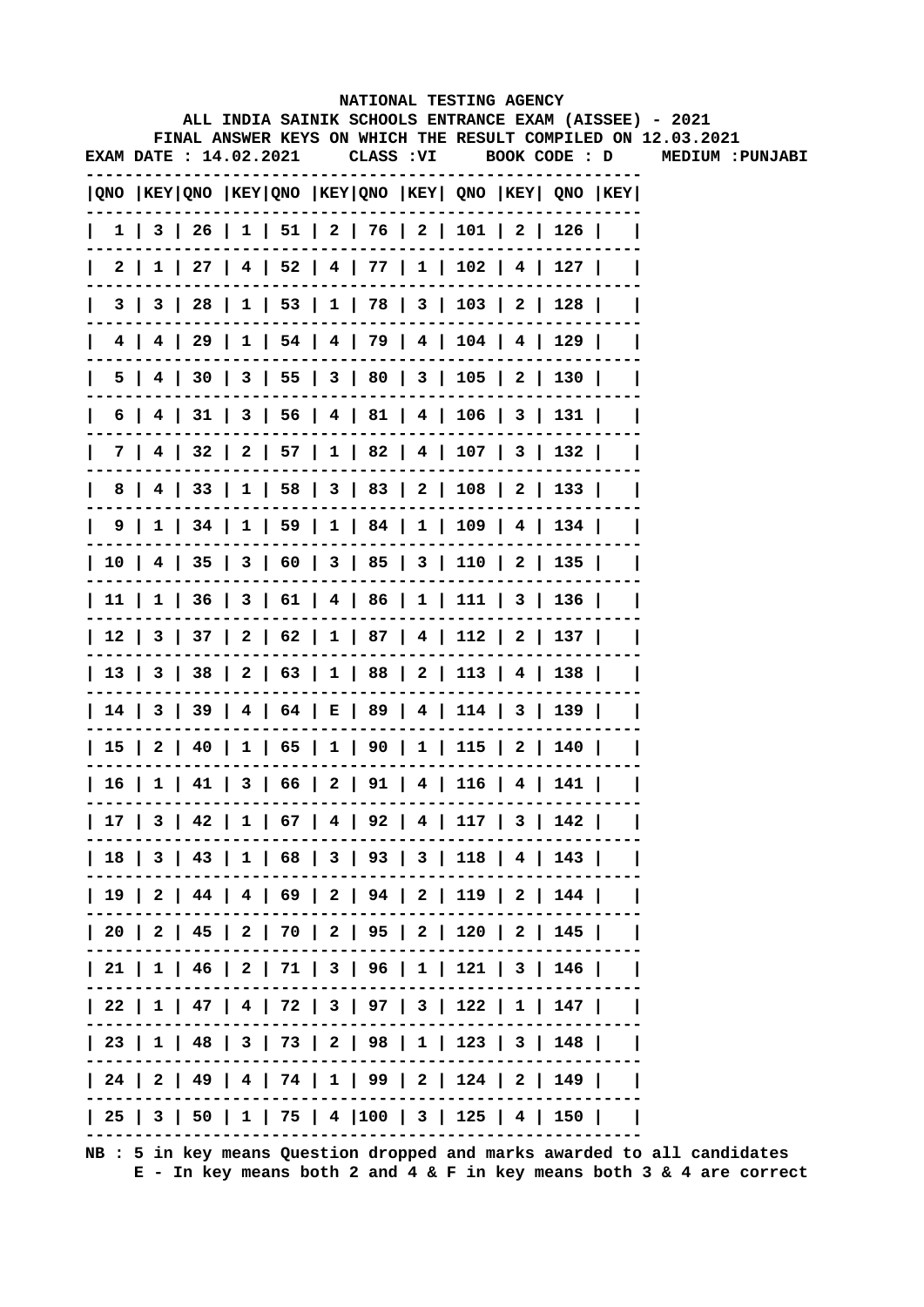|              |    |                        |  |            |  | NATIONAL TESTING AGENCY                                                             |  |                                                                                                                        |
|--------------|----|------------------------|--|------------|--|-------------------------------------------------------------------------------------|--|------------------------------------------------------------------------------------------------------------------------|
|              |    |                        |  |            |  |                                                                                     |  | ALL INDIA SAINIK SCHOOLS ENTRANCE EXAM (AISSEE) - 2021<br>FINAL ANSWER KEYS ON WHICH THE RESULT COMPILED ON 12.03.2021 |
|              |    | EXAM DATE : 14.02.2021 |  | CLASS : VI |  | BOOK CODE : D                                                                       |  | MEDIUM : PUNJABI                                                                                                       |
|              |    |                        |  |            |  | $ QNO $ KEY $ QNO $ KEY $ QNO $ KEY $ QNO $ KEY $ QNO $ KEY $ QNO $ KEY $ QNO $ KEY |  |                                                                                                                        |
| $\mathbf{I}$ |    |                        |  |            |  | 1   3   26   1   51   2   76   2   101   2   126                                    |  |                                                                                                                        |
| 2 I          |    |                        |  |            |  | $1 \mid 27 \mid 4 \mid 52 \mid 4 \mid 77 \mid 1 \mid 102 \mid 4 \mid 127 \mid$      |  |                                                                                                                        |
|              | 31 |                        |  |            |  | 3   28   1   53   1   78   3   103   2   128                                        |  |                                                                                                                        |
|              |    |                        |  |            |  | 4   4   29   1   54   4   79   4   104   4   129                                    |  |                                                                                                                        |
| 5 I          |    |                        |  |            |  | 4   30   3   55   3   80   3   105   2   130                                        |  |                                                                                                                        |
| 6            |    |                        |  |            |  | 31   3   56   4   81   4   106   3   131                                            |  |                                                                                                                        |
| 7 I          |    |                        |  |            |  | 4   32   2   57   1   82   4   107   3   132                                        |  |                                                                                                                        |
| 8            |    |                        |  |            |  | 4   33   1   58   3   83   2   108   2   133                                        |  |                                                                                                                        |
|              |    |                        |  |            |  | 9   1   34   1   59   1   84   1   109   4   134                                    |  |                                                                                                                        |
|              |    |                        |  |            |  | 10   4   35   3   60   3   85   3   110   2   135                                   |  |                                                                                                                        |
|              |    |                        |  |            |  | 11   1   36   3   61   4   86   1   111   3   136                                   |  |                                                                                                                        |
|              |    |                        |  |            |  | 12   3   37   2   62   1   87   4   112   2   137                                   |  |                                                                                                                        |
|              |    |                        |  |            |  | 13   3   38   2   63   1   88   2   113   4   138                                   |  |                                                                                                                        |
|              |    |                        |  |            |  | 14   3   39   4   64   E   89   4   114   3   139                                   |  |                                                                                                                        |
|              |    |                        |  |            |  | 15   2   40   1   65   1   90   1   115   2   140                                   |  |                                                                                                                        |
|              |    |                        |  |            |  | 16   1   41   3   66   2   91   4   116   4   141                                   |  |                                                                                                                        |
|              |    |                        |  |            |  | 17   3   42   1   67   4   92   4   117   3   142                                   |  |                                                                                                                        |
|              |    |                        |  |            |  | 18   3   43   1   68   3   93   3   118   4   143                                   |  |                                                                                                                        |
|              |    |                        |  |            |  | 19   2   44   4   69   2   94   2   119   2   144                                   |  |                                                                                                                        |
|              |    |                        |  |            |  | 20   2   45   2   70   2   95   2   120   2   145                                   |  |                                                                                                                        |
|              |    |                        |  |            |  | 21   1   46   2   71   3   96   1   121   3   146                                   |  |                                                                                                                        |
|              |    |                        |  |            |  | 22   1   47   4   72   3   97   3   122   1   147                                   |  |                                                                                                                        |
|              |    |                        |  |            |  | 23   1   48   3   73   2   98   1   123   3   148                                   |  |                                                                                                                        |
|              |    |                        |  |            |  | 24   2   49   4   74   1   99   2   124   2   149                                   |  |                                                                                                                        |
|              |    |                        |  |            |  | 25   3   50   1   75   4  100   3   125   4   150                                   |  |                                                                                                                        |
|              |    |                        |  |            |  |                                                                                     |  |                                                                                                                        |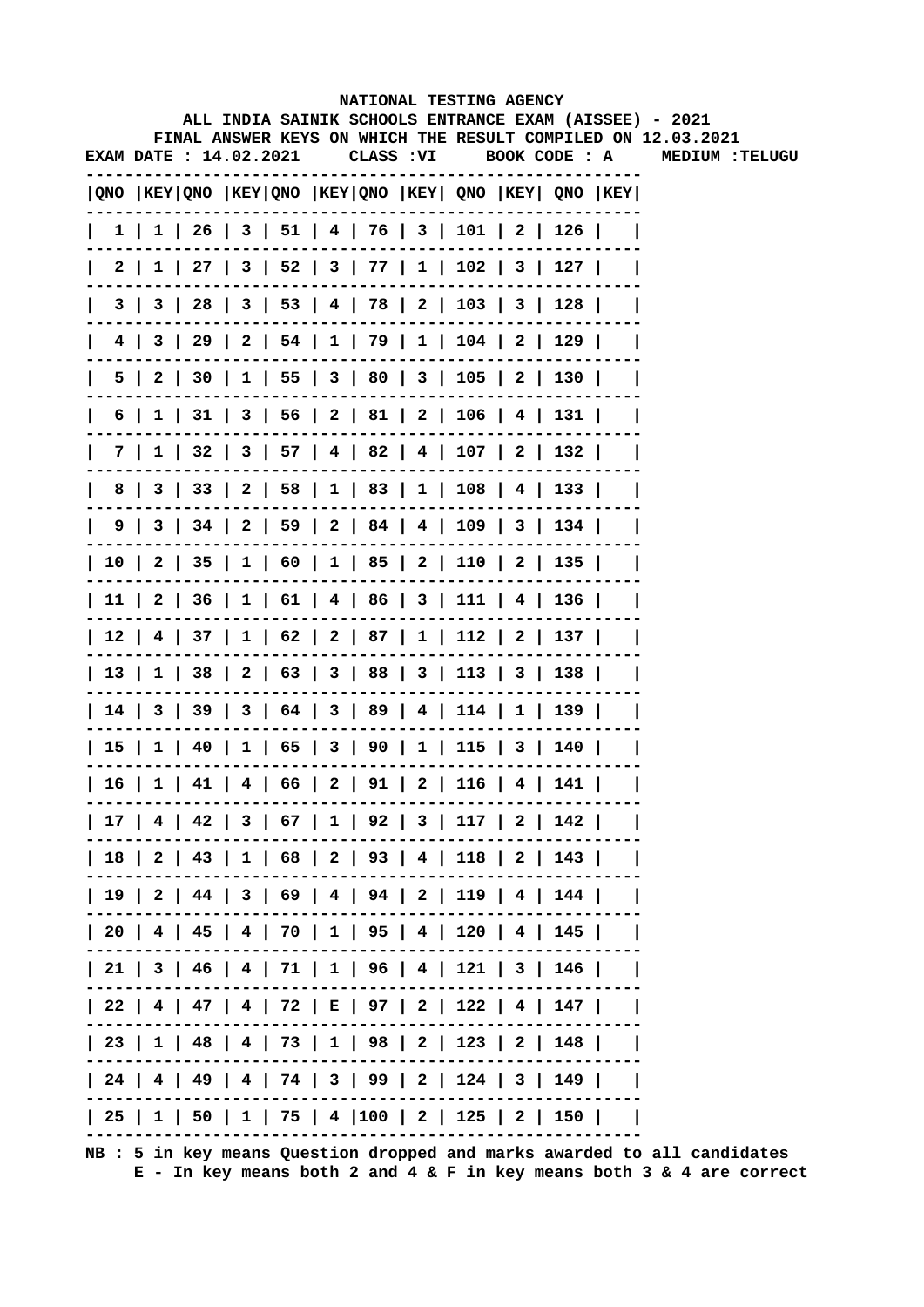|    |                        |  |  |            |  | NATIONAL TESTING AGENCY                                                               |  |                                                                                                                        |
|----|------------------------|--|--|------------|--|---------------------------------------------------------------------------------------|--|------------------------------------------------------------------------------------------------------------------------|
|    |                        |  |  |            |  |                                                                                       |  | ALL INDIA SAINIK SCHOOLS ENTRANCE EXAM (AISSEE) - 2021<br>FINAL ANSWER KEYS ON WHICH THE RESULT COMPILED ON 12.03.2021 |
|    | EXAM DATE : 14.02.2021 |  |  | CLASS : VI |  | BOOK CODE : A                                                                         |  | <b>MEDIUM :TELUGU</b>                                                                                                  |
|    |                        |  |  |            |  | QNO  KEY QNO  KEY QNO  KEY QNO  KEY  QNO  KEY  QNO  KEY                               |  |                                                                                                                        |
|    |                        |  |  |            |  | $1 \mid 1 \mid 26 \mid 3 \mid 51 \mid 4 \mid 76 \mid 3 \mid 101 \mid 2 \mid 126 \mid$ |  |                                                                                                                        |
|    | 2                      |  |  |            |  | $1 \mid 27 \mid 3 \mid 52 \mid 3 \mid 77 \mid 1 \mid 102 \mid 3 \mid 127 \mid$        |  |                                                                                                                        |
|    | 3   3                  |  |  |            |  | 28   3   53   4   78   2   103   3   128                                              |  |                                                                                                                        |
|    | 4 I                    |  |  |            |  | 3   29   2   54   1   79   1   104   2   129                                          |  |                                                                                                                        |
|    | 5 I                    |  |  |            |  | 2   30   1   55   3   80   3   105   2   130                                          |  |                                                                                                                        |
| 6  | $1 \mid$               |  |  |            |  | $31 \mid 3 \mid 56 \mid 2 \mid 81 \mid 2 \mid 106 \mid 4 \mid 131 \mid$               |  |                                                                                                                        |
|    | 7 I                    |  |  |            |  | $1 \mid 32 \mid 3 \mid 57 \mid 4 \mid 82 \mid 4 \mid 107 \mid 2 \mid 132 \mid$        |  |                                                                                                                        |
| 8  |                        |  |  |            |  | 3   33   2   58   1   83   1   108   4   133                                          |  |                                                                                                                        |
|    |                        |  |  |            |  | 9   3   34   2   59   2   84   4   109   3   134                                      |  |                                                                                                                        |
|    |                        |  |  |            |  | 10   2   35   1   60   1   85   2   110   2   135                                     |  |                                                                                                                        |
|    |                        |  |  |            |  | 11   2   36   1   61   4   86   3   111   4   136                                     |  |                                                                                                                        |
|    |                        |  |  |            |  | 12   4   37   1   62   2   87   1   112   2   137                                     |  |                                                                                                                        |
|    |                        |  |  |            |  | 13   1   38   2   63   3   88   3   113   3   138                                     |  |                                                                                                                        |
|    |                        |  |  |            |  | 14   3   39   3   64   3   89   4   114   1   139                                     |  |                                                                                                                        |
|    |                        |  |  |            |  | 15   1   40   1   65   3   90   1   115   3   140                                     |  |                                                                                                                        |
| 16 | $1 \mid$               |  |  |            |  | $41$   $4$   $66$   $2$   $91$   $2$   $116$   $4$   $141$                            |  |                                                                                                                        |
|    |                        |  |  |            |  | 17   4   42   3   67   1   92   3   117   2   142                                     |  |                                                                                                                        |
|    |                        |  |  |            |  | 18   2   43   1   68   2   93   4   118   2   143                                     |  |                                                                                                                        |
|    |                        |  |  |            |  | 19   2   44   3   69   4   94   2   119   4   144                                     |  |                                                                                                                        |
|    |                        |  |  |            |  | 20   4   45   4   70   1   95   4   120   4   145                                     |  |                                                                                                                        |
|    |                        |  |  |            |  | 21   3   46   4   71   1   96   4   121   3   146                                     |  |                                                                                                                        |
|    |                        |  |  |            |  | 22   4   47   4   72   E   97   2   122   4   147                                     |  |                                                                                                                        |
|    |                        |  |  |            |  | 23   1   48   4   73   1   98   2   123   2   148                                     |  |                                                                                                                        |
|    |                        |  |  |            |  | 24   4   49   4   74   3   99   2   124   3   149                                     |  |                                                                                                                        |
|    |                        |  |  |            |  | 25   1   50   1   75   4  100   2   125   2   150                                     |  |                                                                                                                        |
|    |                        |  |  |            |  |                                                                                       |  |                                                                                                                        |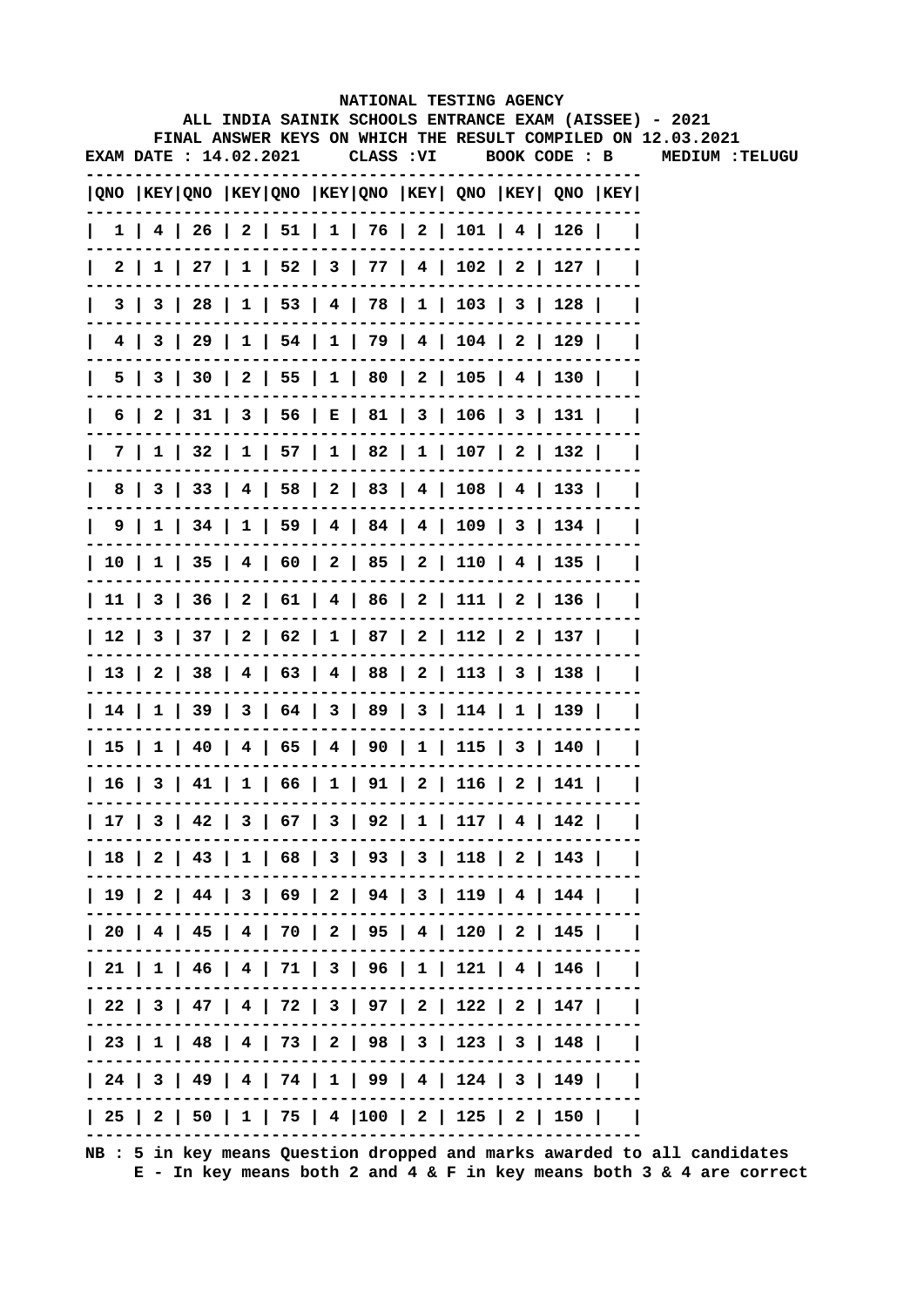|                                        |                        |  |  |            | NATIONAL TESTING AGENCY                                                             |  |                                                                                                                        |
|----------------------------------------|------------------------|--|--|------------|-------------------------------------------------------------------------------------|--|------------------------------------------------------------------------------------------------------------------------|
|                                        |                        |  |  |            |                                                                                     |  | ALL INDIA SAINIK SCHOOLS ENTRANCE EXAM (AISSEE) - 2021<br>FINAL ANSWER KEYS ON WHICH THE RESULT COMPILED ON 12.03.2021 |
|                                        | EXAM DATE : 14.02.2021 |  |  | CLASS : VI | BOOK CODE : B                                                                       |  | <b>MEDIUM :TELUGU</b>                                                                                                  |
|                                        |                        |  |  |            | $ QNO $ KEY $ QNO $ KEY $ QNO $ KEY $ QNO $ KEY $ QNO $ KEY $ QNO $ KEY $ QNO $ KEY |  |                                                                                                                        |
|                                        |                        |  |  |            | $1$   4   26   2   51   1   76   2   101   4   126                                  |  |                                                                                                                        |
|                                        | 2                      |  |  |            | $1 \mid 27 \mid 1 \mid 52 \mid 3 \mid 77 \mid 4 \mid 102 \mid 2 \mid 127 \mid$      |  |                                                                                                                        |
|                                        | 3  <br>3               |  |  |            | 28   1   53   4   78   1   103   3   128                                            |  |                                                                                                                        |
|                                        |                        |  |  |            | 4   3   29   1   54   1   79   4   104   2   129                                    |  |                                                                                                                        |
|                                        | 5                      |  |  |            | 3   30   2   55   1   80   2   105   4   130                                        |  |                                                                                                                        |
| 6                                      | 2 I                    |  |  |            | $31$   3   56   E   81   3   106   3   131                                          |  |                                                                                                                        |
|                                        | 7 I                    |  |  |            | $1 \mid 32 \mid 1 \mid 57 \mid 1 \mid 82 \mid 1 \mid 107 \mid 2 \mid 132 \mid$      |  |                                                                                                                        |
| 8                                      |                        |  |  |            | 3   33   4   58   2   83   4   108   4   133                                        |  |                                                                                                                        |
|                                        | 9                      |  |  |            | $1 \mid 34 \mid 1 \mid 59 \mid 4 \mid 84 \mid 4 \mid 109 \mid 3 \mid 134 \mid$      |  |                                                                                                                        |
| $\begin{array}{c c} 1 & 0 \end{array}$ |                        |  |  |            | $1 \mid 35 \mid 4 \mid 60 \mid 2 \mid 85 \mid 2 \mid 110 \mid 4 \mid 135 \mid$      |  |                                                                                                                        |
|                                        |                        |  |  |            | 11   3   36   2   61   4   86   2   111   2   136                                   |  |                                                                                                                        |
|                                        |                        |  |  |            | 12   3   37   2   62   1   87   2   112   2   137                                   |  |                                                                                                                        |
|                                        |                        |  |  |            | 13   2   38   4   63   4   88   2   113   3   138                                   |  |                                                                                                                        |
|                                        |                        |  |  |            | 14   1   39   3   64   3   89   3   114   1   139                                   |  |                                                                                                                        |
| 151                                    |                        |  |  |            | $1   40   4   65   4   90   1   115   3   140  $                                    |  |                                                                                                                        |
|                                        | $16$ 3                 |  |  |            | $41 \mid 1 \mid 66 \mid 1 \mid 91 \mid 2 \mid 116 \mid 2 \mid 141$                  |  |                                                                                                                        |
|                                        |                        |  |  |            | 17   3   42   3   67   3   92   1   117   4   142                                   |  |                                                                                                                        |
|                                        |                        |  |  |            | 18   2   43   1   68   3   93   3   118   2   143                                   |  |                                                                                                                        |
|                                        |                        |  |  |            | 19   2   44   3   69   2   94   3   119   4   144                                   |  |                                                                                                                        |
|                                        |                        |  |  |            | 20   4   45   4   70   2   95   4   120   2   145                                   |  |                                                                                                                        |
|                                        |                        |  |  |            | 21   1   46   4   71   3   96   1   121   4   146                                   |  |                                                                                                                        |
|                                        |                        |  |  |            | 22   3   47   4   72   3   97   2   122   2   147                                   |  |                                                                                                                        |
|                                        |                        |  |  |            | 23   1   48   4   73   2   98   3   123   3   148                                   |  |                                                                                                                        |
|                                        |                        |  |  |            | 24   3   49   4   74   1   99   4   124   3   149                                   |  |                                                                                                                        |
|                                        |                        |  |  |            | 25   2   50   1   75   4  100   2   125   2   150                                   |  |                                                                                                                        |
|                                        |                        |  |  |            |                                                                                     |  |                                                                                                                        |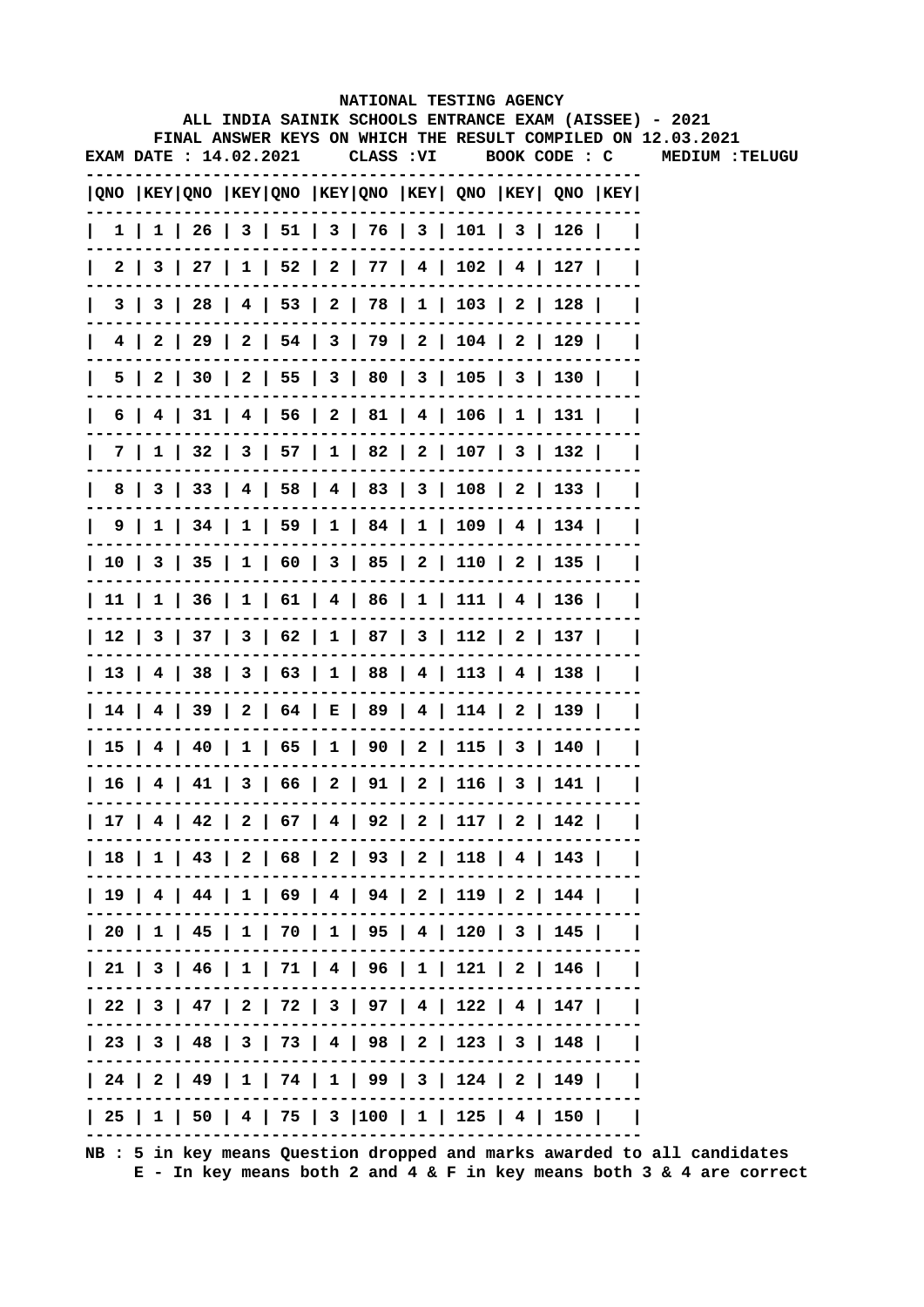|                        |  |  |            |  | NATIONAL TESTING AGENCY                                                                 |  | ALL INDIA SAINIK SCHOOLS ENTRANCE EXAM (AISSEE) - 2021       |
|------------------------|--|--|------------|--|-----------------------------------------------------------------------------------------|--|--------------------------------------------------------------|
|                        |  |  |            |  |                                                                                         |  | FINAL ANSWER KEYS ON WHICH THE RESULT COMPILED ON 12.03.2021 |
| EXAM DATE : 14.02.2021 |  |  | CLASS : VI |  | BOOK CODE : C                                                                           |  | <b>MEDIUM :TELUGU</b>                                        |
|                        |  |  |            |  | $ QNO $ KEY $ QNO $ KEY $ QNO $ KEY $ QNO $ KEY $ QNO $ KEY $ QNO $ KEY $ QNO $ KEY $ $ |  |                                                              |
|                        |  |  |            |  | 1   1   26   3   51   3   76   3   101   3   126                                        |  |                                                              |
|                        |  |  |            |  | $2 \mid 3 \mid 27 \mid 1 \mid 52 \mid 2 \mid 77 \mid 4 \mid 102 \mid 4 \mid 127 \mid$   |  |                                                              |
|                        |  |  |            |  | 3   3   28   4   53   2   78   1   103   2   128                                        |  |                                                              |
|                        |  |  |            |  | 4   2   29   2   54   3   79   2   104   2   129                                        |  |                                                              |
| 5                      |  |  |            |  | 2   30   2   55   3   80   3   105   3   130                                            |  |                                                              |
| 6                      |  |  |            |  | $4$   31   4   56   2   81   4   106   1   131                                          |  |                                                              |
|                        |  |  |            |  | 7   1   32   3   57   1   82   2   107   3   132                                        |  |                                                              |
|                        |  |  |            |  | 8   3   33   4   58   4   83   3   108   2   133                                        |  |                                                              |
|                        |  |  |            |  | $9   1   34   1   59   1   84   1   109   4   134  $                                    |  |                                                              |
|                        |  |  |            |  | 10   3   35   1   60   3   85   2   110   2   135                                       |  |                                                              |
|                        |  |  |            |  | 11   1   36   1   61   4   86   1   111   4   136                                       |  |                                                              |
|                        |  |  |            |  | 12   3   37   3   62   1   87   3   112   2   137                                       |  |                                                              |
|                        |  |  |            |  | 13   4   38   3   63   1   88   4   113   4   138                                       |  |                                                              |
|                        |  |  |            |  | 14   4   39   2   64   E   89   4   114   2   139                                       |  |                                                              |
|                        |  |  |            |  | 15   4   40   1   65   1   90   2   115   3   140                                       |  |                                                              |
|                        |  |  |            |  | 16   4   41   3   66   2   91   2   116   3   141                                       |  |                                                              |
|                        |  |  |            |  | 17   4   42   2   67   4   92   2   117   2   142                                       |  |                                                              |
|                        |  |  |            |  | 18   1   43   2   68   2   93   2   118   4   143                                       |  |                                                              |
|                        |  |  |            |  | 19   4   44   1   69   4   94   2   119   2   144                                       |  |                                                              |
|                        |  |  |            |  | 20   1   45   1   70   1   95   4   120   3   145                                       |  |                                                              |
|                        |  |  |            |  | 21   3   46   1   71   4   96   1   121   2   146                                       |  |                                                              |
|                        |  |  |            |  | 22   3   47   2   72   3   97   4   122   4   147                                       |  |                                                              |
|                        |  |  |            |  | 23   3   48   3   73   4   98   2   123   3   148                                       |  |                                                              |
|                        |  |  |            |  | 24   2   49   1   74   1   99   3   124   2   149                                       |  |                                                              |
|                        |  |  |            |  | 25   1   50   4   75   3  100   1   125   4   150                                       |  |                                                              |
|                        |  |  |            |  |                                                                                         |  |                                                              |